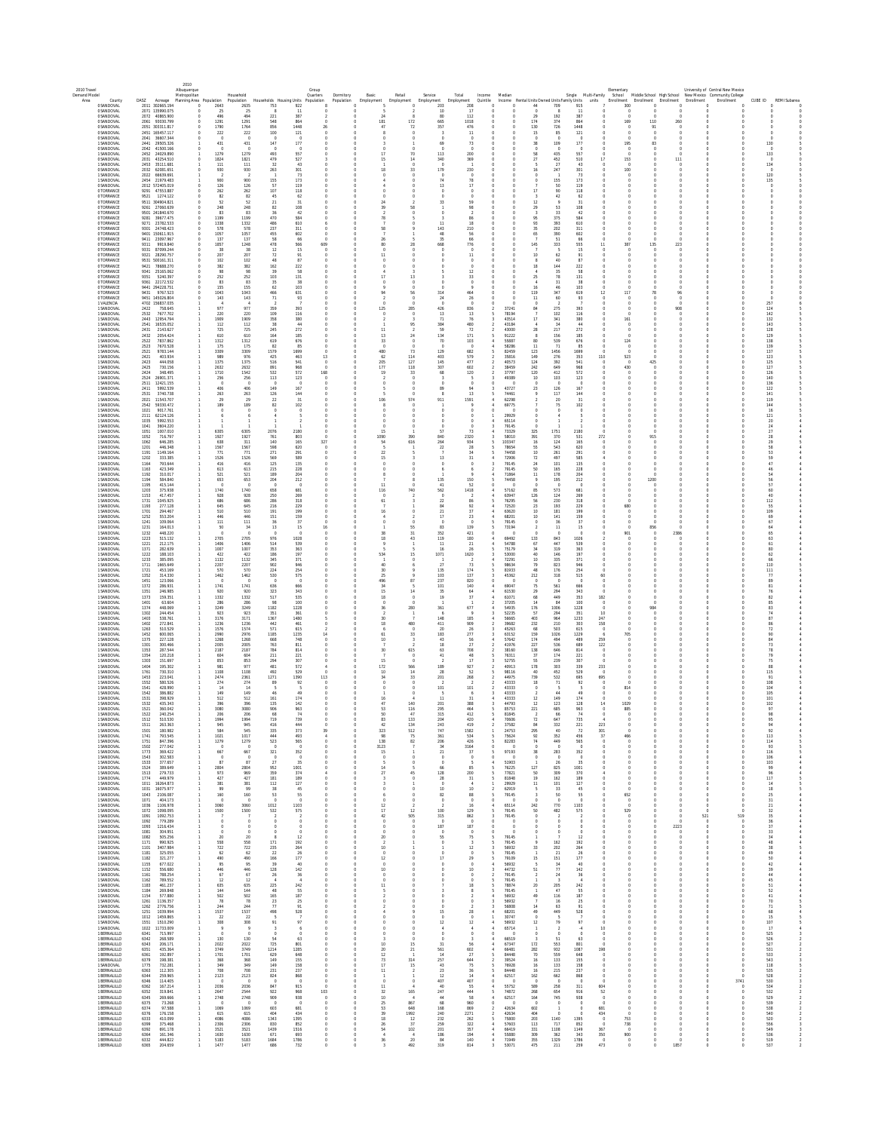| 2010 Trave<br>Demand Model<br>County<br>Area         | 2010<br>Albuquerque<br>Metropolitan<br>DASZ<br>Acreage<br>Planning Area         | Population                                                             | Household<br>Population              | louseholds                                                          | Group<br>Quarters<br>Population<br><b>Housing Units</b> | Dormitory<br>Population | Basic<br>Employment                          | Retail<br>Employment                | Service<br>Employment                                         | Total<br>Income<br>Quintile<br>Employment        | Income                           | Rental Units Owned Units Family Units                                 |                                                                   | Single<br>Multi-Family<br>units                | Elementary<br>School<br>Enrollment                    |                      | Middle School High School<br>Enrollment Enrollment | Enrollment | University of Central New Mexico<br>New Mexico Community College<br>Enrollment | CUBE ID                                                 | REMI Subarea  |
|------------------------------------------------------|---------------------------------------------------------------------------------|------------------------------------------------------------------------|--------------------------------------|---------------------------------------------------------------------|---------------------------------------------------------|-------------------------|----------------------------------------------|-------------------------------------|---------------------------------------------------------------|--------------------------------------------------|----------------------------------|-----------------------------------------------------------------------|-------------------------------------------------------------------|------------------------------------------------|-------------------------------------------------------|----------------------|----------------------------------------------------|------------|--------------------------------------------------------------------------------|---------------------------------------------------------|---------------|
| <b>O SANDOVAL</b><br>0 SANDOVAL<br>0 SANDOVAL        | 2011 302665.194<br>2071 135990.075<br>2072<br>40865.900                         | 2643<br>$2\bar{5}$<br>496                                              | 2635<br>494                          | 753<br>221                                                          | $^{922}_{11}$<br>387                                    |                         | 24                                           |                                     | 203<br>10<br>80                                               | 208<br>17<br>112                                 |                                  | 44<br>29                                                              | 709<br>192                                                        | 915<br>387                                     | 300                                                   |                      |                                                    |            |                                                                                |                                                         |               |
| 0 SANDOVAL<br>0 SANDOVAL<br>0 SANDOVAL               | 93030.799<br>2061<br>2051 303311 817<br>2451 165457.117                         | 1291<br>1790<br>$222\,$                                                | 1291<br>1764<br>$222\,$              | 548<br>856<br>100                                                   | 864<br>1448<br>26<br>121                                |                         | 181<br>47                                    | 172<br>72                           | 665<br>357                                                    | 1018<br>476<br>11                                |                                  | $\frac{174}{130}$                                                     | 374<br>$\frac{726}{85}$                                           | 864<br>1448<br>121                             | 169                                                   | 110<br>$\circ$<br>91 | 260                                                | $\Omega$   |                                                                                |                                                         |               |
| 0 SANDOVAL<br>SANDOVAL<br>0 SANDOVAL                 | 2041<br>36607.344<br>29505.326<br>2441<br>2042<br>41500.166                     | - 0<br>431<br>£                                                        | $\Omega$<br>431                      | 147<br>$\ddot{\phantom{0}}$                                         | 177                                                     |                         |                                              |                                     | 69                                                            | $73\,$<br>$\Omega$                               |                                  | $\theta$<br>38<br>$\theta$                                            | $\ddot{\phantom{0}}$<br>109<br>$\ddot{\phantom{0}}$               | 177                                            | 195                                                   | £.<br>83<br>$\theta$ |                                                    |            |                                                                                | 130                                                     |               |
| SANDOVA<br>0 SANDOVAL                                | 2452<br>24029.890<br>2031<br>43254.510<br>2453                                  | 1279<br>1824                                                           | 1279<br>1821                         | 493<br>479                                                          | 557<br>527<br>43                                        |                         | 15                                           | $70$<br>$14$                        | 113<br>340                                                    | 200<br>369                                       |                                  | $\frac{58}{27}$                                                       | $435$<br>$452$<br>27                                              | 557<br>510<br>43                               | 153                                                   |                      | 111                                                |            |                                                                                | 133                                                     |               |
| 1 SANDOVAL<br>0 SANDOVAL<br>1 SANDOVAL               | 35111.681<br>62081.651<br>2032<br>$\frac{2022}{2454}$<br>66639.691<br>21979.483 | $\frac{111}{930}$                                                      | $\frac{111}{930}$                    | $\frac{32}{263}$                                                    | 301<br>$\frac{73}{173}$                                 |                         | 18                                           | 33                                  | 179                                                           | 230<br>$\theta$                                  |                                  | 16                                                                    | 247                                                               | 301<br>$\frac{73}{173}$                        | 100                                                   |                      |                                                    |            |                                                                                | 134<br>120                                              |               |
| 1 SANDOVAL<br>0 SANDOVAL<br>0 TORRANCE               | 2012 572405.019<br>9291 47553.887                                               | 900<br>$\frac{126}{262}$                                               | 900<br>126<br>262                    | 155<br>$\frac{57}{107}$                                             | 119<br>118                                              |                         |                                              |                                     | 74<br>13                                                      | 78<br>17                                         |                                  | 17                                                                    | 155<br>50<br>90                                                   | 119<br>118                                     |                                                       |                      |                                                    |            |                                                                                | 135                                                     |               |
| 0 TORRANCE<br>O TORRANCE<br>0 TORRANCE               | 9521 1274.122<br>9511 304904.821<br>9261 27060.639<br>9501 241840.670           | $\begin{array}{c} 82 \\ 52 \end{array}$<br>$\frac{248}{83}$            | 82<br>52<br>248                      | $\frac{45}{21}$<br>82<br>36                                         | $rac{62}{31}$<br>$\frac{108}{42}$                       |                         | 24<br>39                                     | 58                                  | 33                                                            | 59<br>98                                         |                                  | 12<br>29                                                              | $42\,$<br>$\frac{53}{33}$                                         | $\frac{62}{31}$<br>$\frac{108}{42}$            |                                                       |                      |                                                    |            |                                                                                |                                                         |               |
| O TORRANCE<br>0 TORRANCE<br>O TORRANCE               | $\frac{9281}{9271}$<br>39677.475<br>23782.533                                   | 1199<br>1338                                                           | 83<br>1199<br>1332                   | 470<br>486                                                          | 584<br>610                                              |                         | 78                                           |                                     | 11                                                            | 86<br>18                                         |                                  | $\frac{95}{93}$                                                       | $\frac{375}{393}$                                                 | 584<br>610                                     |                                                       |                      |                                                    |            |                                                                                |                                                         |               |
| 0 TORRANCE<br>O TORRANCE<br>0 TORRANCE               | 9301 24748.423<br>9401 150611.915<br>9411 23097.967                             | 578<br>1057<br>137                                                     | 578<br>1057<br>$\frac{137}{1248}$    | $\frac{237}{455}$                                                   | $\frac{311}{602}$                                       |                         |                                              |                                     | 143<br>48<br>35                                               | 210<br>56                                        |                                  | $\frac{35}{65}$                                                       | $202\,$<br>390                                                    | $\frac{311}{602}$                              |                                                       |                      |                                                    |            |                                                                                |                                                         |               |
| O TORRANCE<br>0 TORRANCE<br>O TORRANCE               | 9311<br>9919.840<br>9331<br>87099.244<br>28290.757<br>9321                      | 1857<br>38<br>207                                                      | 28<br>207                            | $\frac{58}{478}$<br>$\frac{12}{72}$                                 | $66$<br>566<br>609<br>$\frac{15}{91}$                   |                         | 80<br>11                                     | -28                                 | 668                                                           | $\frac{66}{776}$<br>11                           |                                  | 145<br>10                                                             | $\frac{51}{333}$<br>62                                            | $rac{66}{555}$<br>15<br>91                     | 387                                                   | 135                  | 223                                                |            |                                                                                |                                                         |               |
| 0 TORRANCE<br>O TORRANCE<br>0 TORRANCE               | 9531 500161.311<br>9421<br>78688.270<br>9341                                    | $\frac{102}{382}$<br>98                                                | $\frac{102}{382}$<br>98              | $\frac{48}{162}$                                                    | 87<br>222<br>58                                         |                         |                                              |                                     |                                                               | 12                                               |                                  | 18                                                                    | $\frac{40}{144}$                                                  | 87<br>222<br>58                                |                                                       |                      |                                                    |            |                                                                                |                                                         |               |
| 0 TORRANCE<br>O TORRANCE<br>O TORRANCE               | 25165.062<br>5240.397<br>9351<br>9361 22172.532<br>9441 294228.751              | 252<br>$\frac{83}{155}$                                                | 252<br>83<br>155                     | $\frac{39}{103}$<br>$\frac{35}{62}$                                 | 131<br>$\frac{38}{103}$                                 |                         | 17                                           | 13                                  |                                                               | 33                                               |                                  | 25<br>16                                                              | $\frac{35}{78}$<br>31<br>46                                       | 131<br>$\frac{38}{103}$                        |                                                       |                      |                                                    |            |                                                                                |                                                         |               |
| 0 TORRANCE<br>0 TORRANCE<br>1 VALENCIA               | 9431 9767.523<br>9451 145026.804<br>4702 156837.035                             | 1043<br>143                                                            | 1043<br>143                          | $\frac{466}{71}$                                                    | 631<br>93                                               |                         | 94                                           | 56<br>$\circ$                       | 314<br>24                                                     | 464<br>26                                        |                                  | 119<br>11                                                             | 347<br>60                                                         | $619$<br>93                                    | 117                                                   | $\circ$              |                                                    |            |                                                                                |                                                         |               |
| 1 SANDOVAL<br>1 SANDOVAL<br>1 SANDOVAL               | 2422<br>758.645<br>2532<br>7677.702<br>12954.794<br>2443                        | 977<br>$220\,$<br>1909                                                 | 977<br>$220\,$<br>1909               | 359<br>$\frac{109}{358}$                                            | 393<br>116<br>380                                       |                         | 125                                          | 285<br>$\theta$                     | 426<br>13<br>71                                               | 836<br>$13\,$<br>76                              | 37241<br>78194<br>43514          | 84<br>17                                                              | 275<br>102<br>341                                                 | 393<br>116<br>380                              | 161                                                   |                      | 908                                                |            |                                                                                | 257<br>124<br>$\frac{142}{132}$                         |               |
| 1 SANDOVAL<br>1 SANDOVAL<br>1 SANDOVAL               | 2541<br>2431<br>16535.052<br>2143.627<br>2432<br>2054.424                       | 112<br>725<br>610                                                      | 112<br>725<br>610                    | $\frac{38}{245}$                                                    | $44$<br>$272$<br>$185$                                  |                         | 11<br>13                                     | 95<br>24                            | 384<br>59<br>134                                              | 480<br>$\frac{72}{171}$                          | 43184<br>43000<br>91222          | 28<br>$\mathcal{R}$                                                   | $\frac{34}{217}$<br>156                                           | 44<br>$\frac{272}{185}$                        |                                                       |                      |                                                    |            |                                                                                | 143<br>128<br>129                                       |               |
| 1 SANDOVAL<br>1 SANDOVAL<br>1 SANDOVAL               | 2522<br>7837.862<br>2523<br>7670.528<br>2521<br>9783.144                        | 1312<br>175<br>3309                                                    | 1312<br>175<br>3309                  | 619<br>82<br>1579                                                   | 676<br>85<br>1699                                       |                         | 33<br>$\Omega$<br>$\Omega$<br>480            | 73                                  | 70<br>129                                                     | 103<br>$\Omega$<br>682                           | 55887<br>58286<br>82459          | 11<br>123                                                             | 539<br>71<br>1456                                                 | 676<br>85<br>1699                              | 124                                                   | $\circ$              |                                                    |            |                                                                                | 138<br>139<br>137                                       |               |
| 1 SANDOVAL<br>1 SANDOVAL<br>1 SANDOVAL               | 2421<br>403.934<br>2423<br>444.058<br>2425<br>730.156                           | 989<br>1375<br>2632                                                    | 976<br>1375                          | 425<br>516<br>891                                                   | 463<br>13<br>541<br>968                                 |                         | 62<br>$\Omega$<br>205<br>177<br>19           | 114<br>127<br>118                   | 403<br>$\frac{145}{307}$                                      | 579<br>477<br>602                                | 35816<br>40573<br>38459          | 149<br>124<br>242                                                     | 276<br>392<br>649                                                 | 353<br>541<br>968                              | 110<br>523<br>430                                     | 425                  |                                                    |            |                                                                                | 123<br>125<br>127<br>126<br>140                         |               |
| SANDOVAL<br>1 SANDOVAL<br>1 SANDOVAL                 | 2424<br>348.495<br>2524<br>26901.371<br>2511<br>12421.155                       | 1710<br>256                                                            | 2632<br>1542<br>256                  | $\frac{532}{113}$                                                   | 572<br>168<br>123                                       |                         |                                              | 33<br>$\circ$                       | 68<br>$\mathcal{R}$                                           | 120<br>5                                         | 37797<br>49389                   | 120<br>10                                                             | 412<br>103                                                        | 572<br>123                                     |                                                       |                      |                                                    |            |                                                                                | 136                                                     |               |
| 1 SANDOVAL<br>1 SANDOVAL<br>1 SANDOVAL               | 2411<br>5992.539<br>2531<br>3740.738<br>2021<br>11543.707                       | 406<br>263<br>29                                                       | 406<br>263<br>29                     | 149<br>126<br>22                                                    | 167<br>144<br>31                                        |                         | 106                                          | £.<br>574                           | 89<br>911                                                     | 94<br>13<br>1591                                 | 43727<br>74461<br>62298          | $\frac{23}{9}$                                                        | $\frac{126}{117}$<br>20                                           | 167<br>144<br>31                               |                                                       |                      |                                                    |            |                                                                                | $\frac{122}{141}$<br>119                                |               |
| 1 SANDOVAL<br>1 SANDOVAL<br>1 SANDOVAL               | 2542<br>59330.472<br>1021<br>9017.761<br>2111<br>62124.126                      | 189<br>$\circ$                                                         | 189                                  | 82                                                                  | 102                                                     |                         |                                              |                                     |                                                               |                                                  | 69775<br>29929                   |                                                                       | 75                                                                | 102                                            |                                                       |                      |                                                    |            |                                                                                | 144<br>16<br>121                                        |               |
| 1 SANDOVAL<br>SANDOVAL<br>1 SANDOVAL                 | 1035<br>5992.553<br>1041<br>3604.220<br>1051<br>1007.010                        | 6305                                                                   | 6305                                 | 2076                                                                | 2180                                                    |                         | $\Omega$<br>15                               | £.                                  | 57                                                            | 73                                               | 65114<br>79145<br>73329          | 325                                                                   | 1751                                                              | 2180                                           |                                                       |                      |                                                    |            |                                                                                | 20<br>$^{24}$<br>27                                     |               |
| 1 SANDOVAL<br>1 SANDOVAL<br>1 SANDOVAL               | 1052<br>716.797<br>1062<br>646.285<br>1201<br>446.348                           | 1927<br>638<br>1567                                                    | 1927<br>311<br>1567                  | $\frac{761}{140}$<br>$\frac{598}{271}$                              | 803<br>165<br>327<br>620                                |                         | 1090<br>$\frac{54}{5}$                       | 390<br>616                          | 840<br>$\frac{264}{22}$                                       | 2320<br>$\begin{array}{c} 934 \\ 28 \end{array}$ | 58010<br>103347<br>78654         | 391<br>16<br>55                                                       | 370<br>124<br>543                                                 | 531<br>165<br>620                              | 272                                                   | 915                  |                                                    |            |                                                                                | 28<br>29                                                |               |
| 1 SANDOVAL<br>1 SANDOVAL<br>1 SANDOVAL               | 1191<br>1149.164<br>1202<br>333.385<br>793.644                                  | 771<br>1526<br>416                                                     | 771<br>1526<br>416                   | 569<br>125<br>215                                                   | 291<br>589<br>135                                       |                         | 22<br>15<br>$\theta$                         |                                     | 13                                                            | 34<br>31<br>$\Omega$                             | 74458<br>72906<br>79145          | 10<br>72<br>24                                                        | 261<br>497<br>101                                                 | 291<br>585<br>135                              |                                                       |                      |                                                    |            |                                                                                | 53<br>47                                                |               |
| SANDOVAL<br>1 SANDOVAL<br>1 SANDOVAL                 | 1164<br>1163<br>423.349<br>1192<br>310.017<br>1194<br>1195<br>584.840           | 613<br>521<br>653                                                      | 613<br>521<br>653                    | 189<br>$204\,$                                                      | 228<br>204<br>212                                       |                         |                                              |                                     | 135                                                           | 150                                              | 79145<br>71864<br>74458          | 50<br>11                                                              | 165<br>178<br>195                                                 | 228<br>204<br>212                              |                                                       | 1200                 |                                                    |            |                                                                                | 54<br>$\frac{56}{57}$                                   |               |
| 1 SANDOVAL<br>1 SANDOVAL<br>1 SANDOVAL               | 415.144<br>1203<br>375.938<br>1153<br>417.457                                   | - 0<br>1740<br>928                                                     | $\Omega$<br>1740<br>928              | 658<br>250                                                          | $\Omega$<br>681<br>269                                  |                         | 11<br>116                                    | 740                                 | 41<br>562<br>$\theta$                                         | 52<br>1418                                       | 57162<br>63947                   | 126                                                                   | $\Omega$<br>573<br>124                                            | 681<br>269                                     |                                                       |                      |                                                    |            |                                                                                | 40                                                      |               |
| 1 SANDOVAL<br>1 SANDOVAL<br>1 SANDOVA                | 1731<br>1193<br>1045.925<br>1701<br>1252<br>294.467                             | 686<br>645<br>$\frac{510}{446}$                                        | 686<br>645<br>510<br>446             | $\frac{286}{216}$<br>191<br>151                                     | 318<br>318<br>229<br>199<br>159                         |                         | 61                                           |                                     | $\begin{array}{c} 22 \\ 84 \end{array}$<br>$^{21}_{17}$       | $\frac{86}{92}$<br>37                            | 76295<br>72520<br>63620          | $\frac{56}{23}$<br>$\frac{10}{10}$                                    | 230<br>193<br>181                                                 | 237<br>318<br>229<br>199<br>159                | 680                                                   | $\theta$             |                                                    |            |                                                                                | $\frac{112}{55}$<br>109<br>69                           |               |
| 1 SANDOVAL<br>1 SANDOVAL<br>1 SANDOVAL               | 553.204<br>1241<br>1231<br>109.064                                              | $111$<br>50                                                            | 111<br>34                            | $\frac{36}{13}$                                                     | 37<br>15                                                |                         |                                              | 55                                  | 83                                                            | 23<br>139                                        | 68201<br>79145<br>73194          |                                                                       | 141<br>$\frac{36}{11}$                                            | $\frac{37}{15}$                                |                                                       | 856                  |                                                    |            |                                                                                | 67<br>64                                                |               |
| 1 SANDOVA<br>1 SANDOVAL<br>1 SANDOVAL                | 1232<br>1223<br>448.220<br>515.132<br>1221<br>1371<br>212.175                   | f.<br>2705<br>1406                                                     | 2705<br>1406<br>1007                 | 976<br>$\frac{514}{353}$                                            | 1028<br>$\frac{539}{363}$                               |                         | 18                                           | 31<br>43                            | $\frac{352}{119}$<br>11                                       | $\frac{421}{180}$<br>$2\sqrt{1}$                 | 69492<br>54788                   | 133<br>$\frac{67}{34}$                                                | 843<br>447                                                        | 1026<br>539<br>363                             | 901                                                   |                      | 2386                                               |            |                                                                                | 65<br>63<br>61                                          |               |
| 1 SANDOVAL<br>1 SANDOVA<br>1 SANDOVAL                | 282.639<br>1222<br>1233<br>188.103<br>385.095                                   | 1007<br>$\frac{422}{1132}$                                             | 422<br>1132                          | 186<br>345                                                          | 197<br>371                                              |                         | 534                                          | 15<br>$\circ$                       | 16<br>1071                                                    | 26<br>1620                                       | 75179<br>53000<br>72291          | $^{40}_{10}$                                                          | 319<br>146<br>335                                                 | 197<br>371                                     |                                                       |                      |                                                    |            |                                                                                | 62<br>66                                                |               |
| 1 SANDOVAL<br>1 SANDOVAL<br>1 SANDOVA                | 1711<br>1721<br>1665.649<br>453.169<br>1352<br>1451<br>314.330                  | 2207<br>570<br>1462                                                    | 2207<br>570<br>1462                  | $\frac{902}{224}$<br>530                                            | $\frac{946}{254}$<br>575                                |                         | 40<br>30<br>$\frac{25}{496}$                 |                                     | $\begin{array}{c} 27 \\ 135 \end{array}$<br>$\frac{103}{237}$ | 73<br>174<br>137<br>820                          | 98634<br>81933<br>45362          | 79<br>48<br>212                                                       | 823<br>176<br>318                                                 | 946<br>254<br>515                              | 60                                                    |                      |                                                    |            |                                                                                | $\frac{110}{111}$<br>77                                 |               |
| 1 SANDOVAL<br>1 SANDOVAL<br>1 SANDOVAL               | 123.066<br>1372<br>1351<br>286.931<br>246.985                                   | 1741<br>920                                                            | 1741<br>920                          | $\ddot{\phantom{0}}$<br>$\frac{636}{323}$                           | $\circ$<br>$\frac{666}{343}$                            |                         | $\frac{34}{15}$                              | 87<br>14                            | 101<br>35                                                     | 140<br>64                                        | 69047<br>61530                   | $\circ$<br>75                                                         | $^{\circ}$<br>561<br>294                                          | 666<br>343                                     |                                                       |                      |                                                    |            |                                                                                |                                                         |               |
| 1 SANDOVA<br>1 SANDOVAL<br>1 SANDOVAL                | 1373<br>1401<br>159.351<br>63.604<br>448.069                                    | 1332<br>286<br>$\frac{3249}{923}$                                      | 1332<br>286<br>3249                  | $^{517}_{98}$<br>1182                                               | $\frac{535}{100}$<br>1228                               |                         | 18<br>$\circ$<br>36                          | 280                                 | 19<br>361                                                     | 37<br>677                                        | 61071<br>37205<br>54935          | 29<br>68<br>14                                                        | $\frac{449}{84}$                                                  | 353<br>100<br>$\frac{1228}{351}$               | 182                                                   | 984                  |                                                    |            |                                                                                | R.                                                      |               |
| 1 SANDOVAL<br>1 SANDOVAL<br>1 SANDOVAL               | 1374<br>1302<br>244.454<br>1403<br>1402<br>538.761<br>272.841                   | $\frac{3176}{1236}$                                                    | 923<br>3171<br>1236                  | 351<br>$\frac{1367}{442}$                                           | 361<br>1480<br>461                                      |                         | 30<br>18                                     | 480                                 | $\frac{148}{411}$                                             | 185<br>909                                       | 52235<br>56665<br>39682          | $\frac{176}{57}$<br>$\frac{403}{232}$                                 | 1006<br>294<br>964<br>210                                         | 1233<br>303                                    | 10<br>247<br>158                                      |                      |                                                    |            |                                                                                | 74                                                      |               |
| 1 SANDOVAL<br>1 SANDOVAL<br>1 SANDOVAL               | 1263<br>1452<br>510.529<br>600.065<br>227.128                                   | 1576<br>2990<br>1268                                                   | 1574<br>2976<br>1268                 | $\frac{571}{1185}$                                                  | $rac{615}{1235}$<br>748                                 |                         | 61<br>10                                     | 33                                  | $\frac{20}{183}$<br>43                                        | $\frac{26}{277}$                                 | 45263<br>63152<br>57642          | $\frac{68}{159}$                                                      | 503<br>1026                                                       | $rac{615}{1229}$                               | 705<br>259                                            |                      |                                                    |            |                                                                                | 84                                                      |               |
| 1 SANDOVAL<br>1 SANDOVAL<br>1 SANDOVAL               | 1375<br>1301<br>300.466<br>1353<br>1354<br>287.544<br>120.218                   | 2005<br>2187<br>604                                                    | 2005<br>2187<br>604                  | $\frac{668}{763}$<br>$\frac{784}{211}$                              | 811<br>814<br>221                                       |                         | 30                                           | 615<br>0                            | 18<br>63<br>41                                                | $\frac{56}{27}$<br>708<br>48                     | 41976<br>38160<br>76311          | $\frac{174}{227}$<br>138<br>37                                        | $\frac{494}{536}$<br>$\frac{646}{174}$                            | $\frac{489}{689}$<br>$\frac{814}{221}$         | 122                                                   |                      |                                                    |            |                                                                                | 73                                                      |               |
| 1 SANDOVAL<br>1 SANDOVAL<br>1 SANDOVAL               | 1303<br>1404<br>151.697<br>195.302<br>730.310                                   | 853<br>981                                                             | 853<br>977<br>1108                   | $\frac{294}{481}$                                                   | 307<br>572                                              |                         | 15<br>172<br>10                              | 566<br>14                           | 189                                                           | 17<br>927<br>52                                  | 52755<br>40913<br>98116          | 55<br>178<br>40                                                       | 239<br>303<br>452                                                 | $\frac{307}{339}$                              | 233                                                   |                      |                                                    |            |                                                                                | 115                                                     |               |
| 1 SANDOVAL<br>1 SANDOVAL<br>SANDOVAL                 | 1761<br>1453<br>1552<br>223.041<br>580.526<br>428.990                           | $\frac{1108}{2474}$<br>274<br>$\overline{14}$                          | $\frac{2361}{274}$                   | $\frac{492}{1271}$<br>$\frac{89}{5}$                                | $\frac{529}{1390}$<br>113<br>92                         |                         | 34<br>$\theta$                               | 33<br>$\Omega$                      | $\frac{28}{201}$<br>101                                       | 268<br>101                                       | 44975<br>43333<br>43333          | 739<br>18                                                             | 532<br>71                                                         | $\frac{529}{695}$                              | 695<br>814                                            |                      |                                                    |            |                                                                                | 91<br>108                                               |               |
| 1 SANDOVAL<br>SANDOVAL<br>1 SANDOVAL                 | 1541<br>1542<br>386.882<br>1531<br>398.929<br>1532<br>435.343                   | 149<br>512<br>396                                                      | 149<br>512<br>396                    | 46<br>$\frac{161}{135}$                                             | 49<br>174<br>142                                        |                         | 47                                           | £.<br>140                           | 201                                                           | 31<br>388                                        | 43333<br>43333<br>44793          | 12                                                                    | 44<br>149<br>123                                                  | 49<br>174<br>128                               | 14<br>1029                                            |                      |                                                    |            |                                                                                | $\frac{104}{105}$<br>101<br>102                         |               |
| <b>SANDOVAL</b><br>1 SANDOVAL<br>1 SANDOVAL          | 1521<br>360.042<br>1522<br>240.254<br>1512<br>510.530                           | 3080<br>206<br>1994                                                    | 3080<br>206<br>1994                  | 906<br>68<br>719                                                    | 963<br>74<br>739                                        |                         | 53<br>50<br>83                               | 116<br>47<br>133                    | 295<br>$\frac{315}{204}$                                      | 464<br>412<br>420                                | 85753<br>81845<br>70606          | $221\,$<br>$\overline{2}$<br>$\overline{12}$                          | 685<br>66<br>647                                                  | 963<br>74<br>735                               | 885                                                   |                      |                                                    |            |                                                                                |                                                         |               |
| SANDOVAL<br>1 SANDOVAL<br>1 SANDOVAL                 | 1511<br>263.363<br>1501<br>180.982<br>1741<br>793.545                           | 945<br>584<br>1021                                                     | 545<br>1017                          | 335<br>444                                                          | 373<br>39                                               |                         | 323<br>98<br>$\Omega$                        | 512                                 | 747<br>361<br>206                                             | 1582                                             | 17582<br>24753<br>75624          |                                                                       | 40<br>352                                                         | 221<br>72<br>456                               | 301<br>37<br>466                                      |                      |                                                    |            |                                                                                | 92<br>113                                               |               |
| 1 SANDOVAL<br>1 SANDOVAL<br>1 SANDOVAL               | 1751<br>847.396<br>1502<br>277.042<br>1773<br>1543<br>369.422                   | 1279<br>$\mathfrak{c}$<br>667                                          | 1279<br>$\circ$<br>667               | 523<br>$\ddot{\phantom{0}}$<br>321                                  | 493<br>565<br>$\ddot{\phantom{0}}$<br>352               |                         | 138<br>3123<br>15<br>$\Omega$                | 75<br>82                            | $\frac{34}{21}$                                               | 534<br>426<br>3164<br>$37\,$                     | 82283<br>97193                   | $295$<br>$92$<br>$74$<br>$0$<br>$38$<br>$0$                           | 449<br>$\overline{0}$<br>283                                      | 565<br>$\overline{0}$<br>352                   |                                                       | £.                   |                                                    |            |                                                                                | $\frac{114}{93}$<br>116<br>106                          |               |
| 1 SANDOVAL<br>1 SANDOVAL<br>1 SANDOVAL               | 302.583<br>1533<br>377.657<br>389.649                                           | $\ddot{\phantom{0}}$<br>87<br>2804                                     | $\ddot{\phantom{0}}$<br>87           | $\ddot{\phantom{0}}$                                                | $^{\circ}$<br>35                                        |                         | $\theta$<br>14                               |                                     | $\theta$<br>66                                                | $\theta$<br>85                                   | 51903<br>76225                   |                                                                       | $\circ$<br>$^{26}$<br>$\frac{825}{309}$                           | $^{\circ}$<br>35<br>1001                       |                                                       | £.<br>£.             |                                                    |            |                                                                                | 103<br>99<br>96                                         |               |
| 1 SANDOVAL<br>1 SANDOVAL<br>1 SANDOVAL               | 1524<br>1513<br>1774<br>279.733<br>449.979<br>1011<br>16264.873                 | $973$<br>$427$<br>$381$<br>$99$<br>$160$                               | 2804<br>969<br>$\frac{427}{381}$     | 27<br>952<br>359<br>181<br>112                                      | 1001<br>374<br>189<br>127                               |                         | $\sqrt{27}$                                  | 45<br>$\theta$                      | 128<br>$^{28}_{\quad 0}$                                      | 200<br>$\frac{31}{4}$                            | 77821<br>81848<br>29929          | $\frac{127}{50}$<br>$\frac{19}{11}$                                   | $\frac{162}{101}$                                                 | 370<br>189<br>127                              |                                                       | $\theta$             |                                                    |            | £.                                                                             | 117<br>$\overline{14}$                                  |               |
| 1 SANDOVAL<br>1 SANDOVAL<br>1 SANDOVAL               | 1031<br>16075.977<br>$\frac{1043}{1071}$<br>2106.087<br>404.173                 | $\overline{0}$                                                         | $\frac{99}{160}$<br>$\circ$          | $\frac{38}{53}$<br>$\ddot{\phantom{0}}$                             | $\begin{array}{c} 45 \\ 55 \end{array}$<br>$\theta$     |                         | $\Omega$<br>$\theta$<br>$\Omega$             | $\theta$                            | 10<br>82<br>$\theta$                                          | 10<br>88<br>$\overline{0}$                       | 62919<br>79145                   | 5<br>$\theta$                                                         | $\begin{array}{c} 33 \\ 50 \\ 0 \end{array}$                      | $\frac{45}{55}$<br>$\Omega$                    | 652                                                   | £.<br>$\circ$        |                                                    | $\Omega$   | £.<br>£.                                                                       | 18<br>25<br>31                                          |               |
| 1 SANDOVAL<br>1 SANDOVAL<br>1 SANDOVAL               | 1036<br>1072<br>1106.978<br>1098.095<br>1091<br>1092<br>1092.753                | 3060<br>1500                                                           | 3060<br>1500                         | 1012<br>$\begin{array}{c} 532 \\ 2 \end{array}$                     | 1103<br>$\begin{array}{c} 575 \\ 2 \end{array}$         |                         | $\frac{12}{17}$<br>42                        | 12<br>505                           | 100<br>315                                                    | 16<br>129<br>862                                 | 65114<br>79145<br>79145          | $\begin{array}{r}\n 242 \\  \hline\n 50 \\  \hline\n 0\n \end{array}$ | 770<br>$\frac{482}{2}$                                            | 1103<br>575                                    | 529                                                   |                      |                                                    | 521        | 519                                                                            | $\overline{21}$<br>$\frac{32}{35}$                      |               |
| 1 SANDOVAL<br>1 SANDOVAL<br>1 SANDOVAL               | 779.289<br>$\frac{1093}{1081}$<br>1216.434<br>304.951                           | $\circ$<br>$\ddot{\phantom{0}}$                                        | $\theta$<br>£.                       | $\ddot{\phantom{0}}$<br>$\ddot{\phantom{0}}$                        | $\theta$<br>$\theta$                                    |                         | $\ddot{\phantom{0}}$<br>$\Omega$<br>$\theta$ | $\circ$                             | $\theta$<br>187<br>$\theta$                                   | $\theta$<br>187<br>$\theta$                      | $\Omega$                         | $\theta$<br>$\Omega$                                                  | $\ddot{\phantom{0}}$<br>$\ddot{\phantom{0}}$                      |                                                |                                                       | $\theta$             | 2223                                               | $\theta$   | $\circ$<br>£.                                                                  | 36<br>$_{37}$                                           |               |
| 1 SANDOVAL<br>1 SANDOVAL<br>1 SANDOVAL               | 1082<br>1171<br>1101<br>1181<br>1182<br>1155<br>505.256<br>990.925<br>3407.984  | 20<br>558<br>722<br>649<br>95<br>44<br>67<br>25<br>14<br>25<br>24<br>4 | 558<br>$722\,$                       |                                                                     | 12<br>192<br>264                                        |                         | 20<br>$\Omega$<br>10                         |                                     | 55<br>$\theta$                                                | $75\,$<br>12                                     | 79145<br>79145<br>56932          | $\begin{array}{c} 33 \\ 1 \end{array}$                                | 162                                                               | 192<br>264                                     |                                                       |                      |                                                    |            | £.                                                                             | $\frac{33}{34}$<br>$\frac{48}{38}$                      |               |
| 1 SANDOVA<br>1 SANDOVAL<br>1 SANDOVAL                | 325.055<br>321.277<br>677.022                                                   |                                                                        | $\frac{62}{490}$                     | 171 235 22 166 39 128 26 4                                          | $\begin{array}{c} 26 \\ 177 \\ 40 \end{array}$          |                         | $\theta$<br>12<br>$\theta$                   |                                     | 17                                                            | $\theta$<br>$\frac{29}{0}$                       | 79145<br>79109<br>56932          | $\begin{array}{c} 15 \\ 5 \end{array}$                                | $\begin{array}{r} 202 \\ 21 \\ 151 \\ 34 \\ 77 \\ 24 \end{array}$ | $\begin{array}{c} 26 \\ 177 \\ 40 \end{array}$ |                                                       |                      |                                                    |            |                                                                                | $\frac{49}{50}$                                         |               |
| 1 SANDOVAL<br>1 SANDOVAL<br>1 SANDOVAL<br>1 SANDOVAL | 1152<br>1161<br>1162<br>1183<br>556.680<br>789.552<br>461.237                   |                                                                        | $\frac{446}{67}$<br>$\frac{12}{635}$ |                                                                     | 142<br>$\frac{36}{4}$                                   |                         | 10<br>$\circ$                                |                                     |                                                               | $10$<br>$\theta$                                 | 44732<br>79145<br>79145<br>78874 | $\frac{51}{2}$                                                        |                                                                   | $\begin{array}{r} 142 \\ 36 \\ 4 \end{array}$  |                                                       |                      |                                                    |            |                                                                                | $\begin{array}{c} 39 \\ 44 \end{array}$<br>$45$<br>$51$ |               |
| 1 SANDOVAL<br>1 SANDOVAL                             | 1184<br>1154<br>1261<br>1262<br>269.848                                         |                                                                        | $\frac{144}{502}$                    | 225<br>48<br>165<br>23<br>77                                        | 242<br>$\frac{55}{187}$                                 |                         | 11                                           |                                     |                                                               | 18                                               | 79145<br>56932                   | $20\,$<br>$\frac{1}{49}$                                              | 205<br>$47$<br>$116$<br>$16$<br>$63$                              | 242<br>55<br>187                               |                                                       |                      |                                                    |            |                                                                                | $\frac{52}{41}$                                         |               |
| 1 SANDOVAL<br>1 SANDOVAL<br>1 SANDOVAL<br>1 SANDOVAL | 1136.357<br>2776.756<br>1251<br>1012<br>1039.994                                | 1537<br>22                                                             | $\frac{78}{244}$                     | $\begin{array}{c} 498 \\ 5 \end{array}$                             | $\frac{25}{91}$<br>528                                  |                         |                                              |                                     | 15                                                            | 28                                               | 56932<br>56808<br>68201          | $\frac{14}{49}$                                                       | $\frac{449}{5}$                                                   | $\frac{25}{91}$<br>528                         |                                                       |                      |                                                    |            |                                                                                | $70$<br>$71$<br>$^{68}_{15}$                            |               |
| 1 SANDOVAL<br>1 SANDOVAL                             | 1551<br>1022<br>1510.290<br>11733.009                                           | 308<br>9                                                               | 1537<br>22<br>308<br>9               | 91<br>3                                                             | 97                                                      |                         |                                              |                                     | $^{\circ}$<br>12                                              | $^{\circ}$<br>12                                 | 30747<br>56932<br>65714          | 12                                                                    | $\genfrac{}{}{0pt}{}{79}{2}\,$                                    | $\overline{9}$<br>$\cdot$                      | 10                                                    |                      |                                                    |            |                                                                                | $\frac{107}{17}$                                        |               |
| 1 BERNALILLO<br>1 BERNALILLO                         | 6341<br>6342<br>715.997<br>268.589<br>$6343$<br>$6351$<br>206.171<br>435.364    | ¢<br>130<br>2022<br>3749                                               | 130<br>2022<br>3749                  | $\begin{smallmatrix} 0\\54 \end{smallmatrix}$<br>$\frac{725}{1214}$ | 63<br>801<br>1285                                       |                         | $\frac{10}{20}$                              | 15                                  | $^{\circ}$<br>$\frac{31}{561}$                                | $\frac{56}{602}$                                 | 66519<br>67347                   |                                                                       | $\theta$<br>$\overline{51}$<br>$\frac{553}{932}$                  | 63<br>$\frac{801}{1087}$                       |                                                       |                      |                                                    |            |                                                                                | 525<br>526<br>527<br>531                                |               |
| 1 BERNALILLO<br>1 BERNALILLO                         | 6361<br>6379<br>192.897<br>198.381                                              | 1701<br>368<br>349<br>708                                              | 1701<br>368<br>349<br>708            | $\frac{629}{149}$                                                   | 648<br>155                                              |                         | $\frac{12}{73}$<br>$\frac{17}{17}$           | 21<br>314                           | $\frac{14}{257}$                                              | $rac{27}{644}$                                   | 66481<br>84448<br>39524          | 172<br>282<br>70<br>16<br>16<br>16                                    | 559<br>133                                                        |                                                | 198                                                   |                      |                                                    |            |                                                                                | $\frac{533}{543}$                                       |               |
| 1 SANDOVAL<br>1 BERNALILLO<br>1 BERNALILLO           | 1775<br>6363<br>732.281<br>112.305<br>$6344$<br>$6346$<br>259.965<br>114.405    | 2123                                                                   | 2123                                 | $\frac{149}{231}$<br>$_{\rm 0}^{\rm 824}$                           | 158<br>237<br>868                                       |                         | 11                                           | 15                                  | $\frac{43}{23}$<br>$\frac{12}{407}$                           | $75$<br>36<br>$\frac{14}{407}$                   | 76928<br>84448<br>62517          | $\begin{array}{c} 162 \\ 0 \end{array}$                               | $\frac{133}{215}$<br>$662$ 0                                      | 648<br>155<br>158<br>237<br>868                |                                                       |                      |                                                    |            |                                                                                | $\frac{118}{535}$<br>$\frac{528}{530}$                  |               |
| 1 BERNALILLO                                         | 6362<br>6352<br>167.214<br>319.841                                              | - C<br>2036<br>2647                                                    | $\circ$<br>2036<br>2544              | $\frac{847}{922}$                                                   | $\theta$<br>915<br>968<br>103                           |                         | $\theta$<br>$\frac{11}{32}$<br>0             | $\circ$<br>165                      | $\frac{40}{247}$                                              | $\frac{55}{444}$                                 | 55752<br>74872                   | 589<br>268<br>164<br>0                                                | $\frac{258}{654}$                                                 | $\alpha$<br>311<br>916                         | $rac{604}{52}$                                        |                      |                                                    |            | 3741                                                                           | $\frac{534}{532}$                                       |               |
| 1 BERNALILLO<br>1 BERNALILLO<br>1 BERNALILLO         | $6345$<br>$6375$<br>269.666<br>73.268<br>$6374$<br>$6376$<br>97.588             | 2748<br>- C<br>1069<br>615                                             | 2748<br>$^{\circ}$<br>1069<br>615    | 909<br>$\ddot{\phantom{0}}$<br>$\frac{603}{404}$                    | 938<br>$\circ$<br>$\frac{681}{434}$                     |                         | 10 25 53 918 26                              | 867                                 | $_{\rm 44}$<br>68                                             | $\frac{58}{960}$<br>869                          | 62517<br>42634                   | $\frac{602}{404}$                                                     | 745<br>$\,$ 0                                                     | 938<br>$^{\circ}$                              | $\circ$<br>681                                        | $\circ$              |                                                    |            | 0                                                                              | 529<br>539                                              |               |
| 1 BERNALILLO                                         | 176.158<br>6333<br>410.099<br>375.468<br>6399                                   | 4086<br>2306                                                           | 4086<br>2306                         | 1343<br>830                                                         | 1395<br>852                                             |                         |                                              | 648<br>1992<br>12<br>37             | 168<br>240<br>232<br>259                                      | 2271<br>$\frac{262}{322}$                        | 42634<br>75800<br>57603          | $\frac{203}{113}$                                                     | 1140<br>717                                                       | $\frac{1395}{852}$                             | 434<br>$\,$ 0<br>753<br>738                           |                      |                                                    |            | 0                                                                              | 538<br>540<br>520<br>556                                |               |
| 1 BERNALILLO<br>1 BERNALILLO                         | 6392<br>6364<br>691.178<br>6332<br>444.822                                      | 3521<br>1630<br>5183                                                   | 3521<br>1630<br>5183<br>1477         | $\frac{1439}{671}$<br>1684                                          | 1516<br>693<br>1786<br>732                              |                         | $\frac{54}{4}$<br>$\frac{36}{3}$<br>$\Omega$ | $\frac{102}{4}$<br>$\frac{20}{492}$ | 201<br>186<br>84<br>319                                       | 357<br>194<br>140                                | 66419<br>71949                   | 331<br>309<br>355<br>475                                              | 1108<br>362<br>1329<br>211                                        | 1149<br>343<br>1786<br>259                     | $\begin{array}{c} 367 \\ 350 \\ 0 \end{array}$<br>900 | $\theta$<br>$\theta$ |                                                    | $^{\circ}$ | $\circ$                                                                        | 549<br>536<br>519<br>537                                | $\frac{2}{2}$ |
| 1 BERNALILLO                                         | 6365<br>204.659                                                                 | 1477                                                                   |                                      | 686                                                                 |                                                         |                         |                                              |                                     |                                                               | 814                                              | 53071                            |                                                                       |                                                                   |                                                | 473                                                   |                      | 1857                                               |            |                                                                                |                                                         |               |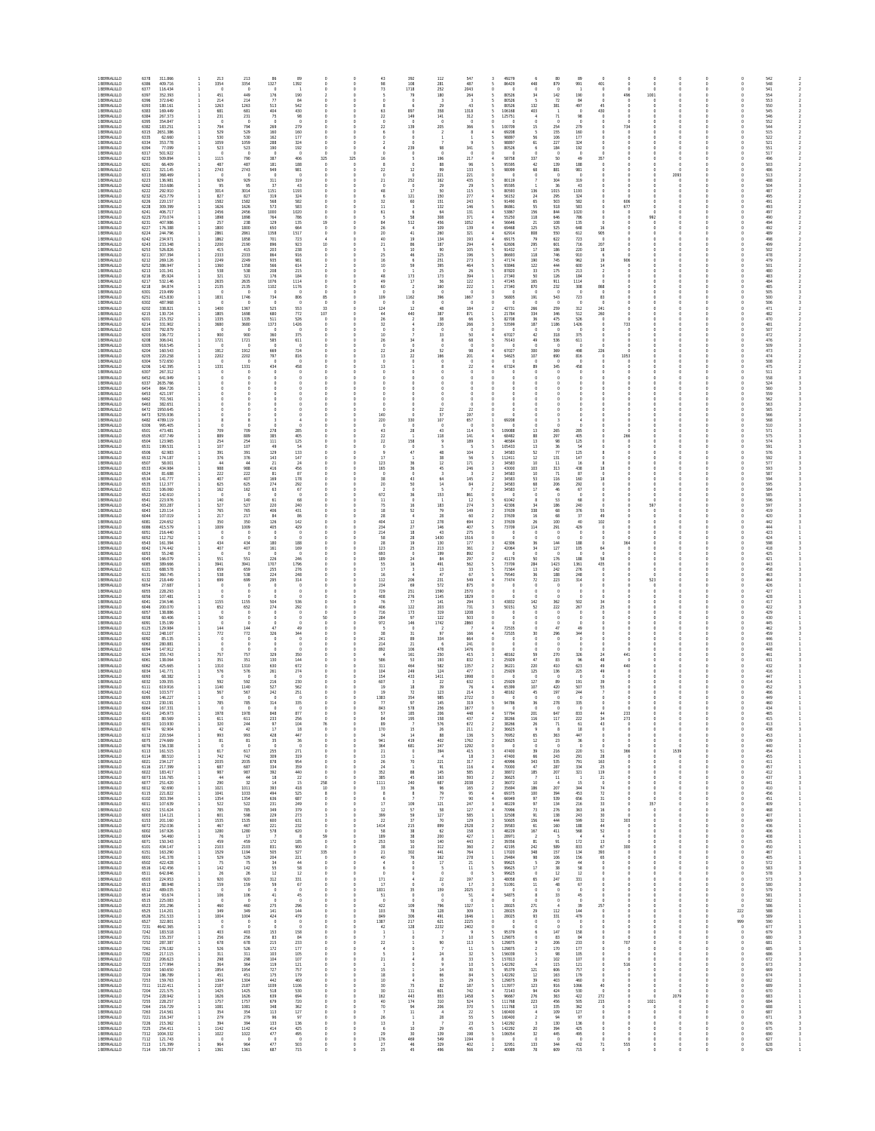| I BERNALILLO<br>I BERNALILLO<br>6397<br>352.393<br>451<br>449<br>$^{176}_{77}$<br>190<br>84<br>79<br>$264\,$<br>80526<br>$\begin{array}{c} 34 \\ 5 \end{array}$<br>$\frac{142}{72}$<br>190<br>496<br>1001<br>554<br>553<br>372.640<br>214<br>214<br>80526<br>84<br>$^{\circ}$<br>I BERNALILLO<br>I BERNALILLO<br>6393<br>180.161<br>169.449<br>1263<br>1263<br>681<br>$\frac{513}{404}$<br>$\frac{542}{430}$<br>43<br>80526<br>106168<br>$\frac{132}{403}$<br>381<br>497<br>45<br>550<br>$\alpha$<br>430<br>897<br>358<br>1318<br>545<br>681<br>63<br>I BERNALILLO<br>I BERNALILLO<br>6384<br>267.373<br>354.847<br>231<br>231<br>75<br>98<br>149<br>$141$<br>312<br>125751<br>71<br>546<br>22<br>98<br>552<br>6395<br>I BERNALILLO<br>I BERNALILLO<br>6382<br>183.251<br>794<br>794<br>529<br>$\frac{269}{160}$<br>$\frac{279}{160}$<br>139<br>205<br>366<br>100709<br>$\frac{254}{155}$<br>$\frac{279}{160}$<br>734<br>544<br>22<br>$\begin{array}{c} 15 \\ 5 \end{array}$<br>529<br>6315<br>2651.386<br>69208<br>515<br>BERNALILLO<br>6335<br>62.660<br>530<br>1059<br>530<br>1059<br>162<br>$\frac{177}{324}$<br>98897<br>$\frac{56}{61}$<br>$\frac{106}{227}$<br>177<br>522<br>BERNALILLO<br>6334<br>98897<br>324<br>521<br>288<br>I BERNALILLO<br>I BERNALILLO<br>6394<br>77.099<br>523<br>523<br>190<br>192<br>341<br>80526<br>184<br>192<br>551<br>239<br>501.922<br>6317<br>$\theta$<br>517<br>I BERNALILLO<br>I BERNALILLO<br>6233<br>509.894<br>1115<br>790<br>487<br>$387\,$<br>406<br>325<br>325<br>$217\,$<br>58758<br>$337\,$<br>$\frac{50}{139}$<br>19<br>49<br>357<br>181<br>188<br>42<br>188<br>503<br>6261<br>487<br>88<br>95595<br>133<br>221<br>435<br>29<br>115<br>277<br>I BERNALILLO<br>I BERNALILLO<br>6221<br>321.145<br>2743<br>2743<br>949<br>981<br>98099<br>68<br>881<br>981<br>$^{22}$<br>12<br>486<br>221<br>6313<br>368.469<br>$\theta$<br>2093<br>513<br>I BERNALILLO<br>I BERNALILLO<br>6223<br>136.981<br>310.686<br>929<br>929<br>$311\,$<br>$\frac{319}{43}$<br>252<br>$\frac{162}{29}$<br>80119<br>$304\,$<br>319<br>21<br>488<br>6262<br>95<br>37<br>95595<br>36<br>504<br>95<br>43<br>I BERNALILLO<br>I BERNALILLO<br>$6222$<br>$6232$<br>292.910<br>423.779<br>3014<br>827<br>$\frac{3014}{827}$<br>$\frac{1151}{319}$<br>1193<br>324<br>17<br>50<br>80593<br>56152<br>$\frac{136}{24}$<br>$\frac{1015}{295}$<br>1193<br>324<br>487<br>121<br>150<br>495<br>BERNALILLO<br>$6226$<br>$6228$<br>220.157<br>309.399<br>1582<br>1626<br>2456<br>$\begin{array}{r} 1582 \\ 1626 \\ 2456 \end{array}$<br>568<br>573<br>582<br>583<br>$\frac{60}{3}$<br>151<br>132<br>$\frac{243}{146}$<br>91490<br>86861<br>65<br>55<br>503<br>518<br>582<br>583<br>$\frac{32}{11}$<br>606<br>677<br>491<br>493<br>6241<br>$\frac{131}{371}$<br>53867<br>156<br>844<br>$\frac{1020}{786}$<br>BERNALILLO<br>406.717<br>1000<br>1020<br>61<br>64<br>497<br>BERNALILLO<br>6225<br>270.074<br>1898<br>1898<br>764<br>786<br>55250<br>118<br>646<br>308<br>992<br>490<br>456<br>BERNALILLO<br>6231<br>407.986<br>257<br>1800<br>238<br>129<br>135<br>84<br>512<br>$\begin{array}{r} 1052 \\ 139 \\ 321 \\ 193 \end{array}$<br>56646<br>$\frac{21}{125}$<br>108<br>135<br>494<br>BERNALILLO<br>6227<br>176.388<br>1800<br>$\begin{array}{r} 650 \\ 1358 \\ 701 \end{array}$<br>109<br>69468<br>$\frac{525}{550}$<br>$648$<br>$612$<br>$723$<br>$\frac{664}{1517}$<br>492<br>26<br>BERNALILLO<br>6224<br>244.796<br>2861<br>2861<br>20<br>41<br>260<br>62914<br>808<br>79<br>295<br>17<br>118<br>905<br>489<br>BERNALILLO<br>6242<br>234.971<br>1862<br>1858<br>723<br>134<br>69175<br>622<br>498<br>BERNALILLO<br>6243<br>233.348<br>$\begin{array}{r} 2200 \\ 415 \\ 2333 \end{array}$<br>2190<br>896<br>923<br>238<br>21<br>86<br>187<br>$\frac{294}{105}$<br>62606<br>601<br>186<br>746<br>745<br>444<br>175<br>126<br>716<br>207<br>499<br>BERNALILLO<br>6253<br>526.826<br>415<br>203<br>10<br>$^{90}$<br>91432<br>220<br>910<br>962<br>18<br>502<br>864<br>BERNALILLO<br>6211<br>307.394<br>2333<br>916<br>25<br>46<br>125<br>196<br>273<br>86693<br>478<br>BERNALILLO<br>6212<br>269.126<br>2249<br>2249<br>935<br>$\frac{981}{614}$<br>251<br>47174<br>$\begin{array}{r} 190 \\ 122 \\ 33 \\ 50 \end{array}$<br>479<br>906<br>1360<br>538<br>14<br>BERNALILLO<br>6252<br>386.947<br>1358<br>538<br>566<br>10<br>59<br>395<br>464<br>93846<br>$\frac{600}{213}$<br>501<br>BERNALILLO<br>6213<br>101.341<br>208<br>215<br>$\frac{25}{173}$<br>$26\,$<br>87820<br>480<br>321<br>176<br>173<br>394<br>BERNALILLO<br>6216<br>85.924<br>321<br>184<br>48<br>27340<br>184<br>483<br>BERNALILLO<br>6217<br>532.146<br>2635<br>1076<br>1114<br>122<br>47245<br>165<br>911<br>2635<br>$17\,$<br>1114<br>484<br>870<br>$\substack{232 \\ -0}$<br>BERNALILLO<br>6218<br>84.874<br>2135<br>2135<br>$\begin{array}{c} 1102 \\ 0 \end{array}$<br>1176<br>60<br>160<br>222<br>27340<br>308<br>868<br>485<br>BERNALILLO<br>6301<br>219.499<br>505<br>1746<br>1667<br>56805<br>191<br>543<br>BERNALILLO<br>6251<br>415.830<br>1831<br>734<br>806<br>109<br>1162<br>396<br>723<br>83<br>500<br>85<br>BERNALILLO<br>6302<br>487.968<br>42731<br>BERNALILLO<br>6202<br>338.821<br>1400<br>1367<br>525<br>553<br>124<br>12<br>48<br>184<br>266<br>259<br>312<br>241<br>471<br>33<br>BERNALILLO<br>6215<br>130.724<br>772<br>440<br>387<br>871<br>21784<br>334<br>346<br>475<br>512<br>260<br>1805<br>1698<br>680<br>107<br>44<br>482<br>1335<br>511<br>BERNALILLO<br>6201<br>215.352<br>1335<br>526<br>38<br>$\omega$<br>82708<br>36<br>526<br>470<br>26<br>BERNALILLO<br>6214<br>331.902<br>3680<br>3680<br>1373<br>1426<br>53599<br>187<br>1426<br>32<br>230<br>266<br>1186<br>733<br>BERNALILLO<br>6303<br>792.879<br>$\circ$<br>$\theta$<br>$\theta$<br>507<br>$\Omega$<br>BERNALILLO<br>6203<br>106.772<br>375<br>67027<br>42<br>318<br>375<br>900<br>900<br>$\frac{360}{585}$<br>3 <sup>2</sup><br>472<br>$^{536}_{0}$<br>BERNALILLO<br>6208<br>6305<br>6204<br>306.041<br>1721<br>1721<br>$^{611}_{0}$<br>68<br>79143<br>$^{49}_{0}$<br>611<br>476<br>26<br>34<br>BERNALILLO<br>916.545<br>509<br>BERNALILLO<br>724<br>67027<br>1912<br>1912<br>669<br>300<br>369<br>498<br>226<br>473<br>22<br>24<br>52<br>I BERNALILLO<br>I BERNALILLO<br>$6205$<br>$6304$<br>220.258<br>2202<br>2202<br>797<br>816<br>13<br>201<br>54625<br>$107$<br>690<br>816<br>1053<br>474<br>22<br>166<br>$\circ$<br>508<br>I BERNALILLO<br>I BERNALILLO<br>6206<br>142.395<br>1331<br>1331<br>$434\,$<br>458<br>67324<br>89<br>345<br>458<br>475<br>22<br>6307<br>267.312<br>511<br>I BERNALILLO<br>I BERNALILLO<br>$6452$<br>$6337$<br>641.949<br>558<br>524<br>I BERNALILLO<br>I BERNALILLO<br>6454<br>864.726<br>560<br>6453<br>421.197<br>559<br>I BERNALILLO<br>I BERNALILLO<br>6462<br>701.561<br>562<br>6463<br>382.651<br>563<br>I BERNALILLO<br>I BERNALILLO<br>6472<br>1950.645<br>565<br>6473<br>197<br>140<br>566<br>I BERNALILLO<br>I BERNALILLO<br>6482<br>4789.119<br>220<br>330<br>107<br>657<br>69208<br>568<br>510<br>6306<br>I BERNALILLO<br>I BERNALILLO<br>$6501$<br>$6505$<br>473.481<br>43<br>$\frac{114}{141}$<br>109088<br>571<br>709<br>709<br>278<br>285<br>405<br>$\mathbb{A}^2$<br>265<br>285<br>68482<br>437.749<br>889<br>385<br>118<br>88<br>297<br>575<br>889<br>$^{22}$<br>405<br>266<br>I BERNALILLO<br>I BERNALILLO<br>6504<br>123.965<br>199.531<br>$\frac{254}{107}$<br>$\frac{254}{107}$<br>$\frac{111}{49}$<br>$\frac{125}{54}$<br>22<br>158<br>189<br>46584<br>$\frac{13}{13}$<br>$\frac{98}{36}$<br>125<br>574<br>6531<br>54<br>591<br>I BERNALILLO<br>I BERNALILLO<br>6506<br>62.983<br>391<br>$\frac{391}{376}$<br>$\frac{129}{143}$<br>$\frac{133}{147}$<br>47<br>$\frac{104}{56}$<br>34583<br>$\frac{52}{12}$<br>$\frac{77}{131}$<br>$\frac{11}{313}$<br>$\frac{125}{147}$<br>576<br>4S<br>6532<br>376<br>17<br>592<br>BERNALILLO<br>$6507$<br>$6533$<br>58.001<br>44<br>$\frac{21}{416}$<br>$24\,$<br>$\frac{123}{165}$<br>$\frac{171}{246}$<br>34583<br>43000<br>$\frac{10}{103}$<br>577<br>36<br>12<br>988<br>456<br>438<br>593<br>988<br>36<br>45<br>BERNALILLO<br>6524<br>81.688<br>$222\,$<br>222<br>407<br>625<br>162<br>$\begin{array}{c} 81 \\ 169 \\ 274 \end{array}$<br>$\frac{87}{178}$<br>292<br>34583<br>$\frac{10}{53}$<br>68<br>$\begin{array}{r} \n 71 \\  116 \\  206 \\  46\n \end{array}$<br>87<br>587<br>6534<br>141.777<br>407<br>$^{145}_{84}$<br>34583<br>$\frac{43}{50}$<br>160<br>594<br>38<br>BERNALILLO<br>112.377<br>625<br>20<br>14<br>34583<br>292<br>595<br>BERNALILLO<br>6521<br>106.060<br>162<br>63<br>67<br>34583<br>17<br>67<br>584<br>BERNALILLO<br>6522<br>142.610<br>$\sqrt{2}$<br>$\Omega$<br>$\circ$<br>672<br>36<br>153<br>861<br>$\theta$<br>585<br>BERNALILLO<br>6541<br>223.976<br>61042<br>140<br>140<br>53<br>61<br>11<br>527<br>765<br>217<br>350<br>BERNALILLO<br>6542<br>303.287<br>527<br>220<br>240<br>75<br>16<br>183<br>274<br>42306<br>34<br>$\begin{array}{r} 186 \\ 68 \\ 68 \end{array}$<br>240<br>597<br>597<br>BERNALILLO<br>6043<br>120.114<br>765<br>406<br>431<br>52<br>149<br>37639<br>338<br>376<br>79<br>419<br>BERNALILLO<br>6044<br>107.019<br>217<br>84<br>86<br>28<br>28<br>60<br>37639<br>16<br>37<br>49<br>420<br>BERNALILLO<br>224.652<br>350<br>142<br>37639<br>$\frac{26}{114}$<br>6081<br>126<br>404<br>278<br>694<br>100<br>102<br>442<br>12<br>405<br>$\frac{407}{275}$<br>BERNALILLO<br>6086<br>415.579<br>1009<br>$\begin{array}{c} 1009 \\ 0 \end{array}$<br>429<br>234<br>$\begin{array}{c} 27 \\ 18 \end{array}$<br>146<br>73709<br>291<br>429<br>444<br>BERNALILLO<br>216.440<br>$\frac{4}{3}$<br>6051<br>$2\mathbf{14}$<br>423<br>$\frac{1516}{177}$<br>BERNALILLO<br>6052<br>112,752<br>58<br>$^{28}_{19}$<br>1430<br>$\Omega$<br>424<br>BERNALILLO<br>161.394<br>130<br>6543<br>434<br>434<br>180<br>188<br>42306<br>$\frac{144}{127}$<br>364<br>598<br>$\begin{array}{c} 36 \\ 34 \\ 0 \end{array}$<br>407<br>161<br>169<br>BERNALILLO<br>6042<br>174.442<br>407<br>123<br>$^{25}_{\quad 0}$<br>213<br>361<br>42064<br>105<br>64<br>418<br>BERNALILLO<br>6053<br>55.248<br>199<br>892<br>693<br>425<br>551<br>551<br>246<br>41179<br>50<br>BERNALILLO<br>6045<br>166.079<br>226<br>189<br>24<br>84<br>297<br>176<br>188<br>58<br>421<br>BERNALILLO<br>6085<br>389.666<br>3941<br>1707<br>1796<br>276<br>562<br>73709<br>$284$<br>$13$<br>$36$<br>$72$<br>1423<br>3941<br>491<br>1361<br>435<br>443<br>BERNALILLO<br>6121<br>688.578<br>659<br>659<br>538<br>255<br>17<br>13<br>33<br>71564<br>242<br>276<br>458<br>BERNALILLO<br>6131<br>360.745<br>538<br>224<br>248<br>47<br>67<br>79540<br>$\frac{138}{223}$<br>248<br>463<br>77474<br>BERNALILLO<br>6132<br>218.449<br>699<br>699<br>295<br>314<br>112<br>206<br>231<br>549<br>314<br>523<br>464<br>BERNALILLO<br>6054<br>27.687<br>234<br>69<br>572<br>875<br>426<br>251<br>276<br>77<br>BERNALILLO<br>6055<br>228.293<br>729<br>1590<br>2570<br>427<br>$\Omega$<br>BERNALILLO<br>6056<br>107.481<br>408<br>1145<br>1829<br>428<br>BERNALILLO<br>6041<br>234.546<br>1155<br>1155<br>504<br>536<br>76<br>141<br>294<br>43832<br>142<br>362<br>502<br>417<br>BERNALILLO<br>200.070<br>$_{\rm 274}$<br>292<br>122<br>203<br>731<br>52<br>$222\,$<br>6046<br>652<br>652<br>406<br>50151<br>267<br>422<br>173<br>97<br>146<br>BERNALILLO<br>6057<br>138,886<br>$\circ$<br>716<br>319<br>1208<br>429<br>$\circ$<br>BERNALILLO<br>284<br>972<br>$\frac{122}{1742}$<br>$\frac{503}{2860}$<br>6058<br>60.406<br>135.199<br>50<br>$\frac{430}{445}$<br>6091<br>I BERNALILLO<br>I BERNALILLO<br>6125<br>129.984<br>248.107<br>144<br>47<br>72535<br>72535<br>47<br>462<br>144<br>49<br>344<br>97<br>6122<br>772<br>772<br>326<br>166<br>30<br>344<br>31<br>296<br>459<br>I BERNALILLO<br>I BERNALILLO<br>6092<br>85.135<br>241<br>$\begin{array}{c} 89 \\ 21 \end{array}$<br>334<br>$\frac{664}{241}$<br>446<br>6063<br>280.881<br>214<br>433<br>I BERNALILLO<br>I BERNALILLO<br>$6094$<br>$6124$<br>147.912<br>892<br>$\frac{106}{161}$<br>478<br>$\frac{1476}{415}$<br>448<br>48162<br>757<br>757<br>350<br>59<br>270<br>355.743<br>329<br>250<br>326<br>441<br>461<br>BERNALILLO<br>6061<br>138.064<br>$\frac{351}{1310}$<br>$\frac{351}{1310}$<br>$\frac{130}{630}$<br>$\frac{144}{672}$<br>586<br>53<br>193<br>582<br>$\frac{832}{1357}$<br>25929<br>$\frac{47}{220}$<br>$\frac{83}{410}$<br>4S<br>431<br>311<br>440<br>BERNALILLO<br>6062<br>425.665<br>464<br>36221<br>623<br>49<br>432<br>BERNALILLO<br>6034<br>141.771<br>576<br>576<br>261<br>274<br>$\frac{104}{154}$<br>$\frac{249}{433}$<br>$\frac{124}{1411}$<br>$477\,$<br>25929<br>$\begin{array}{c} 125 \\ 0 \end{array}$<br>$^{136}_{\phantom{1}0}$<br>225<br>416<br>68.382<br>6093<br>1998<br>447<br>BERNALILLO<br>6032<br>109.355<br>$\frac{592}{1140}$<br>$\frac{592}{1140}$<br>$\frac{216}{527}$<br>$\frac{230}{562}$<br>607<br>$22\,$<br>632<br>25929<br>$\frac{127}{107}$<br>$\frac{89}{420}$<br>191<br>414<br>BERNALILLO<br>6111<br>65399<br>507<br>19<br>39<br>76<br>452<br>BERNALILLO<br>6142<br>103.577<br>567<br>567<br>$\ensuremath{242}$<br>251<br>$\frac{72}{354}$<br>123<br>$\frac{214}{2722}$<br>48162<br>$^{45}_{\quad 0}$<br>197<br>244<br>466<br>449<br>1383<br>985<br>6095<br>146.227<br>145<br>I BERNALILLO<br>I BERNALILLO<br>6123<br>230.191<br>167.331<br>785<br>785<br>$314\,$<br>335<br>77<br>$\frac{97}{578}$<br>$\frac{319}{1677}$<br>94786<br>$\begin{array}{c} 36 \\ 0 \end{array}$<br>$278\,$<br>335<br>460<br>843<br>6064<br>434<br>256<br>45.973<br>80.569<br>200<br>158<br>34<br>$\frac{256}{104}$<br>437<br>116<br>BERNALILLO<br>611<br>84<br>195<br>$\begin{array}{c} 117 \\ 71 \\ 8 \end{array}$<br>$\begin{array}{r} 222 \\ 61 \\ 18 \end{array}$<br>273<br>415<br>6033<br>611<br>233<br>38266<br>$\circ$<br>0<br>BERNALILLO<br>$6031$<br>$6074$<br>103.930<br>$\frac{320}{42}$<br>$\frac{244}{42}$<br>$\frac{97}{17}$<br>76<br>$\frac{89}{170}$<br>$\frac{576}{26}$<br>$\frac{672}{211}$<br>38266<br>$\frac{26}{9}$<br>$43\,$<br>$\,0\,$<br>$\begin{array}{c} 413 \\ 438 \end{array}$<br>o<br>Ó<br>$\circ$<br>BERNALILLO<br>15<br>36625<br>0<br>$^{\circ}$<br>$^{\circ}$<br>$\circ$<br>0<br>1<br>BERNALILLO<br>1 BERNALILLO<br>$6112$<br>$6075$<br>220.564<br>993<br>81<br>993<br>81<br>$\begin{array}{r} 428 \\ 35 \\ 0 \\ 255 \\ 309 \\ 878 \end{array}$<br>447<br>36<br>$\frac{34}{941}$<br>$\frac{14}{419}$<br>$\frac{88}{402}$<br>$\begin{array}{r} 11 \\ 136 \\ 1762 \\ 1292 \\ 415 \\ 18 \end{array}$<br>76952<br>36625<br>65 12 0 39 66 343 47 185 7 10 86 10 97 97 73 91 16 61 167 2 81<br>$\begin{array}{r} 363 \\ 23 \\ 0 \\ 216 \\ 243 \\ 535 \end{array}$<br>$\frac{447}{36}$<br>453<br>439<br>o<br>$\Omega$<br>Ó<br>$\circ$<br>0<br>$^{\circ}$<br>0<br>0<br>I BERNALILLO<br>I BERNALILLO<br>$6076$<br>$6113$<br>$6114$<br>156.338<br>161.515<br>88.510<br>$\mathfrak{a}$<br>$\circ$<br>$\begin{array}{c} 364 \\ 21 \\ 13 \end{array}$<br>681<br>$\begin{array}{c} 247 \\ 394 \\ 4 \end{array}$<br>$\Omega$<br>$\circ$<br>440<br>$\circ$<br>$\circ$<br>$\bf{0}$<br>$\begin{array}{r} 617 \\ 742 \\ 2035 \\ 687 \\ 987 \\ 44 \end{array}$<br>271<br>319<br>954<br>359<br>440<br>$\frac{51}{28}$<br>$617$<br>$742$<br>$2035$<br>$687$<br>$987$<br>$44$<br>47400<br>220<br>291<br>791<br>334<br>321<br>$\frac{0}{1}$<br>1539<br>454<br>455<br>0<br>366<br>0<br>0<br>BERNALILLO<br>$\circ$<br>47400<br>$\ddot{\phantom{0}}$<br>$\theta$<br>$\circ$<br>BERNALILLO<br>6021<br>221<br>91<br>145<br>317<br>116<br>585<br>593<br>40996<br>163<br>25<br>119<br>21<br>0<br>411<br>234.127<br>$\frac{26}{24}$<br>70<br>$\begin{array}{r} 334 \\ 392 \\ 18 \end{array}$<br>$\begin{array}{c} 287 \\ 207 \\ 11 \\ 4 \end{array}$<br>BERNALILLO<br>6116<br>217.399<br>$\theta$<br>70000<br>$\theta$<br>$\circ$<br>457<br>$^{\circ}$<br>$\theta$<br>BERNALILLO<br>6022<br>183.417<br>352<br>385<br>$\frac{88}{45}$<br>38872<br>412<br>6073<br>BERNALILLO<br>116.765<br>$\frac{22}{15}$<br>$\theta$<br>163<br>36625<br>$\theta$<br>$\circ$<br>437<br>$^{\circ}$<br>$\Omega$<br>15<br>BERNALILLO<br>6077<br>251.420<br>290<br>$_{32}$<br>$14\,$<br>1111<br>240<br>687<br>2038<br>165<br>95<br>36072<br>441<br>258<br>1021<br>1041<br>1354<br>522<br>785<br>601<br>1535<br>467<br>1011<br>418<br>525<br>687<br>207<br>394<br>539<br>539<br>134<br>276<br>138<br>444<br>41<br>60<br>41<br>5<br>91<br>BERNALILLO<br>6012<br>92.690<br>$\begin{array}{c} 393 \\ 494 \\ 636 \end{array}$<br>10<br>$\theta$<br>33<br>$\frac{36}{8}$<br>$\frac{96}{79}$<br>35694<br>344<br>453<br>74<br>$^{\circ}$<br>$\circ$<br>$\circ$<br>410<br>$\theta$<br>BERNALILLO<br>6115<br>221.822<br>1033<br>1354<br>522<br>598<br>598<br>598<br>1535<br>467<br>69375<br>$\frac{72}{31}$<br>456<br>¢<br>$\mathbf 0$<br>6102<br>90<br>656<br>216<br>BERNALILLO<br>303.394<br>$\theta$<br>66949<br>$^{\circ}$<br>$\theta$<br>$\circ$<br>451<br>$\theta$<br>$\Omega$<br>BERNALILLO<br>6011<br>107.639<br>$231\,$<br>249<br>379<br>273<br>$\begin{array}{c} 121 \\ 58 \\ 127 \end{array}$<br>247<br>127<br>585<br>129<br>48229<br>33<br>409<br>17<br>$\begin{array}{c} 109 \\ 57 \\ 59 \\ 37 \end{array}$<br>357<br>$\begin{array}{c} 349 \\ 229 \\ 600 \\ 221 \end{array}$<br>12<br>$\begin{array}{r} 16 \\ 30 \\ 32 \\ 44 \\ 52 \\ 4 \end{array}$<br>BERNALILLO<br>6152<br>151.624<br>$\theta$<br>70996<br>$\frac{363}{243}$<br>$\ddot{\phantom{0}}$<br>$\overline{0}$<br>$\circ$<br>468<br>$\theta$<br>$\theta$<br>BERNALILLO<br>$6003$<br>$6153$<br>114.121<br>$\frac{399}{22}$<br>32508<br>407<br>$\ddot{\text{o}}$<br>$\mathbf 0$<br>599<br>188<br>BERNALILLO<br>201.160<br>631<br>232<br>$\theta$<br>70<br>50605<br>303<br>$\theta$<br>$\circ$<br>469<br>$\Omega$<br>$\Omega$<br>BERNALILLO<br>6072<br>252.036<br>1414<br>215<br>38<br>38<br>50<br>50<br>10<br>899<br>62<br>62<br>200<br>140<br>312<br>441<br>$\begin{array}{r} 129 \\ 2528 \\ 158 \\ 427 \\ 360 \\ 764 \\ 278 \\ 2 \end{array}$<br>436<br>39583<br>$\,0\,$<br>0<br>$\frac{1280}{76}$<br>$\frac{578}{7}$<br>$\begin{array}{r} 568 \\ 4 \\ 172 \end{array}$<br>BERNALILLO<br>6002<br>167.926<br>$\begin{array}{c} 1280 \\ 17 \end{array}$<br>$^{620}_{\quad 8}$<br>$\theta$<br>$\theta$<br>58<br>48229<br>$\ddot{\phantom{0}}$<br>$\theta$<br>$\circ$<br>406<br>$\theta$<br>BERNALILLO<br>6004<br>6071<br>6101<br>54.460<br>$\begin{array}{r} 189 \\ 253 \\ 38 \\ 21 \end{array}$<br>28971<br>408<br>435<br>450<br>59<br>$\ddot{\text{o}}$<br>$\ddot{\phantom{0}}$<br>$\mathbf 0$<br>459<br>172<br>185<br>$\frac{13}{67}$<br>BERNALILLO<br>150.343<br>$\theta$<br>$\circ$<br>39356<br>$\ddot{\phantom{0}}$<br>$\circ$<br>0<br>BERNALILLO<br>434.147<br>459<br>2103<br>1529<br>529<br>75<br>142<br>2103<br>1194<br>529<br>75<br>831<br>$\frac{900}{527}$<br>42195<br>242<br>348<br>98<br>5<br>17<br>0<br>6<br>11<br>0<br>8<br>589<br>157<br>106<br>29<br>38<br>12<br>247<br>833<br>300<br>6151<br>393<br>65<br>BERNALILLO<br>163.290<br>505<br>204<br>34<br>55<br>55<br>12<br>335<br>$\theta$<br>$\ensuremath{\begin{array}{c} 302 \\ 76 \\ 0 \end{array}}$<br>17020<br>$\frac{134}{156}$<br>$^{\circ}$<br>$\theta$<br>$\circ$<br>467<br>$\Omega$<br>BERNALILLO<br>$6001$<br>$6502$<br>141.378<br>40<br>$\frac{162}{17}$<br>29484<br>$405$<br>$572$<br>$583$<br>$\mathbf 0$<br>BERNALILLO<br>422.428<br>142.456<br>$\begin{array}{l} 44 \\ 58 \\ 12 \end{array}$<br>$^{21}_{11}$<br>99625<br>$\frac{44}{58}$<br>$^{\circ}$<br>$\circ$<br>0<br>$^{\circ}$<br>0<br>$\Omega$<br>BERNALILLO<br>6516<br>$\frac{142}{26}$<br>99625<br>BERNALILLO<br>6511<br>642.846<br>$\begin{array}{r} 26 \\ 920 \\ 159 \\ 0 \\ 106 \end{array}$<br>$\theta$<br>$\theta$<br>$\ddot{\phantom{0}}$<br>99625<br>12<br>$^{\circ}$<br>$^{\circ}$<br>$\theta$<br>$\circ$<br>578<br>$\Omega$<br>$\Omega$<br>BERNALILLO<br>6503<br>224.953<br>$\begin{array}{r}\n 920 \\  159 \\  106 \\  106\n \end{array}$<br>312<br>331<br>171<br>$22\,$<br>$\frac{197}{17}$<br>48058<br>331<br>573<br>$\ddot{\text{o}}$<br>$\,$ 0<br>6513<br>$\begin{array}{c} 59 \\ 0 \\ 41 \end{array}$<br>$\begin{array}{c} 48 \\0 \\ 33 \end{array}$<br>BERNALILLO<br>88,948<br>$\begin{array}{c} 67 \\ 0 \\ 45 \end{array}$<br>$\theta$<br>17<br>$\mathfrak{o}$<br>$\ddot{\phantom{0}}$<br>51091<br>67<br>$\circ$<br>580<br>$\Omega$<br>$\circ$<br>$\Omega$<br>ERNALILLO<br>$6512$<br>$6514$<br>489.035<br>$\begin{smallmatrix}0\\45\end{smallmatrix}$<br>579<br>581<br>1831<br>51<br>$_0^{35}$<br>159<br>$\frac{2025}{51}$<br>54875<br>0<br>$\circ$<br>$\circ$<br>$\theta$<br>0<br>I BERNALILLO<br>I BERNALILLO<br>$6515$<br>$6523$<br>225.083<br>201.296<br>$\frac{0}{460}$<br>$\overline{0}$<br>$\begin{smallmatrix} 0\\275 \end{smallmatrix}$<br>$\ddot{\phantom{0}}$<br>$\theta$<br>$\begin{smallmatrix} 0\\271 \end{smallmatrix}$<br>$\,0\,$<br>$\begin{smallmatrix}0\\39\end{smallmatrix}$<br>$\mathbf 0$<br>582<br>$\circ$<br>460<br>109<br>1327<br>296<br>144<br>479<br>422<br>796<br>28025<br>257<br>586<br>0<br>$^{\circ}$<br>0<br>$\circ$<br>0<br>$\frac{144}{479}$<br>I BERNALILLO<br>I BERNALILLO<br>$6525$<br>$6526$<br>114.201<br>251.533<br>$\frac{349}{1004}$<br>$\frac{349}{1004}$<br>$\frac{141}{424}$<br>$\frac{103}{849}$<br>78<br>306<br>217<br>128<br>$\begin{array}{r} 128 \\ 491 \\ 621 \\ 2232 \end{array}$<br>$\frac{309}{1646}$<br>28025<br>$\frac{29}{93}$<br>$\frac{112}{331}$<br>$222\,$<br>588<br>28025<br>589<br>0<br>$^{\circ}$<br>0<br>$\ddot{\phantom{0}}$<br>I BERNALILLO<br>I BERNALILLO<br>$6527$<br>$7231$<br>322.801<br>$\,$ 0<br>$\,$ 0<br>$_{\rm 0}^{\rm 0}$<br>$\circ$<br>1387<br>2225<br>2402<br>$\mathbf 0$<br>$\begin{smallmatrix}0\\0\\0\end{smallmatrix}$<br>$\mathbf 0$<br>999<br>$\frac{590}{677}$<br>0<br>42<br>$^{\circ}$<br>$\circ$<br>¢<br>$\theta$<br>$^{\circ}$<br>0<br>$\ddot{\phantom{0}}$<br>I BERNALILLO<br>I BERNALILLO<br>7242<br>7251<br>7252<br>7261<br>7262<br>7222<br>183.518<br>403<br>256<br>678<br>678<br>526<br>311<br>298<br>364<br>364<br>403<br>256<br>$\frac{153}{83}$<br>158<br>84<br>95379<br>$\begin{array}{r} 6 & 0 & 9 \\ 0 & 9 & 2 \\ 2 & 5 & 2 \\ 1 & 1 & 1 \\ 3 & 1 & 2 \\ 2 & 1 & 3 \\ 2 & 2 & 1 \\ 3 & 4 & 4 \\ \end{array}$<br>$\frac{1}{47}$<br>$\frac{158}{84}$<br>$679$<br>$680$<br>$\theta$<br>10<br>129875<br>0<br>0<br>0<br>1<br>BERNALILLO<br>1 BERNALILLO<br>287.387<br>276.182<br>678<br>526<br>$\frac{215}{172}$<br>$^{233}_{177}$<br>$22\,$<br>90<br>$\frac{113}{11}$<br>129875<br>129875<br>206<br>170<br>198<br>102<br>115<br>606<br>233<br>177<br>105<br>107<br>707<br>$\ddot{\text{o}}$<br>$\mathbf 0$<br>681<br>$\circ$<br>685<br>0<br>$^{\circ}$<br>$\circ$<br>0<br>0<br>0<br>1<br>BERNALILLO<br>1 BERNALILLO<br>217.115<br>311<br>298<br>364<br>364<br>1954<br>451<br>304<br>$\frac{103}{104}$<br>$\frac{105}{107}$<br>24<br>$\begin{array}{c} 32 \\ 33 \end{array}$<br>156039<br>157813<br>686<br>$\Omega$<br>¢<br>$\circ$<br>206.623<br>21<br>672<br>0<br>$^{\circ}$<br>0<br>0<br>I BERNALILLO<br>I BERNALILLO<br>7223<br>7203<br>177.994<br>$\frac{119}{727}$<br>121<br>757<br>10<br>142292<br>$\frac{121}{757}$<br>516<br>$\ddot{\text{o}}$<br>673<br>$\circ$<br>$\,0\,$<br>$\bf{0}$<br>14<br>15<br>$\begin{array}{c} 30 \\ 84 \end{array}$<br>0<br>95379<br>$^{\circ}$<br>$\circ$<br>0<br>0<br>669<br>0<br>1<br>BERNALILLO<br>1 BERNALILLO<br>$7224$<br>$7253$<br>186.789<br>159.763<br>$\frac{451}{1304}$<br>$\frac{175}{442}$<br>179<br>460<br>18<br>$\frac{66}{15}$<br>142292<br>129875<br>$\frac{163}{403}$<br>179<br>460<br>$674\,$<br>$\theta$<br>¢<br>$\circ$<br>10<br>29<br>682<br>0<br>$^{\circ}$<br>$\circ$<br>0<br>$\frac{187}{742}$<br>I BERNALILLO<br>I BERNALILLO<br>7311<br>7204<br>7254<br>7255<br>1122.411<br>2187<br>1425<br>1626<br>1757<br>1081<br>354<br>279<br>394<br>2187<br>1425<br>$\frac{1039}{518}$<br>1106<br>530<br>$\frac{30}{30}$<br>$\frac{82}{601}$<br>113977<br>916<br>424<br>363<br>456<br>335<br>109<br>44<br>394<br>445<br>1066<br>530<br>422<br>505<br>362<br>127<br>97<br>136<br>40<br>689<br>670<br>$\frac{75}{111}$<br>$\mathbf 0$<br>C<br>$\bf{0}$<br>72143<br>$\circ$<br>$^{\circ}$<br>0<br>0<br>c<br>I BERNALILLO<br>I BERNALILLO<br>228.942<br>1626<br>1757<br>1081<br>354<br>$639$<br>$679$<br>$348$<br>$113$<br>694<br>720<br>$\frac{162}{40}$<br>$\frac{443}{174}$<br>853<br>310<br>1458<br>524<br>370<br>22<br>55<br>52<br>96667<br>$\frac{272}{215}$<br>683<br>2079<br>1021<br>684<br>228.257<br>$^{\circ}$<br>$\theta$<br>0<br>I BERNALILLO<br>I BERNALILLO<br>7264<br>7263<br>216.729<br>214.561<br>$\frac{362}{127}$<br>70<br>$\frac{94}{11}$<br>206<br>111768<br>$\ddot{\phantom{0}}$<br>688<br>687<br>$\circ$<br>160400<br>$^{\circ}$<br>0<br>I BERNALILLO<br>I BERNALILLO<br>7221<br>7226<br>216.347<br>215.362<br>279<br>394<br>$\frac{96}{133}$<br>$\frac{97}{136}$<br>$\frac{26}{13}$<br>${\bf 28}$<br>160400<br>$\frac{2}{3}$<br>$\frac{671}{676}$<br>$\circ$<br>0<br>$^{\circ}$<br>0<br>0<br>0<br>BERNALILLO<br>7225<br>7312<br>254.411<br>1004.332<br>1142<br>1022<br>1142<br>1022<br>$\substack{414 \\ 477}$<br>425<br>495<br>$\frac{6}{29}$<br>176<br>27<br>25<br>$\frac{10}{30}$<br>29<br>139<br>549<br>329<br>496<br>$\frac{45}{198}$<br>142292<br>106054<br>$\begin{array}{c} 20 \\ 32 \\ 0 \end{array}$<br>$\frac{425}{495}$<br>$_{\rm 0}^{\rm 0}$<br>$_{\rm 0}^{\rm 0}$<br>$675$<br>$690$<br>$627$<br>$628$<br>$\frac{0}{0}$<br>469<br>BERNALILLO<br>7112<br>121.743<br>171.399<br>$^{\circ}$<br>$\ddot{\phantom{0}}$<br>$\theta$<br>$\ddot{\phantom{0}}$<br>$\circ$<br>$\theta$<br>$\overline{0}$<br>$\ddot{\phantom{0}}$<br>$\theta$<br>$\circ$<br>$\circ$<br>$\Omega$<br>- 0<br>$\Omega$<br>$\Omega$<br>BERNALILLO<br>964<br>477<br>503<br>$\frac{46}{45}$<br>402<br>32951<br>133<br>78<br>7113<br>964<br>$_{\rm 344}$<br>432<br>$71\,$<br>555<br>$\mathbf 0$<br>$\,$ 0<br>0<br>$\theta$<br>0<br>715<br><b>BERNALILLO</b><br>7114<br>169.757<br>1361<br>1361<br>687<br>$\circ$<br>$\circ$<br>566<br>40089<br>609<br>715<br>$^{\rm o}$<br>$\circ$<br>$\theta$<br>$\,0\,$<br>629 | BERNALILLO<br>I BERNALILLO<br>I BERNALILLO | 6378<br>6386 | 311.866<br>409.716 | 213<br>3354 | 213<br>3354 | 1327 | 1392 |  |    | 392<br>$\frac{108}{1718}$ | 112               | 547<br>$\frac{487}{2043}$ | 49279<br>86429 | 448 | 879 | 991 |  |  |  | 542<br>548<br>541 |  |
|-----------------------------------------------------------------------------------------------------------------------------------------------------------------------------------------------------------------------------------------------------------------------------------------------------------------------------------------------------------------------------------------------------------------------------------------------------------------------------------------------------------------------------------------------------------------------------------------------------------------------------------------------------------------------------------------------------------------------------------------------------------------------------------------------------------------------------------------------------------------------------------------------------------------------------------------------------------------------------------------------------------------------------------------------------------------------------------------------------------------------------------------------------------------------------------------------------------------------------------------------------------------------------------------------------------------------------------------------------------------------------------------------------------------------------------------------------------------------------------------------------------------------------------------------------------------------------------------------------------------------------------------------------------------------------------------------------------------------------------------------------------------------------------------------------------------------------------------------------------------------------------------------------------------------------------------------------------------------------------------------------------------------------------------------------------------------------------------------------------------------------------------------------------------------------------------------------------------------------------------------------------------------------------------------------------------------------------------------------------------------------------------------------------------------------------------------------------------------------------------------------------------------------------------------------------------------------------------------------------------------------------------------------------------------------------------------------------------------------------------------------------------------------------------------------------------------------------------------------------------------------------------------------------------------------------------------------------------------------------------------------------------------------------------------------------------------------------------------------------------------------------------------------------------------------------------------------------------------------------------------------------------------------------------------------------------------------------------------------------------------------------------------------------------------------------------------------------------------------------------------------------------------------------------------------------------------------------------------------------------------------------------------------------------------------------------------------------------------------------------------------------------------------------------------------------------------------------------------------------------------------------------------------------------------------------------------------------------------------------------------------------------------------------------------------------------------------------------------------------------------------------------------------------------------------------------------------------------------------------------------------------------------------------------------------------------------------------------------------------------------------------------------------------------------------------------------------------------------------------------------------------------------------------------------------------------------------------------------------------------------------------------------------------------------------------------------------------------------------------------------------------------------------------------------------------------------------------------------------------------------------------------------------------------------------------------------------------------------------------------------------------------------------------------------------------------------------------------------------------------------------------------------------------------------------------------------------------------------------------------------------------------------------------------------------------------------------------------------------------------------------------------------------------------------------------------------------------------------------------------------------------------------------------------------------------------------------------------------------------------------------------------------------------------------------------------------------------------------------------------------------------------------------------------------------------------------------------------------------------------------------------------------------------------------------------------------------------------------------------------------------------------------------------------------------------------------------------------------------------------------------------------------------------------------------------------------------------------------------------------------------------------------------------------------------------------------------------------------------------------------------------------------------------------------------------------------------------------------------------------------------------------------------------------------------------------------------------------------------------------------------------------------------------------------------------------------------------------------------------------------------------------------------------------------------------------------------------------------------------------------------------------------------------------------------------------------------------------------------------------------------------------------------------------------------------------------------------------------------------------------------------------------------------------------------------------------------------------------------------------------------------------------------------------------------------------------------------------------------------------------------------------------------------------------------------------------------------------------------------------------------------------------------------------------------------------------------------------------------------------------------------------------------------------------------------------------------------------------------------------------------------------------------------------------------------------------------------------------------------------------------------------------------------------------------------------------------------------------------------------------------------------------------------------------------------------------------------------------------------------------------------------------------------------------------------------------------------------------------------------------------------------------------------------------------------------------------------------------------------------------------------------------------------------------------------------------------------------------------------------------------------------------------------------------------------------------------------------------------------------------------------------------------------------------------------------------------------------------------------------------------------------------------------------------------------------------------------------------------------------------------------------------------------------------------------------------------------------------------------------------------------------------------------------------------------------------------------------------------------------------------------------------------------------------------------------------------------------------------------------------------------------------------------------------------------------------------------------------------------------------------------------------------------------------------------------------------------------------------------------------------------------------------------------------------------------------------------------------------------------------------------------------------------------------------------------------------------------------------------------------------------------------------------------------------------------------------------------------------------------------------------------------------------------------------------------------------------------------------------------------------------------------------------------------------------------------------------------------------------------------------------------------------------------------------------------------------------------------------------------------------------------------------------------------------------------------------------------------------------------------------------------------------------------------------------------------------------------------------------------------------------------------------------------------------------------------------------------------------------------------------------------------------------------------------------------------------------------------------------------------------------------------------------------------------------------------------------------------------------------------------------------------------------------------------------------------------------------------------------------------------------------------------------------------------------------------------------------------------------------------------------------------------------------------------------------------------------------------------------------------------------------------------------------------------------------------------------------------------------------------------------------------------------------------------------------------------------------------------------------------------------------------------------------------------------------------------------------------------------------------------------------------------------------------------------------------------------------------------------------------------------------------------------------------------------------------------------------------------------------------------------------------------------------------------------------------------------------------------------------------------------------------------------------------------------------------------------------------------------------------------------------------------------------------------------------------------------------------------------------------------------------------------------------------------------------------------------------------------------------------------------------------------------------------------------------------------------------------------------------------------------------------------------------------------------------------------------------------------------------------------------------------------------------------------------------------------------------------------------------------------------------------------------------------------------------------------------------------------------------------------------------------------------------------------------------------------------------------------------------------------------------------------------------------------------------------------------------------------------------------------------------------------------------------------------------------------------------------------------------------------------------------------------------------------------------------------------------------------------------------------------------------------------------------------------------------------------------------------------------------------------------------------------------------------------------------------------------------------------------------------------------------------------------------------------------------------------------------------------------------------------------------------------------------------------------------------------------------------------------------------------------------------------------------------------------------------------------------------------------------------------------------------------------------------------------------------------------------------------------------------------------------------------------------------------------------------------------------------------------------------------------------------------------------------------------------------------------------------------------------------------------------------------------------------------------------------------------------------------------------------------------------------------------------------------------------------------------------------------------------------------------------------------------------------------------------------------------------------------------------------------------------------------------------------------------------------------------------------------------------------------------------------------------------------------------------------------------------------------------------------------------------------------------------------------------------------------------------------------------------------------------------------------------------------------------------------------------------------------------------------------------------------------------------------------------------------------------------------------------------------------------------------------------------------------------------------------------------------------------------------------------------------------------------------------------------------------------------------------------------------------------------------------------------------------------------------------------------------------------------------------------------------------------------------------------------------------------------------------------------------------------------------------------------------------------------------------------------------------------------------------------------------------------------------------------------------------------------------------------------------------------------------------------------------------------------------------------------------------------------------------------------------------------------------------------------------------------------------------------------------------------------------------------------------------------------------------------------------------------------------------------------------------------------------------------------------------------------------------------------------------------------------------------------------------------------------------------------------------------------------------------------------------------------------------------------------------------------------------------------------------------------------------------------------------------------------------------------------------------------------------------------------------------------------------------------------------------------------------------------------------------------------------------------------------------------------------------------------------------------------------------------------------------------------------------------------------------------------------------------------------------------------------------------------------------------------------------------------------------------------------------------------------------------------------------------------------------------------------------------------------------------------------------------------------------------------------------------------------------------------------------------------------------------------------------------------------------------------------------------------------------------------------------------------------------------------------------------------------------------------------------------------------------------------------------------------------------------------------------------------------------------------------------------------------------------------------------------------------------------------------------------------------------------------------------------------------------------------------------------------------------------------------------------------------------------------------------------------------------------------------------------------------------------------------------------------------------------------------------------------------------------------------------------------------------------------------------------------------------------------------------------------------------------------------------------------------------------------------------------------------------------------------------------------------------------------------------------------------------------------------------------------------------------------------------------------------------------------------------------------------------------------------------------------------------------------------------------------------------------------------------------------------------------------------------------------------------------------------------------------------------------------------------------------------------------------------------------------------------------------------------------------------------------------------------------------------------------------------------------------------------------------------------------------------------------------------------------------------------------------------------------------------------------------------------------------------------------------------------------------------------------------------------------------------------------------------------------------------------------------------------------------------------------------------------------------------------------------------------------------------------------------------------------------------------------------------------------------------------------------------------------------------------------------------------------------------------------------------------------------------------------------------------------------------------------------------------------------------------------------------------------------------------------------------------------------------------------------------------------------------------------------------------------------------------------------------------------------------------------------------------------------------------------------------------------------------------------------------------------------------------------------------------------------------------------------------------------------------------------------------------------------------------------------------------------------------------------------------------------------------------------------------------------------------------------------------------------------------------------------------------------------------------------------------------------------------------------------------------------------------------------------------------------------------------------------------------------------------------------------------------------------------------------------------------------------------------------------------------------------------------------------------------------------------------------------------------------------------------------------------------------------------------------------------------------------------------------------------------------------------------------------------------------------------------------------------------------------------------------------------------------------------------------------------------------------------------------------------------------------------------------------------------------------------------------------------------------------------------------------------------------------------------------------------------------------------------------------------------------------------------------------------------------------------------------------------------------------------------------------------------------------------------------------------------------------------------------------------------------------------------------------------------------------------------------------------------------------------------------------------------------------------------------------------------------------------------------------------------------------------------------------------------------------------------------------------------------------------------------------------------------------------------------------------------------------------------------------------------------------------------------------------------------------------------------------------------------------------------------------------------------------------------------------------------------------------------------------------------------------------------------------------------------------------------------------------------------------------------------------------------------------------------------------------------------------------------------------------------------------------------------------------------------------------------------------------------------------------------------------------------------------------------------------------------------------------------------------------------------------------------------------------------------------------------------------------------------------------------------------------------------------------------------------------------------------------------------------------------------------------------------------------------------------------------------------------------------------------------------------------------------------------------------------------------------------------------------------------------------------------------------------------------------------------------------------------------------------------------------------------------------------------------------------------------------------------------------------------------------------------------------------------------------------------------------------------------------------------------------------------------------------------------------------------------------------------------------------------------------------------------------------------------------------------------------------------------------------------------------------------------------------------------------------------------------------------------------------------------------------------------------------------------------------------------------------------------------------------------------------------------------------------------------------------------------------------------------------------------------------------------------------------------------------------------------------------------------------------------------------------------------------------------------------------------------------------------------------------------------------------------------------------------------------------------------------------------------------------------------------------------------------------------------------------------------------------------------------------------------------------------------------------------------------------------------------------------------------------------------------------------------------|--------------------------------------------|--------------|--------------------|-------------|-------------|------|------|--|----|---------------------------|-------------------|---------------------------|----------------|-----|-----|-----|--|--|--|-------------------|--|
|                                                                                                                                                                                                                                                                                                                                                                                                                                                                                                                                                                                                                                                                                                                                                                                                                                                                                                                                                                                                                                                                                                                                                                                                                                                                                                                                                                                                                                                                                                                                                                                                                                                                                                                                                                                                                                                                                                                                                                                                                                                                                                                                                                                                                                                                                                                                                                                                                                                                                                                                                                                                                                                                                                                                                                                                                                                                                                                                                                                                                                                                                                                                                                                                                                                                                                                                                                                                                                                                                                                                                                                                                                                                                                                                                                                                                                                                                                                                                                                                                                                                                                                                                                                                                                                                                                                                                                                                                                                                                                                                                                                                                                                                                                                                                                                                                                                                                                                                                                                                                                                                                                                                                                                                                                                                                                                                                                                                                                                                                                                                                                                                                                                                                                                                                                                                                                                                                                                                                                                                                                                                                                                                                                                                                                                                                                                                                                                                                                                                                                                                                                                                                                                                                                                                                                                                                                                                                                                                                                                                                                                                                                                                                                                                                                                                                                                                                                                                                                                                                                                                                                                                                                                                                                                                                                                                                                                                                                                                                                                                                                                                                                                                                                                                                                                                                                                                                                                                                                                                                                                                                                                                                                                                                                                                                                                                                                                                                                                                                                                                                                                                                                                                                                                                                                                                                                                                                                                                                                                                                                                                                                                                                                                                                                                                                                                                                                                                                                                                                                                                                                                                                                                                                                                                                                                                                                                                                                                                                                                                                                                                                                                                                                                                                                                                                                                                                                                                                                                                                                                                                                                                                                                                                                                                                                                                                                                                                                                                                                                                                                                                                                                                                                                                                                                                                                                                                                                                                                                                                                                                                                                                                                                                                                                                                                                                                                                                                                                                                                                                                                                                                                                                                                                                                                                                                                                                                                                                                                                                                                                                                                                                                                                                                                                                                                                                                                                                                                                                                                                                                                                                                                                                                                                                                                                                                                                                                                                                                                                                                                                                                                                                                                                                                                                                                                                                                                                                                                                                                                                                                                                                                                                                                                                                                                                                                                                                                                                                                                                                                                                                                                                                                                                                                                                                                                                                                                                                                                                                                                                                                                                                                                                                                                                                                                                                                                                                                                                                                                                                                                                                                                                                                                                                                                                                                                                                                                                                                                                                                                                                                                                                                                                                                                                                                                                                                                                                                                                                                                                                                                                                                                                                                                                                                                                                                                                                                                                                                                                                                                                                                                                                                                                                                                                                                                                                                                                                                                                                                                                                                                                                                                                                                                                                                                                                                                                                                                                                                                                                                                                                                                                                                                                                                                                                                                                                                                                                                                                                                                                                                                                                                                                                                                                                                                                                                                                                                                                                                                                                                                                                                                                                                                                                                                                                                                                                                                                                                                                                                                                                                                                                                                                                                                                                                                                                                                                                                                                                                                                                                                                                                                                                                                                                                                                                                                                                                                                                                                                                                                                                                                                                                                                                                                                                                                                                                                                                                                                                                                                                                                                                                                                                                                                                                                                                                                                                                                                                                                                                                                                                                                                                                                                                                                                                                                                                                                                                                                                                                                                                                                                                                                                                                                                                                                                                                                                                                                                                                                                                                                                                                                                                                                                                                                                                                                                                                                                                                                                                                                                                                                                                                                                                                                                                                                                                                                                                                                                                                                                                                                                                                                                                                                                                                                                                                                                                                                                                                                                                                                                                                                                                                                                                                                                                                                                                                                                                                                                                                                                                                                                                                                                                                                                                                                                                                                                                                                                                                                                                                                                                                                                                                                                                                                                                                                                                                                                                                                                                                                                                                                                                                                                                                             |                                            |              |                    |             |             |      |      |  | 73 |                           | 281<br>252<br>180 |                           |                |     |     |     |  |  |  |                   |  |
|                                                                                                                                                                                                                                                                                                                                                                                                                                                                                                                                                                                                                                                                                                                                                                                                                                                                                                                                                                                                                                                                                                                                                                                                                                                                                                                                                                                                                                                                                                                                                                                                                                                                                                                                                                                                                                                                                                                                                                                                                                                                                                                                                                                                                                                                                                                                                                                                                                                                                                                                                                                                                                                                                                                                                                                                                                                                                                                                                                                                                                                                                                                                                                                                                                                                                                                                                                                                                                                                                                                                                                                                                                                                                                                                                                                                                                                                                                                                                                                                                                                                                                                                                                                                                                                                                                                                                                                                                                                                                                                                                                                                                                                                                                                                                                                                                                                                                                                                                                                                                                                                                                                                                                                                                                                                                                                                                                                                                                                                                                                                                                                                                                                                                                                                                                                                                                                                                                                                                                                                                                                                                                                                                                                                                                                                                                                                                                                                                                                                                                                                                                                                                                                                                                                                                                                                                                                                                                                                                                                                                                                                                                                                                                                                                                                                                                                                                                                                                                                                                                                                                                                                                                                                                                                                                                                                                                                                                                                                                                                                                                                                                                                                                                                                                                                                                                                                                                                                                                                                                                                                                                                                                                                                                                                                                                                                                                                                                                                                                                                                                                                                                                                                                                                                                                                                                                                                                                                                                                                                                                                                                                                                                                                                                                                                                                                                                                                                                                                                                                                                                                                                                                                                                                                                                                                                                                                                                                                                                                                                                                                                                                                                                                                                                                                                                                                                                                                                                                                                                                                                                                                                                                                                                                                                                                                                                                                                                                                                                                                                                                                                                                                                                                                                                                                                                                                                                                                                                                                                                                                                                                                                                                                                                                                                                                                                                                                                                                                                                                                                                                                                                                                                                                                                                                                                                                                                                                                                                                                                                                                                                                                                                                                                                                                                                                                                                                                                                                                                                                                                                                                                                                                                                                                                                                                                                                                                                                                                                                                                                                                                                                                                                                                                                                                                                                                                                                                                                                                                                                                                                                                                                                                                                                                                                                                                                                                                                                                                                                                                                                                                                                                                                                                                                                                                                                                                                                                                                                                                                                                                                                                                                                                                                                                                                                                                                                                                                                                                                                                                                                                                                                                                                                                                                                                                                                                                                                                                                                                                                                                                                                                                                                                                                                                                                                                                                                                                                                                                                                                                                                                                                                                                                                                                                                                                                                                                                                                                                                                                                                                                                                                                                                                                                                                                                                                                                                                                                                                                                                                                                                                                                                                                                                                                                                                                                                                                                                                                                                                                                                                                                                                                                                                                                                                                                                                                                                                                                                                                                                                                                                                                                                                                                                                                                                                                                                                                                                                                                                                                                                                                                                                                                                                                                                                                                                                                                                                                                                                                                                                                                                                                                                                                                                                                                                                                                                                                                                                                                                                                                                                                                                                                                                                                                                                                                                                                                                                                                                                                                                                                                                                                                                                                                                                                                                                                                                                                                                                                                                                                                                                                                                                                                                                                                                                                                                                                                                                                                                                                                                                                                                                                                                                                                                                                                                                                                                                                                                                                                                                                                                                                                                                                                                                                                                                                                                                                                                                                                                                                                                                                                                                                                                                                                                                                                                                                                                                                                                                                                                                                                                                                                                                                                                                                                                                                                                                                                                                                                                                                                                                                                                                                                                                                                                                                                                                                                                                                                                                                                                                                                                                                                                                                                                                                                                                                                                                                                                                                                                                                                                                                                                                                                                                                                                                                                                                                                                                                                                                                                                                                                                                                                                                                                                                                                                                                                                                                                                                                                                                                                                                                                                                                                             |                                            |              |                    |             |             |      |      |  |    |                           |                   |                           |                |     |     |     |  |  |  |                   |  |
|                                                                                                                                                                                                                                                                                                                                                                                                                                                                                                                                                                                                                                                                                                                                                                                                                                                                                                                                                                                                                                                                                                                                                                                                                                                                                                                                                                                                                                                                                                                                                                                                                                                                                                                                                                                                                                                                                                                                                                                                                                                                                                                                                                                                                                                                                                                                                                                                                                                                                                                                                                                                                                                                                                                                                                                                                                                                                                                                                                                                                                                                                                                                                                                                                                                                                                                                                                                                                                                                                                                                                                                                                                                                                                                                                                                                                                                                                                                                                                                                                                                                                                                                                                                                                                                                                                                                                                                                                                                                                                                                                                                                                                                                                                                                                                                                                                                                                                                                                                                                                                                                                                                                                                                                                                                                                                                                                                                                                                                                                                                                                                                                                                                                                                                                                                                                                                                                                                                                                                                                                                                                                                                                                                                                                                                                                                                                                                                                                                                                                                                                                                                                                                                                                                                                                                                                                                                                                                                                                                                                                                                                                                                                                                                                                                                                                                                                                                                                                                                                                                                                                                                                                                                                                                                                                                                                                                                                                                                                                                                                                                                                                                                                                                                                                                                                                                                                                                                                                                                                                                                                                                                                                                                                                                                                                                                                                                                                                                                                                                                                                                                                                                                                                                                                                                                                                                                                                                                                                                                                                                                                                                                                                                                                                                                                                                                                                                                                                                                                                                                                                                                                                                                                                                                                                                                                                                                                                                                                                                                                                                                                                                                                                                                                                                                                                                                                                                                                                                                                                                                                                                                                                                                                                                                                                                                                                                                                                                                                                                                                                                                                                                                                                                                                                                                                                                                                                                                                                                                                                                                                                                                                                                                                                                                                                                                                                                                                                                                                                                                                                                                                                                                                                                                                                                                                                                                                                                                                                                                                                                                                                                                                                                                                                                                                                                                                                                                                                                                                                                                                                                                                                                                                                                                                                                                                                                                                                                                                                                                                                                                                                                                                                                                                                                                                                                                                                                                                                                                                                                                                                                                                                                                                                                                                                                                                                                                                                                                                                                                                                                                                                                                                                                                                                                                                                                                                                                                                                                                                                                                                                                                                                                                                                                                                                                                                                                                                                                                                                                                                                                                                                                                                                                                                                                                                                                                                                                                                                                                                                                                                                                                                                                                                                                                                                                                                                                                                                                                                                                                                                                                                                                                                                                                                                                                                                                                                                                                                                                                                                                                                                                                                                                                                                                                                                                                                                                                                                                                                                                                                                                                                                                                                                                                                                                                                                                                                                                                                                                                                                                                                                                                                                                                                                                                                                                                                                                                                                                                                                                                                                                                                                                                                                                                                                                                                                                                                                                                                                                                                                                                                                                                                                                                                                                                                                                                                                                                                                                                                                                                                                                                                                                                                                                                                                                                                                                                                                                                                                                                                                                                                                                                                                                                                                                                                                                                                                                                                                                                                                                                                                                                                                                                                                                                                                                                                                                                                                                                                                                                                                                                                                                                                                                                                                                                                                                                                                                                                                                                                                                                                                                                                                                                                                                                                                                                                                                                                                                                                                                                                                                                                                                                                                                                                                                                                                                                                                                                                                                                                                                                                                                                                                                                                                                                                                                                                                                                                                                                                                                                                                                                                                                                                                                                                                                                                                                                                                                                                                                                                                                                                                                                                                                                                                                                                                                                                                                                                                                                                                                                                                                                                                                                                                                                                                                                                                                                                                                                                                                                                                                                                                                                                                                                                                                                                                                                                                                                                                                                                                                                                                                                                                                                                                                                                                                                                                                                                                                                                                                                                                                                                                                                                                             |                                            |              |                    |             |             |      |      |  |    |                           |                   |                           |                |     |     |     |  |  |  |                   |  |
|                                                                                                                                                                                                                                                                                                                                                                                                                                                                                                                                                                                                                                                                                                                                                                                                                                                                                                                                                                                                                                                                                                                                                                                                                                                                                                                                                                                                                                                                                                                                                                                                                                                                                                                                                                                                                                                                                                                                                                                                                                                                                                                                                                                                                                                                                                                                                                                                                                                                                                                                                                                                                                                                                                                                                                                                                                                                                                                                                                                                                                                                                                                                                                                                                                                                                                                                                                                                                                                                                                                                                                                                                                                                                                                                                                                                                                                                                                                                                                                                                                                                                                                                                                                                                                                                                                                                                                                                                                                                                                                                                                                                                                                                                                                                                                                                                                                                                                                                                                                                                                                                                                                                                                                                                                                                                                                                                                                                                                                                                                                                                                                                                                                                                                                                                                                                                                                                                                                                                                                                                                                                                                                                                                                                                                                                                                                                                                                                                                                                                                                                                                                                                                                                                                                                                                                                                                                                                                                                                                                                                                                                                                                                                                                                                                                                                                                                                                                                                                                                                                                                                                                                                                                                                                                                                                                                                                                                                                                                                                                                                                                                                                                                                                                                                                                                                                                                                                                                                                                                                                                                                                                                                                                                                                                                                                                                                                                                                                                                                                                                                                                                                                                                                                                                                                                                                                                                                                                                                                                                                                                                                                                                                                                                                                                                                                                                                                                                                                                                                                                                                                                                                                                                                                                                                                                                                                                                                                                                                                                                                                                                                                                                                                                                                                                                                                                                                                                                                                                                                                                                                                                                                                                                                                                                                                                                                                                                                                                                                                                                                                                                                                                                                                                                                                                                                                                                                                                                                                                                                                                                                                                                                                                                                                                                                                                                                                                                                                                                                                                                                                                                                                                                                                                                                                                                                                                                                                                                                                                                                                                                                                                                                                                                                                                                                                                                                                                                                                                                                                                                                                                                                                                                                                                                                                                                                                                                                                                                                                                                                                                                                                                                                                                                                                                                                                                                                                                                                                                                                                                                                                                                                                                                                                                                                                                                                                                                                                                                                                                                                                                                                                                                                                                                                                                                                                                                                                                                                                                                                                                                                                                                                                                                                                                                                                                                                                                                                                                                                                                                                                                                                                                                                                                                                                                                                                                                                                                                                                                                                                                                                                                                                                                                                                                                                                                                                                                                                                                                                                                                                                                                                                                                                                                                                                                                                                                                                                                                                                                                                                                                                                                                                                                                                                                                                                                                                                                                                                                                                                                                                                                                                                                                                                                                                                                                                                                                                                                                                                                                                                                                                                                                                                                                                                                                                                                                                                                                                                                                                                                                                                                                                                                                                                                                                                                                                                                                                                                                                                                                                                                                                                                                                                                                                                                                                                                                                                                                                                                                                                                                                                                                                                                                                                                                                                                                                                                                                                                                                                                                                                                                                                                                                                                                                                                                                                                                                                                                                                                                                                                                                                                                                                                                                                                                                                                                                                                                                                                                                                                                                                                                                                                                                                                                                                                                                                                                                                                                                                                                                                                                                                                                                                                                                                                                                                                                                                                                                                                                                                                                                                                                                                                                                                                                                                                                                                                                                                                                                                                                                                                                                                                                                                                                                                                                                                                                                                                                                                                                                                                                                                                                                                                                                                                                                                                                                                                                                                                                                                                                                                                                                                                                                                                                                                                                                                                                                                                                                                                                                                                                                                                                                                                                                                                                                                                                                                                                                                                                                                                                                                                                                                                                                                                                                                                                                                                                                                                                                                                                                                                                                                                                                                                                                                                                                                                                                                                                                                                                                                                                                                                                                                                                                             |                                            |              |                    |             |             |      |      |  |    |                           |                   |                           |                |     |     |     |  |  |  |                   |  |
|                                                                                                                                                                                                                                                                                                                                                                                                                                                                                                                                                                                                                                                                                                                                                                                                                                                                                                                                                                                                                                                                                                                                                                                                                                                                                                                                                                                                                                                                                                                                                                                                                                                                                                                                                                                                                                                                                                                                                                                                                                                                                                                                                                                                                                                                                                                                                                                                                                                                                                                                                                                                                                                                                                                                                                                                                                                                                                                                                                                                                                                                                                                                                                                                                                                                                                                                                                                                                                                                                                                                                                                                                                                                                                                                                                                                                                                                                                                                                                                                                                                                                                                                                                                                                                                                                                                                                                                                                                                                                                                                                                                                                                                                                                                                                                                                                                                                                                                                                                                                                                                                                                                                                                                                                                                                                                                                                                                                                                                                                                                                                                                                                                                                                                                                                                                                                                                                                                                                                                                                                                                                                                                                                                                                                                                                                                                                                                                                                                                                                                                                                                                                                                                                                                                                                                                                                                                                                                                                                                                                                                                                                                                                                                                                                                                                                                                                                                                                                                                                                                                                                                                                                                                                                                                                                                                                                                                                                                                                                                                                                                                                                                                                                                                                                                                                                                                                                                                                                                                                                                                                                                                                                                                                                                                                                                                                                                                                                                                                                                                                                                                                                                                                                                                                                                                                                                                                                                                                                                                                                                                                                                                                                                                                                                                                                                                                                                                                                                                                                                                                                                                                                                                                                                                                                                                                                                                                                                                                                                                                                                                                                                                                                                                                                                                                                                                                                                                                                                                                                                                                                                                                                                                                                                                                                                                                                                                                                                                                                                                                                                                                                                                                                                                                                                                                                                                                                                                                                                                                                                                                                                                                                                                                                                                                                                                                                                                                                                                                                                                                                                                                                                                                                                                                                                                                                                                                                                                                                                                                                                                                                                                                                                                                                                                                                                                                                                                                                                                                                                                                                                                                                                                                                                                                                                                                                                                                                                                                                                                                                                                                                                                                                                                                                                                                                                                                                                                                                                                                                                                                                                                                                                                                                                                                                                                                                                                                                                                                                                                                                                                                                                                                                                                                                                                                                                                                                                                                                                                                                                                                                                                                                                                                                                                                                                                                                                                                                                                                                                                                                                                                                                                                                                                                                                                                                                                                                                                                                                                                                                                                                                                                                                                                                                                                                                                                                                                                                                                                                                                                                                                                                                                                                                                                                                                                                                                                                                                                                                                                                                                                                                                                                                                                                                                                                                                                                                                                                                                                                                                                                                                                                                                                                                                                                                                                                                                                                                                                                                                                                                                                                                                                                                                                                                                                                                                                                                                                                                                                                                                                                                                                                                                                                                                                                                                                                                                                                                                                                                                                                                                                                                                                                                                                                                                                                                                                                                                                                                                                                                                                                                                                                                                                                                                                                                                                                                                                                                                                                                                                                                                                                                                                                                                                                                                                                                                                                                                                                                                                                                                                                                                                                                                                                                                                                                                                                                                                                                                                                                                                                                                                                                                                                                                                                                                                                                                                                                                                                                                                                                                                                                                                                                                                                                                                                                                                                                                                                                                                                                                                                                                                                                                                                                                                                                                                                                                                                                                                                                                                                                                                                                                                                                                                                                                                                                                                                                                                                                                                                                                                                                                                                                                                                                                                                                                                                                                                                                                                                                                                                                                                                                                                                                                                                                                                                                                                                                                                                                                                                                                                                                                                                                                                                                                                                                                                                                                                                                                                                                                                                                                                                                                                                                                                                                                                                                                                                                                                                                                                                                                                                                                                                                                                                                                                                                                                                                                                                                                                                                                                                                                                                                                                                             |                                            |              |                    |             |             |      |      |  |    |                           |                   |                           |                |     |     |     |  |  |  |                   |  |
|                                                                                                                                                                                                                                                                                                                                                                                                                                                                                                                                                                                                                                                                                                                                                                                                                                                                                                                                                                                                                                                                                                                                                                                                                                                                                                                                                                                                                                                                                                                                                                                                                                                                                                                                                                                                                                                                                                                                                                                                                                                                                                                                                                                                                                                                                                                                                                                                                                                                                                                                                                                                                                                                                                                                                                                                                                                                                                                                                                                                                                                                                                                                                                                                                                                                                                                                                                                                                                                                                                                                                                                                                                                                                                                                                                                                                                                                                                                                                                                                                                                                                                                                                                                                                                                                                                                                                                                                                                                                                                                                                                                                                                                                                                                                                                                                                                                                                                                                                                                                                                                                                                                                                                                                                                                                                                                                                                                                                                                                                                                                                                                                                                                                                                                                                                                                                                                                                                                                                                                                                                                                                                                                                                                                                                                                                                                                                                                                                                                                                                                                                                                                                                                                                                                                                                                                                                                                                                                                                                                                                                                                                                                                                                                                                                                                                                                                                                                                                                                                                                                                                                                                                                                                                                                                                                                                                                                                                                                                                                                                                                                                                                                                                                                                                                                                                                                                                                                                                                                                                                                                                                                                                                                                                                                                                                                                                                                                                                                                                                                                                                                                                                                                                                                                                                                                                                                                                                                                                                                                                                                                                                                                                                                                                                                                                                                                                                                                                                                                                                                                                                                                                                                                                                                                                                                                                                                                                                                                                                                                                                                                                                                                                                                                                                                                                                                                                                                                                                                                                                                                                                                                                                                                                                                                                                                                                                                                                                                                                                                                                                                                                                                                                                                                                                                                                                                                                                                                                                                                                                                                                                                                                                                                                                                                                                                                                                                                                                                                                                                                                                                                                                                                                                                                                                                                                                                                                                                                                                                                                                                                                                                                                                                                                                                                                                                                                                                                                                                                                                                                                                                                                                                                                                                                                                                                                                                                                                                                                                                                                                                                                                                                                                                                                                                                                                                                                                                                                                                                                                                                                                                                                                                                                                                                                                                                                                                                                                                                                                                                                                                                                                                                                                                                                                                                                                                                                                                                                                                                                                                                                                                                                                                                                                                                                                                                                                                                                                                                                                                                                                                                                                                                                                                                                                                                                                                                                                                                                                                                                                                                                                                                                                                                                                                                                                                                                                                                                                                                                                                                                                                                                                                                                                                                                                                                                                                                                                                                                                                                                                                                                                                                                                                                                                                                                                                                                                                                                                                                                                                                                                                                                                                                                                                                                                                                                                                                                                                                                                                                                                                                                                                                                                                                                                                                                                                                                                                                                                                                                                                                                                                                                                                                                                                                                                                                                                                                                                                                                                                                                                                                                                                                                                                                                                                                                                                                                                                                                                                                                                                                                                                                                                                                                                                                                                                                                                                                                                                                                                                                                                                                                                                                                                                                                                                                                                                                                                                                                                                                                                                                                                                                                                                                                                                                                                                                                                                                                                                                                                                                                                                                                                                                                                                                                                                                                                                                                                                                                                                                                                                                                                                                                                                                                                                                                                                                                                                                                                                                                                                                                                                                                                                                                                                                                                                                                                                                                                                                                                                                                                                                                                                                                                                                                                                                                                                                                                                                                                                                                                                                                                                                                                                                                                                                                                                                                                                                                                                                                                                                                                                                                                                                                                                                                                                                                                                                                                                                                                                                                                                                                                                                                                                                                                                                                                                                                                                                                                                                                                                                                                                                                                                                                                                                                                                                                                                                                                                                                                                                                                                                                                                                                                                                                                                                                                                                                                                                                                                                                                                                                                                                                                                                                             |                                            |              |                    |             |             |      |      |  |    |                           |                   |                           |                |     |     |     |  |  |  |                   |  |
|                                                                                                                                                                                                                                                                                                                                                                                                                                                                                                                                                                                                                                                                                                                                                                                                                                                                                                                                                                                                                                                                                                                                                                                                                                                                                                                                                                                                                                                                                                                                                                                                                                                                                                                                                                                                                                                                                                                                                                                                                                                                                                                                                                                                                                                                                                                                                                                                                                                                                                                                                                                                                                                                                                                                                                                                                                                                                                                                                                                                                                                                                                                                                                                                                                                                                                                                                                                                                                                                                                                                                                                                                                                                                                                                                                                                                                                                                                                                                                                                                                                                                                                                                                                                                                                                                                                                                                                                                                                                                                                                                                                                                                                                                                                                                                                                                                                                                                                                                                                                                                                                                                                                                                                                                                                                                                                                                                                                                                                                                                                                                                                                                                                                                                                                                                                                                                                                                                                                                                                                                                                                                                                                                                                                                                                                                                                                                                                                                                                                                                                                                                                                                                                                                                                                                                                                                                                                                                                                                                                                                                                                                                                                                                                                                                                                                                                                                                                                                                                                                                                                                                                                                                                                                                                                                                                                                                                                                                                                                                                                                                                                                                                                                                                                                                                                                                                                                                                                                                                                                                                                                                                                                                                                                                                                                                                                                                                                                                                                                                                                                                                                                                                                                                                                                                                                                                                                                                                                                                                                                                                                                                                                                                                                                                                                                                                                                                                                                                                                                                                                                                                                                                                                                                                                                                                                                                                                                                                                                                                                                                                                                                                                                                                                                                                                                                                                                                                                                                                                                                                                                                                                                                                                                                                                                                                                                                                                                                                                                                                                                                                                                                                                                                                                                                                                                                                                                                                                                                                                                                                                                                                                                                                                                                                                                                                                                                                                                                                                                                                                                                                                                                                                                                                                                                                                                                                                                                                                                                                                                                                                                                                                                                                                                                                                                                                                                                                                                                                                                                                                                                                                                                                                                                                                                                                                                                                                                                                                                                                                                                                                                                                                                                                                                                                                                                                                                                                                                                                                                                                                                                                                                                                                                                                                                                                                                                                                                                                                                                                                                                                                                                                                                                                                                                                                                                                                                                                                                                                                                                                                                                                                                                                                                                                                                                                                                                                                                                                                                                                                                                                                                                                                                                                                                                                                                                                                                                                                                                                                                                                                                                                                                                                                                                                                                                                                                                                                                                                                                                                                                                                                                                                                                                                                                                                                                                                                                                                                                                                                                                                                                                                                                                                                                                                                                                                                                                                                                                                                                                                                                                                                                                                                                                                                                                                                                                                                                                                                                                                                                                                                                                                                                                                                                                                                                                                                                                                                                                                                                                                                                                                                                                                                                                                                                                                                                                                                                                                                                                                                                                                                                                                                                                                                                                                                                                                                                                                                                                                                                                                                                                                                                                                                                                                                                                                                                                                                                                                                                                                                                                                                                                                                                                                                                                                                                                                                                                                                                                                                                                                                                                                                                                                                                                                                                                                                                                                                                                                                                                                                                                                                                                                                                                                                                                                                                                                                                                                                                                                                                                                                                                                                                                                                                                                                                                                                                                                                                                                                                                                                                                                                                                                                                                                                                                                                                                                                                                                                                                                                                                                                                                                                                                                                                                                                                                                                                                                                                                                                                                                                                                                                                                                                                                                                                                                                                                                                                                                                                                                                                                                                                                                                                                                                                                                                                                                                                                                                                                                                                                                                                                                                                                                                                                                                                                                                                                                                                                                                                                                                                                                                                                                                                                                                                                                                                                                                                                                                                                                                                                                                                                                                                                                                                                                                                                                                                                                                                                                                                                                                                                                                                                                                                             |                                            |              |                    |             |             |      |      |  |    |                           |                   |                           |                |     |     |     |  |  |  |                   |  |
|                                                                                                                                                                                                                                                                                                                                                                                                                                                                                                                                                                                                                                                                                                                                                                                                                                                                                                                                                                                                                                                                                                                                                                                                                                                                                                                                                                                                                                                                                                                                                                                                                                                                                                                                                                                                                                                                                                                                                                                                                                                                                                                                                                                                                                                                                                                                                                                                                                                                                                                                                                                                                                                                                                                                                                                                                                                                                                                                                                                                                                                                                                                                                                                                                                                                                                                                                                                                                                                                                                                                                                                                                                                                                                                                                                                                                                                                                                                                                                                                                                                                                                                                                                                                                                                                                                                                                                                                                                                                                                                                                                                                                                                                                                                                                                                                                                                                                                                                                                                                                                                                                                                                                                                                                                                                                                                                                                                                                                                                                                                                                                                                                                                                                                                                                                                                                                                                                                                                                                                                                                                                                                                                                                                                                                                                                                                                                                                                                                                                                                                                                                                                                                                                                                                                                                                                                                                                                                                                                                                                                                                                                                                                                                                                                                                                                                                                                                                                                                                                                                                                                                                                                                                                                                                                                                                                                                                                                                                                                                                                                                                                                                                                                                                                                                                                                                                                                                                                                                                                                                                                                                                                                                                                                                                                                                                                                                                                                                                                                                                                                                                                                                                                                                                                                                                                                                                                                                                                                                                                                                                                                                                                                                                                                                                                                                                                                                                                                                                                                                                                                                                                                                                                                                                                                                                                                                                                                                                                                                                                                                                                                                                                                                                                                                                                                                                                                                                                                                                                                                                                                                                                                                                                                                                                                                                                                                                                                                                                                                                                                                                                                                                                                                                                                                                                                                                                                                                                                                                                                                                                                                                                                                                                                                                                                                                                                                                                                                                                                                                                                                                                                                                                                                                                                                                                                                                                                                                                                                                                                                                                                                                                                                                                                                                                                                                                                                                                                                                                                                                                                                                                                                                                                                                                                                                                                                                                                                                                                                                                                                                                                                                                                                                                                                                                                                                                                                                                                                                                                                                                                                                                                                                                                                                                                                                                                                                                                                                                                                                                                                                                                                                                                                                                                                                                                                                                                                                                                                                                                                                                                                                                                                                                                                                                                                                                                                                                                                                                                                                                                                                                                                                                                                                                                                                                                                                                                                                                                                                                                                                                                                                                                                                                                                                                                                                                                                                                                                                                                                                                                                                                                                                                                                                                                                                                                                                                                                                                                                                                                                                                                                                                                                                                                                                                                                                                                                                                                                                                                                                                                                                                                                                                                                                                                                                                                                                                                                                                                                                                                                                                                                                                                                                                                                                                                                                                                                                                                                                                                                                                                                                                                                                                                                                                                                                                                                                                                                                                                                                                                                                                                                                                                                                                                                                                                                                                                                                                                                                                                                                                                                                                                                                                                                                                                                                                                                                                                                                                                                                                                                                                                                                                                                                                                                                                                                                                                                                                                                                                                                                                                                                                                                                                                                                                                                                                                                                                                                                                                                                                                                                                                                                                                                                                                                                                                                                                                                                                                                                                                                                                                                                                                                                                                                                                                                                                                                                                                                                                                                                                                                                                                                                                                                                                                                                                                                                                                                                                                                                                                                                                                                                                                                                                                                                                                                                                                                                                                                                                                                                                                                                                                                                                                                                                                                                                                                                                                                                                                                                                                                                                                                                                                                                                                                                                                                                                                                                                                                                                                                                                                                                                                                                                                                                                                                                                                                                                                                                                                                                                                                                                                                                                                                                                                                                                                                                                                                                                                                                                                                                                                                                                                                                                                                                                                                                                                                                                                                                                                                                                                                                                                                                                                             |                                            |              |                    |             |             |      |      |  |    |                           |                   |                           |                |     |     |     |  |  |  |                   |  |
|                                                                                                                                                                                                                                                                                                                                                                                                                                                                                                                                                                                                                                                                                                                                                                                                                                                                                                                                                                                                                                                                                                                                                                                                                                                                                                                                                                                                                                                                                                                                                                                                                                                                                                                                                                                                                                                                                                                                                                                                                                                                                                                                                                                                                                                                                                                                                                                                                                                                                                                                                                                                                                                                                                                                                                                                                                                                                                                                                                                                                                                                                                                                                                                                                                                                                                                                                                                                                                                                                                                                                                                                                                                                                                                                                                                                                                                                                                                                                                                                                                                                                                                                                                                                                                                                                                                                                                                                                                                                                                                                                                                                                                                                                                                                                                                                                                                                                                                                                                                                                                                                                                                                                                                                                                                                                                                                                                                                                                                                                                                                                                                                                                                                                                                                                                                                                                                                                                                                                                                                                                                                                                                                                                                                                                                                                                                                                                                                                                                                                                                                                                                                                                                                                                                                                                                                                                                                                                                                                                                                                                                                                                                                                                                                                                                                                                                                                                                                                                                                                                                                                                                                                                                                                                                                                                                                                                                                                                                                                                                                                                                                                                                                                                                                                                                                                                                                                                                                                                                                                                                                                                                                                                                                                                                                                                                                                                                                                                                                                                                                                                                                                                                                                                                                                                                                                                                                                                                                                                                                                                                                                                                                                                                                                                                                                                                                                                                                                                                                                                                                                                                                                                                                                                                                                                                                                                                                                                                                                                                                                                                                                                                                                                                                                                                                                                                                                                                                                                                                                                                                                                                                                                                                                                                                                                                                                                                                                                                                                                                                                                                                                                                                                                                                                                                                                                                                                                                                                                                                                                                                                                                                                                                                                                                                                                                                                                                                                                                                                                                                                                                                                                                                                                                                                                                                                                                                                                                                                                                                                                                                                                                                                                                                                                                                                                                                                                                                                                                                                                                                                                                                                                                                                                                                                                                                                                                                                                                                                                                                                                                                                                                                                                                                                                                                                                                                                                                                                                                                                                                                                                                                                                                                                                                                                                                                                                                                                                                                                                                                                                                                                                                                                                                                                                                                                                                                                                                                                                                                                                                                                                                                                                                                                                                                                                                                                                                                                                                                                                                                                                                                                                                                                                                                                                                                                                                                                                                                                                                                                                                                                                                                                                                                                                                                                                                                                                                                                                                                                                                                                                                                                                                                                                                                                                                                                                                                                                                                                                                                                                                                                                                                                                                                                                                                                                                                                                                                                                                                                                                                                                                                                                                                                                                                                                                                                                                                                                                                                                                                                                                                                                                                                                                                                                                                                                                                                                                                                                                                                                                                                                                                                                                                                                                                                                                                                                                                                                                                                                                                                                                                                                                                                                                                                                                                                                                                                                                                                                                                                                                                                                                                                                                                                                                                                                                                                                                                                                                                                                                                                                                                                                                                                                                                                                                                                                                                                                                                                                                                                                                                                                                                                                                                                                                                                                                                                                                                                                                                                                                                                                                                                                                                                                                                                                                                                                                                                                                                                                                                                                                                                                                                                                                                                                                                                                                                                                                                                                                                                                                                                                                                                                                                                                                                                                                                                                                                                                                                                                                                                                                                                                                                                                                                                                                                                                                                                                                                                                                                                                                                                                                                                                                                                                                                                                                                                                                                                                                                                                                                                                                                                                                                                                                                                                                                                                                                                                                                                                                                                                                                                                                                                                                                                                                                                                                                                                                                                                                                                                                                                                                                                                                                                                                                                                                                                                                                                                                                                                                                                                                                                                                                                                                                                                                                                                                                                                                                                                                                                                                                                                                                                                                                                             |                                            |              |                    |             |             |      |      |  |    |                           |                   |                           |                |     |     |     |  |  |  |                   |  |
|                                                                                                                                                                                                                                                                                                                                                                                                                                                                                                                                                                                                                                                                                                                                                                                                                                                                                                                                                                                                                                                                                                                                                                                                                                                                                                                                                                                                                                                                                                                                                                                                                                                                                                                                                                                                                                                                                                                                                                                                                                                                                                                                                                                                                                                                                                                                                                                                                                                                                                                                                                                                                                                                                                                                                                                                                                                                                                                                                                                                                                                                                                                                                                                                                                                                                                                                                                                                                                                                                                                                                                                                                                                                                                                                                                                                                                                                                                                                                                                                                                                                                                                                                                                                                                                                                                                                                                                                                                                                                                                                                                                                                                                                                                                                                                                                                                                                                                                                                                                                                                                                                                                                                                                                                                                                                                                                                                                                                                                                                                                                                                                                                                                                                                                                                                                                                                                                                                                                                                                                                                                                                                                                                                                                                                                                                                                                                                                                                                                                                                                                                                                                                                                                                                                                                                                                                                                                                                                                                                                                                                                                                                                                                                                                                                                                                                                                                                                                                                                                                                                                                                                                                                                                                                                                                                                                                                                                                                                                                                                                                                                                                                                                                                                                                                                                                                                                                                                                                                                                                                                                                                                                                                                                                                                                                                                                                                                                                                                                                                                                                                                                                                                                                                                                                                                                                                                                                                                                                                                                                                                                                                                                                                                                                                                                                                                                                                                                                                                                                                                                                                                                                                                                                                                                                                                                                                                                                                                                                                                                                                                                                                                                                                                                                                                                                                                                                                                                                                                                                                                                                                                                                                                                                                                                                                                                                                                                                                                                                                                                                                                                                                                                                                                                                                                                                                                                                                                                                                                                                                                                                                                                                                                                                                                                                                                                                                                                                                                                                                                                                                                                                                                                                                                                                                                                                                                                                                                                                                                                                                                                                                                                                                                                                                                                                                                                                                                                                                                                                                                                                                                                                                                                                                                                                                                                                                                                                                                                                                                                                                                                                                                                                                                                                                                                                                                                                                                                                                                                                                                                                                                                                                                                                                                                                                                                                                                                                                                                                                                                                                                                                                                                                                                                                                                                                                                                                                                                                                                                                                                                                                                                                                                                                                                                                                                                                                                                                                                                                                                                                                                                                                                                                                                                                                                                                                                                                                                                                                                                                                                                                                                                                                                                                                                                                                                                                                                                                                                                                                                                                                                                                                                                                                                                                                                                                                                                                                                                                                                                                                                                                                                                                                                                                                                                                                                                                                                                                                                                                                                                                                                                                                                                                                                                                                                                                                                                                                                                                                                                                                                                                                                                                                                                                                                                                                                                                                                                                                                                                                                                                                                                                                                                                                                                                                                                                                                                                                                                                                                                                                                                                                                                                                                                                                                                                                                                                                                                                                                                                                                                                                                                                                                                                                                                                                                                                                                                                                                                                                                                                                                                                                                                                                                                                                                                                                                                                                                                                                                                                                                                                                                                                                                                                                                                                                                                                                                                                                                                                                                                                                                                                                                                                                                                                                                                                                                                                                                                                                                                                                                                                                                                                                                                                                                                                                                                                                                                                                                                                                                                                                                                                                                                                                                                                                                                                                                                                                                                                                                                                                                                                                                                                                                                                                                                                                                                                                                                                                                                                                                                                                                                                                                                                                                                                                                                                                                                                                                                                                                                                                                                                                                                                                                                                                                                                                                                                                                                                                                                                                                                                                                                                                                                                                                                                                                                                                                                                                                                                                                                                                                                                                                                                                                                                                                                                                                                                                                                                                                                                                                                                                                                                                                                                                                                                                                                                                                                                                                                                                                                                                                                                                                                                             |                                            |              |                    |             |             |      |      |  |    |                           |                   |                           |                |     |     |     |  |  |  |                   |  |
|                                                                                                                                                                                                                                                                                                                                                                                                                                                                                                                                                                                                                                                                                                                                                                                                                                                                                                                                                                                                                                                                                                                                                                                                                                                                                                                                                                                                                                                                                                                                                                                                                                                                                                                                                                                                                                                                                                                                                                                                                                                                                                                                                                                                                                                                                                                                                                                                                                                                                                                                                                                                                                                                                                                                                                                                                                                                                                                                                                                                                                                                                                                                                                                                                                                                                                                                                                                                                                                                                                                                                                                                                                                                                                                                                                                                                                                                                                                                                                                                                                                                                                                                                                                                                                                                                                                                                                                                                                                                                                                                                                                                                                                                                                                                                                                                                                                                                                                                                                                                                                                                                                                                                                                                                                                                                                                                                                                                                                                                                                                                                                                                                                                                                                                                                                                                                                                                                                                                                                                                                                                                                                                                                                                                                                                                                                                                                                                                                                                                                                                                                                                                                                                                                                                                                                                                                                                                                                                                                                                                                                                                                                                                                                                                                                                                                                                                                                                                                                                                                                                                                                                                                                                                                                                                                                                                                                                                                                                                                                                                                                                                                                                                                                                                                                                                                                                                                                                                                                                                                                                                                                                                                                                                                                                                                                                                                                                                                                                                                                                                                                                                                                                                                                                                                                                                                                                                                                                                                                                                                                                                                                                                                                                                                                                                                                                                                                                                                                                                                                                                                                                                                                                                                                                                                                                                                                                                                                                                                                                                                                                                                                                                                                                                                                                                                                                                                                                                                                                                                                                                                                                                                                                                                                                                                                                                                                                                                                                                                                                                                                                                                                                                                                                                                                                                                                                                                                                                                                                                                                                                                                                                                                                                                                                                                                                                                                                                                                                                                                                                                                                                                                                                                                                                                                                                                                                                                                                                                                                                                                                                                                                                                                                                                                                                                                                                                                                                                                                                                                                                                                                                                                                                                                                                                                                                                                                                                                                                                                                                                                                                                                                                                                                                                                                                                                                                                                                                                                                                                                                                                                                                                                                                                                                                                                                                                                                                                                                                                                                                                                                                                                                                                                                                                                                                                                                                                                                                                                                                                                                                                                                                                                                                                                                                                                                                                                                                                                                                                                                                                                                                                                                                                                                                                                                                                                                                                                                                                                                                                                                                                                                                                                                                                                                                                                                                                                                                                                                                                                                                                                                                                                                                                                                                                                                                                                                                                                                                                                                                                                                                                                                                                                                                                                                                                                                                                                                                                                                                                                                                                                                                                                                                                                                                                                                                                                                                                                                                                                                                                                                                                                                                                                                                                                                                                                                                                                                                                                                                                                                                                                                                                                                                                                                                                                                                                                                                                                                                                                                                                                                                                                                                                                                                                                                                                                                                                                                                                                                                                                                                                                                                                                                                                                                                                                                                                                                                                                                                                                                                                                                                                                                                                                                                                                                                                                                                                                                                                                                                                                                                                                                                                                                                                                                                                                                                                                                                                                                                                                                                                                                                                                                                                                                                                                                                                                                                                                                                                                                                                                                                                                                                                                                                                                                                                                                                                                                                                                                                                                                                                                                                                                                                                                                                                                                                                                                                                                                                                                                                                                                                                                                                                                                                                                                                                                                                                                                                                                                                                                                                                                                                                                                                                                                                                                                                                                                                                                                                                                                                                                                                                                                                                                                                                                                                                                                                                                                                                                                                                                                                                                                                                                                                                                                                                                                                                                                                                                                                                                                                                                                                                                                                                                                                                                                                                                                                                                                                                                                                                                                                                                                                                                                                                                                                                                                                                                                                                                                                                                                                                                                                                                                                                             |                                            |              |                    |             |             |      |      |  |    |                           |                   |                           |                |     |     |     |  |  |  |                   |  |
|                                                                                                                                                                                                                                                                                                                                                                                                                                                                                                                                                                                                                                                                                                                                                                                                                                                                                                                                                                                                                                                                                                                                                                                                                                                                                                                                                                                                                                                                                                                                                                                                                                                                                                                                                                                                                                                                                                                                                                                                                                                                                                                                                                                                                                                                                                                                                                                                                                                                                                                                                                                                                                                                                                                                                                                                                                                                                                                                                                                                                                                                                                                                                                                                                                                                                                                                                                                                                                                                                                                                                                                                                                                                                                                                                                                                                                                                                                                                                                                                                                                                                                                                                                                                                                                                                                                                                                                                                                                                                                                                                                                                                                                                                                                                                                                                                                                                                                                                                                                                                                                                                                                                                                                                                                                                                                                                                                                                                                                                                                                                                                                                                                                                                                                                                                                                                                                                                                                                                                                                                                                                                                                                                                                                                                                                                                                                                                                                                                                                                                                                                                                                                                                                                                                                                                                                                                                                                                                                                                                                                                                                                                                                                                                                                                                                                                                                                                                                                                                                                                                                                                                                                                                                                                                                                                                                                                                                                                                                                                                                                                                                                                                                                                                                                                                                                                                                                                                                                                                                                                                                                                                                                                                                                                                                                                                                                                                                                                                                                                                                                                                                                                                                                                                                                                                                                                                                                                                                                                                                                                                                                                                                                                                                                                                                                                                                                                                                                                                                                                                                                                                                                                                                                                                                                                                                                                                                                                                                                                                                                                                                                                                                                                                                                                                                                                                                                                                                                                                                                                                                                                                                                                                                                                                                                                                                                                                                                                                                                                                                                                                                                                                                                                                                                                                                                                                                                                                                                                                                                                                                                                                                                                                                                                                                                                                                                                                                                                                                                                                                                                                                                                                                                                                                                                                                                                                                                                                                                                                                                                                                                                                                                                                                                                                                                                                                                                                                                                                                                                                                                                                                                                                                                                                                                                                                                                                                                                                                                                                                                                                                                                                                                                                                                                                                                                                                                                                                                                                                                                                                                                                                                                                                                                                                                                                                                                                                                                                                                                                                                                                                                                                                                                                                                                                                                                                                                                                                                                                                                                                                                                                                                                                                                                                                                                                                                                                                                                                                                                                                                                                                                                                                                                                                                                                                                                                                                                                                                                                                                                                                                                                                                                                                                                                                                                                                                                                                                                                                                                                                                                                                                                                                                                                                                                                                                                                                                                                                                                                                                                                                                                                                                                                                                                                                                                                                                                                                                                                                                                                                                                                                                                                                                                                                                                                                                                                                                                                                                                                                                                                                                                                                                                                                                                                                                                                                                                                                                                                                                                                                                                                                                                                                                                                                                                                                                                                                                                                                                                                                                                                                                                                                                                                                                                                                                                                                                                                                                                                                                                                                                                                                                                                                                                                                                                                                                                                                                                                                                                                                                                                                                                                                                                                                                                                                                                                                                                                                                                                                                                                                                                                                                                                                                                                                                                                                                                                                                                                                                                                                                                                                                                                                                                                                                                                                                                                                                                                                                                                                                                                                                                                                                                                                                                                                                                                                                                                                                                                                                                                                                                                                                                                                                                                                                                                                                                                                                                                                                                                                                                                                                                                                                                                                                                                                                                                                                                                                                                                                                                                                                                                                                                                                                                                                                                                                                                                                                                                                                                                                                                                                                                                                                                                                                                                                                                                                                                                                                                                                                                                                                                                                                                                                                                                                                                                                                                                                                                                                                                                                                                                                                                                                                                                                                                                                                                                                                                                                                                                                                                                                                                                                                                                                                                                                                                                                                                                                                                                                                                                                                                                                                                                                                             |                                            |              |                    |             |             |      |      |  |    |                           |                   |                           |                |     |     |     |  |  |  |                   |  |
|                                                                                                                                                                                                                                                                                                                                                                                                                                                                                                                                                                                                                                                                                                                                                                                                                                                                                                                                                                                                                                                                                                                                                                                                                                                                                                                                                                                                                                                                                                                                                                                                                                                                                                                                                                                                                                                                                                                                                                                                                                                                                                                                                                                                                                                                                                                                                                                                                                                                                                                                                                                                                                                                                                                                                                                                                                                                                                                                                                                                                                                                                                                                                                                                                                                                                                                                                                                                                                                                                                                                                                                                                                                                                                                                                                                                                                                                                                                                                                                                                                                                                                                                                                                                                                                                                                                                                                                                                                                                                                                                                                                                                                                                                                                                                                                                                                                                                                                                                                                                                                                                                                                                                                                                                                                                                                                                                                                                                                                                                                                                                                                                                                                                                                                                                                                                                                                                                                                                                                                                                                                                                                                                                                                                                                                                                                                                                                                                                                                                                                                                                                                                                                                                                                                                                                                                                                                                                                                                                                                                                                                                                                                                                                                                                                                                                                                                                                                                                                                                                                                                                                                                                                                                                                                                                                                                                                                                                                                                                                                                                                                                                                                                                                                                                                                                                                                                                                                                                                                                                                                                                                                                                                                                                                                                                                                                                                                                                                                                                                                                                                                                                                                                                                                                                                                                                                                                                                                                                                                                                                                                                                                                                                                                                                                                                                                                                                                                                                                                                                                                                                                                                                                                                                                                                                                                                                                                                                                                                                                                                                                                                                                                                                                                                                                                                                                                                                                                                                                                                                                                                                                                                                                                                                                                                                                                                                                                                                                                                                                                                                                                                                                                                                                                                                                                                                                                                                                                                                                                                                                                                                                                                                                                                                                                                                                                                                                                                                                                                                                                                                                                                                                                                                                                                                                                                                                                                                                                                                                                                                                                                                                                                                                                                                                                                                                                                                                                                                                                                                                                                                                                                                                                                                                                                                                                                                                                                                                                                                                                                                                                                                                                                                                                                                                                                                                                                                                                                                                                                                                                                                                                                                                                                                                                                                                                                                                                                                                                                                                                                                                                                                                                                                                                                                                                                                                                                                                                                                                                                                                                                                                                                                                                                                                                                                                                                                                                                                                                                                                                                                                                                                                                                                                                                                                                                                                                                                                                                                                                                                                                                                                                                                                                                                                                                                                                                                                                                                                                                                                                                                                                                                                                                                                                                                                                                                                                                                                                                                                                                                                                                                                                                                                                                                                                                                                                                                                                                                                                                                                                                                                                                                                                                                                                                                                                                                                                                                                                                                                                                                                                                                                                                                                                                                                                                                                                                                                                                                                                                                                                                                                                                                                                                                                                                                                                                                                                                                                                                                                                                                                                                                                                                                                                                                                                                                                                                                                                                                                                                                                                                                                                                                                                                                                                                                                                                                                                                                                                                                                                                                                                                                                                                                                                                                                                                                                                                                                                                                                                                                                                                                                                                                                                                                                                                                                                                                                                                                                                                                                                                                                                                                                                                                                                                                                                                                                                                                                                                                                                                                                                                                                                                                                                                                                                                                                                                                                                                                                                                                                                                                                                                                                                                                                                                                                                                                                                                                                                                                                                                                                                                                                                                                                                                                                                                                                                                                                                                                                                                                                                                                                                                                                                                                                                                                                                                                                                                                                                                                                                                                                                                                                                                                                                                                                                                                                                                                                                                                                                                                                                                                                                                                                                                                                                                                                                                                                                                                                                                                                                                                                                                                                                                                                                                                                                                                                                                                                                                                                                                                                                                                                                                                                                                                                                                                                                                                                                                                                                                                                                                                                                                                                                                             |                                            |              |                    |             |             |      |      |  |    |                           |                   |                           |                |     |     |     |  |  |  |                   |  |
|                                                                                                                                                                                                                                                                                                                                                                                                                                                                                                                                                                                                                                                                                                                                                                                                                                                                                                                                                                                                                                                                                                                                                                                                                                                                                                                                                                                                                                                                                                                                                                                                                                                                                                                                                                                                                                                                                                                                                                                                                                                                                                                                                                                                                                                                                                                                                                                                                                                                                                                                                                                                                                                                                                                                                                                                                                                                                                                                                                                                                                                                                                                                                                                                                                                                                                                                                                                                                                                                                                                                                                                                                                                                                                                                                                                                                                                                                                                                                                                                                                                                                                                                                                                                                                                                                                                                                                                                                                                                                                                                                                                                                                                                                                                                                                                                                                                                                                                                                                                                                                                                                                                                                                                                                                                                                                                                                                                                                                                                                                                                                                                                                                                                                                                                                                                                                                                                                                                                                                                                                                                                                                                                                                                                                                                                                                                                                                                                                                                                                                                                                                                                                                                                                                                                                                                                                                                                                                                                                                                                                                                                                                                                                                                                                                                                                                                                                                                                                                                                                                                                                                                                                                                                                                                                                                                                                                                                                                                                                                                                                                                                                                                                                                                                                                                                                                                                                                                                                                                                                                                                                                                                                                                                                                                                                                                                                                                                                                                                                                                                                                                                                                                                                                                                                                                                                                                                                                                                                                                                                                                                                                                                                                                                                                                                                                                                                                                                                                                                                                                                                                                                                                                                                                                                                                                                                                                                                                                                                                                                                                                                                                                                                                                                                                                                                                                                                                                                                                                                                                                                                                                                                                                                                                                                                                                                                                                                                                                                                                                                                                                                                                                                                                                                                                                                                                                                                                                                                                                                                                                                                                                                                                                                                                                                                                                                                                                                                                                                                                                                                                                                                                                                                                                                                                                                                                                                                                                                                                                                                                                                                                                                                                                                                                                                                                                                                                                                                                                                                                                                                                                                                                                                                                                                                                                                                                                                                                                                                                                                                                                                                                                                                                                                                                                                                                                                                                                                                                                                                                                                                                                                                                                                                                                                                                                                                                                                                                                                                                                                                                                                                                                                                                                                                                                                                                                                                                                                                                                                                                                                                                                                                                                                                                                                                                                                                                                                                                                                                                                                                                                                                                                                                                                                                                                                                                                                                                                                                                                                                                                                                                                                                                                                                                                                                                                                                                                                                                                                                                                                                                                                                                                                                                                                                                                                                                                                                                                                                                                                                                                                                                                                                                                                                                                                                                                                                                                                                                                                                                                                                                                                                                                                                                                                                                                                                                                                                                                                                                                                                                                                                                                                                                                                                                                                                                                                                                                                                                                                                                                                                                                                                                                                                                                                                                                                                                                                                                                                                                                                                                                                                                                                                                                                                                                                                                                                                                                                                                                                                                                                                                                                                                                                                                                                                                                                                                                                                                                                                                                                                                                                                                                                                                                                                                                                                                                                                                                                                                                                                                                                                                                                                                                                                                                                                                                                                                                                                                                                                                                                                                                                                                                                                                                                                                                                                                                                                                                                                                                                                                                                                                                                                                                                                                                                                                                                                                                                                                                                                                                                                                                                                                                                                                                                                                                                                                                                                                                                                                                                                                                                                                                                                                                                                                                                                                                                                                                                                                                                                                                                                                                                                                                                                                                                                                                                                                                                                                                                                                                                                                                                                                                                                                                                                                                                                                                                                                                                                                                                                                                                                                                                                                                                                                                                                                                                                                                                                                                                                                                                                                                                                                                                                                                                                                                                                                                                                                                                                                                                                                                                                                                                                                                                                                                                                                                                                                                                                                                                                                                                                                                                                                                                                             |                                            |              |                    |             |             |      |      |  |    |                           |                   |                           |                |     |     |     |  |  |  |                   |  |
|                                                                                                                                                                                                                                                                                                                                                                                                                                                                                                                                                                                                                                                                                                                                                                                                                                                                                                                                                                                                                                                                                                                                                                                                                                                                                                                                                                                                                                                                                                                                                                                                                                                                                                                                                                                                                                                                                                                                                                                                                                                                                                                                                                                                                                                                                                                                                                                                                                                                                                                                                                                                                                                                                                                                                                                                                                                                                                                                                                                                                                                                                                                                                                                                                                                                                                                                                                                                                                                                                                                                                                                                                                                                                                                                                                                                                                                                                                                                                                                                                                                                                                                                                                                                                                                                                                                                                                                                                                                                                                                                                                                                                                                                                                                                                                                                                                                                                                                                                                                                                                                                                                                                                                                                                                                                                                                                                                                                                                                                                                                                                                                                                                                                                                                                                                                                                                                                                                                                                                                                                                                                                                                                                                                                                                                                                                                                                                                                                                                                                                                                                                                                                                                                                                                                                                                                                                                                                                                                                                                                                                                                                                                                                                                                                                                                                                                                                                                                                                                                                                                                                                                                                                                                                                                                                                                                                                                                                                                                                                                                                                                                                                                                                                                                                                                                                                                                                                                                                                                                                                                                                                                                                                                                                                                                                                                                                                                                                                                                                                                                                                                                                                                                                                                                                                                                                                                                                                                                                                                                                                                                                                                                                                                                                                                                                                                                                                                                                                                                                                                                                                                                                                                                                                                                                                                                                                                                                                                                                                                                                                                                                                                                                                                                                                                                                                                                                                                                                                                                                                                                                                                                                                                                                                                                                                                                                                                                                                                                                                                                                                                                                                                                                                                                                                                                                                                                                                                                                                                                                                                                                                                                                                                                                                                                                                                                                                                                                                                                                                                                                                                                                                                                                                                                                                                                                                                                                                                                                                                                                                                                                                                                                                                                                                                                                                                                                                                                                                                                                                                                                                                                                                                                                                                                                                                                                                                                                                                                                                                                                                                                                                                                                                                                                                                                                                                                                                                                                                                                                                                                                                                                                                                                                                                                                                                                                                                                                                                                                                                                                                                                                                                                                                                                                                                                                                                                                                                                                                                                                                                                                                                                                                                                                                                                                                                                                                                                                                                                                                                                                                                                                                                                                                                                                                                                                                                                                                                                                                                                                                                                                                                                                                                                                                                                                                                                                                                                                                                                                                                                                                                                                                                                                                                                                                                                                                                                                                                                                                                                                                                                                                                                                                                                                                                                                                                                                                                                                                                                                                                                                                                                                                                                                                                                                                                                                                                                                                                                                                                                                                                                                                                                                                                                                                                                                                                                                                                                                                                                                                                                                                                                                                                                                                                                                                                                                                                                                                                                                                                                                                                                                                                                                                                                                                                                                                                                                                                                                                                                                                                                                                                                                                                                                                                                                                                                                                                                                                                                                                                                                                                                                                                                                                                                                                                                                                                                                                                                                                                                                                                                                                                                                                                                                                                                                                                                                                                                                                                                                                                                                                                                                                                                                                                                                                                                                                                                                                                                                                                                                                                                                                                                                                                                                                                                                                                                                                                                                                                                                                                                                                                                                                                                                                                                                                                                                                                                                                                                                                                                                                                                                                                                                                                                                                                                                                                                                                                                                                                                                                                                                                                                                                                                                                                                                                                                                                                                                                                                                                                                                                                                                                                                                                                                                                                                                                                                                                                                                                                                                                                                                                                                                                                                                                                                                                                                                                                                                                                                                                                                                                                                                                                                                                                                                                                                                                                                                                                                                                                                                                                                                                                                                                                                                                                                                                                                                                                                                                                                                                                                                                                                                                                                                             |                                            |              |                    |             |             |      |      |  |    |                           |                   |                           |                |     |     |     |  |  |  |                   |  |
|                                                                                                                                                                                                                                                                                                                                                                                                                                                                                                                                                                                                                                                                                                                                                                                                                                                                                                                                                                                                                                                                                                                                                                                                                                                                                                                                                                                                                                                                                                                                                                                                                                                                                                                                                                                                                                                                                                                                                                                                                                                                                                                                                                                                                                                                                                                                                                                                                                                                                                                                                                                                                                                                                                                                                                                                                                                                                                                                                                                                                                                                                                                                                                                                                                                                                                                                                                                                                                                                                                                                                                                                                                                                                                                                                                                                                                                                                                                                                                                                                                                                                                                                                                                                                                                                                                                                                                                                                                                                                                                                                                                                                                                                                                                                                                                                                                                                                                                                                                                                                                                                                                                                                                                                                                                                                                                                                                                                                                                                                                                                                                                                                                                                                                                                                                                                                                                                                                                                                                                                                                                                                                                                                                                                                                                                                                                                                                                                                                                                                                                                                                                                                                                                                                                                                                                                                                                                                                                                                                                                                                                                                                                                                                                                                                                                                                                                                                                                                                                                                                                                                                                                                                                                                                                                                                                                                                                                                                                                                                                                                                                                                                                                                                                                                                                                                                                                                                                                                                                                                                                                                                                                                                                                                                                                                                                                                                                                                                                                                                                                                                                                                                                                                                                                                                                                                                                                                                                                                                                                                                                                                                                                                                                                                                                                                                                                                                                                                                                                                                                                                                                                                                                                                                                                                                                                                                                                                                                                                                                                                                                                                                                                                                                                                                                                                                                                                                                                                                                                                                                                                                                                                                                                                                                                                                                                                                                                                                                                                                                                                                                                                                                                                                                                                                                                                                                                                                                                                                                                                                                                                                                                                                                                                                                                                                                                                                                                                                                                                                                                                                                                                                                                                                                                                                                                                                                                                                                                                                                                                                                                                                                                                                                                                                                                                                                                                                                                                                                                                                                                                                                                                                                                                                                                                                                                                                                                                                                                                                                                                                                                                                                                                                                                                                                                                                                                                                                                                                                                                                                                                                                                                                                                                                                                                                                                                                                                                                                                                                                                                                                                                                                                                                                                                                                                                                                                                                                                                                                                                                                                                                                                                                                                                                                                                                                                                                                                                                                                                                                                                                                                                                                                                                                                                                                                                                                                                                                                                                                                                                                                                                                                                                                                                                                                                                                                                                                                                                                                                                                                                                                                                                                                                                                                                                                                                                                                                                                                                                                                                                                                                                                                                                                                                                                                                                                                                                                                                                                                                                                                                                                                                                                                                                                                                                                                                                                                                                                                                                                                                                                                                                                                                                                                                                                                                                                                                                                                                                                                                                                                                                                                                                                                                                                                                                                                                                                                                                                                                                                                                                                                                                                                                                                                                                                                                                                                                                                                                                                                                                                                                                                                                                                                                                                                                                                                                                                                                                                                                                                                                                                                                                                                                                                                                                                                                                                                                                                                                                                                                                                                                                                                                                                                                                                                                                                                                                                                                                                                                                                                                                                                                                                                                                                                                                                                                                                                                                                                                                                                                                                                                                                                                                                                                                                                                                                                                                                                                                                                                                                                                                                                                                                                                                                                                                                                                                                                                                                                                                                                                                                                                                                                                                                                                                                                                                                                                                                                                                                                                                                                                                                                                                                                                                                                                                                                                                                                                                                                                                                                                                                                                                                                                                                                                                                                                                                                                                                                                                                                                                                                                                                                                                                                                                                                                                                                                                                                                                                                                                                                                                                                                                                                                                                                                                                                                                                                                                                                                                                                                                                                                                                                                                                                                                                                                                                                                                                                                                                                                                                                                                                                                                                                                             |                                            |              |                    |             |             |      |      |  |    |                           |                   |                           |                |     |     |     |  |  |  |                   |  |
|                                                                                                                                                                                                                                                                                                                                                                                                                                                                                                                                                                                                                                                                                                                                                                                                                                                                                                                                                                                                                                                                                                                                                                                                                                                                                                                                                                                                                                                                                                                                                                                                                                                                                                                                                                                                                                                                                                                                                                                                                                                                                                                                                                                                                                                                                                                                                                                                                                                                                                                                                                                                                                                                                                                                                                                                                                                                                                                                                                                                                                                                                                                                                                                                                                                                                                                                                                                                                                                                                                                                                                                                                                                                                                                                                                                                                                                                                                                                                                                                                                                                                                                                                                                                                                                                                                                                                                                                                                                                                                                                                                                                                                                                                                                                                                                                                                                                                                                                                                                                                                                                                                                                                                                                                                                                                                                                                                                                                                                                                                                                                                                                                                                                                                                                                                                                                                                                                                                                                                                                                                                                                                                                                                                                                                                                                                                                                                                                                                                                                                                                                                                                                                                                                                                                                                                                                                                                                                                                                                                                                                                                                                                                                                                                                                                                                                                                                                                                                                                                                                                                                                                                                                                                                                                                                                                                                                                                                                                                                                                                                                                                                                                                                                                                                                                                                                                                                                                                                                                                                                                                                                                                                                                                                                                                                                                                                                                                                                                                                                                                                                                                                                                                                                                                                                                                                                                                                                                                                                                                                                                                                                                                                                                                                                                                                                                                                                                                                                                                                                                                                                                                                                                                                                                                                                                                                                                                                                                                                                                                                                                                                                                                                                                                                                                                                                                                                                                                                                                                                                                                                                                                                                                                                                                                                                                                                                                                                                                                                                                                                                                                                                                                                                                                                                                                                                                                                                                                                                                                                                                                                                                                                                                                                                                                                                                                                                                                                                                                                                                                                                                                                                                                                                                                                                                                                                                                                                                                                                                                                                                                                                                                                                                                                                                                                                                                                                                                                                                                                                                                                                                                                                                                                                                                                                                                                                                                                                                                                                                                                                                                                                                                                                                                                                                                                                                                                                                                                                                                                                                                                                                                                                                                                                                                                                                                                                                                                                                                                                                                                                                                                                                                                                                                                                                                                                                                                                                                                                                                                                                                                                                                                                                                                                                                                                                                                                                                                                                                                                                                                                                                                                                                                                                                                                                                                                                                                                                                                                                                                                                                                                                                                                                                                                                                                                                                                                                                                                                                                                                                                                                                                                                                                                                                                                                                                                                                                                                                                                                                                                                                                                                                                                                                                                                                                                                                                                                                                                                                                                                                                                                                                                                                                                                                                                                                                                                                                                                                                                                                                                                                                                                                                                                                                                                                                                                                                                                                                                                                                                                                                                                                                                                                                                                                                                                                                                                                                                                                                                                                                                                                                                                                                                                                                                                                                                                                                                                                                                                                                                                                                                                                                                                                                                                                                                                                                                                                                                                                                                                                                                                                                                                                                                                                                                                                                                                                                                                                                                                                                                                                                                                                                                                                                                                                                                                                                                                                                                                                                                                                                                                                                                                                                                                                                                                                                                                                                                                                                                                                                                                                                                                                                                                                                                                                                                                                                                                                                                                                                                                                                                                                                                                                                                                                                                                                                                                                                                                                                                                                                                                                                                                                                                                                                                                                                                                                                                                                                                                                                                                                                                                                                                                                                                                                                                                                                                                                                                                                                                                                                                                                                                                                                                                                                                                                                                                                                                                                                                                                                                                                                                                                                                                                                                                                                                                                                                                                                                                                                                                                                                                                                                                                                                                                                                                                                                                                                                                                                                                                                                                                                                                                                                                                                                                                                                                                                                                                                                                                                                                                                                                                                                                                                             |                                            |              |                    |             |             |      |      |  |    |                           |                   |                           |                |     |     |     |  |  |  |                   |  |
|                                                                                                                                                                                                                                                                                                                                                                                                                                                                                                                                                                                                                                                                                                                                                                                                                                                                                                                                                                                                                                                                                                                                                                                                                                                                                                                                                                                                                                                                                                                                                                                                                                                                                                                                                                                                                                                                                                                                                                                                                                                                                                                                                                                                                                                                                                                                                                                                                                                                                                                                                                                                                                                                                                                                                                                                                                                                                                                                                                                                                                                                                                                                                                                                                                                                                                                                                                                                                                                                                                                                                                                                                                                                                                                                                                                                                                                                                                                                                                                                                                                                                                                                                                                                                                                                                                                                                                                                                                                                                                                                                                                                                                                                                                                                                                                                                                                                                                                                                                                                                                                                                                                                                                                                                                                                                                                                                                                                                                                                                                                                                                                                                                                                                                                                                                                                                                                                                                                                                                                                                                                                                                                                                                                                                                                                                                                                                                                                                                                                                                                                                                                                                                                                                                                                                                                                                                                                                                                                                                                                                                                                                                                                                                                                                                                                                                                                                                                                                                                                                                                                                                                                                                                                                                                                                                                                                                                                                                                                                                                                                                                                                                                                                                                                                                                                                                                                                                                                                                                                                                                                                                                                                                                                                                                                                                                                                                                                                                                                                                                                                                                                                                                                                                                                                                                                                                                                                                                                                                                                                                                                                                                                                                                                                                                                                                                                                                                                                                                                                                                                                                                                                                                                                                                                                                                                                                                                                                                                                                                                                                                                                                                                                                                                                                                                                                                                                                                                                                                                                                                                                                                                                                                                                                                                                                                                                                                                                                                                                                                                                                                                                                                                                                                                                                                                                                                                                                                                                                                                                                                                                                                                                                                                                                                                                                                                                                                                                                                                                                                                                                                                                                                                                                                                                                                                                                                                                                                                                                                                                                                                                                                                                                                                                                                                                                                                                                                                                                                                                                                                                                                                                                                                                                                                                                                                                                                                                                                                                                                                                                                                                                                                                                                                                                                                                                                                                                                                                                                                                                                                                                                                                                                                                                                                                                                                                                                                                                                                                                                                                                                                                                                                                                                                                                                                                                                                                                                                                                                                                                                                                                                                                                                                                                                                                                                                                                                                                                                                                                                                                                                                                                                                                                                                                                                                                                                                                                                                                                                                                                                                                                                                                                                                                                                                                                                                                                                                                                                                                                                                                                                                                                                                                                                                                                                                                                                                                                                                                                                                                                                                                                                                                                                                                                                                                                                                                                                                                                                                                                                                                                                                                                                                                                                                                                                                                                                                                                                                                                                                                                                                                                                                                                                                                                                                                                                                                                                                                                                                                                                                                                                                                                                                                                                                                                                                                                                                                                                                                                                                                                                                                                                                                                                                                                                                                                                                                                                                                                                                                                                                                                                                                                                                                                                                                                                                                                                                                                                                                                                                                                                                                                                                                                                                                                                                                                                                                                                                                                                                                                                                                                                                                                                                                                                                                                                                                                                                                                                                                                                                                                                                                                                                                                                                                                                                                                                                                                                                                                                                                                                                                                                                                                                                                                                                                                                                                                                                                                                                                                                                                                                                                                                                                                                                                                                                                                                                                                                                                                                                                                                                                                                                                                                                                                                                                                                                                                                                                                                                                                                                                                                                                                                                                                                                                                                                                                                                                                                                                                                                                                                                                                                                                                                                                                                                                                                                                                                                                                                                                                                                                                                                                                                                                                                                                                                                                                                                                                                                                                                                                                                                                                                                                                                                                                                                                                                                                                                                                                                                                                                                                                                                                                                                                                                                                                                                                                                                                                                                                                                                                                                                                                                                                             |                                            |              |                    |             |             |      |      |  |    |                           |                   |                           |                |     |     |     |  |  |  |                   |  |
|                                                                                                                                                                                                                                                                                                                                                                                                                                                                                                                                                                                                                                                                                                                                                                                                                                                                                                                                                                                                                                                                                                                                                                                                                                                                                                                                                                                                                                                                                                                                                                                                                                                                                                                                                                                                                                                                                                                                                                                                                                                                                                                                                                                                                                                                                                                                                                                                                                                                                                                                                                                                                                                                                                                                                                                                                                                                                                                                                                                                                                                                                                                                                                                                                                                                                                                                                                                                                                                                                                                                                                                                                                                                                                                                                                                                                                                                                                                                                                                                                                                                                                                                                                                                                                                                                                                                                                                                                                                                                                                                                                                                                                                                                                                                                                                                                                                                                                                                                                                                                                                                                                                                                                                                                                                                                                                                                                                                                                                                                                                                                                                                                                                                                                                                                                                                                                                                                                                                                                                                                                                                                                                                                                                                                                                                                                                                                                                                                                                                                                                                                                                                                                                                                                                                                                                                                                                                                                                                                                                                                                                                                                                                                                                                                                                                                                                                                                                                                                                                                                                                                                                                                                                                                                                                                                                                                                                                                                                                                                                                                                                                                                                                                                                                                                                                                                                                                                                                                                                                                                                                                                                                                                                                                                                                                                                                                                                                                                                                                                                                                                                                                                                                                                                                                                                                                                                                                                                                                                                                                                                                                                                                                                                                                                                                                                                                                                                                                                                                                                                                                                                                                                                                                                                                                                                                                                                                                                                                                                                                                                                                                                                                                                                                                                                                                                                                                                                                                                                                                                                                                                                                                                                                                                                                                                                                                                                                                                                                                                                                                                                                                                                                                                                                                                                                                                                                                                                                                                                                                                                                                                                                                                                                                                                                                                                                                                                                                                                                                                                                                                                                                                                                                                                                                                                                                                                                                                                                                                                                                                                                                                                                                                                                                                                                                                                                                                                                                                                                                                                                                                                                                                                                                                                                                                                                                                                                                                                                                                                                                                                                                                                                                                                                                                                                                                                                                                                                                                                                                                                                                                                                                                                                                                                                                                                                                                                                                                                                                                                                                                                                                                                                                                                                                                                                                                                                                                                                                                                                                                                                                                                                                                                                                                                                                                                                                                                                                                                                                                                                                                                                                                                                                                                                                                                                                                                                                                                                                                                                                                                                                                                                                                                                                                                                                                                                                                                                                                                                                                                                                                                                                                                                                                                                                                                                                                                                                                                                                                                                                                                                                                                                                                                                                                                                                                                                                                                                                                                                                                                                                                                                                                                                                                                                                                                                                                                                                                                                                                                                                                                                                                                                                                                                                                                                                                                                                                                                                                                                                                                                                                                                                                                                                                                                                                                                                                                                                                                                                                                                                                                                                                                                                                                                                                                                                                                                                                                                                                                                                                                                                                                                                                                                                                                                                                                                                                                                                                                                                                                                                                                                                                                                                                                                                                                                                                                                                                                                                                                                                                                                                                                                                                                                                                                                                                                                                                                                                                                                                                                                                                                                                                                                                                                                                                                                                                                                                                                                                                                                                                                                                                                                                                                                                                                                                                                                                                                                                                                                                                                                                                                                                                                                                                                                                                                                                                                                                                                                                                                                                                                                                                                                                                                                                                                                                                                                                                                                                                                                                                                                                                                                                                                                                                                                                                                                                                                                                                                                                                                                                                                                                                                                                                                                                                                                                                                                                                                                                                                                                                                                                                                                                                                                                                                                                                                                                                                                                                                                                                                                                                                                                                                                                                                                                                                                                                                                                                                                                                                                                                                                                                                                                                                                                                                                                                                                                                                                                                                                                                                                                                                                                                                                                             |                                            |              |                    |             |             |      |      |  |    |                           |                   |                           |                |     |     |     |  |  |  |                   |  |
|                                                                                                                                                                                                                                                                                                                                                                                                                                                                                                                                                                                                                                                                                                                                                                                                                                                                                                                                                                                                                                                                                                                                                                                                                                                                                                                                                                                                                                                                                                                                                                                                                                                                                                                                                                                                                                                                                                                                                                                                                                                                                                                                                                                                                                                                                                                                                                                                                                                                                                                                                                                                                                                                                                                                                                                                                                                                                                                                                                                                                                                                                                                                                                                                                                                                                                                                                                                                                                                                                                                                                                                                                                                                                                                                                                                                                                                                                                                                                                                                                                                                                                                                                                                                                                                                                                                                                                                                                                                                                                                                                                                                                                                                                                                                                                                                                                                                                                                                                                                                                                                                                                                                                                                                                                                                                                                                                                                                                                                                                                                                                                                                                                                                                                                                                                                                                                                                                                                                                                                                                                                                                                                                                                                                                                                                                                                                                                                                                                                                                                                                                                                                                                                                                                                                                                                                                                                                                                                                                                                                                                                                                                                                                                                                                                                                                                                                                                                                                                                                                                                                                                                                                                                                                                                                                                                                                                                                                                                                                                                                                                                                                                                                                                                                                                                                                                                                                                                                                                                                                                                                                                                                                                                                                                                                                                                                                                                                                                                                                                                                                                                                                                                                                                                                                                                                                                                                                                                                                                                                                                                                                                                                                                                                                                                                                                                                                                                                                                                                                                                                                                                                                                                                                                                                                                                                                                                                                                                                                                                                                                                                                                                                                                                                                                                                                                                                                                                                                                                                                                                                                                                                                                                                                                                                                                                                                                                                                                                                                                                                                                                                                                                                                                                                                                                                                                                                                                                                                                                                                                                                                                                                                                                                                                                                                                                                                                                                                                                                                                                                                                                                                                                                                                                                                                                                                                                                                                                                                                                                                                                                                                                                                                                                                                                                                                                                                                                                                                                                                                                                                                                                                                                                                                                                                                                                                                                                                                                                                                                                                                                                                                                                                                                                                                                                                                                                                                                                                                                                                                                                                                                                                                                                                                                                                                                                                                                                                                                                                                                                                                                                                                                                                                                                                                                                                                                                                                                                                                                                                                                                                                                                                                                                                                                                                                                                                                                                                                                                                                                                                                                                                                                                                                                                                                                                                                                                                                                                                                                                                                                                                                                                                                                                                                                                                                                                                                                                                                                                                                                                                                                                                                                                                                                                                                                                                                                                                                                                                                                                                                                                                                                                                                                                                                                                                                                                                                                                                                                                                                                                                                                                                                                                                                                                                                                                                                                                                                                                                                                                                                                                                                                                                                                                                                                                                                                                                                                                                                                                                                                                                                                                                                                                                                                                                                                                                                                                                                                                                                                                                                                                                                                                                                                                                                                                                                                                                                                                                                                                                                                                                                                                                                                                                                                                                                                                                                                                                                                                                                                                                                                                                                                                                                                                                                                                                                                                                                                                                                                                                                                                                                                                                                                                                                                                                                                                                                                                                                                                                                                                                                                                                                                                                                                                                                                                                                                                                                                                                                                                                                                                                                                                                                                                                                                                                                                                                                                                                                                                                                                                                                                                                                                                                                                                                                                                                                                                                                                                                                                                                                                                                                                                                                                                                                                                                                                                                                                                                                                                                                                                                                                                                                                                                                                                                                                                                                                                                                                                                                                                                                                                                                                                                                                                                                                                                                                                                                                                                                                                                                                                                                                                                                                                                                                                                                                                                                                                                                                                                                                                                                                                                                                                                                                                                                                                                                                                                                                                                                                                                                                                                                                                                                                                                                                                                                                                                                                                                                                                                                                                                                                                                                                                                             |                                            |              |                    |             |             |      |      |  |    |                           |                   |                           |                |     |     |     |  |  |  |                   |  |
|                                                                                                                                                                                                                                                                                                                                                                                                                                                                                                                                                                                                                                                                                                                                                                                                                                                                                                                                                                                                                                                                                                                                                                                                                                                                                                                                                                                                                                                                                                                                                                                                                                                                                                                                                                                                                                                                                                                                                                                                                                                                                                                                                                                                                                                                                                                                                                                                                                                                                                                                                                                                                                                                                                                                                                                                                                                                                                                                                                                                                                                                                                                                                                                                                                                                                                                                                                                                                                                                                                                                                                                                                                                                                                                                                                                                                                                                                                                                                                                                                                                                                                                                                                                                                                                                                                                                                                                                                                                                                                                                                                                                                                                                                                                                                                                                                                                                                                                                                                                                                                                                                                                                                                                                                                                                                                                                                                                                                                                                                                                                                                                                                                                                                                                                                                                                                                                                                                                                                                                                                                                                                                                                                                                                                                                                                                                                                                                                                                                                                                                                                                                                                                                                                                                                                                                                                                                                                                                                                                                                                                                                                                                                                                                                                                                                                                                                                                                                                                                                                                                                                                                                                                                                                                                                                                                                                                                                                                                                                                                                                                                                                                                                                                                                                                                                                                                                                                                                                                                                                                                                                                                                                                                                                                                                                                                                                                                                                                                                                                                                                                                                                                                                                                                                                                                                                                                                                                                                                                                                                                                                                                                                                                                                                                                                                                                                                                                                                                                                                                                                                                                                                                                                                                                                                                                                                                                                                                                                                                                                                                                                                                                                                                                                                                                                                                                                                                                                                                                                                                                                                                                                                                                                                                                                                                                                                                                                                                                                                                                                                                                                                                                                                                                                                                                                                                                                                                                                                                                                                                                                                                                                                                                                                                                                                                                                                                                                                                                                                                                                                                                                                                                                                                                                                                                                                                                                                                                                                                                                                                                                                                                                                                                                                                                                                                                                                                                                                                                                                                                                                                                                                                                                                                                                                                                                                                                                                                                                                                                                                                                                                                                                                                                                                                                                                                                                                                                                                                                                                                                                                                                                                                                                                                                                                                                                                                                                                                                                                                                                                                                                                                                                                                                                                                                                                                                                                                                                                                                                                                                                                                                                                                                                                                                                                                                                                                                                                                                                                                                                                                                                                                                                                                                                                                                                                                                                                                                                                                                                                                                                                                                                                                                                                                                                                                                                                                                                                                                                                                                                                                                                                                                                                                                                                                                                                                                                                                                                                                                                                                                                                                                                                                                                                                                                                                                                                                                                                                                                                                                                                                                                                                                                                                                                                                                                                                                                                                                                                                                                                                                                                                                                                                                                                                                                                                                                                                                                                                                                                                                                                                                                                                                                                                                                                                                                                                                                                                                                                                                                                                                                                                                                                                                                                                                                                                                                                                                                                                                                                                                                                                                                                                                                                                                                                                                                                                                                                                                                                                                                                                                                                                                                                                                                                                                                                                                                                                                                                                                                                                                                                                                                                                                                                                                                                                                                                                                                                                                                                                                                                                                                                                                                                                                                                                                                                                                                                                                                                                                                                                                                                                                                                                                                                                                                                                                                                                                                                                                                                                                                                                                                                                                                                                                                                                                                                                                                                                                                                                                                                                                                                                                                                                                                                                                                                                                                                                                                                                                                                                                                                                                                                                                                                                                                                                                                                                                                                                                                                                                                                                                                                                                                                                                                                                                                                                                                                                                                                                                                                                                                                                                                                                                                                                                                                                                                                                                                                                                                                                                                                                                                                                                                                                                                                                                                                                                                                                                                                                                                                                                                                                                                                                                                                                                                                                                                                                                                                                                                                                                                                                                                                                                                                             |                                            |              |                    |             |             |      |      |  |    |                           |                   |                           |                |     |     |     |  |  |  |                   |  |
|                                                                                                                                                                                                                                                                                                                                                                                                                                                                                                                                                                                                                                                                                                                                                                                                                                                                                                                                                                                                                                                                                                                                                                                                                                                                                                                                                                                                                                                                                                                                                                                                                                                                                                                                                                                                                                                                                                                                                                                                                                                                                                                                                                                                                                                                                                                                                                                                                                                                                                                                                                                                                                                                                                                                                                                                                                                                                                                                                                                                                                                                                                                                                                                                                                                                                                                                                                                                                                                                                                                                                                                                                                                                                                                                                                                                                                                                                                                                                                                                                                                                                                                                                                                                                                                                                                                                                                                                                                                                                                                                                                                                                                                                                                                                                                                                                                                                                                                                                                                                                                                                                                                                                                                                                                                                                                                                                                                                                                                                                                                                                                                                                                                                                                                                                                                                                                                                                                                                                                                                                                                                                                                                                                                                                                                                                                                                                                                                                                                                                                                                                                                                                                                                                                                                                                                                                                                                                                                                                                                                                                                                                                                                                                                                                                                                                                                                                                                                                                                                                                                                                                                                                                                                                                                                                                                                                                                                                                                                                                                                                                                                                                                                                                                                                                                                                                                                                                                                                                                                                                                                                                                                                                                                                                                                                                                                                                                                                                                                                                                                                                                                                                                                                                                                                                                                                                                                                                                                                                                                                                                                                                                                                                                                                                                                                                                                                                                                                                                                                                                                                                                                                                                                                                                                                                                                                                                                                                                                                                                                                                                                                                                                                                                                                                                                                                                                                                                                                                                                                                                                                                                                                                                                                                                                                                                                                                                                                                                                                                                                                                                                                                                                                                                                                                                                                                                                                                                                                                                                                                                                                                                                                                                                                                                                                                                                                                                                                                                                                                                                                                                                                                                                                                                                                                                                                                                                                                                                                                                                                                                                                                                                                                                                                                                                                                                                                                                                                                                                                                                                                                                                                                                                                                                                                                                                                                                                                                                                                                                                                                                                                                                                                                                                                                                                                                                                                                                                                                                                                                                                                                                                                                                                                                                                                                                                                                                                                                                                                                                                                                                                                                                                                                                                                                                                                                                                                                                                                                                                                                                                                                                                                                                                                                                                                                                                                                                                                                                                                                                                                                                                                                                                                                                                                                                                                                                                                                                                                                                                                                                                                                                                                                                                                                                                                                                                                                                                                                                                                                                                                                                                                                                                                                                                                                                                                                                                                                                                                                                                                                                                                                                                                                                                                                                                                                                                                                                                                                                                                                                                                                                                                                                                                                                                                                                                                                                                                                                                                                                                                                                                                                                                                                                                                                                                                                                                                                                                                                                                                                                                                                                                                                                                                                                                                                                                                                                                                                                                                                                                                                                                                                                                                                                                                                                                                                                                                                                                                                                                                                                                                                                                                                                                                                                                                                                                                                                                                                                                                                                                                                                                                                                                                                                                                                                                                                                                                                                                                                                                                                                                                                                                                                                                                                                                                                                                                                                                                                                                                                                                                                                                                                                                                                                                                                                                                                                                                                                                                                                                                                                                                                                                                                                                                                                                                                                                                                                                                                                                                                                                                                                                                                                                                                                                                                                                                                                                                                                                                                                                                                                                                                                                                                                                                                                                                                                                                                                                                                                                                                                                                                                                                                                                                                                                                                                                                                                                                                                                                                                                                                                                                                                                                                                                                                                                                                                                                                                                                                                                                                                                                                                                                                                                                                                                                                                                                                                                                                                                                                                                                                                                                                                                                                                                                                                                                                                                                                                                                                                                                                                                                                                                                                                                                                                                                                                                                                                                                                                                                                                                                                                                                                                                                             |                                            |              |                    |             |             |      |      |  |    |                           |                   |                           |                |     |     |     |  |  |  |                   |  |
|                                                                                                                                                                                                                                                                                                                                                                                                                                                                                                                                                                                                                                                                                                                                                                                                                                                                                                                                                                                                                                                                                                                                                                                                                                                                                                                                                                                                                                                                                                                                                                                                                                                                                                                                                                                                                                                                                                                                                                                                                                                                                                                                                                                                                                                                                                                                                                                                                                                                                                                                                                                                                                                                                                                                                                                                                                                                                                                                                                                                                                                                                                                                                                                                                                                                                                                                                                                                                                                                                                                                                                                                                                                                                                                                                                                                                                                                                                                                                                                                                                                                                                                                                                                                                                                                                                                                                                                                                                                                                                                                                                                                                                                                                                                                                                                                                                                                                                                                                                                                                                                                                                                                                                                                                                                                                                                                                                                                                                                                                                                                                                                                                                                                                                                                                                                                                                                                                                                                                                                                                                                                                                                                                                                                                                                                                                                                                                                                                                                                                                                                                                                                                                                                                                                                                                                                                                                                                                                                                                                                                                                                                                                                                                                                                                                                                                                                                                                                                                                                                                                                                                                                                                                                                                                                                                                                                                                                                                                                                                                                                                                                                                                                                                                                                                                                                                                                                                                                                                                                                                                                                                                                                                                                                                                                                                                                                                                                                                                                                                                                                                                                                                                                                                                                                                                                                                                                                                                                                                                                                                                                                                                                                                                                                                                                                                                                                                                                                                                                                                                                                                                                                                                                                                                                                                                                                                                                                                                                                                                                                                                                                                                                                                                                                                                                                                                                                                                                                                                                                                                                                                                                                                                                                                                                                                                                                                                                                                                                                                                                                                                                                                                                                                                                                                                                                                                                                                                                                                                                                                                                                                                                                                                                                                                                                                                                                                                                                                                                                                                                                                                                                                                                                                                                                                                                                                                                                                                                                                                                                                                                                                                                                                                                                                                                                                                                                                                                                                                                                                                                                                                                                                                                                                                                                                                                                                                                                                                                                                                                                                                                                                                                                                                                                                                                                                                                                                                                                                                                                                                                                                                                                                                                                                                                                                                                                                                                                                                                                                                                                                                                                                                                                                                                                                                                                                                                                                                                                                                                                                                                                                                                                                                                                                                                                                                                                                                                                                                                                                                                                                                                                                                                                                                                                                                                                                                                                                                                                                                                                                                                                                                                                                                                                                                                                                                                                                                                                                                                                                                                                                                                                                                                                                                                                                                                                                                                                                                                                                                                                                                                                                                                                                                                                                                                                                                                                                                                                                                                                                                                                                                                                                                                                                                                                                                                                                                                                                                                                                                                                                                                                                                                                                                                                                                                                                                                                                                                                                                                                                                                                                                                                                                                                                                                                                                                                                                                                                                                                                                                                                                                                                                                                                                                                                                                                                                                                                                                                                                                                                                                                                                                                                                                                                                                                                                                                                                                                                                                                                                                                                                                                                                                                                                                                                                                                                                                                                                                                                                                                                                                                                                                                                                                                                                                                                                                                                                                                                                                                                                                                                                                                                                                                                                                                                                                                                                                                                                                                                                                                                                                                                                                                                                                                                                                                                                                                                                                                                                                                                                                                                                                                                                                                                                                                                                                                                                                                                                                                                                                                                                                                                                                                                                                                                                                                                                                                                                                                                                                                                                                                                                                                                                                                                                                                                                                                                                                                                                                                                                                                                                                                                                                                                                                                                                                                                                                                                                                                                                                                                                                                                                                                                                                                                                                                                                                                                                                                                                                                                                                                                                                                                                                                                                                                                                                                                                                                                                                                                                                                                                                                                                                                                                                                                                                                                                                                                                                                                                                                                                                                                                                                                                                                             |                                            |              |                    |             |             |      |      |  |    |                           |                   |                           |                |     |     |     |  |  |  |                   |  |
|                                                                                                                                                                                                                                                                                                                                                                                                                                                                                                                                                                                                                                                                                                                                                                                                                                                                                                                                                                                                                                                                                                                                                                                                                                                                                                                                                                                                                                                                                                                                                                                                                                                                                                                                                                                                                                                                                                                                                                                                                                                                                                                                                                                                                                                                                                                                                                                                                                                                                                                                                                                                                                                                                                                                                                                                                                                                                                                                                                                                                                                                                                                                                                                                                                                                                                                                                                                                                                                                                                                                                                                                                                                                                                                                                                                                                                                                                                                                                                                                                                                                                                                                                                                                                                                                                                                                                                                                                                                                                                                                                                                                                                                                                                                                                                                                                                                                                                                                                                                                                                                                                                                                                                                                                                                                                                                                                                                                                                                                                                                                                                                                                                                                                                                                                                                                                                                                                                                                                                                                                                                                                                                                                                                                                                                                                                                                                                                                                                                                                                                                                                                                                                                                                                                                                                                                                                                                                                                                                                                                                                                                                                                                                                                                                                                                                                                                                                                                                                                                                                                                                                                                                                                                                                                                                                                                                                                                                                                                                                                                                                                                                                                                                                                                                                                                                                                                                                                                                                                                                                                                                                                                                                                                                                                                                                                                                                                                                                                                                                                                                                                                                                                                                                                                                                                                                                                                                                                                                                                                                                                                                                                                                                                                                                                                                                                                                                                                                                                                                                                                                                                                                                                                                                                                                                                                                                                                                                                                                                                                                                                                                                                                                                                                                                                                                                                                                                                                                                                                                                                                                                                                                                                                                                                                                                                                                                                                                                                                                                                                                                                                                                                                                                                                                                                                                                                                                                                                                                                                                                                                                                                                                                                                                                                                                                                                                                                                                                                                                                                                                                                                                                                                                                                                                                                                                                                                                                                                                                                                                                                                                                                                                                                                                                                                                                                                                                                                                                                                                                                                                                                                                                                                                                                                                                                                                                                                                                                                                                                                                                                                                                                                                                                                                                                                                                                                                                                                                                                                                                                                                                                                                                                                                                                                                                                                                                                                                                                                                                                                                                                                                                                                                                                                                                                                                                                                                                                                                                                                                                                                                                                                                                                                                                                                                                                                                                                                                                                                                                                                                                                                                                                                                                                                                                                                                                                                                                                                                                                                                                                                                                                                                                                                                                                                                                                                                                                                                                                                                                                                                                                                                                                                                                                                                                                                                                                                                                                                                                                                                                                                                                                                                                                                                                                                                                                                                                                                                                                                                                                                                                                                                                                                                                                                                                                                                                                                                                                                                                                                                                                                                                                                                                                                                                                                                                                                                                                                                                                                                                                                                                                                                                                                                                                                                                                                                                                                                                                                                                                                                                                                                                                                                                                                                                                                                                                                                                                                                                                                                                                                                                                                                                                                                                                                                                                                                                                                                                                                                                                                                                                                                                                                                                                                                                                                                                                                                                                                                                                                                                                                                                                                                                                                                                                                                                                                                                                                                                                                                                                                                                                                                                                                                                                                                                                                                                                                                                                                                                                                                                                                                                                                                                                                                                                                                                                                                                                                                                                                                                                                                                                                                                                                                                                                                                                                                                                                                                                                                                                                                                                                                                                                                                                                                                                                                                                                                                                                                                                                                                                                                                                                                                                                                                                                                                                                                                                                                                                                                                                                                                                                                                                                                                                                                                                                                                                                                                                                                                                                                                                                                                                                                                                                                                                                                                                                                                                                                                                                                                                                                                                                                                                                                                                                                                                                                                                                                                                                                                                                                                                                                                                                                                                                                                                                                                                                                                                                                                                                                                                                                                                                                                                                                             |                                            |              |                    |             |             |      |      |  |    |                           |                   |                           |                |     |     |     |  |  |  |                   |  |
|                                                                                                                                                                                                                                                                                                                                                                                                                                                                                                                                                                                                                                                                                                                                                                                                                                                                                                                                                                                                                                                                                                                                                                                                                                                                                                                                                                                                                                                                                                                                                                                                                                                                                                                                                                                                                                                                                                                                                                                                                                                                                                                                                                                                                                                                                                                                                                                                                                                                                                                                                                                                                                                                                                                                                                                                                                                                                                                                                                                                                                                                                                                                                                                                                                                                                                                                                                                                                                                                                                                                                                                                                                                                                                                                                                                                                                                                                                                                                                                                                                                                                                                                                                                                                                                                                                                                                                                                                                                                                                                                                                                                                                                                                                                                                                                                                                                                                                                                                                                                                                                                                                                                                                                                                                                                                                                                                                                                                                                                                                                                                                                                                                                                                                                                                                                                                                                                                                                                                                                                                                                                                                                                                                                                                                                                                                                                                                                                                                                                                                                                                                                                                                                                                                                                                                                                                                                                                                                                                                                                                                                                                                                                                                                                                                                                                                                                                                                                                                                                                                                                                                                                                                                                                                                                                                                                                                                                                                                                                                                                                                                                                                                                                                                                                                                                                                                                                                                                                                                                                                                                                                                                                                                                                                                                                                                                                                                                                                                                                                                                                                                                                                                                                                                                                                                                                                                                                                                                                                                                                                                                                                                                                                                                                                                                                                                                                                                                                                                                                                                                                                                                                                                                                                                                                                                                                                                                                                                                                                                                                                                                                                                                                                                                                                                                                                                                                                                                                                                                                                                                                                                                                                                                                                                                                                                                                                                                                                                                                                                                                                                                                                                                                                                                                                                                                                                                                                                                                                                                                                                                                                                                                                                                                                                                                                                                                                                                                                                                                                                                                                                                                                                                                                                                                                                                                                                                                                                                                                                                                                                                                                                                                                                                                                                                                                                                                                                                                                                                                                                                                                                                                                                                                                                                                                                                                                                                                                                                                                                                                                                                                                                                                                                                                                                                                                                                                                                                                                                                                                                                                                                                                                                                                                                                                                                                                                                                                                                                                                                                                                                                                                                                                                                                                                                                                                                                                                                                                                                                                                                                                                                                                                                                                                                                                                                                                                                                                                                                                                                                                                                                                                                                                                                                                                                                                                                                                                                                                                                                                                                                                                                                                                                                                                                                                                                                                                                                                                                                                                                                                                                                                                                                                                                                                                                                                                                                                                                                                                                                                                                                                                                                                                                                                                                                                                                                                                                                                                                                                                                                                                                                                                                                                                                                                                                                                                                                                                                                                                                                                                                                                                                                                                                                                                                                                                                                                                                                                                                                                                                                                                                                                                                                                                                                                                                                                                                                                                                                                                                                                                                                                                                                                                                                                                                                                                                                                                                                                                                                                                                                                                                                                                                                                                                                                                                                                                                                                                                                                                                                                                                                                                                                                                                                                                                                                                                                                                                                                                                                                                                                                                                                                                                                                                                                                                                                                                                                                                                                                                                                                                                                                                                                                                                                                                                                                                                                                                                                                                                                                                                                                                                                                                                                                                                                                                                                                                                                                                                                                                                                                                                                                                                                                                                                                                                                                                                                                                                                                                                                                                                                                                                                                                                                                                                                                                                                                                                                                                                                                                                                                                                                                                                                                                                                                                                                                                                                                                                                                                                                                                                                                                                                                                                                                                                                                                                                                                                                                                                                                                                                                                                                                                                                                                                                                                                                                                                                                                                                                                                                                                                                                                                                                                                                                                                                                                                                                                                                                                                                                                                                                                                                                                                                                                                                                                                                                                                                                                                                                                                                                                                                                                                                                             |                                            |              |                    |             |             |      |      |  |    |                           |                   |                           |                |     |     |     |  |  |  |                   |  |
|                                                                                                                                                                                                                                                                                                                                                                                                                                                                                                                                                                                                                                                                                                                                                                                                                                                                                                                                                                                                                                                                                                                                                                                                                                                                                                                                                                                                                                                                                                                                                                                                                                                                                                                                                                                                                                                                                                                                                                                                                                                                                                                                                                                                                                                                                                                                                                                                                                                                                                                                                                                                                                                                                                                                                                                                                                                                                                                                                                                                                                                                                                                                                                                                                                                                                                                                                                                                                                                                                                                                                                                                                                                                                                                                                                                                                                                                                                                                                                                                                                                                                                                                                                                                                                                                                                                                                                                                                                                                                                                                                                                                                                                                                                                                                                                                                                                                                                                                                                                                                                                                                                                                                                                                                                                                                                                                                                                                                                                                                                                                                                                                                                                                                                                                                                                                                                                                                                                                                                                                                                                                                                                                                                                                                                                                                                                                                                                                                                                                                                                                                                                                                                                                                                                                                                                                                                                                                                                                                                                                                                                                                                                                                                                                                                                                                                                                                                                                                                                                                                                                                                                                                                                                                                                                                                                                                                                                                                                                                                                                                                                                                                                                                                                                                                                                                                                                                                                                                                                                                                                                                                                                                                                                                                                                                                                                                                                                                                                                                                                                                                                                                                                                                                                                                                                                                                                                                                                                                                                                                                                                                                                                                                                                                                                                                                                                                                                                                                                                                                                                                                                                                                                                                                                                                                                                                                                                                                                                                                                                                                                                                                                                                                                                                                                                                                                                                                                                                                                                                                                                                                                                                                                                                                                                                                                                                                                                                                                                                                                                                                                                                                                                                                                                                                                                                                                                                                                                                                                                                                                                                                                                                                                                                                                                                                                                                                                                                                                                                                                                                                                                                                                                                                                                                                                                                                                                                                                                                                                                                                                                                                                                                                                                                                                                                                                                                                                                                                                                                                                                                                                                                                                                                                                                                                                                                                                                                                                                                                                                                                                                                                                                                                                                                                                                                                                                                                                                                                                                                                                                                                                                                                                                                                                                                                                                                                                                                                                                                                                                                                                                                                                                                                                                                                                                                                                                                                                                                                                                                                                                                                                                                                                                                                                                                                                                                                                                                                                                                                                                                                                                                                                                                                                                                                                                                                                                                                                                                                                                                                                                                                                                                                                                                                                                                                                                                                                                                                                                                                                                                                                                                                                                                                                                                                                                                                                                                                                                                                                                                                                                                                                                                                                                                                                                                                                                                                                                                                                                                                                                                                                                                                                                                                                                                                                                                                                                                                                                                                                                                                                                                                                                                                                                                                                                                                                                                                                                                                                                                                                                                                                                                                                                                                                                                                                                                                                                                                                                                                                                                                                                                                                                                                                                                                                                                                                                                                                                                                                                                                                                                                                                                                                                                                                                                                                                                                                                                                                                                                                                                                                                                                                                                                                                                                                                                                                                                                                                                                                                                                                                                                                                                                                                                                                                                                                                                                                                                                                                                                                                                                                                                                                                                                                                                                                                                                                                                                                                                                                                                                                                                                                                                                                                                                                                                                                                                                                                                                                                                                                                                                                                                                                                                                                                                                                                                                                                                                                                                                                                                                                                                                                                                                                                                                                                                                                                                                                                                                                                                                                                                                                                                                                                                                                                                                                                                                                                                                                                                                                                                                                                                                                                                                                                                                                                                                                                                                                                                                                                                                                                                                                                                                                                                                                                                                                                                                                                                                                                                                                                                                                                                                                                                                                                                                                                                                                                                                                                                                                                                                                                                                                                                                                                                                                                                                                                                                                                                                                                                                                                                                                                                                                                                             |                                            |              |                    |             |             |      |      |  |    |                           |                   |                           |                |     |     |     |  |  |  |                   |  |
|                                                                                                                                                                                                                                                                                                                                                                                                                                                                                                                                                                                                                                                                                                                                                                                                                                                                                                                                                                                                                                                                                                                                                                                                                                                                                                                                                                                                                                                                                                                                                                                                                                                                                                                                                                                                                                                                                                                                                                                                                                                                                                                                                                                                                                                                                                                                                                                                                                                                                                                                                                                                                                                                                                                                                                                                                                                                                                                                                                                                                                                                                                                                                                                                                                                                                                                                                                                                                                                                                                                                                                                                                                                                                                                                                                                                                                                                                                                                                                                                                                                                                                                                                                                                                                                                                                                                                                                                                                                                                                                                                                                                                                                                                                                                                                                                                                                                                                                                                                                                                                                                                                                                                                                                                                                                                                                                                                                                                                                                                                                                                                                                                                                                                                                                                                                                                                                                                                                                                                                                                                                                                                                                                                                                                                                                                                                                                                                                                                                                                                                                                                                                                                                                                                                                                                                                                                                                                                                                                                                                                                                                                                                                                                                                                                                                                                                                                                                                                                                                                                                                                                                                                                                                                                                                                                                                                                                                                                                                                                                                                                                                                                                                                                                                                                                                                                                                                                                                                                                                                                                                                                                                                                                                                                                                                                                                                                                                                                                                                                                                                                                                                                                                                                                                                                                                                                                                                                                                                                                                                                                                                                                                                                                                                                                                                                                                                                                                                                                                                                                                                                                                                                                                                                                                                                                                                                                                                                                                                                                                                                                                                                                                                                                                                                                                                                                                                                                                                                                                                                                                                                                                                                                                                                                                                                                                                                                                                                                                                                                                                                                                                                                                                                                                                                                                                                                                                                                                                                                                                                                                                                                                                                                                                                                                                                                                                                                                                                                                                                                                                                                                                                                                                                                                                                                                                                                                                                                                                                                                                                                                                                                                                                                                                                                                                                                                                                                                                                                                                                                                                                                                                                                                                                                                                                                                                                                                                                                                                                                                                                                                                                                                                                                                                                                                                                                                                                                                                                                                                                                                                                                                                                                                                                                                                                                                                                                                                                                                                                                                                                                                                                                                                                                                                                                                                                                                                                                                                                                                                                                                                                                                                                                                                                                                                                                                                                                                                                                                                                                                                                                                                                                                                                                                                                                                                                                                                                                                                                                                                                                                                                                                                                                                                                                                                                                                                                                                                                                                                                                                                                                                                                                                                                                                                                                                                                                                                                                                                                                                                                                                                                                                                                                                                                                                                                                                                                                                                                                                                                                                                                                                                                                                                                                                                                                                                                                                                                                                                                                                                                                                                                                                                                                                                                                                                                                                                                                                                                                                                                                                                                                                                                                                                                                                                                                                                                                                                                                                                                                                                                                                                                                                                                                                                                                                                                                                                                                                                                                                                                                                                                                                                                                                                                                                                                                                                                                                                                                                                                                                                                                                                                                                                                                                                                                                                                                                                                                                                                                                                                                                                                                                                                                                                                                                                                                                                                                                                                                                                                                                                                                                                                                                                                                                                                                                                                                                                                                                                                                                                                                                                                                                                                                                                                                                                                                                                                                                                                                                                                                                                                                                                                                                                                                                                                                                                                                                                                                                                                                                                                                                                                                                                                                                                                                                                                                                                                                                                                                                                                                                                                                                                                                                                                                                                                                                                                                                                                                                                                                                                                                                                                                                                                                                                                                                                                                                                                                                                                                                                                                                                                                                                                                                                                                                                                                                                                                                                                                                                                                                                                                                                                                                                                                                                                                                                                                                                                                                                                                                                                                                                                                                                                                                                                                                                                                                                                                                                                                                                                                                                                                                                                                                                             |                                            |              |                    |             |             |      |      |  |    |                           |                   |                           |                |     |     |     |  |  |  |                   |  |
|                                                                                                                                                                                                                                                                                                                                                                                                                                                                                                                                                                                                                                                                                                                                                                                                                                                                                                                                                                                                                                                                                                                                                                                                                                                                                                                                                                                                                                                                                                                                                                                                                                                                                                                                                                                                                                                                                                                                                                                                                                                                                                                                                                                                                                                                                                                                                                                                                                                                                                                                                                                                                                                                                                                                                                                                                                                                                                                                                                                                                                                                                                                                                                                                                                                                                                                                                                                                                                                                                                                                                                                                                                                                                                                                                                                                                                                                                                                                                                                                                                                                                                                                                                                                                                                                                                                                                                                                                                                                                                                                                                                                                                                                                                                                                                                                                                                                                                                                                                                                                                                                                                                                                                                                                                                                                                                                                                                                                                                                                                                                                                                                                                                                                                                                                                                                                                                                                                                                                                                                                                                                                                                                                                                                                                                                                                                                                                                                                                                                                                                                                                                                                                                                                                                                                                                                                                                                                                                                                                                                                                                                                                                                                                                                                                                                                                                                                                                                                                                                                                                                                                                                                                                                                                                                                                                                                                                                                                                                                                                                                                                                                                                                                                                                                                                                                                                                                                                                                                                                                                                                                                                                                                                                                                                                                                                                                                                                                                                                                                                                                                                                                                                                                                                                                                                                                                                                                                                                                                                                                                                                                                                                                                                                                                                                                                                                                                                                                                                                                                                                                                                                                                                                                                                                                                                                                                                                                                                                                                                                                                                                                                                                                                                                                                                                                                                                                                                                                                                                                                                                                                                                                                                                                                                                                                                                                                                                                                                                                                                                                                                                                                                                                                                                                                                                                                                                                                                                                                                                                                                                                                                                                                                                                                                                                                                                                                                                                                                                                                                                                                                                                                                                                                                                                                                                                                                                                                                                                                                                                                                                                                                                                                                                                                                                                                                                                                                                                                                                                                                                                                                                                                                                                                                                                                                                                                                                                                                                                                                                                                                                                                                                                                                                                                                                                                                                                                                                                                                                                                                                                                                                                                                                                                                                                                                                                                                                                                                                                                                                                                                                                                                                                                                                                                                                                                                                                                                                                                                                                                                                                                                                                                                                                                                                                                                                                                                                                                                                                                                                                                                                                                                                                                                                                                                                                                                                                                                                                                                                                                                                                                                                                                                                                                                                                                                                                                                                                                                                                                                                                                                                                                                                                                                                                                                                                                                                                                                                                                                                                                                                                                                                                                                                                                                                                                                                                                                                                                                                                                                                                                                                                                                                                                                                                                                                                                                                                                                                                                                                                                                                                                                                                                                                                                                                                                                                                                                                                                                                                                                                                                                                                                                                                                                                                                                                                                                                                                                                                                                                                                                                                                                                                                                                                                                                                                                                                                                                                                                                                                                                                                                                                                                                                                                                                                                                                                                                                                                                                                                                                                                                                                                                                                                                                                                                                                                                                                                                                                                                                                                                                                                                                                                                                                                                                                                                                                                                                                                                                                                                                                                                                                                                                                                                                                                                                                                                                                                                                                                                                                                                                                                                                                                                                                                                                                                                                                                                                                                                                                                                                                                                                                                                                                                                                                                                                                                                                                                                                                                                                                                                                                                                                                                                                                                                                                                                                                                                                                                                                                                                                                                                                                                                                                                                                                                                                                                                                                                                                                                                                                                                                                                                                                                                                                                                                                                                                                                                                                                                                                                                                                                                                                                                                                                                                                                                                                                                                                                                                                                                                                                                                                                                                                                                                                                                                                                                                                                                                                                                                                                                                                                                                                                                                                                                                                                                                                                                                                                                                                                                                                                                                                                                                             |                                            |              |                    |             |             |      |      |  |    |                           |                   |                           |                |     |     |     |  |  |  |                   |  |
|                                                                                                                                                                                                                                                                                                                                                                                                                                                                                                                                                                                                                                                                                                                                                                                                                                                                                                                                                                                                                                                                                                                                                                                                                                                                                                                                                                                                                                                                                                                                                                                                                                                                                                                                                                                                                                                                                                                                                                                                                                                                                                                                                                                                                                                                                                                                                                                                                                                                                                                                                                                                                                                                                                                                                                                                                                                                                                                                                                                                                                                                                                                                                                                                                                                                                                                                                                                                                                                                                                                                                                                                                                                                                                                                                                                                                                                                                                                                                                                                                                                                                                                                                                                                                                                                                                                                                                                                                                                                                                                                                                                                                                                                                                                                                                                                                                                                                                                                                                                                                                                                                                                                                                                                                                                                                                                                                                                                                                                                                                                                                                                                                                                                                                                                                                                                                                                                                                                                                                                                                                                                                                                                                                                                                                                                                                                                                                                                                                                                                                                                                                                                                                                                                                                                                                                                                                                                                                                                                                                                                                                                                                                                                                                                                                                                                                                                                                                                                                                                                                                                                                                                                                                                                                                                                                                                                                                                                                                                                                                                                                                                                                                                                                                                                                                                                                                                                                                                                                                                                                                                                                                                                                                                                                                                                                                                                                                                                                                                                                                                                                                                                                                                                                                                                                                                                                                                                                                                                                                                                                                                                                                                                                                                                                                                                                                                                                                                                                                                                                                                                                                                                                                                                                                                                                                                                                                                                                                                                                                                                                                                                                                                                                                                                                                                                                                                                                                                                                                                                                                                                                                                                                                                                                                                                                                                                                                                                                                                                                                                                                                                                                                                                                                                                                                                                                                                                                                                                                                                                                                                                                                                                                                                                                                                                                                                                                                                                                                                                                                                                                                                                                                                                                                                                                                                                                                                                                                                                                                                                                                                                                                                                                                                                                                                                                                                                                                                                                                                                                                                                                                                                                                                                                                                                                                                                                                                                                                                                                                                                                                                                                                                                                                                                                                                                                                                                                                                                                                                                                                                                                                                                                                                                                                                                                                                                                                                                                                                                                                                                                                                                                                                                                                                                                                                                                                                                                                                                                                                                                                                                                                                                                                                                                                                                                                                                                                                                                                                                                                                                                                                                                                                                                                                                                                                                                                                                                                                                                                                                                                                                                                                                                                                                                                                                                                                                                                                                                                                                                                                                                                                                                                                                                                                                                                                                                                                                                                                                                                                                                                                                                                                                                                                                                                                                                                                                                                                                                                                                                                                                                                                                                                                                                                                                                                                                                                                                                                                                                                                                                                                                                                                                                                                                                                                                                                                                                                                                                                                                                                                                                                                                                                                                                                                                                                                                                                                                                                                                                                                                                                                                                                                                                                                                                                                                                                                                                                                                                                                                                                                                                                                                                                                                                                                                                                                                                                                                                                                                                                                                                                                                                                                                                                                                                                                                                                                                                                                                                                                                                                                                                                                                                                                                                                                                                                                                                                                                                                                                                                                                                                                                                                                                                                                                                                                                                                                                                                                                                                                                                                                                                                                                                                                                                                                                                                                                                                                                                                                                                                                                                                                                                                                                                                                                                                                                                                                                                                                                                                                                                                                                                                                                                                                                                                                                                                                                                                                                                                                                                                                                                                                                                                                                                                                                                                                                                                                                                                                                                                                                                                                                                                                                                                                                                                                                                                                                                                                                                                                                                                                                                                                                                                                                                                                                                                                                                                                                                                                                                                                                                                                                                                                                                                                                                                                                                                                                                                                                                                                                                                                                                                                                                                                                                                                                                                                                                                                                                                                                                                                                                                                                                                                                             |                                            |              |                    |             |             |      |      |  |    |                           |                   |                           |                |     |     |     |  |  |  |                   |  |
|                                                                                                                                                                                                                                                                                                                                                                                                                                                                                                                                                                                                                                                                                                                                                                                                                                                                                                                                                                                                                                                                                                                                                                                                                                                                                                                                                                                                                                                                                                                                                                                                                                                                                                                                                                                                                                                                                                                                                                                                                                                                                                                                                                                                                                                                                                                                                                                                                                                                                                                                                                                                                                                                                                                                                                                                                                                                                                                                                                                                                                                                                                                                                                                                                                                                                                                                                                                                                                                                                                                                                                                                                                                                                                                                                                                                                                                                                                                                                                                                                                                                                                                                                                                                                                                                                                                                                                                                                                                                                                                                                                                                                                                                                                                                                                                                                                                                                                                                                                                                                                                                                                                                                                                                                                                                                                                                                                                                                                                                                                                                                                                                                                                                                                                                                                                                                                                                                                                                                                                                                                                                                                                                                                                                                                                                                                                                                                                                                                                                                                                                                                                                                                                                                                                                                                                                                                                                                                                                                                                                                                                                                                                                                                                                                                                                                                                                                                                                                                                                                                                                                                                                                                                                                                                                                                                                                                                                                                                                                                                                                                                                                                                                                                                                                                                                                                                                                                                                                                                                                                                                                                                                                                                                                                                                                                                                                                                                                                                                                                                                                                                                                                                                                                                                                                                                                                                                                                                                                                                                                                                                                                                                                                                                                                                                                                                                                                                                                                                                                                                                                                                                                                                                                                                                                                                                                                                                                                                                                                                                                                                                                                                                                                                                                                                                                                                                                                                                                                                                                                                                                                                                                                                                                                                                                                                                                                                                                                                                                                                                                                                                                                                                                                                                                                                                                                                                                                                                                                                                                                                                                                                                                                                                                                                                                                                                                                                                                                                                                                                                                                                                                                                                                                                                                                                                                                                                                                                                                                                                                                                                                                                                                                                                                                                                                                                                                                                                                                                                                                                                                                                                                                                                                                                                                                                                                                                                                                                                                                                                                                                                                                                                                                                                                                                                                                                                                                                                                                                                                                                                                                                                                                                                                                                                                                                                                                                                                                                                                                                                                                                                                                                                                                                                                                                                                                                                                                                                                                                                                                                                                                                                                                                                                                                                                                                                                                                                                                                                                                                                                                                                                                                                                                                                                                                                                                                                                                                                                                                                                                                                                                                                                                                                                                                                                                                                                                                                                                                                                                                                                                                                                                                                                                                                                                                                                                                                                                                                                                                                                                                                                                                                                                                                                                                                                                                                                                                                                                                                                                                                                                                                                                                                                                                                                                                                                                                                                                                                                                                                                                                                                                                                                                                                                                                                                                                                                                                                                                                                                                                                                                                                                                                                                                                                                                                                                                                                                                                                                                                                                                                                                                                                                                                                                                                                                                                                                                                                                                                                                                                                                                                                                                                                                                                                                                                                                                                                                                                                                                                                                                                                                                                                                                                                                                                                                                                                                                                                                                                                                                                                                                                                                                                                                                                                                                                                                                                                                                                                                                                                                                                                                                                                                                                                                                                                                                                                                                                                                                                                                                                                                                                                                                                                                                                                                                                                                                                                                                                                                                                                                                                                                                                                                                                                                                                                                                                                                                                                                                                                                                                                                                                                                                                                                                                                                                                                                                                                                                                                                                                                                                                                                                                                                                                                                                                                                                                                                                                                                                                                                                                                                                                                                                                                                                                                                                                                                                                                                                                                                                                                                                                                                                                                                                                                                                                                                                                                                                                                                                                                                                                                                                                                                                                                                                                                                                                                                                                                                                                                                                                                                                                                                                                                                                                                                                                                                                                                                                                                                                                                                                                                                                                                                             |                                            |              |                    |             |             |      |      |  |    |                           |                   |                           |                |     |     |     |  |  |  |                   |  |
|                                                                                                                                                                                                                                                                                                                                                                                                                                                                                                                                                                                                                                                                                                                                                                                                                                                                                                                                                                                                                                                                                                                                                                                                                                                                                                                                                                                                                                                                                                                                                                                                                                                                                                                                                                                                                                                                                                                                                                                                                                                                                                                                                                                                                                                                                                                                                                                                                                                                                                                                                                                                                                                                                                                                                                                                                                                                                                                                                                                                                                                                                                                                                                                                                                                                                                                                                                                                                                                                                                                                                                                                                                                                                                                                                                                                                                                                                                                                                                                                                                                                                                                                                                                                                                                                                                                                                                                                                                                                                                                                                                                                                                                                                                                                                                                                                                                                                                                                                                                                                                                                                                                                                                                                                                                                                                                                                                                                                                                                                                                                                                                                                                                                                                                                                                                                                                                                                                                                                                                                                                                                                                                                                                                                                                                                                                                                                                                                                                                                                                                                                                                                                                                                                                                                                                                                                                                                                                                                                                                                                                                                                                                                                                                                                                                                                                                                                                                                                                                                                                                                                                                                                                                                                                                                                                                                                                                                                                                                                                                                                                                                                                                                                                                                                                                                                                                                                                                                                                                                                                                                                                                                                                                                                                                                                                                                                                                                                                                                                                                                                                                                                                                                                                                                                                                                                                                                                                                                                                                                                                                                                                                                                                                                                                                                                                                                                                                                                                                                                                                                                                                                                                                                                                                                                                                                                                                                                                                                                                                                                                                                                                                                                                                                                                                                                                                                                                                                                                                                                                                                                                                                                                                                                                                                                                                                                                                                                                                                                                                                                                                                                                                                                                                                                                                                                                                                                                                                                                                                                                                                                                                                                                                                                                                                                                                                                                                                                                                                                                                                                                                                                                                                                                                                                                                                                                                                                                                                                                                                                                                                                                                                                                                                                                                                                                                                                                                                                                                                                                                                                                                                                                                                                                                                                                                                                                                                                                                                                                                                                                                                                                                                                                                                                                                                                                                                                                                                                                                                                                                                                                                                                                                                                                                                                                                                                                                                                                                                                                                                                                                                                                                                                                                                                                                                                                                                                                                                                                                                                                                                                                                                                                                                                                                                                                                                                                                                                                                                                                                                                                                                                                                                                                                                                                                                                                                                                                                                                                                                                                                                                                                                                                                                                                                                                                                                                                                                                                                                                                                                                                                                                                                                                                                                                                                                                                                                                                                                                                                                                                                                                                                                                                                                                                                                                                                                                                                                                                                                                                                                                                                                                                                                                                                                                                                                                                                                                                                                                                                                                                                                                                                                                                                                                                                                                                                                                                                                                                                                                                                                                                                                                                                                                                                                                                                                                                                                                                                                                                                                                                                                                                                                                                                                                                                                                                                                                                                                                                                                                                                                                                                                                                                                                                                                                                                                                                                                                                                                                                                                                                                                                                                                                                                                                                                                                                                                                                                                                                                                                                                                                                                                                                                                                                                                                                                                                                                                                                                                                                                                                                                                                                                                                                                                                                                                                                                                                                                                                                                                                                                                                                                                                                                                                                                                                                                                                                                                                                                                                                                                                                                                                                                                                                                                                                                                                                                                                                                                                                                                                                                                                                                                                                                                                                                                                                                                                                                                                                                                                                                                                                                                                                                                                                                                                                                                                                                                                                                                                                                                                                                                                                                                                                                                                                                                                                                                                                                                                                                                                                                                                                                                                                                                                                                                                                                                                                                                                                                                                                                                                                                                                                                                                                                                                                                                                                                                                                                                                                                                                                                                                                                                                                                                                                                                                                                                                                                                                                                                                                                                                                                                                                                                                             |                                            |              |                    |             |             |      |      |  |    |                           |                   |                           |                |     |     |     |  |  |  |                   |  |
|                                                                                                                                                                                                                                                                                                                                                                                                                                                                                                                                                                                                                                                                                                                                                                                                                                                                                                                                                                                                                                                                                                                                                                                                                                                                                                                                                                                                                                                                                                                                                                                                                                                                                                                                                                                                                                                                                                                                                                                                                                                                                                                                                                                                                                                                                                                                                                                                                                                                                                                                                                                                                                                                                                                                                                                                                                                                                                                                                                                                                                                                                                                                                                                                                                                                                                                                                                                                                                                                                                                                                                                                                                                                                                                                                                                                                                                                                                                                                                                                                                                                                                                                                                                                                                                                                                                                                                                                                                                                                                                                                                                                                                                                                                                                                                                                                                                                                                                                                                                                                                                                                                                                                                                                                                                                                                                                                                                                                                                                                                                                                                                                                                                                                                                                                                                                                                                                                                                                                                                                                                                                                                                                                                                                                                                                                                                                                                                                                                                                                                                                                                                                                                                                                                                                                                                                                                                                                                                                                                                                                                                                                                                                                                                                                                                                                                                                                                                                                                                                                                                                                                                                                                                                                                                                                                                                                                                                                                                                                                                                                                                                                                                                                                                                                                                                                                                                                                                                                                                                                                                                                                                                                                                                                                                                                                                                                                                                                                                                                                                                                                                                                                                                                                                                                                                                                                                                                                                                                                                                                                                                                                                                                                                                                                                                                                                                                                                                                                                                                                                                                                                                                                                                                                                                                                                                                                                                                                                                                                                                                                                                                                                                                                                                                                                                                                                                                                                                                                                                                                                                                                                                                                                                                                                                                                                                                                                                                                                                                                                                                                                                                                                                                                                                                                                                                                                                                                                                                                                                                                                                                                                                                                                                                                                                                                                                                                                                                                                                                                                                                                                                                                                                                                                                                                                                                                                                                                                                                                                                                                                                                                                                                                                                                                                                                                                                                                                                                                                                                                                                                                                                                                                                                                                                                                                                                                                                                                                                                                                                                                                                                                                                                                                                                                                                                                                                                                                                                                                                                                                                                                                                                                                                                                                                                                                                                                                                                                                                                                                                                                                                                                                                                                                                                                                                                                                                                                                                                                                                                                                                                                                                                                                                                                                                                                                                                                                                                                                                                                                                                                                                                                                                                                                                                                                                                                                                                                                                                                                                                                                                                                                                                                                                                                                                                                                                                                                                                                                                                                                                                                                                                                                                                                                                                                                                                                                                                                                                                                                                                                                                                                                                                                                                                                                                                                                                                                                                                                                                                                                                                                                                                                                                                                                                                                                                                                                                                                                                                                                                                                                                                                                                                                                                                                                                                                                                                                                                                                                                                                                                                                                                                                                                                                                                                                                                                                                                                                                                                                                                                                                                                                                                                                                                                                                                                                                                                                                                                                                                                                                                                                                                                                                                                                                                                                                                                                                                                                                                                                                                                                                                                                                                                                                                                                                                                                                                                                                                                                                                                                                                                                                                                                                                                                                                                                                                                                                                                                                                                                                                                                                                                                                                                                                                                                                                                                                                                                                                                                                                                                                                                                                                                                                                                                                                                                                                                                                                                                                                                                                                                                                                                                                                                                                                                                                                                                                                                                                                                                                                                                                                                                                                                                                                                                                                                                                                                                                                                                                                                                                                                                                                                                                                                                                                                                                                                                                                                                                                                                                                                                                                                                                                                                                                                                                                                                                                                                                                                                                                                                                                                                                                                                                                                                                                                                                                                                                                                                                                                                                                                                                                                                                                                                                                                                                                                                                                                                                                                                                                                                                                                                                                                                                                                                                                                                                                                                                                                                                                                                                                                                                                                                                                                             |                                            |              |                    |             |             |      |      |  |    |                           |                   |                           |                |     |     |     |  |  |  |                   |  |
|                                                                                                                                                                                                                                                                                                                                                                                                                                                                                                                                                                                                                                                                                                                                                                                                                                                                                                                                                                                                                                                                                                                                                                                                                                                                                                                                                                                                                                                                                                                                                                                                                                                                                                                                                                                                                                                                                                                                                                                                                                                                                                                                                                                                                                                                                                                                                                                                                                                                                                                                                                                                                                                                                                                                                                                                                                                                                                                                                                                                                                                                                                                                                                                                                                                                                                                                                                                                                                                                                                                                                                                                                                                                                                                                                                                                                                                                                                                                                                                                                                                                                                                                                                                                                                                                                                                                                                                                                                                                                                                                                                                                                                                                                                                                                                                                                                                                                                                                                                                                                                                                                                                                                                                                                                                                                                                                                                                                                                                                                                                                                                                                                                                                                                                                                                                                                                                                                                                                                                                                                                                                                                                                                                                                                                                                                                                                                                                                                                                                                                                                                                                                                                                                                                                                                                                                                                                                                                                                                                                                                                                                                                                                                                                                                                                                                                                                                                                                                                                                                                                                                                                                                                                                                                                                                                                                                                                                                                                                                                                                                                                                                                                                                                                                                                                                                                                                                                                                                                                                                                                                                                                                                                                                                                                                                                                                                                                                                                                                                                                                                                                                                                                                                                                                                                                                                                                                                                                                                                                                                                                                                                                                                                                                                                                                                                                                                                                                                                                                                                                                                                                                                                                                                                                                                                                                                                                                                                                                                                                                                                                                                                                                                                                                                                                                                                                                                                                                                                                                                                                                                                                                                                                                                                                                                                                                                                                                                                                                                                                                                                                                                                                                                                                                                                                                                                                                                                                                                                                                                                                                                                                                                                                                                                                                                                                                                                                                                                                                                                                                                                                                                                                                                                                                                                                                                                                                                                                                                                                                                                                                                                                                                                                                                                                                                                                                                                                                                                                                                                                                                                                                                                                                                                                                                                                                                                                                                                                                                                                                                                                                                                                                                                                                                                                                                                                                                                                                                                                                                                                                                                                                                                                                                                                                                                                                                                                                                                                                                                                                                                                                                                                                                                                                                                                                                                                                                                                                                                                                                                                                                                                                                                                                                                                                                                                                                                                                                                                                                                                                                                                                                                                                                                                                                                                                                                                                                                                                                                                                                                                                                                                                                                                                                                                                                                                                                                                                                                                                                                                                                                                                                                                                                                                                                                                                                                                                                                                                                                                                                                                                                                                                                                                                                                                                                                                                                                                                                                                                                                                                                                                                                                                                                                                                                                                                                                                                                                                                                                                                                                                                                                                                                                                                                                                                                                                                                                                                                                                                                                                                                                                                                                                                                                                                                                                                                                                                                                                                                                                                                                                                                                                                                                                                                                                                                                                                                                                                                                                                                                                                                                                                                                                                                                                                                                                                                                                                                                                                                                                                                                                                                                                                                                                                                                                                                                                                                                                                                                                                                                                                                                                                                                                                                                                                                                                                                                                                                                                                                                                                                                                                                                                                                                                                                                                                                                                                                                                                                                                                                                                                                                                                                                                                                                                                                                                                                                                                                                                                                                                                                                                                                                                                                                                                                                                                                                                                                                                                                                                                                                                                                                                                                                                                                                                                                                                                                                                                                                                                                                                                                                                                                                                                                                                                                                                                                                                                                                                                                                                                                                                                                                                                                                                                                                                                                                                                                                                                                                                                                                                                                                                                                                                                                                                                                                                                                                                                                                                                                                                                                                                                                                                                                                                                                                                                                                                                                                                                                                                                                                                                                                                                                                                                                                                                                                                                                                                                                                                                                                                                                                                                                                                                                             |                                            |              |                    |             |             |      |      |  |    |                           |                   |                           |                |     |     |     |  |  |  |                   |  |
|                                                                                                                                                                                                                                                                                                                                                                                                                                                                                                                                                                                                                                                                                                                                                                                                                                                                                                                                                                                                                                                                                                                                                                                                                                                                                                                                                                                                                                                                                                                                                                                                                                                                                                                                                                                                                                                                                                                                                                                                                                                                                                                                                                                                                                                                                                                                                                                                                                                                                                                                                                                                                                                                                                                                                                                                                                                                                                                                                                                                                                                                                                                                                                                                                                                                                                                                                                                                                                                                                                                                                                                                                                                                                                                                                                                                                                                                                                                                                                                                                                                                                                                                                                                                                                                                                                                                                                                                                                                                                                                                                                                                                                                                                                                                                                                                                                                                                                                                                                                                                                                                                                                                                                                                                                                                                                                                                                                                                                                                                                                                                                                                                                                                                                                                                                                                                                                                                                                                                                                                                                                                                                                                                                                                                                                                                                                                                                                                                                                                                                                                                                                                                                                                                                                                                                                                                                                                                                                                                                                                                                                                                                                                                                                                                                                                                                                                                                                                                                                                                                                                                                                                                                                                                                                                                                                                                                                                                                                                                                                                                                                                                                                                                                                                                                                                                                                                                                                                                                                                                                                                                                                                                                                                                                                                                                                                                                                                                                                                                                                                                                                                                                                                                                                                                                                                                                                                                                                                                                                                                                                                                                                                                                                                                                                                                                                                                                                                                                                                                                                                                                                                                                                                                                                                                                                                                                                                                                                                                                                                                                                                                                                                                                                                                                                                                                                                                                                                                                                                                                                                                                                                                                                                                                                                                                                                                                                                                                                                                                                                                                                                                                                                                                                                                                                                                                                                                                                                                                                                                                                                                                                                                                                                                                                                                                                                                                                                                                                                                                                                                                                                                                                                                                                                                                                                                                                                                                                                                                                                                                                                                                                                                                                                                                                                                                                                                                                                                                                                                                                                                                                                                                                                                                                                                                                                                                                                                                                                                                                                                                                                                                                                                                                                                                                                                                                                                                                                                                                                                                                                                                                                                                                                                                                                                                                                                                                                                                                                                                                                                                                                                                                                                                                                                                                                                                                                                                                                                                                                                                                                                                                                                                                                                                                                                                                                                                                                                                                                                                                                                                                                                                                                                                                                                                                                                                                                                                                                                                                                                                                                                                                                                                                                                                                                                                                                                                                                                                                                                                                                                                                                                                                                                                                                                                                                                                                                                                                                                                                                                                                                                                                                                                                                                                                                                                                                                                                                                                                                                                                                                                                                                                                                                                                                                                                                                                                                                                                                                                                                                                                                                                                                                                                                                                                                                                                                                                                                                                                                                                                                                                                                                                                                                                                                                                                                                                                                                                                                                                                                                                                                                                                                                                                                                                                                                                                                                                                                                                                                                                                                                                                                                                                                                                                                                                                                                                                                                                                                                                                                                                                                                                                                                                                                                                                                                                                                                                                                                                                                                                                                                                                                                                                                                                                                                                                                                                                                                                                                                                                                                                                                                                                                                                                                                                                                                                                                                                                                                                                                                                                                                                                                                                                                                                                                                                                                                                                                                                                                                                                                                                                                                                                                                                                                                                                                                                                                                                                                                                                                                                                                                                                                                                                                                                                                                                                                                                                                                                                                                                                                                                                                                                                                                                                                                                                                                                                                                                                                                                                                                                                                                                                                                                                                                                                                                                                                                                                                                                                                                                                                                                                                                                                                                                                                                                                                                                                                                                                                                                                                                                                                                                                                                                                                                                                                                                                                                                                                                                                                                                                                                                                                                                                                                                                                                                                                                                                                                                                                                                                                                                                                                                                                                             |                                            |              |                    |             |             |      |      |  |    |                           |                   |                           |                |     |     |     |  |  |  |                   |  |
|                                                                                                                                                                                                                                                                                                                                                                                                                                                                                                                                                                                                                                                                                                                                                                                                                                                                                                                                                                                                                                                                                                                                                                                                                                                                                                                                                                                                                                                                                                                                                                                                                                                                                                                                                                                                                                                                                                                                                                                                                                                                                                                                                                                                                                                                                                                                                                                                                                                                                                                                                                                                                                                                                                                                                                                                                                                                                                                                                                                                                                                                                                                                                                                                                                                                                                                                                                                                                                                                                                                                                                                                                                                                                                                                                                                                                                                                                                                                                                                                                                                                                                                                                                                                                                                                                                                                                                                                                                                                                                                                                                                                                                                                                                                                                                                                                                                                                                                                                                                                                                                                                                                                                                                                                                                                                                                                                                                                                                                                                                                                                                                                                                                                                                                                                                                                                                                                                                                                                                                                                                                                                                                                                                                                                                                                                                                                                                                                                                                                                                                                                                                                                                                                                                                                                                                                                                                                                                                                                                                                                                                                                                                                                                                                                                                                                                                                                                                                                                                                                                                                                                                                                                                                                                                                                                                                                                                                                                                                                                                                                                                                                                                                                                                                                                                                                                                                                                                                                                                                                                                                                                                                                                                                                                                                                                                                                                                                                                                                                                                                                                                                                                                                                                                                                                                                                                                                                                                                                                                                                                                                                                                                                                                                                                                                                                                                                                                                                                                                                                                                                                                                                                                                                                                                                                                                                                                                                                                                                                                                                                                                                                                                                                                                                                                                                                                                                                                                                                                                                                                                                                                                                                                                                                                                                                                                                                                                                                                                                                                                                                                                                                                                                                                                                                                                                                                                                                                                                                                                                                                                                                                                                                                                                                                                                                                                                                                                                                                                                                                                                                                                                                                                                                                                                                                                                                                                                                                                                                                                                                                                                                                                                                                                                                                                                                                                                                                                                                                                                                                                                                                                                                                                                                                                                                                                                                                                                                                                                                                                                                                                                                                                                                                                                                                                                                                                                                                                                                                                                                                                                                                                                                                                                                                                                                                                                                                                                                                                                                                                                                                                                                                                                                                                                                                                                                                                                                                                                                                                                                                                                                                                                                                                                                                                                                                                                                                                                                                                                                                                                                                                                                                                                                                                                                                                                                                                                                                                                                                                                                                                                                                                                                                                                                                                                                                                                                                                                                                                                                                                                                                                                                                                                                                                                                                                                                                                                                                                                                                                                                                                                                                                                                                                                                                                                                                                                                                                                                                                                                                                                                                                                                                                                                                                                                                                                                                                                                                                                                                                                                                                                                                                                                                                                                                                                                                                                                                                                                                                                                                                                                                                                                                                                                                                                                                                                                                                                                                                                                                                                                                                                                                                                                                                                                                                                                                                                                                                                                                                                                                                                                                                                                                                                                                                                                                                                                                                                                                                                                                                                                                                                                                                                                                                                                                                                                                                                                                                                                                                                                                                                                                                                                                                                                                                                                                                                                                                                                                                                                                                                                                                                                                                                                                                                                                                                                                                                                                                                                                                                                                                                                                                                                                                                                                                                                                                                                                                                                                                                                                                                                                                                                                                                                                                                                                                                                                                                                                                                                                                                                                                                                                                                                                                                                                                                                                                                                                                                                                                                                                                                                                                                                                                                                                                                                                                                                                                                                                                                                                                                                                                                                                                                                                                                                                                                                                                                                                                                                                                                                                                                                                                                                                                                                                                                                                                                                                                                                                                                                                                                                                                                                                                                                                                                                                                                                                                                                                                                                                                                                                                                                                                                                                                                                                                                                                                                                                                                                                                                                                                                                                                                                                                                             |                                            |              |                    |             |             |      |      |  |    |                           |                   |                           |                |     |     |     |  |  |  |                   |  |
|                                                                                                                                                                                                                                                                                                                                                                                                                                                                                                                                                                                                                                                                                                                                                                                                                                                                                                                                                                                                                                                                                                                                                                                                                                                                                                                                                                                                                                                                                                                                                                                                                                                                                                                                                                                                                                                                                                                                                                                                                                                                                                                                                                                                                                                                                                                                                                                                                                                                                                                                                                                                                                                                                                                                                                                                                                                                                                                                                                                                                                                                                                                                                                                                                                                                                                                                                                                                                                                                                                                                                                                                                                                                                                                                                                                                                                                                                                                                                                                                                                                                                                                                                                                                                                                                                                                                                                                                                                                                                                                                                                                                                                                                                                                                                                                                                                                                                                                                                                                                                                                                                                                                                                                                                                                                                                                                                                                                                                                                                                                                                                                                                                                                                                                                                                                                                                                                                                                                                                                                                                                                                                                                                                                                                                                                                                                                                                                                                                                                                                                                                                                                                                                                                                                                                                                                                                                                                                                                                                                                                                                                                                                                                                                                                                                                                                                                                                                                                                                                                                                                                                                                                                                                                                                                                                                                                                                                                                                                                                                                                                                                                                                                                                                                                                                                                                                                                                                                                                                                                                                                                                                                                                                                                                                                                                                                                                                                                                                                                                                                                                                                                                                                                                                                                                                                                                                                                                                                                                                                                                                                                                                                                                                                                                                                                                                                                                                                                                                                                                                                                                                                                                                                                                                                                                                                                                                                                                                                                                                                                                                                                                                                                                                                                                                                                                                                                                                                                                                                                                                                                                                                                                                                                                                                                                                                                                                                                                                                                                                                                                                                                                                                                                                                                                                                                                                                                                                                                                                                                                                                                                                                                                                                                                                                                                                                                                                                                                                                                                                                                                                                                                                                                                                                                                                                                                                                                                                                                                                                                                                                                                                                                                                                                                                                                                                                                                                                                                                                                                                                                                                                                                                                                                                                                                                                                                                                                                                                                                                                                                                                                                                                                                                                                                                                                                                                                                                                                                                                                                                                                                                                                                                                                                                                                                                                                                                                                                                                                                                                                                                                                                                                                                                                                                                                                                                                                                                                                                                                                                                                                                                                                                                                                                                                                                                                                                                                                                                                                                                                                                                                                                                                                                                                                                                                                                                                                                                                                                                                                                                                                                                                                                                                                                                                                                                                                                                                                                                                                                                                                                                                                                                                                                                                                                                                                                                                                                                                                                                                                                                                                                                                                                                                                                                                                                                                                                                                                                                                                                                                                                                                                                                                                                                                                                                                                                                                                                                                                                                                                                                                                                                                                                                                                                                                                                                                                                                                                                                                                                                                                                                                                                                                                                                                                                                                                                                                                                                                                                                                                                                                                                                                                                                                                                                                                                                                                                                                                                                                                                                                                                                                                                                                                                                                                                                                                                                                                                                                                                                                                                                                                                                                                                                                                                                                                                                                                                                                                                                                                                                                                                                                                                                                                                                                                                                                                                                                                                                                                                                                                                                                                                                                                                                                                                                                                                                                                                                                                                                                                                                                                                                                                                                                                                                                                                                                                                                                                                                                                                                                                                                                                                                                                                                                                                                                                                                                                                                                                                                                                                                                                                                                                                                                                                                                                                                                                                                                                                                                                                                                                                                                                                                                                                                                                                                                                                                                                                                                                                                                                                                                                                                                                                                                                                                                                                                                                                                                                                                                                                                                                                                                                                                                                                                                                                                                                                                                                                                                                                                                                                                                                                                                                                                                                                                                                                                                                                                                                                                                                                                                                                                                                                                                                                                                                                                                                                                                                                                                                                                                                                                                                                                                                             |                                            |              |                    |             |             |      |      |  |    |                           |                   |                           |                |     |     |     |  |  |  |                   |  |
|                                                                                                                                                                                                                                                                                                                                                                                                                                                                                                                                                                                                                                                                                                                                                                                                                                                                                                                                                                                                                                                                                                                                                                                                                                                                                                                                                                                                                                                                                                                                                                                                                                                                                                                                                                                                                                                                                                                                                                                                                                                                                                                                                                                                                                                                                                                                                                                                                                                                                                                                                                                                                                                                                                                                                                                                                                                                                                                                                                                                                                                                                                                                                                                                                                                                                                                                                                                                                                                                                                                                                                                                                                                                                                                                                                                                                                                                                                                                                                                                                                                                                                                                                                                                                                                                                                                                                                                                                                                                                                                                                                                                                                                                                                                                                                                                                                                                                                                                                                                                                                                                                                                                                                                                                                                                                                                                                                                                                                                                                                                                                                                                                                                                                                                                                                                                                                                                                                                                                                                                                                                                                                                                                                                                                                                                                                                                                                                                                                                                                                                                                                                                                                                                                                                                                                                                                                                                                                                                                                                                                                                                                                                                                                                                                                                                                                                                                                                                                                                                                                                                                                                                                                                                                                                                                                                                                                                                                                                                                                                                                                                                                                                                                                                                                                                                                                                                                                                                                                                                                                                                                                                                                                                                                                                                                                                                                                                                                                                                                                                                                                                                                                                                                                                                                                                                                                                                                                                                                                                                                                                                                                                                                                                                                                                                                                                                                                                                                                                                                                                                                                                                                                                                                                                                                                                                                                                                                                                                                                                                                                                                                                                                                                                                                                                                                                                                                                                                                                                                                                                                                                                                                                                                                                                                                                                                                                                                                                                                                                                                                                                                                                                                                                                                                                                                                                                                                                                                                                                                                                                                                                                                                                                                                                                                                                                                                                                                                                                                                                                                                                                                                                                                                                                                                                                                                                                                                                                                                                                                                                                                                                                                                                                                                                                                                                                                                                                                                                                                                                                                                                                                                                                                                                                                                                                                                                                                                                                                                                                                                                                                                                                                                                                                                                                                                                                                                                                                                                                                                                                                                                                                                                                                                                                                                                                                                                                                                                                                                                                                                                                                                                                                                                                                                                                                                                                                                                                                                                                                                                                                                                                                                                                                                                                                                                                                                                                                                                                                                                                                                                                                                                                                                                                                                                                                                                                                                                                                                                                                                                                                                                                                                                                                                                                                                                                                                                                                                                                                                                                                                                                                                                                                                                                                                                                                                                                                                                                                                                                                                                                                                                                                                                                                                                                                                                                                                                                                                                                                                                                                                                                                                                                                                                                                                                                                                                                                                                                                                                                                                                                                                                                                                                                                                                                                                                                                                                                                                                                                                                                                                                                                                                                                                                                                                                                                                                                                                                                                                                                                                                                                                                                                                                                                                                                                                                                                                                                                                                                                                                                                                                                                                                                                                                                                                                                                                                                                                                                                                                                                                                                                                                                                                                                                                                                                                                                                                                                                                                                                                                                                                                                                                                                                                                                                                                                                                                                                                                                                                                                                                                                                                                                                                                                                                                                                                                                                                                                                                                                                                                                                                                                                                                                                                                                                                                                                                                                                                                                                                                                                                                                                                                                                                                                                                                                                                                                                                                                                                                                                                                                                                                                                                                                                                                                                                                                                                                                                                                                                                                                                                                                                                                                                                                                                                                                                                                                                                                                                                                                                                                                                                                                                                                                                                                                                                                                                                                                                                                                                                                                                                                                                                                                                                                                                                                                                                                                                                                                                                                                                                                                                                                                                                                                                                                                                                                                                                                                                                                                                                                                                                                                                                                                                                                                                                                                                                                                                                                                                                                                                                                                                                                                                                             |                                            |              |                    |             |             |      |      |  |    |                           |                   |                           |                |     |     |     |  |  |  |                   |  |
|                                                                                                                                                                                                                                                                                                                                                                                                                                                                                                                                                                                                                                                                                                                                                                                                                                                                                                                                                                                                                                                                                                                                                                                                                                                                                                                                                                                                                                                                                                                                                                                                                                                                                                                                                                                                                                                                                                                                                                                                                                                                                                                                                                                                                                                                                                                                                                                                                                                                                                                                                                                                                                                                                                                                                                                                                                                                                                                                                                                                                                                                                                                                                                                                                                                                                                                                                                                                                                                                                                                                                                                                                                                                                                                                                                                                                                                                                                                                                                                                                                                                                                                                                                                                                                                                                                                                                                                                                                                                                                                                                                                                                                                                                                                                                                                                                                                                                                                                                                                                                                                                                                                                                                                                                                                                                                                                                                                                                                                                                                                                                                                                                                                                                                                                                                                                                                                                                                                                                                                                                                                                                                                                                                                                                                                                                                                                                                                                                                                                                                                                                                                                                                                                                                                                                                                                                                                                                                                                                                                                                                                                                                                                                                                                                                                                                                                                                                                                                                                                                                                                                                                                                                                                                                                                                                                                                                                                                                                                                                                                                                                                                                                                                                                                                                                                                                                                                                                                                                                                                                                                                                                                                                                                                                                                                                                                                                                                                                                                                                                                                                                                                                                                                                                                                                                                                                                                                                                                                                                                                                                                                                                                                                                                                                                                                                                                                                                                                                                                                                                                                                                                                                                                                                                                                                                                                                                                                                                                                                                                                                                                                                                                                                                                                                                                                                                                                                                                                                                                                                                                                                                                                                                                                                                                                                                                                                                                                                                                                                                                                                                                                                                                                                                                                                                                                                                                                                                                                                                                                                                                                                                                                                                                                                                                                                                                                                                                                                                                                                                                                                                                                                                                                                                                                                                                                                                                                                                                                                                                                                                                                                                                                                                                                                                                                                                                                                                                                                                                                                                                                                                                                                                                                                                                                                                                                                                                                                                                                                                                                                                                                                                                                                                                                                                                                                                                                                                                                                                                                                                                                                                                                                                                                                                                                                                                                                                                                                                                                                                                                                                                                                                                                                                                                                                                                                                                                                                                                                                                                                                                                                                                                                                                                                                                                                                                                                                                                                                                                                                                                                                                                                                                                                                                                                                                                                                                                                                                                                                                                                                                                                                                                                                                                                                                                                                                                                                                                                                                                                                                                                                                                                                                                                                                                                                                                                                                                                                                                                                                                                                                                                                                                                                                                                                                                                                                                                                                                                                                                                                                                                                                                                                                                                                                                                                                                                                                                                                                                                                                                                                                                                                                                                                                                                                                                                                                                                                                                                                                                                                                                                                                                                                                                                                                                                                                                                                                                                                                                                                                                                                                                                                                                                                                                                                                                                                                                                                                                                                                                                                                                                                                                                                                                                                                                                                                                                                                                                                                                                                                                                                                                                                                                                                                                                                                                                                                                                                                                                                                                                                                                                                                                                                                                                                                                                                                                                                                                                                                                                                                                                                                                                                                                                                                                                                                                                                                                                                                                                                                                                                                                                                                                                                                                                                                                                                                                                                                                                                                                                                                                                                                                                                                                                                                                                                                                                                                                                                                                                                                                                                                                                                                                                                                                                                                                                                                                                                                                                                                                                                                                                                                                                                                                                                                                                                                                                                                                                                                                                                                                                                                                                                                                                                                                                                                                                                                                                                                                                                                                                                                                                                                                                                                                                                                                                                                                                                                                                                                                                                                                                                                                                                                                                                                                                                                                                                                                                                                                                                                                                                                                                                                                                                                                                                                                                                                                                                                                                                                                                                                                                                                                                                                                             |                                            |              |                    |             |             |      |      |  |    |                           |                   |                           |                |     |     |     |  |  |  |                   |  |
|                                                                                                                                                                                                                                                                                                                                                                                                                                                                                                                                                                                                                                                                                                                                                                                                                                                                                                                                                                                                                                                                                                                                                                                                                                                                                                                                                                                                                                                                                                                                                                                                                                                                                                                                                                                                                                                                                                                                                                                                                                                                                                                                                                                                                                                                                                                                                                                                                                                                                                                                                                                                                                                                                                                                                                                                                                                                                                                                                                                                                                                                                                                                                                                                                                                                                                                                                                                                                                                                                                                                                                                                                                                                                                                                                                                                                                                                                                                                                                                                                                                                                                                                                                                                                                                                                                                                                                                                                                                                                                                                                                                                                                                                                                                                                                                                                                                                                                                                                                                                                                                                                                                                                                                                                                                                                                                                                                                                                                                                                                                                                                                                                                                                                                                                                                                                                                                                                                                                                                                                                                                                                                                                                                                                                                                                                                                                                                                                                                                                                                                                                                                                                                                                                                                                                                                                                                                                                                                                                                                                                                                                                                                                                                                                                                                                                                                                                                                                                                                                                                                                                                                                                                                                                                                                                                                                                                                                                                                                                                                                                                                                                                                                                                                                                                                                                                                                                                                                                                                                                                                                                                                                                                                                                                                                                                                                                                                                                                                                                                                                                                                                                                                                                                                                                                                                                                                                                                                                                                                                                                                                                                                                                                                                                                                                                                                                                                                                                                                                                                                                                                                                                                                                                                                                                                                                                                                                                                                                                                                                                                                                                                                                                                                                                                                                                                                                                                                                                                                                                                                                                                                                                                                                                                                                                                                                                                                                                                                                                                                                                                                                                                                                                                                                                                                                                                                                                                                                                                                                                                                                                                                                                                                                                                                                                                                                                                                                                                                                                                                                                                                                                                                                                                                                                                                                                                                                                                                                                                                                                                                                                                                                                                                                                                                                                                                                                                                                                                                                                                                                                                                                                                                                                                                                                                                                                                                                                                                                                                                                                                                                                                                                                                                                                                                                                                                                                                                                                                                                                                                                                                                                                                                                                                                                                                                                                                                                                                                                                                                                                                                                                                                                                                                                                                                                                                                                                                                                                                                                                                                                                                                                                                                                                                                                                                                                                                                                                                                                                                                                                                                                                                                                                                                                                                                                                                                                                                                                                                                                                                                                                                                                                                                                                                                                                                                                                                                                                                                                                                                                                                                                                                                                                                                                                                                                                                                                                                                                                                                                                                                                                                                                                                                                                                                                                                                                                                                                                                                                                                                                                                                                                                                                                                                                                                                                                                                                                                                                                                                                                                                                                                                                                                                                                                                                                                                                                                                                                                                                                                                                                                                                                                                                                                                                                                                                                                                                                                                                                                                                                                                                                                                                                                                                                                                                                                                                                                                                                                                                                                                                                                                                                                                                                                                                                                                                                                                                                                                                                                                                                                                                                                                                                                                                                                                                                                                                                                                                                                                                                                                                                                                                                                                                                                                                                                                                                                                                                                                                                                                                                                                                                                                                                                                                                                                                                                                                                                                                                                                                                                                                                                                                                                                                                                                                                                                                                                                                                                                                                                                                                                                                                                                                                                                                                                                                                                                                                                                                                                                                                                                                                                                                                                                                                                                                                                                                                                                                                                                                                                                                                                                                                                                                                                                                                                                                                                                                                                                                                                                                                                                                                                                                                                                                                                                                                                                                                                                                                                                                                                                                                                                                                                                                                                                                                                                                                                                                                                                                                                                                                                                                                                                                                                                                                                                                                                                                                                                                                                                                                                                                                                                                                                                                                                                                                                                                                                                                                                                                                                                                                                                                                                                                                             |                                            |              |                    |             |             |      |      |  |    |                           |                   |                           |                |     |     |     |  |  |  |                   |  |
|                                                                                                                                                                                                                                                                                                                                                                                                                                                                                                                                                                                                                                                                                                                                                                                                                                                                                                                                                                                                                                                                                                                                                                                                                                                                                                                                                                                                                                                                                                                                                                                                                                                                                                                                                                                                                                                                                                                                                                                                                                                                                                                                                                                                                                                                                                                                                                                                                                                                                                                                                                                                                                                                                                                                                                                                                                                                                                                                                                                                                                                                                                                                                                                                                                                                                                                                                                                                                                                                                                                                                                                                                                                                                                                                                                                                                                                                                                                                                                                                                                                                                                                                                                                                                                                                                                                                                                                                                                                                                                                                                                                                                                                                                                                                                                                                                                                                                                                                                                                                                                                                                                                                                                                                                                                                                                                                                                                                                                                                                                                                                                                                                                                                                                                                                                                                                                                                                                                                                                                                                                                                                                                                                                                                                                                                                                                                                                                                                                                                                                                                                                                                                                                                                                                                                                                                                                                                                                                                                                                                                                                                                                                                                                                                                                                                                                                                                                                                                                                                                                                                                                                                                                                                                                                                                                                                                                                                                                                                                                                                                                                                                                                                                                                                                                                                                                                                                                                                                                                                                                                                                                                                                                                                                                                                                                                                                                                                                                                                                                                                                                                                                                                                                                                                                                                                                                                                                                                                                                                                                                                                                                                                                                                                                                                                                                                                                                                                                                                                                                                                                                                                                                                                                                                                                                                                                                                                                                                                                                                                                                                                                                                                                                                                                                                                                                                                                                                                                                                                                                                                                                                                                                                                                                                                                                                                                                                                                                                                                                                                                                                                                                                                                                                                                                                                                                                                                                                                                                                                                                                                                                                                                                                                                                                                                                                                                                                                                                                                                                                                                                                                                                                                                                                                                                                                                                                                                                                                                                                                                                                                                                                                                                                                                                                                                                                                                                                                                                                                                                                                                                                                                                                                                                                                                                                                                                                                                                                                                                                                                                                                                                                                                                                                                                                                                                                                                                                                                                                                                                                                                                                                                                                                                                                                                                                                                                                                                                                                                                                                                                                                                                                                                                                                                                                                                                                                                                                                                                                                                                                                                                                                                                                                                                                                                                                                                                                                                                                                                                                                                                                                                                                                                                                                                                                                                                                                                                                                                                                                                                                                                                                                                                                                                                                                                                                                                                                                                                                                                                                                                                                                                                                                                                                                                                                                                                                                                                                                                                                                                                                                                                                                                                                                                                                                                                                                                                                                                                                                                                                                                                                                                                                                                                                                                                                                                                                                                                                                                                                                                                                                                                                                                                                                                                                                                                                                                                                                                                                                                                                                                                                                                                                                                                                                                                                                                                                                                                                                                                                                                                                                                                                                                                                                                                                                                                                                                                                                                                                                                                                                                                                                                                                                                                                                                                                                                                                                                                                                                                                                                                                                                                                                                                                                                                                                                                                                                                                                                                                                                                                                                                                                                                                                                                                                                                                                                                                                                                                                                                                                                                                                                                                                                                                                                                                                                                                                                                                                                                                                                                                                                                                                                                                                                                                                                                                                                                                                                                                                                                                                                                                                                                                                                                                                                                                                                                                                                                                                                                                                                                                                                                                                                                                                                                                                                                                                                                                                                                                                                                                                                                                                                                                                                                                                                                                                                                                                                                                                                                                                                                                                                                                                                                                                                                                                                                                                                                                                                                                                                                                                                                                                                                                                                                                                                                                                                                                                                                                                                                                                                                                                                                                                                                                                                                                                                                                                                                                                                                                                                                                                                                                                                                                                                                                                                                                                                                                                                                                                                                                                                                                                                                                                                             |                                            |              |                    |             |             |      |      |  |    |                           |                   |                           |                |     |     |     |  |  |  |                   |  |
|                                                                                                                                                                                                                                                                                                                                                                                                                                                                                                                                                                                                                                                                                                                                                                                                                                                                                                                                                                                                                                                                                                                                                                                                                                                                                                                                                                                                                                                                                                                                                                                                                                                                                                                                                                                                                                                                                                                                                                                                                                                                                                                                                                                                                                                                                                                                                                                                                                                                                                                                                                                                                                                                                                                                                                                                                                                                                                                                                                                                                                                                                                                                                                                                                                                                                                                                                                                                                                                                                                                                                                                                                                                                                                                                                                                                                                                                                                                                                                                                                                                                                                                                                                                                                                                                                                                                                                                                                                                                                                                                                                                                                                                                                                                                                                                                                                                                                                                                                                                                                                                                                                                                                                                                                                                                                                                                                                                                                                                                                                                                                                                                                                                                                                                                                                                                                                                                                                                                                                                                                                                                                                                                                                                                                                                                                                                                                                                                                                                                                                                                                                                                                                                                                                                                                                                                                                                                                                                                                                                                                                                                                                                                                                                                                                                                                                                                                                                                                                                                                                                                                                                                                                                                                                                                                                                                                                                                                                                                                                                                                                                                                                                                                                                                                                                                                                                                                                                                                                                                                                                                                                                                                                                                                                                                                                                                                                                                                                                                                                                                                                                                                                                                                                                                                                                                                                                                                                                                                                                                                                                                                                                                                                                                                                                                                                                                                                                                                                                                                                                                                                                                                                                                                                                                                                                                                                                                                                                                                                                                                                                                                                                                                                                                                                                                                                                                                                                                                                                                                                                                                                                                                                                                                                                                                                                                                                                                                                                                                                                                                                                                                                                                                                                                                                                                                                                                                                                                                                                                                                                                                                                                                                                                                                                                                                                                                                                                                                                                                                                                                                                                                                                                                                                                                                                                                                                                                                                                                                                                                                                                                                                                                                                                                                                                                                                                                                                                                                                                                                                                                                                                                                                                                                                                                                                                                                                                                                                                                                                                                                                                                                                                                                                                                                                                                                                                                                                                                                                                                                                                                                                                                                                                                                                                                                                                                                                                                                                                                                                                                                                                                                                                                                                                                                                                                                                                                                                                                                                                                                                                                                                                                                                                                                                                                                                                                                                                                                                                                                                                                                                                                                                                                                                                                                                                                                                                                                                                                                                                                                                                                                                                                                                                                                                                                                                                                                                                                                                                                                                                                                                                                                                                                                                                                                                                                                                                                                                                                                                                                                                                                                                                                                                                                                                                                                                                                                                                                                                                                                                                                                                                                                                                                                                                                                                                                                                                                                                                                                                                                                                                                                                                                                                                                                                                                                                                                                                                                                                                                                                                                                                                                                                                                                                                                                                                                                                                                                                                                                                                                                                                                                                                                                                                                                                                                                                                                                                                                                                                                                                                                                                                                                                                                                                                                                                                                                                                                                                                                                                                                                                                                                                                                                                                                                                                                                                                                                                                                                                                                                                                                                                                                                                                                                                                                                                                                                                                                                                                                                                                                                                                                                                                                                                                                                                                                                                                                                                                                                                                                                                                                                                                                                                                                                                                                                                                                                                                                                                                                                                                                                                                                                                                                                                                                                                                                                                                                                                                                                                                                                                                                                                                                                                                                                                                                                                                                                                                                                                                                                                                                                                                                                                                                                                                                                                                                                                                                                                                                                                                                                                                                                                                                                                                                                                                                                                                                                                                                                                                                                                                                                                                                                                                                                                                                                                                                                                                                                                                                                                                                                                                                                                                                                                                                                                                                                                                                                                                                                                                                                                                                                                                                                                                                                                                                                                                                                                                                                                                                                                                                                                                                                                                                             |                                            |              |                    |             |             |      |      |  |    |                           |                   |                           |                |     |     |     |  |  |  |                   |  |
|                                                                                                                                                                                                                                                                                                                                                                                                                                                                                                                                                                                                                                                                                                                                                                                                                                                                                                                                                                                                                                                                                                                                                                                                                                                                                                                                                                                                                                                                                                                                                                                                                                                                                                                                                                                                                                                                                                                                                                                                                                                                                                                                                                                                                                                                                                                                                                                                                                                                                                                                                                                                                                                                                                                                                                                                                                                                                                                                                                                                                                                                                                                                                                                                                                                                                                                                                                                                                                                                                                                                                                                                                                                                                                                                                                                                                                                                                                                                                                                                                                                                                                                                                                                                                                                                                                                                                                                                                                                                                                                                                                                                                                                                                                                                                                                                                                                                                                                                                                                                                                                                                                                                                                                                                                                                                                                                                                                                                                                                                                                                                                                                                                                                                                                                                                                                                                                                                                                                                                                                                                                                                                                                                                                                                                                                                                                                                                                                                                                                                                                                                                                                                                                                                                                                                                                                                                                                                                                                                                                                                                                                                                                                                                                                                                                                                                                                                                                                                                                                                                                                                                                                                                                                                                                                                                                                                                                                                                                                                                                                                                                                                                                                                                                                                                                                                                                                                                                                                                                                                                                                                                                                                                                                                                                                                                                                                                                                                                                                                                                                                                                                                                                                                                                                                                                                                                                                                                                                                                                                                                                                                                                                                                                                                                                                                                                                                                                                                                                                                                                                                                                                                                                                                                                                                                                                                                                                                                                                                                                                                                                                                                                                                                                                                                                                                                                                                                                                                                                                                                                                                                                                                                                                                                                                                                                                                                                                                                                                                                                                                                                                                                                                                                                                                                                                                                                                                                                                                                                                                                                                                                                                                                                                                                                                                                                                                                                                                                                                                                                                                                                                                                                                                                                                                                                                                                                                                                                                                                                                                                                                                                                                                                                                                                                                                                                                                                                                                                                                                                                                                                                                                                                                                                                                                                                                                                                                                                                                                                                                                                                                                                                                                                                                                                                                                                                                                                                                                                                                                                                                                                                                                                                                                                                                                                                                                                                                                                                                                                                                                                                                                                                                                                                                                                                                                                                                                                                                                                                                                                                                                                                                                                                                                                                                                                                                                                                                                                                                                                                                                                                                                                                                                                                                                                                                                                                                                                                                                                                                                                                                                                                                                                                                                                                                                                                                                                                                                                                                                                                                                                                                                                                                                                                                                                                                                                                                                                                                                                                                                                                                                                                                                                                                                                                                                                                                                                                                                                                                                                                                                                                                                                                                                                                                                                                                                                                                                                                                                                                                                                                                                                                                                                                                                                                                                                                                                                                                                                                                                                                                                                                                                                                                                                                                                                                                                                                                                                                                                                                                                                                                                                                                                                                                                                                                                                                                                                                                                                                                                                                                                                                                                                                                                                                                                                                                                                                                                                                                                                                                                                                                                                                                                                                                                                                                                                                                                                                                                                                                                                                                                                                                                                                                                                                                                                                                                                                                                                                                                                                                                                                                                                                                                                                                                                                                                                                                                                                                                                                                                                                                                                                                                                                                                                                                                                                                                                                                                                                                                                                                                                                                                                                                                                                                                                                                                                                                                                                                                                                                                                                                                                                                                                                                                                                                                                                                                                                                                                                                                                                                                                                                                                                                                                                                                                                                                                                                                                                                                                                                                                                                                                                                                                                                                                                                                                                                                                                                                                                                                                                                                                                                                                                                                                                                                                                                                                                                                                                                                                                                                                                                                                                                                                                                                                                                                                                                                                                                                                                                                                                                                                                                                                                                                                                                                                                                                                                                                                                                                                                                                                                                                                                                                             |                                            |              |                    |             |             |      |      |  |    |                           |                   |                           |                |     |     |     |  |  |  |                   |  |
|                                                                                                                                                                                                                                                                                                                                                                                                                                                                                                                                                                                                                                                                                                                                                                                                                                                                                                                                                                                                                                                                                                                                                                                                                                                                                                                                                                                                                                                                                                                                                                                                                                                                                                                                                                                                                                                                                                                                                                                                                                                                                                                                                                                                                                                                                                                                                                                                                                                                                                                                                                                                                                                                                                                                                                                                                                                                                                                                                                                                                                                                                                                                                                                                                                                                                                                                                                                                                                                                                                                                                                                                                                                                                                                                                                                                                                                                                                                                                                                                                                                                                                                                                                                                                                                                                                                                                                                                                                                                                                                                                                                                                                                                                                                                                                                                                                                                                                                                                                                                                                                                                                                                                                                                                                                                                                                                                                                                                                                                                                                                                                                                                                                                                                                                                                                                                                                                                                                                                                                                                                                                                                                                                                                                                                                                                                                                                                                                                                                                                                                                                                                                                                                                                                                                                                                                                                                                                                                                                                                                                                                                                                                                                                                                                                                                                                                                                                                                                                                                                                                                                                                                                                                                                                                                                                                                                                                                                                                                                                                                                                                                                                                                                                                                                                                                                                                                                                                                                                                                                                                                                                                                                                                                                                                                                                                                                                                                                                                                                                                                                                                                                                                                                                                                                                                                                                                                                                                                                                                                                                                                                                                                                                                                                                                                                                                                                                                                                                                                                                                                                                                                                                                                                                                                                                                                                                                                                                                                                                                                                                                                                                                                                                                                                                                                                                                                                                                                                                                                                                                                                                                                                                                                                                                                                                                                                                                                                                                                                                                                                                                                                                                                                                                                                                                                                                                                                                                                                                                                                                                                                                                                                                                                                                                                                                                                                                                                                                                                                                                                                                                                                                                                                                                                                                                                                                                                                                                                                                                                                                                                                                                                                                                                                                                                                                                                                                                                                                                                                                                                                                                                                                                                                                                                                                                                                                                                                                                                                                                                                                                                                                                                                                                                                                                                                                                                                                                                                                                                                                                                                                                                                                                                                                                                                                                                                                                                                                                                                                                                                                                                                                                                                                                                                                                                                                                                                                                                                                                                                                                                                                                                                                                                                                                                                                                                                                                                                                                                                                                                                                                                                                                                                                                                                                                                                                                                                                                                                                                                                                                                                                                                                                                                                                                                                                                                                                                                                                                                                                                                                                                                                                                                                                                                                                                                                                                                                                                                                                                                                                                                                                                                                                                                                                                                                                                                                                                                                                                                                                                                                                                                                                                                                                                                                                                                                                                                                                                                                                                                                                                                                                                                                                                                                                                                                                                                                                                                                                                                                                                                                                                                                                                                                                                                                                                                                                                                                                                                                                                                                                                                                                                                                                                                                                                                                                                                                                                                                                                                                                                                                                                                                                                                                                                                                                                                                                                                                                                                                                                                                                                                                                                                                                                                                                                                                                                                                                                                                                                                                                                                                                                                                                                                                                                                                                                                                                                                                                                                                                                                                                                                                                                                                                                                                                                                                                                                                                                                                                                                                                                                                                                                                                                                                                                                                                                                                                                                                                                                                                                                                                                                                                                                                                                                                                                                                                                                                                                                                                                                                                                                                                                                                                                                                                                                                                                                                                                                                                                                                                                                                                                                                                                                                                                                                                                                                                                                                                                                                                                                                                                                                                                                                                                                                                                                                                                                                                                                                                                                                                                                                                                                                                                                                                                                                                                                                                                                                                                                                                                                                                                                                                                                                                                                                                                                                                                                                                                                                                                                                                                                                                                                                                                                                                                                                                                                                                                                                                                                                                                                                                                                                                                                                             |                                            |              |                    |             |             |      |      |  |    |                           |                   |                           |                |     |     |     |  |  |  |                   |  |
|                                                                                                                                                                                                                                                                                                                                                                                                                                                                                                                                                                                                                                                                                                                                                                                                                                                                                                                                                                                                                                                                                                                                                                                                                                                                                                                                                                                                                                                                                                                                                                                                                                                                                                                                                                                                                                                                                                                                                                                                                                                                                                                                                                                                                                                                                                                                                                                                                                                                                                                                                                                                                                                                                                                                                                                                                                                                                                                                                                                                                                                                                                                                                                                                                                                                                                                                                                                                                                                                                                                                                                                                                                                                                                                                                                                                                                                                                                                                                                                                                                                                                                                                                                                                                                                                                                                                                                                                                                                                                                                                                                                                                                                                                                                                                                                                                                                                                                                                                                                                                                                                                                                                                                                                                                                                                                                                                                                                                                                                                                                                                                                                                                                                                                                                                                                                                                                                                                                                                                                                                                                                                                                                                                                                                                                                                                                                                                                                                                                                                                                                                                                                                                                                                                                                                                                                                                                                                                                                                                                                                                                                                                                                                                                                                                                                                                                                                                                                                                                                                                                                                                                                                                                                                                                                                                                                                                                                                                                                                                                                                                                                                                                                                                                                                                                                                                                                                                                                                                                                                                                                                                                                                                                                                                                                                                                                                                                                                                                                                                                                                                                                                                                                                                                                                                                                                                                                                                                                                                                                                                                                                                                                                                                                                                                                                                                                                                                                                                                                                                                                                                                                                                                                                                                                                                                                                                                                                                                                                                                                                                                                                                                                                                                                                                                                                                                                                                                                                                                                                                                                                                                                                                                                                                                                                                                                                                                                                                                                                                                                                                                                                                                                                                                                                                                                                                                                                                                                                                                                                                                                                                                                                                                                                                                                                                                                                                                                                                                                                                                                                                                                                                                                                                                                                                                                                                                                                                                                                                                                                                                                                                                                                                                                                                                                                                                                                                                                                                                                                                                                                                                                                                                                                                                                                                                                                                                                                                                                                                                                                                                                                                                                                                                                                                                                                                                                                                                                                                                                                                                                                                                                                                                                                                                                                                                                                                                                                                                                                                                                                                                                                                                                                                                                                                                                                                                                                                                                                                                                                                                                                                                                                                                                                                                                                                                                                                                                                                                                                                                                                                                                                                                                                                                                                                                                                                                                                                                                                                                                                                                                                                                                                                                                                                                                                                                                                                                                                                                                                                                                                                                                                                                                                                                                                                                                                                                                                                                                                                                                                                                                                                                                                                                                                                                                                                                                                                                                                                                                                                                                                                                                                                                                                                                                                                                                                                                                                                                                                                                                                                                                                                                                                                                                                                                                                                                                                                                                                                                                                                                                                                                                                                                                                                                                                                                                                                                                                                                                                                                                                                                                                                                                                                                                                                                                                                                                                                                                                                                                                                                                                                                                                                                                                                                                                                                                                                                                                                                                                                                                                                                                                                                                                                                                                                                                                                                                                                                                                                                                                                                                                                                                                                                                                                                                                                                                                                                                                                                                                                                                                                                                                                                                                                                                                                                                                                                                                                                                                                                                                                                                                                                                                                                                                                                                                                                                                                                                                                                                                                                                                                                                                                                                                                                                                                                                                                                                                                                                                                                                                                                                                                                                                                                                                                                                                                                                                                                                                                                                                                                                                                                                                                                                                                                                                                                                                                                                                                                                                                                                                                                                                                                                                                                                                                                                                                                                                                                                                                                                                                                                                                                                                                                                                                                                                                                                                                                                                                                                                                                                                                                                                                                                                                                                                                                                                                                                                                                                                                                                                                                                                                                                                                                                                                                                                                                                                                                                                                                                                                                                                                                                                                                                                             |                                            |              |                    |             |             |      |      |  |    |                           |                   |                           |                |     |     |     |  |  |  |                   |  |
|                                                                                                                                                                                                                                                                                                                                                                                                                                                                                                                                                                                                                                                                                                                                                                                                                                                                                                                                                                                                                                                                                                                                                                                                                                                                                                                                                                                                                                                                                                                                                                                                                                                                                                                                                                                                                                                                                                                                                                                                                                                                                                                                                                                                                                                                                                                                                                                                                                                                                                                                                                                                                                                                                                                                                                                                                                                                                                                                                                                                                                                                                                                                                                                                                                                                                                                                                                                                                                                                                                                                                                                                                                                                                                                                                                                                                                                                                                                                                                                                                                                                                                                                                                                                                                                                                                                                                                                                                                                                                                                                                                                                                                                                                                                                                                                                                                                                                                                                                                                                                                                                                                                                                                                                                                                                                                                                                                                                                                                                                                                                                                                                                                                                                                                                                                                                                                                                                                                                                                                                                                                                                                                                                                                                                                                                                                                                                                                                                                                                                                                                                                                                                                                                                                                                                                                                                                                                                                                                                                                                                                                                                                                                                                                                                                                                                                                                                                                                                                                                                                                                                                                                                                                                                                                                                                                                                                                                                                                                                                                                                                                                                                                                                                                                                                                                                                                                                                                                                                                                                                                                                                                                                                                                                                                                                                                                                                                                                                                                                                                                                                                                                                                                                                                                                                                                                                                                                                                                                                                                                                                                                                                                                                                                                                                                                                                                                                                                                                                                                                                                                                                                                                                                                                                                                                                                                                                                                                                                                                                                                                                                                                                                                                                                                                                                                                                                                                                                                                                                                                                                                                                                                                                                                                                                                                                                                                                                                                                                                                                                                                                                                                                                                                                                                                                                                                                                                                                                                                                                                                                                                                                                                                                                                                                                                                                                                                                                                                                                                                                                                                                                                                                                                                                                                                                                                                                                                                                                                                                                                                                                                                                                                                                                                                                                                                                                                                                                                                                                                                                                                                                                                                                                                                                                                                                                                                                                                                                                                                                                                                                                                                                                                                                                                                                                                                                                                                                                                                                                                                                                                                                                                                                                                                                                                                                                                                                                                                                                                                                                                                                                                                                                                                                                                                                                                                                                                                                                                                                                                                                                                                                                                                                                                                                                                                                                                                                                                                                                                                                                                                                                                                                                                                                                                                                                                                                                                                                                                                                                                                                                                                                                                                                                                                                                                                                                                                                                                                                                                                                                                                                                                                                                                                                                                                                                                                                                                                                                                                                                                                                                                                                                                                                                                                                                                                                                                                                                                                                                                                                                                                                                                                                                                                                                                                                                                                                                                                                                                                                                                                                                                                                                                                                                                                                                                                                                                                                                                                                                                                                                                                                                                                                                                                                                                                                                                                                                                                                                                                                                                                                                                                                                                                                                                                                                                                                                                                                                                                                                                                                                                                                                                                                                                                                                                                                                                                                                                                                                                                                                                                                                                                                                                                                                                                                                                                                                                                                                                                                                                                                                                                                                                                                                                                                                                                                                                                                                                                                                                                                                                                                                                                                                                                                                                                                                                                                                                                                                                                                                                                                                                                                                                                                                                                                                                                                                                                                                                                                                                                                                                                                                                                                                                                                                                                                                                                                                                                                                                                                                                                                                                                                                                                                                                                                                                                                                                                                                                                                                                                                                                                                                                                                                                                                                                                                                                                                                                                                                                                                                                                                                                                                                                                                                                                                                                                                                                                                                                                                                                                                                                                                                                                                                                                                                                                                                                                                                                                                                                                                                                                                                                                                                                                                                                                                                                                                                                                                                                                                                                                                                                                                                                                                                                                                                                                                                                                                                                                                                                                                                                                                                                                                                                             |                                            |              |                    |             |             |      |      |  |    |                           |                   |                           |                |     |     |     |  |  |  |                   |  |
|                                                                                                                                                                                                                                                                                                                                                                                                                                                                                                                                                                                                                                                                                                                                                                                                                                                                                                                                                                                                                                                                                                                                                                                                                                                                                                                                                                                                                                                                                                                                                                                                                                                                                                                                                                                                                                                                                                                                                                                                                                                                                                                                                                                                                                                                                                                                                                                                                                                                                                                                                                                                                                                                                                                                                                                                                                                                                                                                                                                                                                                                                                                                                                                                                                                                                                                                                                                                                                                                                                                                                                                                                                                                                                                                                                                                                                                                                                                                                                                                                                                                                                                                                                                                                                                                                                                                                                                                                                                                                                                                                                                                                                                                                                                                                                                                                                                                                                                                                                                                                                                                                                                                                                                                                                                                                                                                                                                                                                                                                                                                                                                                                                                                                                                                                                                                                                                                                                                                                                                                                                                                                                                                                                                                                                                                                                                                                                                                                                                                                                                                                                                                                                                                                                                                                                                                                                                                                                                                                                                                                                                                                                                                                                                                                                                                                                                                                                                                                                                                                                                                                                                                                                                                                                                                                                                                                                                                                                                                                                                                                                                                                                                                                                                                                                                                                                                                                                                                                                                                                                                                                                                                                                                                                                                                                                                                                                                                                                                                                                                                                                                                                                                                                                                                                                                                                                                                                                                                                                                                                                                                                                                                                                                                                                                                                                                                                                                                                                                                                                                                                                                                                                                                                                                                                                                                                                                                                                                                                                                                                                                                                                                                                                                                                                                                                                                                                                                                                                                                                                                                                                                                                                                                                                                                                                                                                                                                                                                                                                                                                                                                                                                                                                                                                                                                                                                                                                                                                                                                                                                                                                                                                                                                                                                                                                                                                                                                                                                                                                                                                                                                                                                                                                                                                                                                                                                                                                                                                                                                                                                                                                                                                                                                                                                                                                                                                                                                                                                                                                                                                                                                                                                                                                                                                                                                                                                                                                                                                                                                                                                                                                                                                                                                                                                                                                                                                                                                                                                                                                                                                                                                                                                                                                                                                                                                                                                                                                                                                                                                                                                                                                                                                                                                                                                                                                                                                                                                                                                                                                                                                                                                                                                                                                                                                                                                                                                                                                                                                                                                                                                                                                                                                                                                                                                                                                                                                                                                                                                                                                                                                                                                                                                                                                                                                                                                                                                                                                                                                                                                                                                                                                                                                                                                                                                                                                                                                                                                                                                                                                                                                                                                                                                                                                                                                                                                                                                                                                                                                                                                                                                                                                                                                                                                                                                                                                                                                                                                                                                                                                                                                                                                                                                                                                                                                                                                                                                                                                                                                                                                                                                                                                                                                                                                                                                                                                                                                                                                                                                                                                                                                                                                                                                                                                                                                                                                                                                                                                                                                                                                                                                                                                                                                                                                                                                                                                                                                                                                                                                                                                                                                                                                                                                                                                                                                                                                                                                                                                                                                                                                                                                                                                                                                                                                                                                                                                                                                                                                                                                                                                                                                                                                                                                                                                                                                                                                                                                                                                                                                                                                                                                                                                                                                                                                                                                                                                                                                                                                                                                                                                                                                                                                                                                                                                                                                                                                                                                                                                                                                                                                                                                                                                                                                                                                                                                                                                                                                                                                                                                                                                                                                                                                                                                                                                                                                                                                                                                                                                                                                                                                                                                                                                                                                                                                                                                                                                                                                                                                                                                                                                                                                                                                                                                                                                                                                                                                                                                                                                                                                                                                                                                                                                                                                                                                                                                                                                                                                                                                                                                                                                                                                                                                                                                                                                                                                                                                                                                                                                                                                                                                                                                                                             |                                            |              |                    |             |             |      |      |  |    |                           |                   |                           |                |     |     |     |  |  |  |                   |  |
|                                                                                                                                                                                                                                                                                                                                                                                                                                                                                                                                                                                                                                                                                                                                                                                                                                                                                                                                                                                                                                                                                                                                                                                                                                                                                                                                                                                                                                                                                                                                                                                                                                                                                                                                                                                                                                                                                                                                                                                                                                                                                                                                                                                                                                                                                                                                                                                                                                                                                                                                                                                                                                                                                                                                                                                                                                                                                                                                                                                                                                                                                                                                                                                                                                                                                                                                                                                                                                                                                                                                                                                                                                                                                                                                                                                                                                                                                                                                                                                                                                                                                                                                                                                                                                                                                                                                                                                                                                                                                                                                                                                                                                                                                                                                                                                                                                                                                                                                                                                                                                                                                                                                                                                                                                                                                                                                                                                                                                                                                                                                                                                                                                                                                                                                                                                                                                                                                                                                                                                                                                                                                                                                                                                                                                                                                                                                                                                                                                                                                                                                                                                                                                                                                                                                                                                                                                                                                                                                                                                                                                                                                                                                                                                                                                                                                                                                                                                                                                                                                                                                                                                                                                                                                                                                                                                                                                                                                                                                                                                                                                                                                                                                                                                                                                                                                                                                                                                                                                                                                                                                                                                                                                                                                                                                                                                                                                                                                                                                                                                                                                                                                                                                                                                                                                                                                                                                                                                                                                                                                                                                                                                                                                                                                                                                                                                                                                                                                                                                                                                                                                                                                                                                                                                                                                                                                                                                                                                                                                                                                                                                                                                                                                                                                                                                                                                                                                                                                                                                                                                                                                                                                                                                                                                                                                                                                                                                                                                                                                                                                                                                                                                                                                                                                                                                                                                                                                                                                                                                                                                                                                                                                                                                                                                                                                                                                                                                                                                                                                                                                                                                                                                                                                                                                                                                                                                                                                                                                                                                                                                                                                                                                                                                                                                                                                                                                                                                                                                                                                                                                                                                                                                                                                                                                                                                                                                                                                                                                                                                                                                                                                                                                                                                                                                                                                                                                                                                                                                                                                                                                                                                                                                                                                                                                                                                                                                                                                                                                                                                                                                                                                                                                                                                                                                                                                                                                                                                                                                                                                                                                                                                                                                                                                                                                                                                                                                                                                                                                                                                                                                                                                                                                                                                                                                                                                                                                                                                                                                                                                                                                                                                                                                                                                                                                                                                                                                                                                                                                                                                                                                                                                                                                                                                                                                                                                                                                                                                                                                                                                                                                                                                                                                                                                                                                                                                                                                                                                                                                                                                                                                                                                                                                                                                                                                                                                                                                                                                                                                                                                                                                                                                                                                                                                                                                                                                                                                                                                                                                                                                                                                                                                                                                                                                                                                                                                                                                                                                                                                                                                                                                                                                                                                                                                                                                                                                                                                                                                                                                                                                                                                                                                                                                                                                                                                                                                                                                                                                                                                                                                                                                                                                                                                                                                                                                                                                                                                                                                                                                                                                                                                                                                                                                                                                                                                                                                                                                                                                                                                                                                                                                                                                                                                                                                                                                                                                                                                                                                                                                                                                                                                                                                                                                                                                                                                                                                                                                                                                                                                                                                                                                                                                                                                                                                                                                                                                                                                                                                                                                                                                                                                                                                                                                                                                                                                                                                                                                                                                                                                                                                                                                                                                                                                                                                                                                                                                                                                                                                                                                                                                                                                                                                                                                                                                                                                                                                                                                                                                                                                                                                                                                                                                                                                                                                                                                                                                                                                                                                                                                                                                                                                                                                                                                                                                                                                                                                                                                                                                                                                                                                                                                                                                                                                                                                                                                                                                                                                                                                                                                                                                                                                                                             |                                            |              |                    |             |             |      |      |  |    |                           |                   |                           |                |     |     |     |  |  |  |                   |  |
|                                                                                                                                                                                                                                                                                                                                                                                                                                                                                                                                                                                                                                                                                                                                                                                                                                                                                                                                                                                                                                                                                                                                                                                                                                                                                                                                                                                                                                                                                                                                                                                                                                                                                                                                                                                                                                                                                                                                                                                                                                                                                                                                                                                                                                                                                                                                                                                                                                                                                                                                                                                                                                                                                                                                                                                                                                                                                                                                                                                                                                                                                                                                                                                                                                                                                                                                                                                                                                                                                                                                                                                                                                                                                                                                                                                                                                                                                                                                                                                                                                                                                                                                                                                                                                                                                                                                                                                                                                                                                                                                                                                                                                                                                                                                                                                                                                                                                                                                                                                                                                                                                                                                                                                                                                                                                                                                                                                                                                                                                                                                                                                                                                                                                                                                                                                                                                                                                                                                                                                                                                                                                                                                                                                                                                                                                                                                                                                                                                                                                                                                                                                                                                                                                                                                                                                                                                                                                                                                                                                                                                                                                                                                                                                                                                                                                                                                                                                                                                                                                                                                                                                                                                                                                                                                                                                                                                                                                                                                                                                                                                                                                                                                                                                                                                                                                                                                                                                                                                                                                                                                                                                                                                                                                                                                                                                                                                                                                                                                                                                                                                                                                                                                                                                                                                                                                                                                                                                                                                                                                                                                                                                                                                                                                                                                                                                                                                                                                                                                                                                                                                                                                                                                                                                                                                                                                                                                                                                                                                                                                                                                                                                                                                                                                                                                                                                                                                                                                                                                                                                                                                                                                                                                                                                                                                                                                                                                                                                                                                                                                                                                                                                                                                                                                                                                                                                                                                                                                                                                                                                                                                                                                                                                                                                                                                                                                                                                                                                                                                                                                                                                                                                                                                                                                                                                                                                                                                                                                                                                                                                                                                                                                                                                                                                                                                                                                                                                                                                                                                                                                                                                                                                                                                                                                                                                                                                                                                                                                                                                                                                                                                                                                                                                                                                                                                                                                                                                                                                                                                                                                                                                                                                                                                                                                                                                                                                                                                                                                                                                                                                                                                                                                                                                                                                                                                                                                                                                                                                                                                                                                                                                                                                                                                                                                                                                                                                                                                                                                                                                                                                                                                                                                                                                                                                                                                                                                                                                                                                                                                                                                                                                                                                                                                                                                                                                                                                                                                                                                                                                                                                                                                                                                                                                                                                                                                                                                                                                                                                                                                                                                                                                                                                                                                                                                                                                                                                                                                                                                                                                                                                                                                                                                                                                                                                                                                                                                                                                                                                                                                                                                                                                                                                                                                                                                                                                                                                                                                                                                                                                                                                                                                                                                                                                                                                                                                                                                                                                                                                                                                                                                                                                                                                                                                                                                                                                                                                                                                                                                                                                                                                                                                                                                                                                                                                                                                                                                                                                                                                                                                                                                                                                                                                                                                                                                                                                                                                                                                                                                                                                                                                                                                                                                                                                                                                                                                                                                                                                                                                                                                                                                                                                                                                                                                                                                                                                                                                                                                                                                                                                                                                                                                                                                                                                                                                                                                                                                                                                                                                                                                                                                                                                                                                                                                                                                                                                                                                                                                                                                                                                                                                                                                                                                                                                                                                                                                                                                                                                                                                                                                                                                                                                                                                                                                                                                                                                                                                                                                                                                                                                                                                                                                                                                                                                                                                                                                                                                                                                                                                                                                                                                                                                                                                                                                                                                                                                                                                                                                                                                                                                                                                                                                                                                                                                                                                                                                                                                                                                                                                                                                                                                                                                                                                                                                                                                                                                                                                                                                                                                                                                                                                                                             |                                            |              |                    |             |             |      |      |  |    |                           |                   |                           |                |     |     |     |  |  |  |                   |  |
|                                                                                                                                                                                                                                                                                                                                                                                                                                                                                                                                                                                                                                                                                                                                                                                                                                                                                                                                                                                                                                                                                                                                                                                                                                                                                                                                                                                                                                                                                                                                                                                                                                                                                                                                                                                                                                                                                                                                                                                                                                                                                                                                                                                                                                                                                                                                                                                                                                                                                                                                                                                                                                                                                                                                                                                                                                                                                                                                                                                                                                                                                                                                                                                                                                                                                                                                                                                                                                                                                                                                                                                                                                                                                                                                                                                                                                                                                                                                                                                                                                                                                                                                                                                                                                                                                                                                                                                                                                                                                                                                                                                                                                                                                                                                                                                                                                                                                                                                                                                                                                                                                                                                                                                                                                                                                                                                                                                                                                                                                                                                                                                                                                                                                                                                                                                                                                                                                                                                                                                                                                                                                                                                                                                                                                                                                                                                                                                                                                                                                                                                                                                                                                                                                                                                                                                                                                                                                                                                                                                                                                                                                                                                                                                                                                                                                                                                                                                                                                                                                                                                                                                                                                                                                                                                                                                                                                                                                                                                                                                                                                                                                                                                                                                                                                                                                                                                                                                                                                                                                                                                                                                                                                                                                                                                                                                                                                                                                                                                                                                                                                                                                                                                                                                                                                                                                                                                                                                                                                                                                                                                                                                                                                                                                                                                                                                                                                                                                                                                                                                                                                                                                                                                                                                                                                                                                                                                                                                                                                                                                                                                                                                                                                                                                                                                                                                                                                                                                                                                                                                                                                                                                                                                                                                                                                                                                                                                                                                                                                                                                                                                                                                                                                                                                                                                                                                                                                                                                                                                                                                                                                                                                                                                                                                                                                                                                                                                                                                                                                                                                                                                                                                                                                                                                                                                                                                                                                                                                                                                                                                                                                                                                                                                                                                                                                                                                                                                                                                                                                                                                                                                                                                                                                                                                                                                                                                                                                                                                                                                                                                                                                                                                                                                                                                                                                                                                                                                                                                                                                                                                                                                                                                                                                                                                                                                                                                                                                                                                                                                                                                                                                                                                                                                                                                                                                                                                                                                                                                                                                                                                                                                                                                                                                                                                                                                                                                                                                                                                                                                                                                                                                                                                                                                                                                                                                                                                                                                                                                                                                                                                                                                                                                                                                                                                                                                                                                                                                                                                                                                                                                                                                                                                                                                                                                                                                                                                                                                                                                                                                                                                                                                                                                                                                                                                                                                                                                                                                                                                                                                                                                                                                                                                                                                                                                                                                                                                                                                                                                                                                                                                                                                                                                                                                                                                                                                                                                                                                                                                                                                                                                                                                                                                                                                                                                                                                                                                                                                                                                                                                                                                                                                                                                                                                                                                                                                                                                                                                                                                                                                                                                                                                                                                                                                                                                                                                                                                                                                                                                                                                                                                                                                                                                                                                                                                                                                                                                                                                                                                                                                                                                                                                                                                                                                                                                                                                                                                                                                                                                                                                                                                                                                                                                                                                                                                                                                                                                                                                                                                                                                                                                                                                                                                                                                                                                                                                                                                                                                                                                                                                                                                                                                                                                                                                                                                                                                                                                                                                                                                                                                                                                                                                                                                                                                                                                                                                                                                                                                                                                                                                                                                                                                                                                                                                                                                                                                                                                                                                                                                                                                                                                                                                                                                                                                                                                                                                                                                                                                                                                                                                                                                                                                                                                                                                                                                                                                                                                                                                                                                                                                                                                                                                                                                                                                                                                                                                                                                                                                                                                                                                                                                                                                                                                                                                                                                                                                                                                                                                                                                                                                                                                                                             |                                            |              |                    |             |             |      |      |  |    |                           |                   |                           |                |     |     |     |  |  |  |                   |  |
|                                                                                                                                                                                                                                                                                                                                                                                                                                                                                                                                                                                                                                                                                                                                                                                                                                                                                                                                                                                                                                                                                                                                                                                                                                                                                                                                                                                                                                                                                                                                                                                                                                                                                                                                                                                                                                                                                                                                                                                                                                                                                                                                                                                                                                                                                                                                                                                                                                                                                                                                                                                                                                                                                                                                                                                                                                                                                                                                                                                                                                                                                                                                                                                                                                                                                                                                                                                                                                                                                                                                                                                                                                                                                                                                                                                                                                                                                                                                                                                                                                                                                                                                                                                                                                                                                                                                                                                                                                                                                                                                                                                                                                                                                                                                                                                                                                                                                                                                                                                                                                                                                                                                                                                                                                                                                                                                                                                                                                                                                                                                                                                                                                                                                                                                                                                                                                                                                                                                                                                                                                                                                                                                                                                                                                                                                                                                                                                                                                                                                                                                                                                                                                                                                                                                                                                                                                                                                                                                                                                                                                                                                                                                                                                                                                                                                                                                                                                                                                                                                                                                                                                                                                                                                                                                                                                                                                                                                                                                                                                                                                                                                                                                                                                                                                                                                                                                                                                                                                                                                                                                                                                                                                                                                                                                                                                                                                                                                                                                                                                                                                                                                                                                                                                                                                                                                                                                                                                                                                                                                                                                                                                                                                                                                                                                                                                                                                                                                                                                                                                                                                                                                                                                                                                                                                                                                                                                                                                                                                                                                                                                                                                                                                                                                                                                                                                                                                                                                                                                                                                                                                                                                                                                                                                                                                                                                                                                                                                                                                                                                                                                                                                                                                                                                                                                                                                                                                                                                                                                                                                                                                                                                                                                                                                                                                                                                                                                                                                                                                                                                                                                                                                                                                                                                                                                                                                                                                                                                                                                                                                                                                                                                                                                                                                                                                                                                                                                                                                                                                                                                                                                                                                                                                                                                                                                                                                                                                                                                                                                                                                                                                                                                                                                                                                                                                                                                                                                                                                                                                                                                                                                                                                                                                                                                                                                                                                                                                                                                                                                                                                                                                                                                                                                                                                                                                                                                                                                                                                                                                                                                                                                                                                                                                                                                                                                                                                                                                                                                                                                                                                                                                                                                                                                                                                                                                                                                                                                                                                                                                                                                                                                                                                                                                                                                                                                                                                                                                                                                                                                                                                                                                                                                                                                                                                                                                                                                                                                                                                                                                                                                                                                                                                                                                                                                                                                                                                                                                                                                                                                                                                                                                                                                                                                                                                                                                                                                                                                                                                                                                                                                                                                                                                                                                                                                                                                                                                                                                                                                                                                                                                                                                                                                                                                                                                                                                                                                                                                                                                                                                                                                                                                                                                                                                                                                                                                                                                                                                                                                                                                                                                                                                                                                                                                                                                                                                                                                                                                                                                                                                                                                                                                                                                                                                                                                                                                                                                                                                                                                                                                                                                                                                                                                                                                                                                                                                                                                                                                                                                                                                                                                                                                                                                                                                                                                                                                                                                                                                                                                                                                                                                                                                                                                                                                                                                                                                                                                                                                                                                                                                                                                                                                                                                                                                                                                                                                                                                                                                                                                                                                                                                                                                                                                                                                                                                                                                                                                                                                                                                                                                                                                                                                                                                                                                                                                                                                                                                                                                                                                                                                                                                                                                                                                                                                                                                                                                                                                                                                                                                                                                                                                                                                                                                                                                                                                                                                                                                                                                                                                                                                                                                                                                                                                                                                                                                                                                                                                                                                                                                                                                                                                                                                                                                                                                                                                                                                                                                                                                                                                                                                                                                                                             |                                            |              |                    |             |             |      |      |  |    |                           |                   |                           |                |     |     |     |  |  |  |                   |  |
|                                                                                                                                                                                                                                                                                                                                                                                                                                                                                                                                                                                                                                                                                                                                                                                                                                                                                                                                                                                                                                                                                                                                                                                                                                                                                                                                                                                                                                                                                                                                                                                                                                                                                                                                                                                                                                                                                                                                                                                                                                                                                                                                                                                                                                                                                                                                                                                                                                                                                                                                                                                                                                                                                                                                                                                                                                                                                                                                                                                                                                                                                                                                                                                                                                                                                                                                                                                                                                                                                                                                                                                                                                                                                                                                                                                                                                                                                                                                                                                                                                                                                                                                                                                                                                                                                                                                                                                                                                                                                                                                                                                                                                                                                                                                                                                                                                                                                                                                                                                                                                                                                                                                                                                                                                                                                                                                                                                                                                                                                                                                                                                                                                                                                                                                                                                                                                                                                                                                                                                                                                                                                                                                                                                                                                                                                                                                                                                                                                                                                                                                                                                                                                                                                                                                                                                                                                                                                                                                                                                                                                                                                                                                                                                                                                                                                                                                                                                                                                                                                                                                                                                                                                                                                                                                                                                                                                                                                                                                                                                                                                                                                                                                                                                                                                                                                                                                                                                                                                                                                                                                                                                                                                                                                                                                                                                                                                                                                                                                                                                                                                                                                                                                                                                                                                                                                                                                                                                                                                                                                                                                                                                                                                                                                                                                                                                                                                                                                                                                                                                                                                                                                                                                                                                                                                                                                                                                                                                                                                                                                                                                                                                                                                                                                                                                                                                                                                                                                                                                                                                                                                                                                                                                                                                                                                                                                                                                                                                                                                                                                                                                                                                                                                                                                                                                                                                                                                                                                                                                                                                                                                                                                                                                                                                                                                                                                                                                                                                                                                                                                                                                                                                                                                                                                                                                                                                                                                                                                                                                                                                                                                                                                                                                                                                                                                                                                                                                                                                                                                                                                                                                                                                                                                                                                                                                                                                                                                                                                                                                                                                                                                                                                                                                                                                                                                                                                                                                                                                                                                                                                                                                                                                                                                                                                                                                                                                                                                                                                                                                                                                                                                                                                                                                                                                                                                                                                                                                                                                                                                                                                                                                                                                                                                                                                                                                                                                                                                                                                                                                                                                                                                                                                                                                                                                                                                                                                                                                                                                                                                                                                                                                                                                                                                                                                                                                                                                                                                                                                                                                                                                                                                                                                                                                                                                                                                                                                                                                                                                                                                                                                                                                                                                                                                                                                                                                                                                                                                                                                                                                                                                                                                                                                                                                                                                                                                                                                                                                                                                                                                                                                                                                                                                                                                                                                                                                                                                                                                                                                                                                                                                                                                                                                                                                                                                                                                                                                                                                                                                                                                                                                                                                                                                                                                                                                                                                                                                                                                                                                                                                                                                                                                                                                                                                                                                                                                                                                                                                                                                                                                                                                                                                                                                                                                                                                                                                                                                                                                                                                                                                                                                                                                                                                                                                                                                                                                                                                                                                                                                                                                                                                                                                                                                                                                                                                                                                                                                                                                                                                                                                                                                                                                                                                                                                                                                                                                                                                                                                                                                                                                                                                                                                                                                                                                                                                                                                                                                                                                                                                                                                                                                                                                                                                                                                                                                                                                                                                                                                                                                                                                                                                                                                                                                                                                                                                                                                                                                                                                                                                                                                                                                                                                                                                                                                                                                                                                                                                                                                                                                                                                                                                                                                                                                                                                                                                                                                                                                                                                                                                                                                                                                                                                                                                                                                                                                                                                                                                                                                                                                                                                                                                                                                                                                                                                                                                                                                                                                                                                                                                                                                                                                                                             |                                            |              |                    |             |             |      |      |  |    |                           |                   |                           |                |     |     |     |  |  |  |                   |  |
|                                                                                                                                                                                                                                                                                                                                                                                                                                                                                                                                                                                                                                                                                                                                                                                                                                                                                                                                                                                                                                                                                                                                                                                                                                                                                                                                                                                                                                                                                                                                                                                                                                                                                                                                                                                                                                                                                                                                                                                                                                                                                                                                                                                                                                                                                                                                                                                                                                                                                                                                                                                                                                                                                                                                                                                                                                                                                                                                                                                                                                                                                                                                                                                                                                                                                                                                                                                                                                                                                                                                                                                                                                                                                                                                                                                                                                                                                                                                                                                                                                                                                                                                                                                                                                                                                                                                                                                                                                                                                                                                                                                                                                                                                                                                                                                                                                                                                                                                                                                                                                                                                                                                                                                                                                                                                                                                                                                                                                                                                                                                                                                                                                                                                                                                                                                                                                                                                                                                                                                                                                                                                                                                                                                                                                                                                                                                                                                                                                                                                                                                                                                                                                                                                                                                                                                                                                                                                                                                                                                                                                                                                                                                                                                                                                                                                                                                                                                                                                                                                                                                                                                                                                                                                                                                                                                                                                                                                                                                                                                                                                                                                                                                                                                                                                                                                                                                                                                                                                                                                                                                                                                                                                                                                                                                                                                                                                                                                                                                                                                                                                                                                                                                                                                                                                                                                                                                                                                                                                                                                                                                                                                                                                                                                                                                                                                                                                                                                                                                                                                                                                                                                                                                                                                                                                                                                                                                                                                                                                                                                                                                                                                                                                                                                                                                                                                                                                                                                                                                                                                                                                                                                                                                                                                                                                                                                                                                                                                                                                                                                                                                                                                                                                                                                                                                                                                                                                                                                                                                                                                                                                                                                                                                                                                                                                                                                                                                                                                                                                                                                                                                                                                                                                                                                                                                                                                                                                                                                                                                                                                                                                                                                                                                                                                                                                                                                                                                                                                                                                                                                                                                                                                                                                                                                                                                                                                                                                                                                                                                                                                                                                                                                                                                                                                                                                                                                                                                                                                                                                                                                                                                                                                                                                                                                                                                                                                                                                                                                                                                                                                                                                                                                                                                                                                                                                                                                                                                                                                                                                                                                                                                                                                                                                                                                                                                                                                                                                                                                                                                                                                                                                                                                                                                                                                                                                                                                                                                                                                                                                                                                                                                                                                                                                                                                                                                                                                                                                                                                                                                                                                                                                                                                                                                                                                                                                                                                                                                                                                                                                                                                                                                                                                                                                                                                                                                                                                                                                                                                                                                                                                                                                                                                                                                                                                                                                                                                                                                                                                                                                                                                                                                                                                                                                                                                                                                                                                                                                                                                                                                                                                                                                                                                                                                                                                                                                                                                                                                                                                                                                                                                                                                                                                                                                                                                                                                                                                                                                                                                                                                                                                                                                                                                                                                                                                                                                                                                                                                                                                                                                                                                                                                                                                                                                                                                                                                                                                                                                                                                                                                                                                                                                                                                                                                                                                                                                                                                                                                                                                                                                                                                                                                                                                                                                                                                                                                                                                                                                                                                                                                                                                                                                                                                                                                                                                                                                                                                                                                                                                                                                                                                                                                                                                                                                                                                                                                                                                                                                                                                                                                                                                                                                                                                                                                                                                                                                                                                                                                                                                                                                                                                                                                                                                                                                                                                                                                                                                                                                                                                                                                                                                                                                                                                                                                                                                                                                                                                                                                                                                                                                                                                                                                                                                                                                                                                                                                                                                                                                                                                                                                                                                                                                                                                                                                                                                                                                                                                                                                                                                                                                                                                                                                                                                                                                                                                                                                                                                                                                                                                                                                                                                                                             |                                            |              |                    |             |             |      |      |  |    |                           |                   |                           |                |     |     |     |  |  |  |                   |  |
|                                                                                                                                                                                                                                                                                                                                                                                                                                                                                                                                                                                                                                                                                                                                                                                                                                                                                                                                                                                                                                                                                                                                                                                                                                                                                                                                                                                                                                                                                                                                                                                                                                                                                                                                                                                                                                                                                                                                                                                                                                                                                                                                                                                                                                                                                                                                                                                                                                                                                                                                                                                                                                                                                                                                                                                                                                                                                                                                                                                                                                                                                                                                                                                                                                                                                                                                                                                                                                                                                                                                                                                                                                                                                                                                                                                                                                                                                                                                                                                                                                                                                                                                                                                                                                                                                                                                                                                                                                                                                                                                                                                                                                                                                                                                                                                                                                                                                                                                                                                                                                                                                                                                                                                                                                                                                                                                                                                                                                                                                                                                                                                                                                                                                                                                                                                                                                                                                                                                                                                                                                                                                                                                                                                                                                                                                                                                                                                                                                                                                                                                                                                                                                                                                                                                                                                                                                                                                                                                                                                                                                                                                                                                                                                                                                                                                                                                                                                                                                                                                                                                                                                                                                                                                                                                                                                                                                                                                                                                                                                                                                                                                                                                                                                                                                                                                                                                                                                                                                                                                                                                                                                                                                                                                                                                                                                                                                                                                                                                                                                                                                                                                                                                                                                                                                                                                                                                                                                                                                                                                                                                                                                                                                                                                                                                                                                                                                                                                                                                                                                                                                                                                                                                                                                                                                                                                                                                                                                                                                                                                                                                                                                                                                                                                                                                                                                                                                                                                                                                                                                                                                                                                                                                                                                                                                                                                                                                                                                                                                                                                                                                                                                                                                                                                                                                                                                                                                                                                                                                                                                                                                                                                                                                                                                                                                                                                                                                                                                                                                                                                                                                                                                                                                                                                                                                                                                                                                                                                                                                                                                                                                                                                                                                                                                                                                                                                                                                                                                                                                                                                                                                                                                                                                                                                                                                                                                                                                                                                                                                                                                                                                                                                                                                                                                                                                                                                                                                                                                                                                                                                                                                                                                                                                                                                                                                                                                                                                                                                                                                                                                                                                                                                                                                                                                                                                                                                                                                                                                                                                                                                                                                                                                                                                                                                                                                                                                                                                                                                                                                                                                                                                                                                                                                                                                                                                                                                                                                                                                                                                                                                                                                                                                                                                                                                                                                                                                                                                                                                                                                                                                                                                                                                                                                                                                                                                                                                                                                                                                                                                                                                                                                                                                                                                                                                                                                                                                                                                                                                                                                                                                                                                                                                                                                                                                                                                                                                                                                                                                                                                                                                                                                                                                                                                                                                                                                                                                                                                                                                                                                                                                                                                                                                                                                                                                                                                                                                                                                                                                                                                                                                                                                                                                                                                                                                                                                                                                                                                                                                                                                                                                                                                                                                                                                                                                                                                                                                                                                                                                                                                                                                                                                                                                                                                                                                                                                                                                                                                                                                                                                                                                                                                                                                                                                                                                                                                                                                                                                                                                                                                                                                                                                                                                                                                                                                                                                                                                                                                                                                                                                                                                                                                                                                                                                                                                                                                                                                                                                                                                                                                                                                                                                                                                                                                                                                                                                                                                                                                                                                                                                                                                                                                                                                                                                                                                                                                                                                                                                                                                                                                                                                                                                                                                                                                                                                                                                                                                                                                                                                                                                                                                                                                                                                                                                                                                                                                                                                                                                                                                                                                                                                                                                                                                                                                                                                                                                                                                                                                                                                                                                                                                                                                                                                                                                                                                                                                                                                                                                                                                                                                                                                                                                                                                                                                                                                                                                                                                                                                                                                                                                                                                                                             |                                            |              |                    |             |             |      |      |  |    |                           |                   |                           |                |     |     |     |  |  |  |                   |  |
|                                                                                                                                                                                                                                                                                                                                                                                                                                                                                                                                                                                                                                                                                                                                                                                                                                                                                                                                                                                                                                                                                                                                                                                                                                                                                                                                                                                                                                                                                                                                                                                                                                                                                                                                                                                                                                                                                                                                                                                                                                                                                                                                                                                                                                                                                                                                                                                                                                                                                                                                                                                                                                                                                                                                                                                                                                                                                                                                                                                                                                                                                                                                                                                                                                                                                                                                                                                                                                                                                                                                                                                                                                                                                                                                                                                                                                                                                                                                                                                                                                                                                                                                                                                                                                                                                                                                                                                                                                                                                                                                                                                                                                                                                                                                                                                                                                                                                                                                                                                                                                                                                                                                                                                                                                                                                                                                                                                                                                                                                                                                                                                                                                                                                                                                                                                                                                                                                                                                                                                                                                                                                                                                                                                                                                                                                                                                                                                                                                                                                                                                                                                                                                                                                                                                                                                                                                                                                                                                                                                                                                                                                                                                                                                                                                                                                                                                                                                                                                                                                                                                                                                                                                                                                                                                                                                                                                                                                                                                                                                                                                                                                                                                                                                                                                                                                                                                                                                                                                                                                                                                                                                                                                                                                                                                                                                                                                                                                                                                                                                                                                                                                                                                                                                                                                                                                                                                                                                                                                                                                                                                                                                                                                                                                                                                                                                                                                                                                                                                                                                                                                                                                                                                                                                                                                                                                                                                                                                                                                                                                                                                                                                                                                                                                                                                                                                                                                                                                                                                                                                                                                                                                                                                                                                                                                                                                                                                                                                                                                                                                                                                                                                                                                                                                                                                                                                                                                                                                                                                                                                                                                                                                                                                                                                                                                                                                                                                                                                                                                                                                                                                                                                                                                                                                                                                                                                                                                                                                                                                                                                                                                                                                                                                                                                                                                                                                                                                                                                                                                                                                                                                                                                                                                                                                                                                                                                                                                                                                                                                                                                                                                                                                                                                                                                                                                                                                                                                                                                                                                                                                                                                                                                                                                                                                                                                                                                                                                                                                                                                                                                                                                                                                                                                                                                                                                                                                                                                                                                                                                                                                                                                                                                                                                                                                                                                                                                                                                                                                                                                                                                                                                                                                                                                                                                                                                                                                                                                                                                                                                                                                                                                                                                                                                                                                                                                                                                                                                                                                                                                                                                                                                                                                                                                                                                                                                                                                                                                                                                                                                                                                                                                                                                                                                                                                                                                                                                                                                                                                                                                                                                                                                                                                                                                                                                                                                                                                                                                                                                                                                                                                                                                                                                                                                                                                                                                                                                                                                                                                                                                                                                                                                                                                                                                                                                                                                                                                                                                                                                                                                                                                                                                                                                                                                                                                                                                                                                                                                                                                                                                                                                                                                                                                                                                                                                                                                                                                                                                                                                                                                                                                                                                                                                                                                                                                                                                                                                                                                                                                                                                                                                                                                                                                                                                                                                                                                                                                                                                                                                                                                                                                                                                                                                                                                                                                                                                                                                                                                                                                                                                                                                                                                                                                                                                                                                                                                                                                                                                                                                                                                                                                                                                                                                                                                                                                                                                                                                                                                                                                                                                                                                                                                                                                                                                                                                                                                                                                                                                                                                                                                                                                                                                                                                                                                                                                                                                                                                                                                                                                                                                                                                                                                                                                                                                                                                                                                                                                                                                                                                                                                                                                                                                                                                                                                                                                                                                                                                                                                                                                                                                                                                                                                                                                                                                                                                                                                                                                                                                                                                                                                                                                                                                                                                                                                                                                                                                                                                                                                                                                                                                                                                                                             |                                            |              |                    |             |             |      |      |  |    |                           |                   |                           |                |     |     |     |  |  |  |                   |  |
|                                                                                                                                                                                                                                                                                                                                                                                                                                                                                                                                                                                                                                                                                                                                                                                                                                                                                                                                                                                                                                                                                                                                                                                                                                                                                                                                                                                                                                                                                                                                                                                                                                                                                                                                                                                                                                                                                                                                                                                                                                                                                                                                                                                                                                                                                                                                                                                                                                                                                                                                                                                                                                                                                                                                                                                                                                                                                                                                                                                                                                                                                                                                                                                                                                                                                                                                                                                                                                                                                                                                                                                                                                                                                                                                                                                                                                                                                                                                                                                                                                                                                                                                                                                                                                                                                                                                                                                                                                                                                                                                                                                                                                                                                                                                                                                                                                                                                                                                                                                                                                                                                                                                                                                                                                                                                                                                                                                                                                                                                                                                                                                                                                                                                                                                                                                                                                                                                                                                                                                                                                                                                                                                                                                                                                                                                                                                                                                                                                                                                                                                                                                                                                                                                                                                                                                                                                                                                                                                                                                                                                                                                                                                                                                                                                                                                                                                                                                                                                                                                                                                                                                                                                                                                                                                                                                                                                                                                                                                                                                                                                                                                                                                                                                                                                                                                                                                                                                                                                                                                                                                                                                                                                                                                                                                                                                                                                                                                                                                                                                                                                                                                                                                                                                                                                                                                                                                                                                                                                                                                                                                                                                                                                                                                                                                                                                                                                                                                                                                                                                                                                                                                                                                                                                                                                                                                                                                                                                                                                                                                                                                                                                                                                                                                                                                                                                                                                                                                                                                                                                                                                                                                                                                                                                                                                                                                                                                                                                                                                                                                                                                                                                                                                                                                                                                                                                                                                                                                                                                                                                                                                                                                                                                                                                                                                                                                                                                                                                                                                                                                                                                                                                                                                                                                                                                                                                                                                                                                                                                                                                                                                                                                                                                                                                                                                                                                                                                                                                                                                                                                                                                                                                                                                                                                                                                                                                                                                                                                                                                                                                                                                                                                                                                                                                                                                                                                                                                                                                                                                                                                                                                                                                                                                                                                                                                                                                                                                                                                                                                                                                                                                                                                                                                                                                                                                                                                                                                                                                                                                                                                                                                                                                                                                                                                                                                                                                                                                                                                                                                                                                                                                                                                                                                                                                                                                                                                                                                                                                                                                                                                                                                                                                                                                                                                                                                                                                                                                                                                                                                                                                                                                                                                                                                                                                                                                                                                                                                                                                                                                                                                                                                                                                                                                                                                                                                                                                                                                                                                                                                                                                                                                                                                                                                                                                                                                                                                                                                                                                                                                                                                                                                                                                                                                                                                                                                                                                                                                                                                                                                                                                                                                                                                                                                                                                                                                                                                                                                                                                                                                                                                                                                                                                                                                                                                                                                                                                                                                                                                                                                                                                                                                                                                                                                                                                                                                                                                                                                                                                                                                                                                                                                                                                                                                                                                                                                                                                                                                                                                                                                                                                                                                                                                                                                                                                                                                                                                                                                                                                                                                                                                                                                                                                                                                                                                                                                                                                                                                                                                                                                                                                                                                                                                                                                                                                                                                                                                                                                                                                                                                                                                                                                                                                                                                                                                                                                                                                                                                                                                                                                                                                                                                                                                                                                                                                                                                                                                                                                                                                                                                                                                                                                                                                                                                                                                                                                                                                                                                                                                                                                                                                                                                                                                                                                                                                                                                                                                                                                                                                                                                                                                                                                                                                                                                                                                                                                                                                                                                                                                                                                                                                                                                                                                                                                                                                                                                                                                                                                                                                                                                                                                                                                                                                                                                                                                                                                                                                                                                                                                                                                                                                                                             |                                            |              |                    |             |             |      |      |  |    |                           |                   |                           |                |     |     |     |  |  |  |                   |  |
|                                                                                                                                                                                                                                                                                                                                                                                                                                                                                                                                                                                                                                                                                                                                                                                                                                                                                                                                                                                                                                                                                                                                                                                                                                                                                                                                                                                                                                                                                                                                                                                                                                                                                                                                                                                                                                                                                                                                                                                                                                                                                                                                                                                                                                                                                                                                                                                                                                                                                                                                                                                                                                                                                                                                                                                                                                                                                                                                                                                                                                                                                                                                                                                                                                                                                                                                                                                                                                                                                                                                                                                                                                                                                                                                                                                                                                                                                                                                                                                                                                                                                                                                                                                                                                                                                                                                                                                                                                                                                                                                                                                                                                                                                                                                                                                                                                                                                                                                                                                                                                                                                                                                                                                                                                                                                                                                                                                                                                                                                                                                                                                                                                                                                                                                                                                                                                                                                                                                                                                                                                                                                                                                                                                                                                                                                                                                                                                                                                                                                                                                                                                                                                                                                                                                                                                                                                                                                                                                                                                                                                                                                                                                                                                                                                                                                                                                                                                                                                                                                                                                                                                                                                                                                                                                                                                                                                                                                                                                                                                                                                                                                                                                                                                                                                                                                                                                                                                                                                                                                                                                                                                                                                                                                                                                                                                                                                                                                                                                                                                                                                                                                                                                                                                                                                                                                                                                                                                                                                                                                                                                                                                                                                                                                                                                                                                                                                                                                                                                                                                                                                                                                                                                                                                                                                                                                                                                                                                                                                                                                                                                                                                                                                                                                                                                                                                                                                                                                                                                                                                                                                                                                                                                                                                                                                                                                                                                                                                                                                                                                                                                                                                                                                                                                                                                                                                                                                                                                                                                                                                                                                                                                                                                                                                                                                                                                                                                                                                                                                                                                                                                                                                                                                                                                                                                                                                                                                                                                                                                                                                                                                                                                                                                                                                                                                                                                                                                                                                                                                                                                                                                                                                                                                                                                                                                                                                                                                                                                                                                                                                                                                                                                                                                                                                                                                                                                                                                                                                                                                                                                                                                                                                                                                                                                                                                                                                                                                                                                                                                                                                                                                                                                                                                                                                                                                                                                                                                                                                                                                                                                                                                                                                                                                                                                                                                                                                                                                                                                                                                                                                                                                                                                                                                                                                                                                                                                                                                                                                                                                                                                                                                                                                                                                                                                                                                                                                                                                                                                                                                                                                                                                                                                                                                                                                                                                                                                                                                                                                                                                                                                                                                                                                                                                                                                                                                                                                                                                                                                                                                                                                                                                                                                                                                                                                                                                                                                                                                                                                                                                                                                                                                                                                                                                                                                                                                                                                                                                                                                                                                                                                                                                                                                                                                                                                                                                                                                                                                                                                                                                                                                                                                                                                                                                                                                                                                                                                                                                                                                                                                                                                                                                                                                                                                                                                                                                                                                                                                                                                                                                                                                                                                                                                                                                                                                                                                                                                                                                                                                                                                                                                                                                                                                                                                                                                                                                                                                                                                                                                                                                                                                                                                                                                                                                                                                                                                                                                                                                                                                                                                                                                                                                                                                                                                                                                                                                                                                                                                                                                                                                                                                                                                                                                                                                                                                                                                                                                                                                                                                                                                                                                                                                                                                                                                                                                                                                                                                                                                                                                                                                                                                                                                                                                                                                                                                                                                                                                                                                                                                                                                                                                                                                                                                                                                                                                                                                                                                                                                                                                                                                                                                                                                                                                                                                                                                                                                                                                                                                                                                                                                                                                                                                                                                                                                                                                                                                                                                                                                                                                                                                                                                                                                                                                                                                                                                                                                                                                                                                                                                                                                                                                                                             |                                            |              |                    |             |             |      |      |  |    |                           |                   |                           |                |     |     |     |  |  |  |                   |  |
|                                                                                                                                                                                                                                                                                                                                                                                                                                                                                                                                                                                                                                                                                                                                                                                                                                                                                                                                                                                                                                                                                                                                                                                                                                                                                                                                                                                                                                                                                                                                                                                                                                                                                                                                                                                                                                                                                                                                                                                                                                                                                                                                                                                                                                                                                                                                                                                                                                                                                                                                                                                                                                                                                                                                                                                                                                                                                                                                                                                                                                                                                                                                                                                                                                                                                                                                                                                                                                                                                                                                                                                                                                                                                                                                                                                                                                                                                                                                                                                                                                                                                                                                                                                                                                                                                                                                                                                                                                                                                                                                                                                                                                                                                                                                                                                                                                                                                                                                                                                                                                                                                                                                                                                                                                                                                                                                                                                                                                                                                                                                                                                                                                                                                                                                                                                                                                                                                                                                                                                                                                                                                                                                                                                                                                                                                                                                                                                                                                                                                                                                                                                                                                                                                                                                                                                                                                                                                                                                                                                                                                                                                                                                                                                                                                                                                                                                                                                                                                                                                                                                                                                                                                                                                                                                                                                                                                                                                                                                                                                                                                                                                                                                                                                                                                                                                                                                                                                                                                                                                                                                                                                                                                                                                                                                                                                                                                                                                                                                                                                                                                                                                                                                                                                                                                                                                                                                                                                                                                                                                                                                                                                                                                                                                                                                                                                                                                                                                                                                                                                                                                                                                                                                                                                                                                                                                                                                                                                                                                                                                                                                                                                                                                                                                                                                                                                                                                                                                                                                                                                                                                                                                                                                                                                                                                                                                                                                                                                                                                                                                                                                                                                                                                                                                                                                                                                                                                                                                                                                                                                                                                                                                                                                                                                                                                                                                                                                                                                                                                                                                                                                                                                                                                                                                                                                                                                                                                                                                                                                                                                                                                                                                                                                                                                                                                                                                                                                                                                                                                                                                                                                                                                                                                                                                                                                                                                                                                                                                                                                                                                                                                                                                                                                                                                                                                                                                                                                                                                                                                                                                                                                                                                                                                                                                                                                                                                                                                                                                                                                                                                                                                                                                                                                                                                                                                                                                                                                                                                                                                                                                                                                                                                                                                                                                                                                                                                                                                                                                                                                                                                                                                                                                                                                                                                                                                                                                                                                                                                                                                                                                                                                                                                                                                                                                                                                                                                                                                                                                                                                                                                                                                                                                                                                                                                                                                                                                                                                                                                                                                                                                                                                                                                                                                                                                                                                                                                                                                                                                                                                                                                                                                                                                                                                                                                                                                                                                                                                                                                                                                                                                                                                                                                                                                                                                                                                                                                                                                                                                                                                                                                                                                                                                                                                                                                                                                                                                                                                                                                                                                                                                                                                                                                                                                                                                                                                                                                                                                                                                                                                                                                                                                                                                                                                                                                                                                                                                                                                                                                                                                                                                                                                                                                                                                                                                                                                                                                                                                                                                                                                                                                                                                                                                                                                                                                                                                                                                                                                                                                                                                                                                                                                                                                                                                                                                                                                                                                                                                                                                                                                                                                                                                                                                                                                                                                                                                                                                                                                                                                                                                                                                                                                                                                                                                                                                                                                                                                                                                                                                                                                                                                                                                                                                                                                                                                                                                                                                                                                                                                                                                                                                                                                                                                                                                                                                                                                                                                                                                                                                                                                                                                                                                                                                                                                                                                                                                                                                                                                                                                                                                                                                                                                                                                                                                                                                                                                                                                                                                                                                                                                                                                                                                                                                                                                                                                                                                                                                                                                                                                                                                                                                                                                                                                                                                                                                                                                                                                                                                                                                                                                                                                                                             |                                            |              |                    |             |             |      |      |  |    |                           |                   |                           |                |     |     |     |  |  |  |                   |  |
|                                                                                                                                                                                                                                                                                                                                                                                                                                                                                                                                                                                                                                                                                                                                                                                                                                                                                                                                                                                                                                                                                                                                                                                                                                                                                                                                                                                                                                                                                                                                                                                                                                                                                                                                                                                                                                                                                                                                                                                                                                                                                                                                                                                                                                                                                                                                                                                                                                                                                                                                                                                                                                                                                                                                                                                                                                                                                                                                                                                                                                                                                                                                                                                                                                                                                                                                                                                                                                                                                                                                                                                                                                                                                                                                                                                                                                                                                                                                                                                                                                                                                                                                                                                                                                                                                                                                                                                                                                                                                                                                                                                                                                                                                                                                                                                                                                                                                                                                                                                                                                                                                                                                                                                                                                                                                                                                                                                                                                                                                                                                                                                                                                                                                                                                                                                                                                                                                                                                                                                                                                                                                                                                                                                                                                                                                                                                                                                                                                                                                                                                                                                                                                                                                                                                                                                                                                                                                                                                                                                                                                                                                                                                                                                                                                                                                                                                                                                                                                                                                                                                                                                                                                                                                                                                                                                                                                                                                                                                                                                                                                                                                                                                                                                                                                                                                                                                                                                                                                                                                                                                                                                                                                                                                                                                                                                                                                                                                                                                                                                                                                                                                                                                                                                                                                                                                                                                                                                                                                                                                                                                                                                                                                                                                                                                                                                                                                                                                                                                                                                                                                                                                                                                                                                                                                                                                                                                                                                                                                                                                                                                                                                                                                                                                                                                                                                                                                                                                                                                                                                                                                                                                                                                                                                                                                                                                                                                                                                                                                                                                                                                                                                                                                                                                                                                                                                                                                                                                                                                                                                                                                                                                                                                                                                                                                                                                                                                                                                                                                                                                                                                                                                                                                                                                                                                                                                                                                                                                                                                                                                                                                                                                                                                                                                                                                                                                                                                                                                                                                                                                                                                                                                                                                                                                                                                                                                                                                                                                                                                                                                                                                                                                                                                                                                                                                                                                                                                                                                                                                                                                                                                                                                                                                                                                                                                                                                                                                                                                                                                                                                                                                                                                                                                                                                                                                                                                                                                                                                                                                                                                                                                                                                                                                                                                                                                                                                                                                                                                                                                                                                                                                                                                                                                                                                                                                                                                                                                                                                                                                                                                                                                                                                                                                                                                                                                                                                                                                                                                                                                                                                                                                                                                                                                                                                                                                                                                                                                                                                                                                                                                                                                                                                                                                                                                                                                                                                                                                                                                                                                                                                                                                                                                                                                                                                                                                                                                                                                                                                                                                                                                                                                                                                                                                                                                                                                                                                                                                                                                                                                                                                                                                                                                                                                                                                                                                                                                                                                                                                                                                                                                                                                                                                                                                                                                                                                                                                                                                                                                                                                                                                                                                                                                                                                                                                                                                                                                                                                                                                                                                                                                                                                                                                                                                                                                                                                                                                                                                                                                                                                                                                                                                                                                                                                                                                                                                                                                                                                                                                                                                                                                                                                                                                                                                                                                                                                                                                                                                                                                                                                                                                                                                                                                                                                                                                                                                                                                                                                                                                                                                                                                                                                                                                                                                                                                                                                                                                                                                                                                                                                                                                                                                                                                                                                                                                                                                                                                                                                                                                                                                                                                                                                                                                                                                                                                                                                                                                                                                                                                                                                                                                                                                                                                                                                                                                                                                                                                                                                                                                                                                                                                                                                                                                                                                                                                                                                                                                                                                                                                                                                                                                                                                                                                                                                                                                                                                                                                                                                                                                                                                                                                                                                                                                                                                                                                                                                                                                                                                                                                                                                                                                                                             |                                            |              |                    |             |             |      |      |  |    |                           |                   |                           |                |     |     |     |  |  |  |                   |  |
|                                                                                                                                                                                                                                                                                                                                                                                                                                                                                                                                                                                                                                                                                                                                                                                                                                                                                                                                                                                                                                                                                                                                                                                                                                                                                                                                                                                                                                                                                                                                                                                                                                                                                                                                                                                                                                                                                                                                                                                                                                                                                                                                                                                                                                                                                                                                                                                                                                                                                                                                                                                                                                                                                                                                                                                                                                                                                                                                                                                                                                                                                                                                                                                                                                                                                                                                                                                                                                                                                                                                                                                                                                                                                                                                                                                                                                                                                                                                                                                                                                                                                                                                                                                                                                                                                                                                                                                                                                                                                                                                                                                                                                                                                                                                                                                                                                                                                                                                                                                                                                                                                                                                                                                                                                                                                                                                                                                                                                                                                                                                                                                                                                                                                                                                                                                                                                                                                                                                                                                                                                                                                                                                                                                                                                                                                                                                                                                                                                                                                                                                                                                                                                                                                                                                                                                                                                                                                                                                                                                                                                                                                                                                                                                                                                                                                                                                                                                                                                                                                                                                                                                                                                                                                                                                                                                                                                                                                                                                                                                                                                                                                                                                                                                                                                                                                                                                                                                                                                                                                                                                                                                                                                                                                                                                                                                                                                                                                                                                                                                                                                                                                                                                                                                                                                                                                                                                                                                                                                                                                                                                                                                                                                                                                                                                                                                                                                                                                                                                                                                                                                                                                                                                                                                                                                                                                                                                                                                                                                                                                                                                                                                                                                                                                                                                                                                                                                                                                                                                                                                                                                                                                                                                                                                                                                                                                                                                                                                                                                                                                                                                                                                                                                                                                                                                                                                                                                                                                                                                                                                                                                                                                                                                                                                                                                                                                                                                                                                                                                                                                                                                                                                                                                                                                                                                                                                                                                                                                                                                                                                                                                                                                                                                                                                                                                                                                                                                                                                                                                                                                                                                                                                                                                                                                                                                                                                                                                                                                                                                                                                                                                                                                                                                                                                                                                                                                                                                                                                                                                                                                                                                                                                                                                                                                                                                                                                                                                                                                                                                                                                                                                                                                                                                                                                                                                                                                                                                                                                                                                                                                                                                                                                                                                                                                                                                                                                                                                                                                                                                                                                                                                                                                                                                                                                                                                                                                                                                                                                                                                                                                                                                                                                                                                                                                                                                                                                                                                                                                                                                                                                                                                                                                                                                                                                                                                                                                                                                                                                                                                                                                                                                                                                                                                                                                                                                                                                                                                                                                                                                                                                                                                                                                                                                                                                                                                                                                                                                                                                                                                                                                                                                                                                                                                                                                                                                                                                                                                                                                                                                                                                                                                                                                                                                                                                                                                                                                                                                                                                                                                                                                                                                                                                                                                                                                                                                                                                                                                                                                                                                                                                                                                                                                                                                                                                                                                                                                                                                                                                                                                                                                                                                                                                                                                                                                                                                                                                                                                                                                                                                                                                                                                                                                                                                                                                                                                                                                                                                                                                                                                                                                                                                                                                                                                                                                                                                                                                                                                                                                                                                                                                                                                                                                                                                                                                                                                                                                                                                                                                                                                                                                                                                                                                                                                                                                                                                                                                                                                                                                                                                                                                                                                                                                                                                                                                                                                                                                                                                                                                                                                                                                                                                                                                                                                                                                                                                                                                                                                                                                                                                                                                                                                                                                                                                                                                                                                                                                                                                                                                                                                                                                                                                                                                                                                                                                                                                                                                                                                                                                                                                                                                                                                                                                                                                                                                                                                                                                                                                                                                                                                                                                                                                                                                                                                                                                                                                                                                                                                                                                                                                                                                                                             |                                            |              |                    |             |             |      |      |  |    |                           |                   |                           |                |     |     |     |  |  |  |                   |  |
|                                                                                                                                                                                                                                                                                                                                                                                                                                                                                                                                                                                                                                                                                                                                                                                                                                                                                                                                                                                                                                                                                                                                                                                                                                                                                                                                                                                                                                                                                                                                                                                                                                                                                                                                                                                                                                                                                                                                                                                                                                                                                                                                                                                                                                                                                                                                                                                                                                                                                                                                                                                                                                                                                                                                                                                                                                                                                                                                                                                                                                                                                                                                                                                                                                                                                                                                                                                                                                                                                                                                                                                                                                                                                                                                                                                                                                                                                                                                                                                                                                                                                                                                                                                                                                                                                                                                                                                                                                                                                                                                                                                                                                                                                                                                                                                                                                                                                                                                                                                                                                                                                                                                                                                                                                                                                                                                                                                                                                                                                                                                                                                                                                                                                                                                                                                                                                                                                                                                                                                                                                                                                                                                                                                                                                                                                                                                                                                                                                                                                                                                                                                                                                                                                                                                                                                                                                                                                                                                                                                                                                                                                                                                                                                                                                                                                                                                                                                                                                                                                                                                                                                                                                                                                                                                                                                                                                                                                                                                                                                                                                                                                                                                                                                                                                                                                                                                                                                                                                                                                                                                                                                                                                                                                                                                                                                                                                                                                                                                                                                                                                                                                                                                                                                                                                                                                                                                                                                                                                                                                                                                                                                                                                                                                                                                                                                                                                                                                                                                                                                                                                                                                                                                                                                                                                                                                                                                                                                                                                                                                                                                                                                                                                                                                                                                                                                                                                                                                                                                                                                                                                                                                                                                                                                                                                                                                                                                                                                                                                                                                                                                                                                                                                                                                                                                                                                                                                                                                                                                                                                                                                                                                                                                                                                                                                                                                                                                                                                                                                                                                                                                                                                                                                                                                                                                                                                                                                                                                                                                                                                                                                                                                                                                                                                                                                                                                                                                                                                                                                                                                                                                                                                                                                                                                                                                                                                                                                                                                                                                                                                                                                                                                                                                                                                                                                                                                                                                                                                                                                                                                                                                                                                                                                                                                                                                                                                                                                                                                                                                                                                                                                                                                                                                                                                                                                                                                                                                                                                                                                                                                                                                                                                                                                                                                                                                                                                                                                                                                                                                                                                                                                                                                                                                                                                                                                                                                                                                                                                                                                                                                                                                                                                                                                                                                                                                                                                                                                                                                                                                                                                                                                                                                                                                                                                                                                                                                                                                                                                                                                                                                                                                                                                                                                                                                                                                                                                                                                                                                                                                                                                                                                                                                                                                                                                                                                                                                                                                                                                                                                                                                                                                                                                                                                                                                                                                                                                                                                                                                                                                                                                                                                                                                                                                                                                                                                                                                                                                                                                                                                                                                                                                                                                                                                                                                                                                                                                                                                                                                                                                                                                                                                                                                                                                                                                                                                                                                                                                                                                                                                                                                                                                                                                                                                                                                                                                                                                                                                                                                                                                                                                                                                                                                                                                                                                                                                                                                                                                                                                                                                                                                                                                                                                                                                                                                                                                                                                                                                                                                                                                                                                                                                                                                                                                                                                                                                                                                                                                                                                                                                                                                                                                                                                                                                                                                                                                                                                                                                                                                                                                                                                                                                                                                                                                                                                                                                                                                                                                                                                                                                                                                                                                                                                                                                                                                                                                                                                                                                                                                                                                                                                                                                                                                                                                                                                                                                                                                                                                                                                                                                                                                                                                                                                                                                                                                                                                                                                                                                                                                                                                                                                                                                                                                                                                                                                                                                                                                                                                                                                                                                                                                                                                                                                                                                                                                                                                                                                                                                                                                                                                                                                                                             |                                            |              |                    |             |             |      |      |  |    |                           |                   |                           |                |     |     |     |  |  |  |                   |  |
|                                                                                                                                                                                                                                                                                                                                                                                                                                                                                                                                                                                                                                                                                                                                                                                                                                                                                                                                                                                                                                                                                                                                                                                                                                                                                                                                                                                                                                                                                                                                                                                                                                                                                                                                                                                                                                                                                                                                                                                                                                                                                                                                                                                                                                                                                                                                                                                                                                                                                                                                                                                                                                                                                                                                                                                                                                                                                                                                                                                                                                                                                                                                                                                                                                                                                                                                                                                                                                                                                                                                                                                                                                                                                                                                                                                                                                                                                                                                                                                                                                                                                                                                                                                                                                                                                                                                                                                                                                                                                                                                                                                                                                                                                                                                                                                                                                                                                                                                                                                                                                                                                                                                                                                                                                                                                                                                                                                                                                                                                                                                                                                                                                                                                                                                                                                                                                                                                                                                                                                                                                                                                                                                                                                                                                                                                                                                                                                                                                                                                                                                                                                                                                                                                                                                                                                                                                                                                                                                                                                                                                                                                                                                                                                                                                                                                                                                                                                                                                                                                                                                                                                                                                                                                                                                                                                                                                                                                                                                                                                                                                                                                                                                                                                                                                                                                                                                                                                                                                                                                                                                                                                                                                                                                                                                                                                                                                                                                                                                                                                                                                                                                                                                                                                                                                                                                                                                                                                                                                                                                                                                                                                                                                                                                                                                                                                                                                                                                                                                                                                                                                                                                                                                                                                                                                                                                                                                                                                                                                                                                                                                                                                                                                                                                                                                                                                                                                                                                                                                                                                                                                                                                                                                                                                                                                                                                                                                                                                                                                                                                                                                                                                                                                                                                                                                                                                                                                                                                                                                                                                                                                                                                                                                                                                                                                                                                                                                                                                                                                                                                                                                                                                                                                                                                                                                                                                                                                                                                                                                                                                                                                                                                                                                                                                                                                                                                                                                                                                                                                                                                                                                                                                                                                                                                                                                                                                                                                                                                                                                                                                                                                                                                                                                                                                                                                                                                                                                                                                                                                                                                                                                                                                                                                                                                                                                                                                                                                                                                                                                                                                                                                                                                                                                                                                                                                                                                                                                                                                                                                                                                                                                                                                                                                                                                                                                                                                                                                                                                                                                                                                                                                                                                                                                                                                                                                                                                                                                                                                                                                                                                                                                                                                                                                                                                                                                                                                                                                                                                                                                                                                                                                                                                                                                                                                                                                                                                                                                                                                                                                                                                                                                                                                                                                                                                                                                                                                                                                                                                                                                                                                                                                                                                                                                                                                                                                                                                                                                                                                                                                                                                                                                                                                                                                                                                                                                                                                                                                                                                                                                                                                                                                                                                                                                                                                                                                                                                                                                                                                                                                                                                                                                                                                                                                                                                                                                                                                                                                                                                                                                                                                                                                                                                                                                                                                                                                                                                                                                                                                                                                                                                                                                                                                                                                                                                                                                                                                                                                                                                                                                                                                                                                                                                                                                                                                                                                                                                                                                                                                                                                                                                                                                                                                                                                                                                                                                                                                                                                                                                                                                                                                                                                                                                                                                                                                                                                                                                                                                                                                                                                                                                                                                                                                                                                                                                                                                                                                                                                                                                                                                                                                                                                                                                                                                                                                                                                                                                                                                                                                                                                                                                                                                                                                                                                                                                                                                                                                                                                                                                                                                                                                                                                                                                                                                                                                                                                                                                                                                                                                                                                                                                                                                                                                                                                                                                                                                                                                                                                                                                                                                                                                                                                                                                                                                                                                                                                                                                                                                                                                                                                                                                                                                                                                                                                                                                                                                                                                                                                                                                                                                                                                                                             |                                            |              |                    |             |             |      |      |  |    |                           |                   |                           |                |     |     |     |  |  |  |                   |  |
|                                                                                                                                                                                                                                                                                                                                                                                                                                                                                                                                                                                                                                                                                                                                                                                                                                                                                                                                                                                                                                                                                                                                                                                                                                                                                                                                                                                                                                                                                                                                                                                                                                                                                                                                                                                                                                                                                                                                                                                                                                                                                                                                                                                                                                                                                                                                                                                                                                                                                                                                                                                                                                                                                                                                                                                                                                                                                                                                                                                                                                                                                                                                                                                                                                                                                                                                                                                                                                                                                                                                                                                                                                                                                                                                                                                                                                                                                                                                                                                                                                                                                                                                                                                                                                                                                                                                                                                                                                                                                                                                                                                                                                                                                                                                                                                                                                                                                                                                                                                                                                                                                                                                                                                                                                                                                                                                                                                                                                                                                                                                                                                                                                                                                                                                                                                                                                                                                                                                                                                                                                                                                                                                                                                                                                                                                                                                                                                                                                                                                                                                                                                                                                                                                                                                                                                                                                                                                                                                                                                                                                                                                                                                                                                                                                                                                                                                                                                                                                                                                                                                                                                                                                                                                                                                                                                                                                                                                                                                                                                                                                                                                                                                                                                                                                                                                                                                                                                                                                                                                                                                                                                                                                                                                                                                                                                                                                                                                                                                                                                                                                                                                                                                                                                                                                                                                                                                                                                                                                                                                                                                                                                                                                                                                                                                                                                                                                                                                                                                                                                                                                                                                                                                                                                                                                                                                                                                                                                                                                                                                                                                                                                                                                                                                                                                                                                                                                                                                                                                                                                                                                                                                                                                                                                                                                                                                                                                                                                                                                                                                                                                                                                                                                                                                                                                                                                                                                                                                                                                                                                                                                                                                                                                                                                                                                                                                                                                                                                                                                                                                                                                                                                                                                                                                                                                                                                                                                                                                                                                                                                                                                                                                                                                                                                                                                                                                                                                                                                                                                                                                                                                                                                                                                                                                                                                                                                                                                                                                                                                                                                                                                                                                                                                                                                                                                                                                                                                                                                                                                                                                                                                                                                                                                                                                                                                                                                                                                                                                                                                                                                                                                                                                                                                                                                                                                                                                                                                                                                                                                                                                                                                                                                                                                                                                                                                                                                                                                                                                                                                                                                                                                                                                                                                                                                                                                                                                                                                                                                                                                                                                                                                                                                                                                                                                                                                                                                                                                                                                                                                                                                                                                                                                                                                                                                                                                                                                                                                                                                                                                                                                                                                                                                                                                                                                                                                                                                                                                                                                                                                                                                                                                                                                                                                                                                                                                                                                                                                                                                                                                                                                                                                                                                                                                                                                                                                                                                                                                                                                                                                                                                                                                                                                                                                                                                                                                                                                                                                                                                                                                                                                                                                                                                                                                                                                                                                                                                                                                                                                                                                                                                                                                                                                                                                                                                                                                                                                                                                                                                                                                                                                                                                                                                                                                                                                                                                                                                                                                                                                                                                                                                                                                                                                                                                                                                                                                                                                                                                                                                                                                                                                                                                                                                                                                                                                                                                                                                                                                                                                                                                                                                                                                                                                                                                                                                                                                                                                                                                                                                                                                                                                                                                                                                                                                                                                                                                                                                                                                                                                                                                                                                                                                                                                                                                                                                                                                                                                                                                                                                                                                                                                                                                                                                                                                                                                                                                                                                                                                                                                                                                                                                                                                                                                                                                                                                                                                                                                                                                                                                                                                                                                                                                                                                                                                                                                                                                                                                                                                                                                                                                                                                                                                                                                                                                                                                                                                                                                                                                                                                                                                                                                                                                                                                                                                                                                                                                                                                                                                                                                                                                                                                                                             |                                            |              |                    |             |             |      |      |  |    |                           |                   |                           |                |     |     |     |  |  |  |                   |  |
|                                                                                                                                                                                                                                                                                                                                                                                                                                                                                                                                                                                                                                                                                                                                                                                                                                                                                                                                                                                                                                                                                                                                                                                                                                                                                                                                                                                                                                                                                                                                                                                                                                                                                                                                                                                                                                                                                                                                                                                                                                                                                                                                                                                                                                                                                                                                                                                                                                                                                                                                                                                                                                                                                                                                                                                                                                                                                                                                                                                                                                                                                                                                                                                                                                                                                                                                                                                                                                                                                                                                                                                                                                                                                                                                                                                                                                                                                                                                                                                                                                                                                                                                                                                                                                                                                                                                                                                                                                                                                                                                                                                                                                                                                                                                                                                                                                                                                                                                                                                                                                                                                                                                                                                                                                                                                                                                                                                                                                                                                                                                                                                                                                                                                                                                                                                                                                                                                                                                                                                                                                                                                                                                                                                                                                                                                                                                                                                                                                                                                                                                                                                                                                                                                                                                                                                                                                                                                                                                                                                                                                                                                                                                                                                                                                                                                                                                                                                                                                                                                                                                                                                                                                                                                                                                                                                                                                                                                                                                                                                                                                                                                                                                                                                                                                                                                                                                                                                                                                                                                                                                                                                                                                                                                                                                                                                                                                                                                                                                                                                                                                                                                                                                                                                                                                                                                                                                                                                                                                                                                                                                                                                                                                                                                                                                                                                                                                                                                                                                                                                                                                                                                                                                                                                                                                                                                                                                                                                                                                                                                                                                                                                                                                                                                                                                                                                                                                                                                                                                                                                                                                                                                                                                                                                                                                                                                                                                                                                                                                                                                                                                                                                                                                                                                                                                                                                                                                                                                                                                                                                                                                                                                                                                                                                                                                                                                                                                                                                                                                                                                                                                                                                                                                                                                                                                                                                                                                                                                                                                                                                                                                                                                                                                                                                                                                                                                                                                                                                                                                                                                                                                                                                                                                                                                                                                                                                                                                                                                                                                                                                                                                                                                                                                                                                                                                                                                                                                                                                                                                                                                                                                                                                                                                                                                                                                                                                                                                                                                                                                                                                                                                                                                                                                                                                                                                                                                                                                                                                                                                                                                                                                                                                                                                                                                                                                                                                                                                                                                                                                                                                                                                                                                                                                                                                                                                                                                                                                                                                                                                                                                                                                                                                                                                                                                                                                                                                                                                                                                                                                                                                                                                                                                                                                                                                                                                                                                                                                                                                                                                                                                                                                                                                                                                                                                                                                                                                                                                                                                                                                                                                                                                                                                                                                                                                                                                                                                                                                                                                                                                                                                                                                                                                                                                                                                                                                                                                                                                                                                                                                                                                                                                                                                                                                                                                                                                                                                                                                                                                                                                                                                                                                                                                                                                                                                                                                                                                                                                                                                                                                                                                                                                                                                                                                                                                                                                                                                                                                                                                                                                                                                                                                                                                                                                                                                                                                                                                                                                                                                                                                                                                                                                                                                                                                                                                                                                                                                                                                                                                                                                                                                                                                                                                                                                                                                                                                                                                                                                                                                                                                                                                                                                                                                                                                                                                                                                                                                                                                                                                                                                                                                                                                                                                                                                                                                                                                                                                                                                                                                                                                                                                                                                                                                                                                                                                                                                                                                                                                                                                                                                                                                                                                                                                                                                                                                                                                                                                                                                                                                                                                                                                                                                                                                                                                                                                                                                                                                                                                                                                                                                                                                                                                                                                                                                                                                                                                                                                                                                                                                                                                                                                                                                                                                                                                                                                                                                                                                                                                                                                                                                                                                                                                                                                                                                                                                                                                                                                                                                                                                                                                                                                                                             |                                            |              |                    |             |             |      |      |  |    |                           |                   |                           |                |     |     |     |  |  |  |                   |  |
|                                                                                                                                                                                                                                                                                                                                                                                                                                                                                                                                                                                                                                                                                                                                                                                                                                                                                                                                                                                                                                                                                                                                                                                                                                                                                                                                                                                                                                                                                                                                                                                                                                                                                                                                                                                                                                                                                                                                                                                                                                                                                                                                                                                                                                                                                                                                                                                                                                                                                                                                                                                                                                                                                                                                                                                                                                                                                                                                                                                                                                                                                                                                                                                                                                                                                                                                                                                                                                                                                                                                                                                                                                                                                                                                                                                                                                                                                                                                                                                                                                                                                                                                                                                                                                                                                                                                                                                                                                                                                                                                                                                                                                                                                                                                                                                                                                                                                                                                                                                                                                                                                                                                                                                                                                                                                                                                                                                                                                                                                                                                                                                                                                                                                                                                                                                                                                                                                                                                                                                                                                                                                                                                                                                                                                                                                                                                                                                                                                                                                                                                                                                                                                                                                                                                                                                                                                                                                                                                                                                                                                                                                                                                                                                                                                                                                                                                                                                                                                                                                                                                                                                                                                                                                                                                                                                                                                                                                                                                                                                                                                                                                                                                                                                                                                                                                                                                                                                                                                                                                                                                                                                                                                                                                                                                                                                                                                                                                                                                                                                                                                                                                                                                                                                                                                                                                                                                                                                                                                                                                                                                                                                                                                                                                                                                                                                                                                                                                                                                                                                                                                                                                                                                                                                                                                                                                                                                                                                                                                                                                                                                                                                                                                                                                                                                                                                                                                                                                                                                                                                                                                                                                                                                                                                                                                                                                                                                                                                                                                                                                                                                                                                                                                                                                                                                                                                                                                                                                                                                                                                                                                                                                                                                                                                                                                                                                                                                                                                                                                                                                                                                                                                                                                                                                                                                                                                                                                                                                                                                                                                                                                                                                                                                                                                                                                                                                                                                                                                                                                                                                                                                                                                                                                                                                                                                                                                                                                                                                                                                                                                                                                                                                                                                                                                                                                                                                                                                                                                                                                                                                                                                                                                                                                                                                                                                                                                                                                                                                                                                                                                                                                                                                                                                                                                                                                                                                                                                                                                                                                                                                                                                                                                                                                                                                                                                                                                                                                                                                                                                                                                                                                                                                                                                                                                                                                                                                                                                                                                                                                                                                                                                                                                                                                                                                                                                                                                                                                                                                                                                                                                                                                                                                                                                                                                                                                                                                                                                                                                                                                                                                                                                                                                                                                                                                                                                                                                                                                                                                                                                                                                                                                                                                                                                                                                                                                                                                                                                                                                                                                                                                                                                                                                                                                                                                                                                                                                                                                                                                                                                                                                                                                                                                                                                                                                                                                                                                                                                                                                                                                                                                                                                                                                                                                                                                                                                                                                                                                                                                                                                                                                                                                                                                                                                                                                                                                                                                                                                                                                                                                                                                                                                                                                                                                                                                                                                                                                                                                                                                                                                                                                                                                                                                                                                                                                                                                                                                                                                                                                                                                                                                                                                                                                                                                                                                                                                                                                                                                                                                                                                                                                                                                                                                                                                                                                                                                                                                                                                                                                                                                                                                                                                                                                                                                                                                                                                                                                                                                                                                                                                                                                                                                                                                                                                                                                                                                                                                                                                                                                                                                                                                                                                                                                                                                                                                                                                                                                                                                                                                                                                                                                                                                                                                                                                                                                                                                                                                                                                                                                                                                                                                                                                                                                                                                                                                                                                                                                                                                                                                                                                                                                                                                                                                                                                                                                                                                                                                                                                                                                                                                                                                                                                                                                                                                                                                                                                                                                                                                                                                                                                                                                                                             |                                            |              |                    |             |             |      |      |  |    |                           |                   |                           |                |     |     |     |  |  |  |                   |  |
|                                                                                                                                                                                                                                                                                                                                                                                                                                                                                                                                                                                                                                                                                                                                                                                                                                                                                                                                                                                                                                                                                                                                                                                                                                                                                                                                                                                                                                                                                                                                                                                                                                                                                                                                                                                                                                                                                                                                                                                                                                                                                                                                                                                                                                                                                                                                                                                                                                                                                                                                                                                                                                                                                                                                                                                                                                                                                                                                                                                                                                                                                                                                                                                                                                                                                                                                                                                                                                                                                                                                                                                                                                                                                                                                                                                                                                                                                                                                                                                                                                                                                                                                                                                                                                                                                                                                                                                                                                                                                                                                                                                                                                                                                                                                                                                                                                                                                                                                                                                                                                                                                                                                                                                                                                                                                                                                                                                                                                                                                                                                                                                                                                                                                                                                                                                                                                                                                                                                                                                                                                                                                                                                                                                                                                                                                                                                                                                                                                                                                                                                                                                                                                                                                                                                                                                                                                                                                                                                                                                                                                                                                                                                                                                                                                                                                                                                                                                                                                                                                                                                                                                                                                                                                                                                                                                                                                                                                                                                                                                                                                                                                                                                                                                                                                                                                                                                                                                                                                                                                                                                                                                                                                                                                                                                                                                                                                                                                                                                                                                                                                                                                                                                                                                                                                                                                                                                                                                                                                                                                                                                                                                                                                                                                                                                                                                                                                                                                                                                                                                                                                                                                                                                                                                                                                                                                                                                                                                                                                                                                                                                                                                                                                                                                                                                                                                                                                                                                                                                                                                                                                                                                                                                                                                                                                                                                                                                                                                                                                                                                                                                                                                                                                                                                                                                                                                                                                                                                                                                                                                                                                                                                                                                                                                                                                                                                                                                                                                                                                                                                                                                                                                                                                                                                                                                                                                                                                                                                                                                                                                                                                                                                                                                                                                                                                                                                                                                                                                                                                                                                                                                                                                                                                                                                                                                                                                                                                                                                                                                                                                                                                                                                                                                                                                                                                                                                                                                                                                                                                                                                                                                                                                                                                                                                                                                                                                                                                                                                                                                                                                                                                                                                                                                                                                                                                                                                                                                                                                                                                                                                                                                                                                                                                                                                                                                                                                                                                                                                                                                                                                                                                                                                                                                                                                                                                                                                                                                                                                                                                                                                                                                                                                                                                                                                                                                                                                                                                                                                                                                                                                                                                                                                                                                                                                                                                                                                                                                                                                                                                                                                                                                                                                                                                                                                                                                                                                                                                                                                                                                                                                                                                                                                                                                                                                                                                                                                                                                                                                                                                                                                                                                                                                                                                                                                                                                                                                                                                                                                                                                                                                                                                                                                                                                                                                                                                                                                                                                                                                                                                                                                                                                                                                                                                                                                                                                                                                                                                                                                                                                                                                                                                                                                                                                                                                                                                                                                                                                                                                                                                                                                                                                                                                                                                                                                                                                                                                                                                                                                                                                                                                                                                                                                                                                                                                                                                                                                                                                                                                                                                                                                                                                                                                                                                                                                                                                                                                                                                                                                                                                                                                                                                                                                                                                                                                                                                                                                                                                                                                                                                                                                                                                                                                                                                                                                                                                                                                                                                                                                                                                                                                                                                                                                                                                                                                                                                                                                                                                                                                                                                                                                                                                                                                                                                                                                                                                                                                                                                                                                                                                                                                                                                                                                                                                                                                                                                                                                                                                                                                                                                                                                                                                                                                                                                                                                                                                                                                                                                                                                                                                                                                                                                                                                                                                                                                                                                                                                                                                                                                                                                                                                                                                                                                                                                                                                                                                                                                                                                                                                                                                                                                                                             |                                            |              |                    |             |             |      |      |  |    |                           |                   |                           |                |     |     |     |  |  |  |                   |  |
|                                                                                                                                                                                                                                                                                                                                                                                                                                                                                                                                                                                                                                                                                                                                                                                                                                                                                                                                                                                                                                                                                                                                                                                                                                                                                                                                                                                                                                                                                                                                                                                                                                                                                                                                                                                                                                                                                                                                                                                                                                                                                                                                                                                                                                                                                                                                                                                                                                                                                                                                                                                                                                                                                                                                                                                                                                                                                                                                                                                                                                                                                                                                                                                                                                                                                                                                                                                                                                                                                                                                                                                                                                                                                                                                                                                                                                                                                                                                                                                                                                                                                                                                                                                                                                                                                                                                                                                                                                                                                                                                                                                                                                                                                                                                                                                                                                                                                                                                                                                                                                                                                                                                                                                                                                                                                                                                                                                                                                                                                                                                                                                                                                                                                                                                                                                                                                                                                                                                                                                                                                                                                                                                                                                                                                                                                                                                                                                                                                                                                                                                                                                                                                                                                                                                                                                                                                                                                                                                                                                                                                                                                                                                                                                                                                                                                                                                                                                                                                                                                                                                                                                                                                                                                                                                                                                                                                                                                                                                                                                                                                                                                                                                                                                                                                                                                                                                                                                                                                                                                                                                                                                                                                                                                                                                                                                                                                                                                                                                                                                                                                                                                                                                                                                                                                                                                                                                                                                                                                                                                                                                                                                                                                                                                                                                                                                                                                                                                                                                                                                                                                                                                                                                                                                                                                                                                                                                                                                                                                                                                                                                                                                                                                                                                                                                                                                                                                                                                                                                                                                                                                                                                                                                                                                                                                                                                                                                                                                                                                                                                                                                                                                                                                                                                                                                                                                                                                                                                                                                                                                                                                                                                                                                                                                                                                                                                                                                                                                                                                                                                                                                                                                                                                                                                                                                                                                                                                                                                                                                                                                                                                                                                                                                                                                                                                                                                                                                                                                                                                                                                                                                                                                                                                                                                                                                                                                                                                                                                                                                                                                                                                                                                                                                                                                                                                                                                                                                                                                                                                                                                                                                                                                                                                                                                                                                                                                                                                                                                                                                                                                                                                                                                                                                                                                                                                                                                                                                                                                                                                                                                                                                                                                                                                                                                                                                                                                                                                                                                                                                                                                                                                                                                                                                                                                                                                                                                                                                                                                                                                                                                                                                                                                                                                                                                                                                                                                                                                                                                                                                                                                                                                                                                                                                                                                                                                                                                                                                                                                                                                                                                                                                                                                                                                                                                                                                                                                                                                                                                                                                                                                                                                                                                                                                                                                                                                                                                                                                                                                                                                                                                                                                                                                                                                                                                                                                                                                                                                                                                                                                                                                                                                                                                                                                                                                                                                                                                                                                                                                                                                                                                                                                                                                                                                                                                                                                                                                                                                                                                                                                                                                                                                                                                                                                                                                                                                                                                                                                                                                                                                                                                                                                                                                                                                                                                                                                                                                                                                                                                                                                                                                                                                                                                                                                                                                                                                                                                                                                                                                                                                                                                                                                                                                                                                                                                                                                                                                                                                                                                                                                                                                                                                                                                                                                                                                                                                                                                                                                                                                                                                                                                                                                                                                                                                                                                                                                                                                                                                                                                                                                                                                                                                                                                                                                                                                                                                                                                                                                                                                                                                                                                                                                                                                                                                                                                                                                                                                                                                                                                                                                                                                                                                                                                                                                                                                                                                                                                                                                                                                                                                                                                                                                                                                                                                                                                                                                                                                                                                                                                                                                                                                                                                                                                                                                                                                                                                                                                                                                                                                                                                                                                                                                                                                                                                                                                                                                                                                                                                                                                                                                                                                                                             |                                            |              |                    |             |             |      |      |  |    |                           |                   |                           |                |     |     |     |  |  |  |                   |  |
|                                                                                                                                                                                                                                                                                                                                                                                                                                                                                                                                                                                                                                                                                                                                                                                                                                                                                                                                                                                                                                                                                                                                                                                                                                                                                                                                                                                                                                                                                                                                                                                                                                                                                                                                                                                                                                                                                                                                                                                                                                                                                                                                                                                                                                                                                                                                                                                                                                                                                                                                                                                                                                                                                                                                                                                                                                                                                                                                                                                                                                                                                                                                                                                                                                                                                                                                                                                                                                                                                                                                                                                                                                                                                                                                                                                                                                                                                                                                                                                                                                                                                                                                                                                                                                                                                                                                                                                                                                                                                                                                                                                                                                                                                                                                                                                                                                                                                                                                                                                                                                                                                                                                                                                                                                                                                                                                                                                                                                                                                                                                                                                                                                                                                                                                                                                                                                                                                                                                                                                                                                                                                                                                                                                                                                                                                                                                                                                                                                                                                                                                                                                                                                                                                                                                                                                                                                                                                                                                                                                                                                                                                                                                                                                                                                                                                                                                                                                                                                                                                                                                                                                                                                                                                                                                                                                                                                                                                                                                                                                                                                                                                                                                                                                                                                                                                                                                                                                                                                                                                                                                                                                                                                                                                                                                                                                                                                                                                                                                                                                                                                                                                                                                                                                                                                                                                                                                                                                                                                                                                                                                                                                                                                                                                                                                                                                                                                                                                                                                                                                                                                                                                                                                                                                                                                                                                                                                                                                                                                                                                                                                                                                                                                                                                                                                                                                                                                                                                                                                                                                                                                                                                                                                                                                                                                                                                                                                                                                                                                                                                                                                                                                                                                                                                                                                                                                                                                                                                                                                                                                                                                                                                                                                                                                                                                                                                                                                                                                                                                                                                                                                                                                                                                                                                                                                                                                                                                                                                                                                                                                                                                                                                                                                                                                                                                                                                                                                                                                                                                                                                                                                                                                                                                                                                                                                                                                                                                                                                                                                                                                                                                                                                                                                                                                                                                                                                                                                                                                                                                                                                                                                                                                                                                                                                                                                                                                                                                                                                                                                                                                                                                                                                                                                                                                                                                                                                                                                                                                                                                                                                                                                                                                                                                                                                                                                                                                                                                                                                                                                                                                                                                                                                                                                                                                                                                                                                                                                                                                                                                                                                                                                                                                                                                                                                                                                                                                                                                                                                                                                                                                                                                                                                                                                                                                                                                                                                                                                                                                                                                                                                                                                                                                                                                                                                                                                                                                                                                                                                                                                                                                                                                                                                                                                                                                                                                                                                                                                                                                                                                                                                                                                                                                                                                                                                                                                                                                                                                                                                                                                                                                                                                                                                                                                                                                                                                                                                                                                                                                                                                                                                                                                                                                                                                                                                                                                                                                                                                                                                                                                                                                                                                                                                                                                                                                                                                                                                                                                                                                                                                                                                                                                                                                                                                                                                                                                                                                                                                                                                                                                                                                                                                                                                                                                                                                                                                                                                                                                                                                                                                                                                                                                                                                                                                                                                                                                                                                                                                                                                                                                                                                                                                                                                                                                                                                                                                                                                                                                                                                                                                                                                                                                                                                                                                                                                                                                                                                                                                                                                                                                                                                                                                                                                                                                                                                                                                                                                                                                                                                                                                                                                                                                                                                                                                                                                                                                                                                                                                                                                                                                                                                                                                                                                                                                                                                                                                                                                                                                                                                                                                                                                                                                                                                                                                                                                                                                                                                                                                                                                                                                                                                                                                                                                                                                                                                                                                                                                                                                                                                                                                                                                                                                                                                                                                                                                                                                                                                                                                                                                                                                                                                                                             |                                            |              |                    |             |             |      |      |  |    |                           |                   |                           |                |     |     |     |  |  |  |                   |  |
|                                                                                                                                                                                                                                                                                                                                                                                                                                                                                                                                                                                                                                                                                                                                                                                                                                                                                                                                                                                                                                                                                                                                                                                                                                                                                                                                                                                                                                                                                                                                                                                                                                                                                                                                                                                                                                                                                                                                                                                                                                                                                                                                                                                                                                                                                                                                                                                                                                                                                                                                                                                                                                                                                                                                                                                                                                                                                                                                                                                                                                                                                                                                                                                                                                                                                                                                                                                                                                                                                                                                                                                                                                                                                                                                                                                                                                                                                                                                                                                                                                                                                                                                                                                                                                                                                                                                                                                                                                                                                                                                                                                                                                                                                                                                                                                                                                                                                                                                                                                                                                                                                                                                                                                                                                                                                                                                                                                                                                                                                                                                                                                                                                                                                                                                                                                                                                                                                                                                                                                                                                                                                                                                                                                                                                                                                                                                                                                                                                                                                                                                                                                                                                                                                                                                                                                                                                                                                                                                                                                                                                                                                                                                                                                                                                                                                                                                                                                                                                                                                                                                                                                                                                                                                                                                                                                                                                                                                                                                                                                                                                                                                                                                                                                                                                                                                                                                                                                                                                                                                                                                                                                                                                                                                                                                                                                                                                                                                                                                                                                                                                                                                                                                                                                                                                                                                                                                                                                                                                                                                                                                                                                                                                                                                                                                                                                                                                                                                                                                                                                                                                                                                                                                                                                                                                                                                                                                                                                                                                                                                                                                                                                                                                                                                                                                                                                                                                                                                                                                                                                                                                                                                                                                                                                                                                                                                                                                                                                                                                                                                                                                                                                                                                                                                                                                                                                                                                                                                                                                                                                                                                                                                                                                                                                                                                                                                                                                                                                                                                                                                                                                                                                                                                                                                                                                                                                                                                                                                                                                                                                                                                                                                                                                                                                                                                                                                                                                                                                                                                                                                                                                                                                                                                                                                                                                                                                                                                                                                                                                                                                                                                                                                                                                                                                                                                                                                                                                                                                                                                                                                                                                                                                                                                                                                                                                                                                                                                                                                                                                                                                                                                                                                                                                                                                                                                                                                                                                                                                                                                                                                                                                                                                                                                                                                                                                                                                                                                                                                                                                                                                                                                                                                                                                                                                                                                                                                                                                                                                                                                                                                                                                                                                                                                                                                                                                                                                                                                                                                                                                                                                                                                                                                                                                                                                                                                                                                                                                                                                                                                                                                                                                                                                                                                                                                                                                                                                                                                                                                                                                                                                                                                                                                                                                                                                                                                                                                                                                                                                                                                                                                                                                                                                                                                                                                                                                                                                                                                                                                                                                                                                                                                                                                                                                                                                                                                                                                                                                                                                                                                                                                                                                                                                                                                                                                                                                                                                                                                                                                                                                                                                                                                                                                                                                                                                                                                                                                                                                                                                                                                                                                                                                                                                                                                                                                                                                                                                                                                                                                                                                                                                                                                                                                                                                                                                                                                                                                                                                                                                                                                                                                                                                                                                                                                                                                                                                                                                                                                                                                                                                                                                                                                                                                                                                                                                                                                                                                                                                                                                                                                                                                                                                                                                                                                                                                                                                                                                                                                                                                                                                                                                                                                                                                                                                                                                                                                                                                                                                                                                                                                                                                                                                                                                                                                                                                                                                                                                                                                                                                                                                                                                                                                                                                                                                                                                                                                                                                                                                                                                                                                                                                                                                                                                                                                                                                                                                                                                                                                                                                                                                                                                                                                                                                                                                                                                                                                                                                                                                                                                                                                                                                                                                                                                                                                                                                                                                                                                                                                                                                                                                                                                                                             |                                            |              |                    |             |             |      |      |  |    |                           |                   |                           |                |     |     |     |  |  |  |                   |  |
|                                                                                                                                                                                                                                                                                                                                                                                                                                                                                                                                                                                                                                                                                                                                                                                                                                                                                                                                                                                                                                                                                                                                                                                                                                                                                                                                                                                                                                                                                                                                                                                                                                                                                                                                                                                                                                                                                                                                                                                                                                                                                                                                                                                                                                                                                                                                                                                                                                                                                                                                                                                                                                                                                                                                                                                                                                                                                                                                                                                                                                                                                                                                                                                                                                                                                                                                                                                                                                                                                                                                                                                                                                                                                                                                                                                                                                                                                                                                                                                                                                                                                                                                                                                                                                                                                                                                                                                                                                                                                                                                                                                                                                                                                                                                                                                                                                                                                                                                                                                                                                                                                                                                                                                                                                                                                                                                                                                                                                                                                                                                                                                                                                                                                                                                                                                                                                                                                                                                                                                                                                                                                                                                                                                                                                                                                                                                                                                                                                                                                                                                                                                                                                                                                                                                                                                                                                                                                                                                                                                                                                                                                                                                                                                                                                                                                                                                                                                                                                                                                                                                                                                                                                                                                                                                                                                                                                                                                                                                                                                                                                                                                                                                                                                                                                                                                                                                                                                                                                                                                                                                                                                                                                                                                                                                                                                                                                                                                                                                                                                                                                                                                                                                                                                                                                                                                                                                                                                                                                                                                                                                                                                                                                                                                                                                                                                                                                                                                                                                                                                                                                                                                                                                                                                                                                                                                                                                                                                                                                                                                                                                                                                                                                                                                                                                                                                                                                                                                                                                                                                                                                                                                                                                                                                                                                                                                                                                                                                                                                                                                                                                                                                                                                                                                                                                                                                                                                                                                                                                                                                                                                                                                                                                                                                                                                                                                                                                                                                                                                                                                                                                                                                                                                                                                                                                                                                                                                                                                                                                                                                                                                                                                                                                                                                                                                                                                                                                                                                                                                                                                                                                                                                                                                                                                                                                                                                                                                                                                                                                                                                                                                                                                                                                                                                                                                                                                                                                                                                                                                                                                                                                                                                                                                                                                                                                                                                                                                                                                                                                                                                                                                                                                                                                                                                                                                                                                                                                                                                                                                                                                                                                                                                                                                                                                                                                                                                                                                                                                                                                                                                                                                                                                                                                                                                                                                                                                                                                                                                                                                                                                                                                                                                                                                                                                                                                                                                                                                                                                                                                                                                                                                                                                                                                                                                                                                                                                                                                                                                                                                                                                                                                                                                                                                                                                                                                                                                                                                                                                                                                                                                                                                                                                                                                                                                                                                                                                                                                                                                                                                                                                                                                                                                                                                                                                                                                                                                                                                                                                                                                                                                                                                                                                                                                                                                                                                                                                                                                                                                                                                                                                                                                                                                                                                                                                                                                                                                                                                                                                                                                                                                                                                                                                                                                                                                                                                                                                                                                                                                                                                                                                                                                                                                                                                                                                                                                                                                                                                                                                                                                                                                                                                                                                                                                                                                                                                                                                                                                                                                                                                                                                                                                                                                                                                                                                                                                                                                                                                                                                                                                                                                                                                                                                                                                                                                                                                                                                                                                                                                                                                                                                                                                                                                                                                                                                                                                                                                                                                                                                                                                                                                                                                                                                                                                                                                                                                                                                                                                                                                                                                                                                                                                                                                                                                                                                                                                                                                                                                                                                                                                                                                                                                                                                                                                                                                                                                                                                                                                                                                                                                                                                                                                                                                                                                                                                                                                                                                                                                                                                                                                                                                                                                                                                                                                                                                                                                                                                                                                                                                                                                                                                                                                                                                                                                                                                                                                                                                                                                                                                                                                                                                                                             |                                            |              |                    |             |             |      |      |  |    |                           |                   |                           |                |     |     |     |  |  |  |                   |  |
|                                                                                                                                                                                                                                                                                                                                                                                                                                                                                                                                                                                                                                                                                                                                                                                                                                                                                                                                                                                                                                                                                                                                                                                                                                                                                                                                                                                                                                                                                                                                                                                                                                                                                                                                                                                                                                                                                                                                                                                                                                                                                                                                                                                                                                                                                                                                                                                                                                                                                                                                                                                                                                                                                                                                                                                                                                                                                                                                                                                                                                                                                                                                                                                                                                                                                                                                                                                                                                                                                                                                                                                                                                                                                                                                                                                                                                                                                                                                                                                                                                                                                                                                                                                                                                                                                                                                                                                                                                                                                                                                                                                                                                                                                                                                                                                                                                                                                                                                                                                                                                                                                                                                                                                                                                                                                                                                                                                                                                                                                                                                                                                                                                                                                                                                                                                                                                                                                                                                                                                                                                                                                                                                                                                                                                                                                                                                                                                                                                                                                                                                                                                                                                                                                                                                                                                                                                                                                                                                                                                                                                                                                                                                                                                                                                                                                                                                                                                                                                                                                                                                                                                                                                                                                                                                                                                                                                                                                                                                                                                                                                                                                                                                                                                                                                                                                                                                                                                                                                                                                                                                                                                                                                                                                                                                                                                                                                                                                                                                                                                                                                                                                                                                                                                                                                                                                                                                                                                                                                                                                                                                                                                                                                                                                                                                                                                                                                                                                                                                                                                                                                                                                                                                                                                                                                                                                                                                                                                                                                                                                                                                                                                                                                                                                                                                                                                                                                                                                                                                                                                                                                                                                                                                                                                                                                                                                                                                                                                                                                                                                                                                                                                                                                                                                                                                                                                                                                                                                                                                                                                                                                                                                                                                                                                                                                                                                                                                                                                                                                                                                                                                                                                                                                                                                                                                                                                                                                                                                                                                                                                                                                                                                                                                                                                                                                                                                                                                                                                                                                                                                                                                                                                                                                                                                                                                                                                                                                                                                                                                                                                                                                                                                                                                                                                                                                                                                                                                                                                                                                                                                                                                                                                                                                                                                                                                                                                                                                                                                                                                                                                                                                                                                                                                                                                                                                                                                                                                                                                                                                                                                                                                                                                                                                                                                                                                                                                                                                                                                                                                                                                                                                                                                                                                                                                                                                                                                                                                                                                                                                                                                                                                                                                                                                                                                                                                                                                                                                                                                                                                                                                                                                                                                                                                                                                                                                                                                                                                                                                                                                                                                                                                                                                                                                                                                                                                                                                                                                                                                                                                                                                                                                                                                                                                                                                                                                                                                                                                                                                                                                                                                                                                                                                                                                                                                                                                                                                                                                                                                                                                                                                                                                                                                                                                                                                                                                                                                                                                                                                                                                                                                                                                                                                                                                                                                                                                                                                                                                                                                                                                                                                                                                                                                                                                                                                                                                                                                                                                                                                                                                                                                                                                                                                                                                                                                                                                                                                                                                                                                                                                                                                                                                                                                                                                                                                                                                                                                                                                                                                                                                                                                                                                                                                                                                                                                                                                                                                                                                                                                                                                                                                                                                                                                                                                                                                                                                                                                                                                                                                                                                                                                                                                                                                                                                                                                                                                                                                                                                                                                                                                                                                                                                                                                                                                                                                                                                                                                                                                                                                                                                                                                                                                                                                                                                                                                                                                                                                                                                                                                                                                                                                                                                                                                                                                                                                                                                                                                                                                                                                                                                                                                                                                                                                                                                                                                                                                                                                                                                                                                                                                                                                                                                                                                                                                                                                                                                                                                                                                                                                                                                                                                                                                                                                                                                                                                                                                                                                                                                                                                                                                                                                                                             |                                            |              |                    |             |             |      |      |  |    |                           |                   |                           |                |     |     |     |  |  |  |                   |  |
|                                                                                                                                                                                                                                                                                                                                                                                                                                                                                                                                                                                                                                                                                                                                                                                                                                                                                                                                                                                                                                                                                                                                                                                                                                                                                                                                                                                                                                                                                                                                                                                                                                                                                                                                                                                                                                                                                                                                                                                                                                                                                                                                                                                                                                                                                                                                                                                                                                                                                                                                                                                                                                                                                                                                                                                                                                                                                                                                                                                                                                                                                                                                                                                                                                                                                                                                                                                                                                                                                                                                                                                                                                                                                                                                                                                                                                                                                                                                                                                                                                                                                                                                                                                                                                                                                                                                                                                                                                                                                                                                                                                                                                                                                                                                                                                                                                                                                                                                                                                                                                                                                                                                                                                                                                                                                                                                                                                                                                                                                                                                                                                                                                                                                                                                                                                                                                                                                                                                                                                                                                                                                                                                                                                                                                                                                                                                                                                                                                                                                                                                                                                                                                                                                                                                                                                                                                                                                                                                                                                                                                                                                                                                                                                                                                                                                                                                                                                                                                                                                                                                                                                                                                                                                                                                                                                                                                                                                                                                                                                                                                                                                                                                                                                                                                                                                                                                                                                                                                                                                                                                                                                                                                                                                                                                                                                                                                                                                                                                                                                                                                                                                                                                                                                                                                                                                                                                                                                                                                                                                                                                                                                                                                                                                                                                                                                                                                                                                                                                                                                                                                                                                                                                                                                                                                                                                                                                                                                                                                                                                                                                                                                                                                                                                                                                                                                                                                                                                                                                                                                                                                                                                                                                                                                                                                                                                                                                                                                                                                                                                                                                                                                                                                                                                                                                                                                                                                                                                                                                                                                                                                                                                                                                                                                                                                                                                                                                                                                                                                                                                                                                                                                                                                                                                                                                                                                                                                                                                                                                                                                                                                                                                                                                                                                                                                                                                                                                                                                                                                                                                                                                                                                                                                                                                                                                                                                                                                                                                                                                                                                                                                                                                                                                                                                                                                                                                                                                                                                                                                                                                                                                                                                                                                                                                                                                                                                                                                                                                                                                                                                                                                                                                                                                                                                                                                                                                                                                                                                                                                                                                                                                                                                                                                                                                                                                                                                                                                                                                                                                                                                                                                                                                                                                                                                                                                                                                                                                                                                                                                                                                                                                                                                                                                                                                                                                                                                                                                                                                                                                                                                                                                                                                                                                                                                                                                                                                                                                                                                                                                                                                                                                                                                                                                                                                                                                                                                                                                                                                                                                                                                                                                                                                                                                                                                                                                                                                                                                                                                                                                                                                                                                                                                                                                                                                                                                                                                                                                                                                                                                                                                                                                                                                                                                                                                                                                                                                                                                                                                                                                                                                                                                                                                                                                                                                                                                                                                                                                                                                                                                                                                                                                                                                                                                                                                                                                                                                                                                                                                                                                                                                                                                                                                                                                                                                                                                                                                                                                                                                                                                                                                                                                                                                                                                                                                                                                                                                                                                                                                                                                                                                                                                                                                                                                                                                                                                                                                                                                                                                                                                                                                                                                                                                                                                                                                                                                                                                                                                                                                                                                                                                                                                                                                                                                                                                                                                                                                                                                                                                                                                                                                                                                                                                                                                                                                                                                                                                                                                                                                                                                                                                                                                                                                                                                                                                                                                                                                                                                                                                                                                                                                                                                                                                                                                                                                                                                                                                                                                                                                                                                                                                                                                                                                                                                                                                                                                                                                                                                                                                                                                                                                                                                                                                                                                                                                                                                                                                                                                                                                                                                                                                                                                                                                                                                                                                                                                                                                                                                                                                                                                                                                                                             |                                            |              |                    |             |             |      |      |  |    |                           |                   |                           |                |     |     |     |  |  |  |                   |  |
|                                                                                                                                                                                                                                                                                                                                                                                                                                                                                                                                                                                                                                                                                                                                                                                                                                                                                                                                                                                                                                                                                                                                                                                                                                                                                                                                                                                                                                                                                                                                                                                                                                                                                                                                                                                                                                                                                                                                                                                                                                                                                                                                                                                                                                                                                                                                                                                                                                                                                                                                                                                                                                                                                                                                                                                                                                                                                                                                                                                                                                                                                                                                                                                                                                                                                                                                                                                                                                                                                                                                                                                                                                                                                                                                                                                                                                                                                                                                                                                                                                                                                                                                                                                                                                                                                                                                                                                                                                                                                                                                                                                                                                                                                                                                                                                                                                                                                                                                                                                                                                                                                                                                                                                                                                                                                                                                                                                                                                                                                                                                                                                                                                                                                                                                                                                                                                                                                                                                                                                                                                                                                                                                                                                                                                                                                                                                                                                                                                                                                                                                                                                                                                                                                                                                                                                                                                                                                                                                                                                                                                                                                                                                                                                                                                                                                                                                                                                                                                                                                                                                                                                                                                                                                                                                                                                                                                                                                                                                                                                                                                                                                                                                                                                                                                                                                                                                                                                                                                                                                                                                                                                                                                                                                                                                                                                                                                                                                                                                                                                                                                                                                                                                                                                                                                                                                                                                                                                                                                                                                                                                                                                                                                                                                                                                                                                                                                                                                                                                                                                                                                                                                                                                                                                                                                                                                                                                                                                                                                                                                                                                                                                                                                                                                                                                                                                                                                                                                                                                                                                                                                                                                                                                                                                                                                                                                                                                                                                                                                                                                                                                                                                                                                                                                                                                                                                                                                                                                                                                                                                                                                                                                                                                                                                                                                                                                                                                                                                                                                                                                                                                                                                                                                                                                                                                                                                                                                                                                                                                                                                                                                                                                                                                                                                                                                                                                                                                                                                                                                                                                                                                                                                                                                                                                                                                                                                                                                                                                                                                                                                                                                                                                                                                                                                                                                                                                                                                                                                                                                                                                                                                                                                                                                                                                                                                                                                                                                                                                                                                                                                                                                                                                                                                                                                                                                                                                                                                                                                                                                                                                                                                                                                                                                                                                                                                                                                                                                                                                                                                                                                                                                                                                                                                                                                                                                                                                                                                                                                                                                                                                                                                                                                                                                                                                                                                                                                                                                                                                                                                                                                                                                                                                                                                                                                                                                                                                                                                                                                                                                                                                                                                                                                                                                                                                                                                                                                                                                                                                                                                                                                                                                                                                                                                                                                                                                                                                                                                                                                                                                                                                                                                                                                                                                                                                                                                                                                                                                                                                                                                                                                                                                                                                                                                                                                                                                                                                                                                                                                                                                                                                                                                                                                                                                                                                                                                                                                                                                                                                                                                                                                                                                                                                                                                                                                                                                                                                                                                                                                                                                                                                                                                                                                                                                                                                                                                                                                                                                                                                                                                                                                                                                                                                                                                                                                                                                                                                                                                                                                                                                                                                                                                                                                                                                                                                                                                                                                                                                                                                                                                                                                                                                                                                                                                                                                                                                                                                                                                                                                                                                                                                                                                                                                                                                                                                                                                                                                                                                                                                                                                                                                                                                                                                                                                                                                                                                                                                                                                                                                                                                                                                                                                                                                                                                                                                                                                                                                                                                                                                                                                                                                                                                                                                                                                                                                                                                                                                                                                                                                                                                                                                                                                                                                                                                                                                                                                                                                                                                                                                                                                                                                                                                                                                                                                                                                                                                                                                                                                                                                                                                                                                                                                                                                                                                                                                                                                                                                                                                                                                                                                                                                                                             |                                            |              |                    |             |             |      |      |  |    |                           |                   |                           |                |     |     |     |  |  |  |                   |  |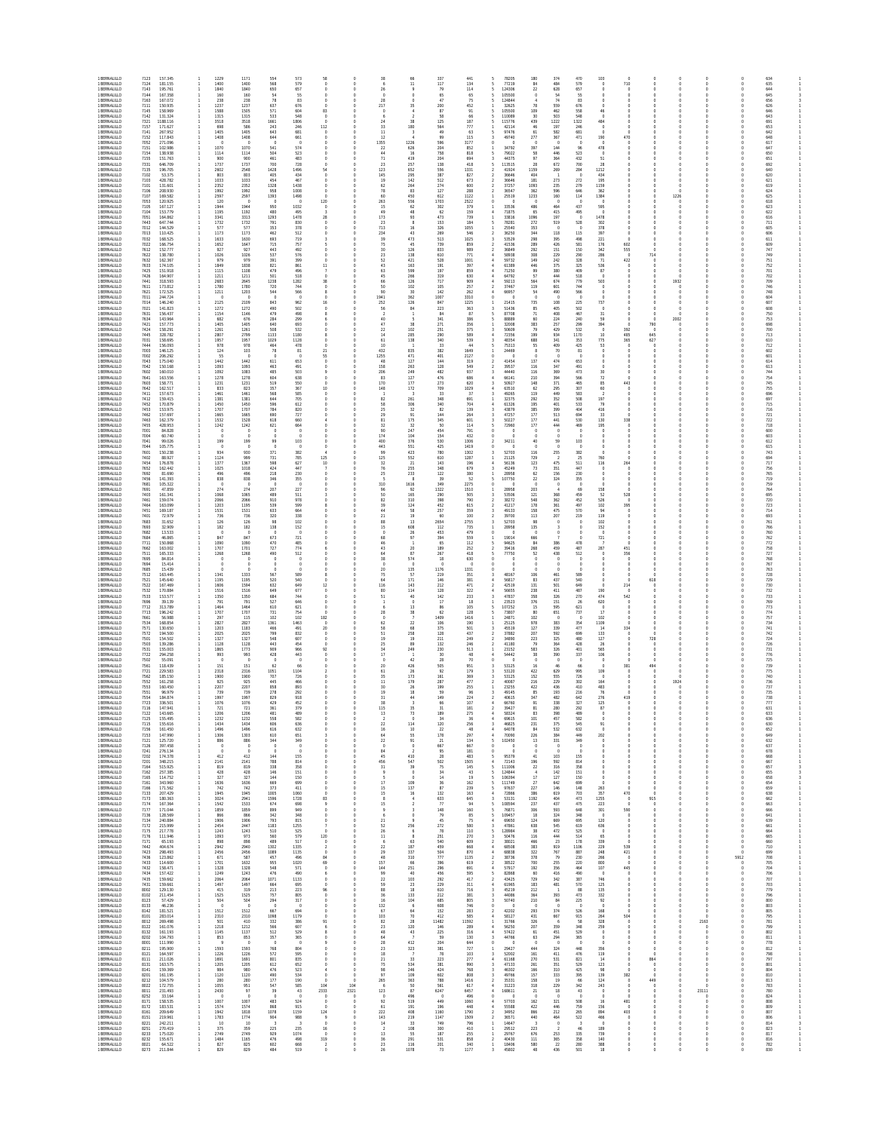| BERNALILLO<br>BERNALILLO<br>BERNALILLO<br>BERNALILLO<br>BERNALILLO<br>BERNALILLO<br>BERNALILLO<br>BERNALILLO<br>BERNALILLO<br>BERNALILLO<br>BERNALILLO<br>BERNALILLO<br>BERNALILLO<br>BERNALILLO<br>BERNALILLO<br>BERNALILLO<br>BERNALILLO<br>BERNALILLO<br>BERNALILLO<br>BERNALILLO<br>BERNALILLO<br>BERNALILLO<br>BERNALILLO<br>I BERNALILLO<br>I BERNALILLO<br>I BERNALILLO<br>I BERNALILLO<br>BERNALILLO<br>BERNALILLO<br>I BERNALILLO<br>I BERNALILLO<br>I BERNALILLO<br>I BERNALILLO<br>I BERNALILLO<br>I BERNALILLO<br>BERNALILLO<br>BERNALILLO<br>BERNALILLO<br>BERNALILLO<br>BERNALILLO<br>BERNALILLO<br>I BERNALILLO<br>I BERNALILLO<br>BERNALILLO<br>BERNALILLO<br>I BERNALILLO<br>I BERNALILLO<br>I BERNALILLO<br>I BERNALILLO<br>I BERNALILLO<br>I BERNALILLO<br>BERNALILLO<br>BERNALILLO<br>BERNALILLO<br>BERNALILLO<br>BERNALILLO<br>BERNALILLO<br>BERNALILLO<br>BERNALILLO<br>BERNALILLO<br>BERNALILLO<br>BERNALILLO<br>BERNALILLO<br>BERNALILLO<br>BERNALILLO<br>BERNALILLO<br>BERNALILLO<br>BERNALILLO<br>BERNALILLO<br>BERNALILLO<br>BERNALILLO<br>BERNALILLO<br>BERNALILLO<br>BERNALILLO<br>BERNALILLO<br>BERNALILLO<br>I BERNALILLO<br>I BERNALILLO<br>I BERNALILLO<br>I BERNALILLO<br>BERNALILLO<br>BERNALILLO<br>BERNALILLO<br>BERNALILLO<br>BERNALILLO<br>BERNALILLO<br>I BERNALILLO<br>I BERNALILLO<br>I BERNALILLO<br>I BERNALILLO<br>I BERNALILLO<br>I BERNALILLO<br>BERNALILLO<br>BERNALILLO<br>I BERNALILLO<br>I BERNALILLO<br>BERNALILLO<br>BERNALILLO<br>BERNALILLO<br>BERNALILLO<br>BERNALIJ I O<br>BERNALILLO<br>BERNALILLO<br>BERNALILLO<br>BERNALILLO<br>BERNALILLO<br>BERNALILLO<br>BERNALILLO<br>BERNALILLO<br>BERNALILLO<br>BERNALILLO<br>BERNALILLO<br>BERNALILLO<br>BERNALILLO<br>BERNALILLO<br>BERNALILLO<br>BERNALILLO<br>BERNALILLO<br>BERNALILLO<br>BERNALILLO<br>BERNALILLO<br>BERNALILLO<br>BERNALILLO<br>BERNALILLO<br>BERNALILLO<br>BERNALILLO<br>1 BERNALILLO<br>1 BERNALILLO<br>BERNALILLO<br>BERNALILLO<br>1<br>BERNALILLO<br>1 BERNALILLO<br>BERNALILLO<br><b>BERNALILLO</b><br>1<br>BERNALILLO<br>1 BERNALILLO<br>BERNALILLO<br><b>BERNALILLO</b><br>1<br>BERNALILLO<br>1 BERNALILLO<br>BERNALILLO<br>BERNALILLO<br>1<br>BERNALILLO<br>1 BERNALILLO<br>1<br>BERNALILLO<br>1 BERNALILLO<br>1<br>BERNALILLO<br>1 BERNALILLO<br>BERNALILLO<br><b>BERNALILLO</b><br>1<br>BERNALILLO<br>1 BERNALILLO<br>BERNALILLO<br>BERNALILLO<br>BERNALILLO<br>BERNALILLO<br>BERNALILLO<br>BERNALILLO<br>BERNALILLO<br>BERNALILLO<br>BERNALILLO<br>BERNALILLO<br>BERNALILLO<br>BERNALILLO<br>BERNALILLO<br>BERNALILLO<br>BERNALILLO<br>BERNALILLO<br>BERNALILLO<br>BERNALILLO<br>BERNALILLO<br>BERNALILLO<br>BERNALILLO<br>BERNALILLO<br>BERNALILLO<br>BERNALILLO<br>BERNALILLO<br>BERNALILLO<br>BERNALILLO<br>1<br>BERNALILLO<br>1 BERNALILLO<br>BERNALILLO                                                                                                                                                                                                                                                                                                                                                                                                                                                                                                                                                                                                             |
|-------------------------------------------------------------------------------------------------------------------------------------------------------------------------------------------------------------------------------------------------------------------------------------------------------------------------------------------------------------------------------------------------------------------------------------------------------------------------------------------------------------------------------------------------------------------------------------------------------------------------------------------------------------------------------------------------------------------------------------------------------------------------------------------------------------------------------------------------------------------------------------------------------------------------------------------------------------------------------------------------------------------------------------------------------------------------------------------------------------------------------------------------------------------------------------------------------------------------------------------------------------------------------------------------------------------------------------------------------------------------------------------------------------------------------------------------------------------------------------------------------------------------------------------------------------------------------------------------------------------------------------------------------------------------------------------------------------------------------------------------------------------------------------------------------------------------------------------------------------------------------------------------------------------------------------------------------------------------------------------------------------------------------------------------------------------------------------------------------------------------------------------------------------------------------------------------------------------------------------------------------------------------------------------------------------------------------------------------------------------------------------------------------------------------------------------------------------------------------------------------------------------------------------------------------------------------------------------------------------------------------------------------------------------------------------------------------------------------------------------------------------------------------------------------------------------------------------------------------------------------------------------------------------------------------------------------------------------------------------------------------------------------------------------------------------------------------------------------------------------------------------------------------------------------------------------------------------------------------------------------------------------------------------------------------------------------------------------------------------------------------------------------------------|
| 7123<br>157.345<br>181.155<br>7124<br>7143<br>195.761<br>7144<br>167.358<br>7163<br>167.072<br>7111<br>150.935<br>7145<br>158.969<br>7142<br>131.324<br>7321<br>1188.116<br>7157<br>171.627<br>7141<br>267.952<br>7152<br>117.843<br>7052<br>271.096<br>7151<br>102.986<br>7154<br>138,938<br>7155<br>151.763<br>7331<br>646.709<br>196.705<br>7135<br>7102<br>53.375<br>7103<br>428.782<br>7101<br>131.601<br>7106<br>208.930<br>7107<br>169.582<br>7053<br>7105<br>120.925<br>7104<br>153.779<br>7051<br>7443<br>647.744<br>7012<br>7013<br>110.425<br>7032<br>168.525<br>7022<br>166.754<br>7612<br>7622<br>7632<br>138.780<br>7633<br>174.105<br>7425<br>7426<br>164.907<br>318.593<br>7441<br>7611<br>173.812<br>7621<br>172.525<br>7011<br>244.724<br>7014<br>146.240<br>141.823<br>7021<br>156.437<br>7631<br>7634<br>143.964<br>7421<br>157.773<br>7424<br>158.291<br>7445<br>328.782<br>7031<br>7444<br>158.695<br>156.093<br>7003<br>146.125<br>7002<br>206.292<br>7043<br>175,040<br>150.168<br>7042<br>7602<br>160.010<br>7641<br>163.556<br>7603<br>158,771<br>7642<br>162.517<br>7411<br>157.673<br>7412<br>159.415<br>7452<br>170.879<br>153.975<br>7453<br>7462<br>157.697<br>7463<br>162.379<br>7455<br>428.953<br>84.828<br>7001<br>7004<br>60.740<br>7041<br>99.026<br>105.775<br>7044<br>150.238<br>7601<br>7402<br>88.927<br>7454<br>176.878<br>7652<br>162.442<br>7692<br>7456<br>81.690<br>141.393<br>7681<br>105.322<br>7691<br>47.859<br>7403<br>161.341<br>7461<br>7464<br>163.099<br>169.187<br>7451<br>7401<br>72.979<br>7683<br>31.652<br>7693<br>32.909<br>13.533<br>7682<br>7684<br>46.865<br>7711<br>7662<br>7511<br>163.002<br>165.333<br>7695<br>7694<br>84.814<br>15.414<br>7685<br>7512<br>15.439<br>163.445<br>7521<br>7522<br>145.640<br>7532<br>170.884<br>7533<br>39.139<br>7696<br>7712<br>313.789<br>7713<br>7661<br>196.242<br>56.988<br>168.854<br>7534<br>7571<br>130.650<br>7572<br>194.500<br>7501<br>154.502<br>7503<br>139.286<br>155.003<br>7531<br>7722<br>294.258<br>7502<br>55.091<br>7561<br>118.439<br>7721<br>229.583<br>7562<br>185.150<br>7552<br>161.258<br>7553<br>160.450<br>96.979<br>7551<br>7554<br>184.874<br>7723<br>336.501<br>7116<br>147.941<br>лz.<br>7125<br>155.495<br>7115<br>155.616<br>7156<br>161.450<br>7153<br>147.990<br>7121<br>125,720<br>7126<br>397.458<br>7241<br>276.134<br>7202<br>7201<br>7164<br>7162<br>174.378<br>348.215<br>515.925<br>7165<br>7161<br>114.752<br>7166<br>7133<br>171.562<br>7173<br>7174<br>180.363<br>167.364<br>$7177$<br>$7136$<br>171.044<br>$7134$<br>$7172$<br>240.884<br>7175<br>7176<br>217.778<br>111.946<br>7171<br>7442<br>$65.193$<br>$404.674$<br>7423<br>298.493<br>123.862<br>7436<br>7433<br>7432<br>114.600<br>158.471<br>7434<br>7435<br>157.422<br>159.662<br>7431<br>8002<br>159.661<br>129.130<br>8102<br>211.454<br>8123<br>57.429<br>8133<br>46.236<br>8142<br>181.521<br>8101<br>283.014<br>8012<br>269.498<br>8122<br>161.076<br>8132<br>161.193<br>8202<br>104.793<br>8001<br>111.990<br>8211<br>195.900<br>8121<br>164.597<br>8111<br>211.026<br>8131<br>163.575<br>8141<br>159.369<br>8201<br>161.195<br>8212<br>104.579<br>8022<br>172.755<br>8011<br>231.493<br>33.164<br>8252<br>8171<br>158,535<br>8172<br>183.531<br>8161<br>209.649<br>8151<br>219.961<br>8221<br>242.211<br>8251<br>8233<br>270.419<br>175.020<br>8232<br>155.671<br>8021<br>8273<br>211.844 |
| 1229<br>1400<br>1840<br>160<br>238<br>1237<br>1588<br>1315<br>3518<br>698<br>1405<br>1408<br>$\Omega$<br>1070<br>1114<br>$\frac{900}{1737}$<br>2602<br>803<br>1033<br>2352<br>1992<br>2597<br>$\frac{120}{1944}$<br>1195<br>3341<br>$\frac{1732}{577}$<br>1173<br>1633<br>1652<br>927<br>1026<br>979<br>1849<br>1115<br>$\frac{1211}{2683}$<br>$\frac{1780}{1211}$<br>2125<br>1272<br>1154<br>682<br>1405<br>1261<br>2807<br>1957<br>978<br>124<br>1442<br>1093<br>1092<br>1278<br>1231<br>833<br>1461<br>1381<br>1450<br>1707<br>1665<br>1532<br>1242<br>199<br>$\Omega$<br>934<br>1124<br>1377<br>1025<br>$\frac{496}{838}$<br>274<br>1068<br>2066<br>1203<br>1531<br>736<br>126<br>182<br>847<br>1090<br>1707<br>1268<br>1341<br>1195<br>1606<br>1516<br>1350<br>791<br>1464<br>1707<br>297<br>2827<br>1203<br>2025<br>1327<br>1128<br>1865<br>993<br>151<br>2318<br>1900<br>925<br>2207<br>739<br>1997<br>1076<br>721<br>1232<br>1434<br>1496<br>1306<br>886<br>$\,$ 0<br>$\theta$<br>$\frac{412}{2141}$<br>$819\n428\n327\n1636\n$<br>$^{\circ}$<br>1512<br>2310<br>501<br>1218<br>1145<br>$\begin{array}{c} 853 \\ 9 \end{array}$<br>1593<br>1226<br>1691<br>1205<br>984<br>1120<br>280<br>1055<br>2430<br>1007<br>1574<br>1942<br>1783<br>$\begin{array}{c} 10 \\ 375 \\ 2749 \end{array}$<br>1484<br>827<br>829                                                                                                                                                                                                                                                                                                                                                                                                                                                                                                                                                                                                                                                                                                                                                                                                                                                                                                                                                                                                                                                                                                                                                                                                                                                                                                                                                                                                                                                                                                                                                                                                                                                                                                                                                                                                                                                                                                                                                                                                                                                                                     |
| 1171<br>1400<br>1840<br>160<br>238<br>$\begin{array}{c} 1237 \\ 1505 \\ 1315 \end{array}$<br>3518<br>586<br>1405<br>1408<br>1070<br>1114<br>$\frac{900}{1737}$<br>2548<br>803<br>1033<br>2352<br>1992<br>2597<br>1944<br>1192<br>3313<br>1732<br>577<br>$\frac{1173}{1630}$<br>$\frac{1647}{927}$<br>1026<br>979<br>1838<br>1108<br>1211<br>2645<br>$\frac{1780}{1203}$<br>2109<br>1272<br>1146<br>$rac{676}{1405}$<br>$\frac{1261}{2799}$<br>1957<br>978<br>103<br>1442<br>1093<br>1083<br>1278<br>1231<br>823<br>1461<br>1381<br>1450<br>1707<br>1665<br>1528<br>1242<br>199<br>930<br>999<br>1367<br>1018<br>496<br>838<br>274<br>1065<br>2066<br>1195<br>1531<br>736<br>126<br>182<br>847<br>1090<br>$\frac{1701}{1268}$<br>1333<br>1195<br>1594<br>1516<br>1350<br>$\frac{791}{1464}$<br>1707<br>115<br>2827<br>1183<br>2025<br>1327<br>1128<br>1773<br>993<br>151<br>2316<br>1900<br>925<br>2207<br>739<br>1997<br>1076<br>721<br>1232<br>1434<br>1496<br>$\frac{1303}{886}$<br>$\frac{412}{2141}$<br>819<br>428<br>$\begin{array}{r} 327 \\ 327 \\ 1636 \\ 742 \\ 1945 \end{array}$<br>2941<br>1533<br>1859<br>866<br>1906<br>2447<br>1243<br>973<br>898<br>2940<br>2456<br>587<br>$\frac{1632}{1328}$<br>1243<br>2064<br>1497<br>319<br>1525<br>504<br>$^{\circ}$<br>1512<br>2310<br>410<br>1212<br>137<br>85<br>03<br>1593<br>1691<br>1205<br>980<br>951<br>97<br>1007<br>1574<br>1818<br>1774<br>10<br>$\frac{359}{2749}$<br>$\frac{1165}{825}$<br>829                                                                                                                                                                                                                                                                                                                                                                                                                                                                                                                                                                                                                                                                                                                                                                                                                                                                                                                                                                                                                                                                                                                                                                                                                                                                                                                                                                                                                                                                                                                                                                                                                                                                                                                                                                                                                                                                                                                                            |
| 554<br>568<br>650<br>$\frac{54}{78}$<br>637<br>571<br>533<br>1661<br>243<br>643<br>644<br>541<br>504<br>461<br>700<br>1428<br>405<br>454<br>1328<br>958<br>1393<br>$^{0}_{950}$<br>480<br>1293<br>791<br>353<br>$\frac{462}{693}$<br>$715$<br>$443$<br>537<br>391<br>821<br>479<br>501<br>1238<br>$\frac{720}{544}$<br>843<br>$\frac{490}{479}$<br>$\frac{284}{640}$<br>$\frac{508}{1133}$<br>1029<br>464<br>78<br>611<br>463<br>485<br>$604$<br>519<br>357<br>568<br>644<br>596<br>784<br>690<br>618<br>621<br>99<br>371<br>731<br>598<br>424<br>$\frac{218}{346}$<br>207<br>489<br>910<br>539<br>633<br>$\frac{320}{98}$<br>$138\,$<br>$\frac{673}{470}$<br>$\frac{727}{490}$<br>567<br>$\frac{520}{632}$<br>$649$<br>$684$<br>$\frac{527}{610}$<br>$\frac{731}{102}$<br>1361<br>466<br>799<br>548<br>443<br>$\frac{909}{428}$<br>62<br>1051<br>707<br>445<br>858<br>278<br>829<br>429<br>361<br>481<br>558<br>606<br>616<br>616<br>610<br>344<br>$\,$ 0<br>$\theta$<br>144<br>788<br>338<br>146<br>$\frac{144}{669}$<br>$\frac{373}{1005}$<br>$\frac{1596}{674}$<br>$\frac{899}{342}$<br>$793$<br>1183<br>510<br>560<br>$\frac{489}{1302}$<br><sup>1089</sup><br>457<br>955<br>548<br>$\frac{476}{1071}$<br>$664$<br>$213$<br>$757$<br>$294$<br>$^{\circ}$<br>667<br>1098<br>332<br>566<br>512<br>57<br>357<br>08<br>572<br>801<br>612<br>$476$<br>$490$<br>$177$<br>$547$<br>$\frac{39}{0}$<br>483<br>$868$<br>1078<br>904<br>225<br>929<br>476<br>602<br>484                                                                                                                                                                                                                                                                                                                                                                                                                                                                                                                                                                                                                                                                                                                                                                                                                                                                                                                                                                                                                                                                                                                                                                                                                                                                                                                                                                                                                                                                                                                                                                                                                                                                                                                                                                                                                                                                                                                                           |
| 573<br>579<br>657<br>$55$<br>83<br>676<br>604<br>548<br>1806<br>246<br>681<br>661<br>574<br>523<br>483<br>728<br>1496<br>434<br>467<br>1438<br>1008<br>1498<br>1032<br>495<br>1478<br>830<br>378<br>$\frac{512}{719}$<br>757<br>492<br>576<br>399<br>861<br>496<br>518<br>1282<br>744<br>566<br>962<br>502<br>498<br>299<br>693<br>532<br>1180<br>1128<br>478<br>81<br>653<br>491<br>503<br>638<br>550<br>367<br>585<br>705<br>612<br>820<br>727<br>660<br>664<br>103<br>382<br>785<br>627<br>447<br>$\frac{230}{355}$<br>227<br>$\frac{511}{978}$<br>599<br>664<br>338<br>102<br>152<br>721<br>485<br>774<br>512<br>589<br>540<br>649<br>677<br>744<br>646<br>621<br>754<br>102<br>1463<br>491<br>832<br>607<br>454<br>966<br>443<br>66<br>1104<br>726<br>466<br>893<br>292<br>918<br>452<br>379<br>582<br>636<br>632<br>651<br>349<br>$\circ$<br>155<br>814<br>358<br>151<br>$\begin{array}{c} 150 \\ 699 \\ 411 \end{array}$<br>1060<br>1728<br>698<br>949<br>348<br>815<br>1255<br>525<br>579<br>517<br>1335<br>1135<br>496<br>1020<br>571<br>$\frac{490}{1133}$<br>695<br>223<br>805<br>317<br>$\overline{0}$<br>694<br>$\begin{array}{r} 1179 \\ 386 \\ 607 \end{array}$<br>529<br>365<br>804<br>595<br>835<br>652<br>523<br>534<br>190<br>585<br>$\frac{43}{0}$<br>524<br>915<br>1159<br>988<br>$\overline{\mathbf{3}}$<br>235<br>1074<br>498<br>668<br>519                                                                                                                                                                                                                                                                                                                                                                                                                                                                                                                                                                                                                                                                                                                                                                                                                                                                                                                                                                                                                                                                                                                                                                                                                                                                                                                                                                                                                                                                                                                                                                                                                                                                                                                                                                                                                                                                                                                                                                                                                                          |
| 83<br>112<br>120<br>28<br>11<br>21<br>55<br>125<br>12<br>182<br>$^{\circ}$<br>$^{\circ}$<br>$^{\circ}$<br>$^{\circ}$<br>$\theta$<br>$\theta$<br>$\bf{0}$<br>$\bf{0}$<br>83<br>$\theta$<br>$\theta$<br>$\theta$<br>$\Omega$<br>120<br>$\,0\,$<br>$\mathbf 0$<br>84<br>69<br>$^{\rm o}$<br>$\bf{0}$<br>$\Omega$<br>$^{96}_{0}$<br>$\theta$<br>$\theta$<br>91<br>$\theta$<br>$\theta$<br>$\theta$<br>$\theta$<br>104<br>2333<br>$\circ$<br>$\theta$<br>$\begin{array}{c} 124 \\ 9 \end{array}$<br>$\theta$<br>$^{16}_{\quad 0}$<br>$\frac{319}{2}$<br>$\mathbf 0$                                                                                                                                                                                                                                                                                                                                                                                                                                                                                                                                                                                                                                                                                                                                                                                                                                                                                                                                                                                                                                                                                                                                                                                                                                                                                                                                                                                                                                                                                                                                                                                                                                                                                                                                                                                                                                                                                                                                                                                                                                                                                                                                                                                                                                                                                                                                                                                                                                                                                                                                                                                                                                                                                                                                                                                                                                              |
| $\circ$<br>$\circ$<br>$\circ$<br>$\circ$<br>0<br>$^{\circ}$<br>0<br>$\bf{0}$<br>0<br>0<br>$\mathbf 0$<br>0<br>$\bf{0}$<br>0<br>$\bf{0}$<br>0<br>0<br>$\bf{0}$<br>0<br>0<br>0<br>$\bf{0}$<br>0<br>$\bf{0}$<br>$\frac{0}{0}$<br>$\,$ 0<br>$\circ$<br>$\,$ 0<br>$\circ$<br>$\,$ 0<br>$\circ$<br>$\circ$<br>$\circ$<br>$\circ$<br>$\rm ^o$<br>$\circ$<br>$\bf{0}$<br>$\circ$<br>104<br>2321<br>$\bf{0}$<br>$\circ$<br>$\circ$<br>$\circ$<br>$^{\circ}$<br>$\bf{0}$<br>0                                                                                                                                                                                                                                                                                                                                                                                                                                                                                                                                                                                                                                                                                                                                                                                                                                                                                                                                                                                                                                                                                                                                                                                                                                                                                                                                                                                                                                                                                                                                                                                                                                                                                                                                                                                                                                                                                                                                                                                                                                                                                                                                                                                                                                                                                                                                                                                                                                                                                                                                                                                                                                                                                                                                                                                                                                                                                                                                         |
| 26<br>28<br>217<br>24<br>33<br>11<br>1355<br>$\overline{22}$<br>44<br>$71\,$<br>23<br>123<br>145<br>19<br>62<br>60<br>$rac{263}{15}$<br>49<br>173<br>$\frac{23}{713}$<br>$\,234$<br>39<br>75<br>30<br>$\substack{23 \ \, 52}$<br>43<br>63<br>45<br>66<br>50<br>90<br>1941<br>252<br>56<br>40<br>47<br>$^{22}_{14}$<br>$^{61}_{10}$<br>432<br>1255<br>48<br>158<br>206<br>83<br>170<br>148<br>82<br>58<br>29<br>81<br>32<br>174<br>400<br>443<br>125<br>$_{32}$<br>76<br>$\frac{25}{5}$<br>310<br>96<br>50<br>82<br>39<br>$_{\rm 44}$<br>21<br>88<br>15<br>68<br>46<br>43<br>64<br>38<br>20<br>75<br>64<br>116<br>80<br>51<br>62<br>51<br>25<br>17<br>20<br>35<br>11<br>30<br>31<br>115<br>$\overline{22}$<br>16<br>$\frac{64}{22}$<br>$\frac{84}{45}$<br>456<br>$31\,$<br>17<br>$15$<br>$15$<br>15<br>$^{21}_{52}$<br>$^{26}_{11}$<br>$22\,$<br>$\begin{array}{c} 29 \\ 48 \end{array}$<br>$\frac{157}{144}$<br>$\frac{99}{22}$<br>59<br>88<br>36<br>16<br>132<br>67<br>103<br>82<br>23<br>48<br>64<br>28<br>23<br>23<br>18<br>$\frac{21}{75}$<br>98<br>97<br>265<br>$\begin{array}{c} 123 \\ 0 \end{array}$<br>$^{92}_{61}$<br>222<br>$\begin{array}{c} 143 \\ 14 \\ 2 \\ 13 \end{array}$<br>$\frac{36}{23}$<br>26                                                                                                                                                                                                                                                                                                                                                                                                                                                                                                                                                                                                                                                                                                                                                                                                                                                                                                                                                                                                                                                                                                                                                                                                                                                                                                                                                                                                                                                                                                                                                                                                                                                                                                                                                                                                                                                                                                                                                                                                                                                                                                                                                                                         |
| 35<br>180<br>1226<br>626<br>16<br>419<br>257<br>652<br>295<br>142<br>$\begin{array}{c} 264 \\ 83 \end{array}$<br>450<br>556<br>62<br>48<br>93<br>16<br>43<br>473<br>45<br>126<br>138<br>421<br>163<br>599<br>$\frac{266}{126}$<br>102<br>30<br>$\frac{362}{126}$<br>84<br>$\frac{102}{285}$<br>138<br>835<br>471<br>127<br>263<br>$\frac{249}{127}$<br>177<br>172<br>261<br>306<br>32<br>91<br>175<br>32<br>$\frac{247}{104}$<br>376<br>551<br>423<br>$\frac{552}{21}$<br>255<br>233<br>1616<br>92<br>165<br>310<br>124<br>58<br>19<br>13<br>608<br>26<br>97<br>$\begin{array}{c} 20 \\ 87 \end{array}$<br>574<br>$\frac{135}{57}$<br>$\frac{171}{143}$<br>114<br>40<br>13<br>22<br>258<br>19<br>89<br>249<br>426<br>173<br>179<br>26<br>44<br>35<br>$\theta$<br>114<br>$10$<br>55<br>91<br>0<br>$\frac{410}{547}$<br>39<br>$\theta$<br>109<br>137<br>16<br>$\theta$<br>256<br>8<br>$\frac{63}{187}$<br>$\frac{337}{310}$<br>$\begin{array}{r} 66 \\ 251 \\ 40 \\ 103 \end{array}$<br>$\begin{array}{r} 23 \\ 18 \\ 133 \\ 104 \end{array}$<br>6<br>$64$<br>$70$<br>$28$<br>$\frac{120}{43}$<br>412<br>323<br>33<br>534<br>246<br>109<br>363<br>50<br>50<br>496<br>519<br>191<br>408<br>219<br>33<br>108<br>55<br>$\frac{291}{116}$<br>1078                                                                                                                                                                                                                                                                                                                                                                                                                                                                                                                                                                                                                                                                                                                                                                                                                                                                                                                                                                                                                                                                                                                                                                                                                                                                                                                                                                                                                                                                                                                                                                                                                                                                                                                                                                                                                                                                                                                                                                                                                                                                                                                                                                 |
| 337<br>117<br>79<br>47<br>200<br>87<br>125<br>564<br>49<br>596<br>204<br>758<br>204<br>138<br>556<br>387<br>512<br>274<br>127<br>612<br>1703<br>302<br>62<br>473<br>153<br>326<br>$\frac{269}{513}$<br>739<br>833<br>610<br>528<br>191<br>197<br>$\frac{319}{717}$<br>$\frac{105}{142}$<br>1007<br>847<br>223<br>84<br>$\frac{341}{271}$<br>251<br>290<br>$\begin{array}{r} 340 \\ 33 \end{array}$<br>382<br>401<br>144<br>128<br>482<br>476<br>273<br>709<br>33<br>348<br>340<br>82<br>144<br>345<br>50<br>454<br>154<br>530<br>425<br>780<br>610<br>143<br>348<br>122<br>35<br>$\frac{349}{1322}$<br>290<br>398<br>$\frac{452}{257}$<br>60<br>2654<br>112<br>453<br>394<br>65<br>189<br>267<br>18<br>1176<br>219<br>146<br>212<br>$\frac{128}{142}$<br>17<br>86<br>62<br>1409<br>106<br>375<br>128<br>211<br>132<br>230<br>30<br>505<br>161<br>287<br>199<br>149<br>31<br>185<br>34<br>120<br>22<br>$\frac{178}{21}$<br>667<br>$\begin{array}{c} 95 \\ 28 \\ 502 \end{array}$<br>$\frac{75}{34}$<br>$\frac{14}{36}$<br>$\frac{87}{132}$<br>$^{633}_{77}$<br>148<br>79<br>45<br>272<br>$\frac{78}{251}$<br>540<br>459<br>504<br>777<br>396<br>296<br>456<br>292<br>$\begin{array}{c} 229 \\ 610 \\ 212 \end{array}$<br>685<br>608<br>152<br>412<br>11482<br>146<br>$225$<br>59<br>204<br>381<br>$\frac{78}{223}$<br>381<br>424<br>602<br>788<br>561<br>6247<br>449<br>$\frac{196}{1160}$<br>$\frac{1147}{749}$<br>300<br>187<br>$\frac{531}{201}$<br>$73\,$                                                                                                                                                                                                                                                                                                                                                                                                                                                                                                                                                                                                                                                                                                                                                                                                                                                                                                                                                                                                                                                                                                                                                                                                                                                                                                                                                                                                                                                                                                                                                                                                                                                                                                                                                                                                                                                                                                                                                |
| 441<br>134<br>114<br>65<br>75<br>452<br>91<br>187<br>777<br>63<br>115<br>3177<br>852<br>818<br>694<br>418<br>1331<br>827<br>673<br>600<br>1122<br>2522<br>379<br>159<br>739<br>184<br>1055<br>546<br>1025<br>859<br>989<br>771<br>1001<br>397<br>859<br>630<br>909<br>257<br>262<br>$\frac{3310}{1225}$<br>$\begin{array}{r} 363 \\ 87 \end{array}$<br>386<br>356<br>375<br>589<br>539<br>44<br>1649<br>2127<br>319<br>937<br>686<br>620<br>1029<br>37<br>691<br>704<br>139<br>264<br>601<br>114<br>432<br>1306<br>1419<br>1302<br>1287<br>196<br>679<br>380<br>52<br>2275<br>1510<br>505<br>790<br>615<br>359<br>100<br>2755<br>735<br>479<br>559<br>112<br>252<br>418<br>630<br>1331<br>351<br>$\frac{381}{471}$<br>$\frac{322}{233}$<br>18<br>105<br>128<br>1416<br>190<br>437<br>249<br>246<br>513<br>48<br>951<br>179<br>369<br>477<br>255<br>224<br>107<br>181<br>275<br>36<br>256<br>48<br>297<br>134<br>667<br>181<br>483<br>1505<br>145<br>43<br>19<br>162<br>239<br>163<br>645<br>94<br>$\frac{160}{85}$<br>75<br>580<br>$\frac{110}{270}$<br>$^{609}_{668}$<br>$\frac{870}{1135}$<br>619<br>691<br>595<br>417<br>311<br>716<br>381<br>805<br>746<br>283<br>585<br>11592<br>289<br>316<br>130<br>644<br>727<br>103<br>277<br>990<br>768<br>808<br>$\frac{1416}{617}$<br>6457<br>496<br>1060<br>448<br>1790<br>1509<br>796<br>410<br>410<br>255<br>858<br>340<br>1177                                                                                                                                                                                                                                                                                                                                                                                                                                                                                                                                                                                                                                                                                                                                                                                                                                                                                                                                                                                                                                                                                                                                                                                                                                                                                                                                                                                                                                                                                                                                                                                                                                                                                                                                                                                                                                                                                                                                                                                                                              |
| 78205<br>77219<br>124306<br>105500<br>124844<br>32625<br>105500<br>110089<br>115776<br>42114<br>97476<br>49740<br>34792<br>79022<br>44375<br>113519<br>41924<br>36646<br>36646<br>37257<br>36547<br>25519<br>33536<br>71875<br>33816<br>78281<br>25540<br>36250<br>53529<br>41536<br>36849<br>58938<br>61389<br>71250<br>64792<br>59213<br>37467<br>66957<br>21415<br>51436<br>87708<br>88889<br>32008<br>50609<br>72356<br>48354<br>75313<br>24469<br>41454<br>39537<br>44440<br>66141<br>50927<br>63510<br>49265<br>32375<br>61326<br>43879<br>47257<br>50227<br>72960<br>34211<br>52703<br>21125<br>56136<br>45249<br>28958<br>107750<br>28958<br>53506<br>41217<br>49133<br>39700<br>52703<br>28958<br>19014<br>94625<br>39416<br>48167<br>56817<br>42519<br>56655<br>47837<br>23523<br>107252<br>73807<br>24871<br>25125<br>45519<br>37882<br>34890<br>41180<br>23152<br>54442<br>53125<br>53120<br>53125<br>40087<br>23255<br>49145<br>40615<br>66760<br>39427<br>69615<br>46825<br>64078<br>70090<br>102450<br>95379<br>72143<br>111006<br>106394<br>97637<br>72866<br>53131<br>76871<br>109457<br>69650<br>47861<br>128984<br>50476<br>38021<br>68838<br>38522<br>57917<br>82868<br>43425<br>61965<br>44086<br>50740<br>42202<br>58127<br>31766<br>56250<br>57422<br>44766<br>29427<br>52002<br>61168<br>47133<br>46302<br>49766<br>35331<br>31223<br>168611<br>57703<br>55588<br>34952<br>36571<br>14647<br>29512<br>29767<br>40430<br>18406<br>45802                                                                                                                                                                                                                                                                                                                                                                                                                                                                                                                                                                                                                                                                                                                                                                                                                                                                                                                                                                                                                                                                                                                                                                                                                                                                                                                                                                                                                                                                                                                                                                                                                                                                                                                                                                                                                                                                                                                                              |
| 180<br>84<br>$\real^2_0$<br>$\overline{4}$<br>$\frac{109}{30}$<br>439<br>46<br>61<br>$\sqrt{277}$<br>$\mathfrak{o}$<br>397<br>$\frac{58}{97}$<br>28<br>1159<br>404<br>181<br>1093<br>362<br>1233<br>486<br>65<br>1096<br>$\frac{272}{353}$<br>$\frac{344}{298}$<br>$\frac{289}{292}$<br>$\frac{308}{149}$<br>$\begin{array}{r} 446 \\ 99 \\ 57 \end{array}$<br>564<br>$^{119}_{\ 54}$<br>$\theta$<br>735<br>$\frac{85}{71}$<br>60<br>383<br>$\frac{79}{199}$<br>688<br>55<br>8<br>137<br>$\frac{116}{116}$<br>210<br>$\frac{148}{62}$<br>119<br>$\frac{292}{195}$<br>$\frac{177}{177}$<br>177<br>40<br>$\theta$<br>116<br>729<br>123<br>73<br>$\frac{62}{22}$<br>203<br>$\frac{121}{548}$<br>178<br>158<br>$\frac{113}{98}$<br>135<br>$\circ$<br>$666$<br>$84$<br>$\frac{268}{52}$<br>106<br>$^{\rm 83}$<br>131<br>$\begin{array}{c} 238 \\ 358 \end{array}$<br>$\frac{376}{15}$<br>$\frac{80}{102}$<br>978<br>127<br>207<br>$223\,$<br>79<br>583<br>38<br>16<br>422<br>152<br>216<br>422<br>85<br>347<br>$\frac{91}{81}$<br>$\frac{101}{231}$<br>84<br>$\frac{226}{13}$<br>$\begin{array}{r} 0 \\ 41 \\ 196 \\ 22 \\ 4 \\ 17 \\ 27 \\ 28 \\ 192 \\ 237 \end{array}$<br>$\frac{306}{18}$<br>124<br>638<br>38<br>116<br>466<br>383<br>322<br>378<br>700<br>492<br>433<br>212<br>364<br>210<br>$^{\circ}$<br>$\begin{array}{r} 293 \\ 431 \\ 326 \\ 207 \\ 61 \\ 63 \\ 0 \end{array}$<br>444<br>161<br>270<br>261<br>166<br>157<br>158<br>318<br>21<br>0<br>162<br>422<br>866<br>440<br>$\overline{3}$<br>223<br>676<br>111<br>580<br>48                                                                                                                                                                                                                                                                                                                                                                                                                                                                                                                                                                                                                                                                                                                                                                                                                                                                                                                                                                                                                                                                                                                                                                                                                                                                                                                                                                                                                                                                                                                                                                                                                                                                                                                                                                                                                                                                      |
| 374<br>484<br>628<br>54<br>74<br>559<br>462<br>$\frac{503}{1222}$<br>582<br>367<br>$\Omega$<br>$144\,$<br>446<br>$\frac{364}{672}$<br>269<br>$\sqrt{273}$<br>235<br>596<br>160<br>464<br>415<br>197<br>519<br>118<br>395<br>$\frac{426}{151}$<br>$\frac{229}{242}$<br>$\frac{375}{380}$<br>$\frac{444}{674}$<br>$\frac{601}{490}$<br>108<br>405<br>408<br>$\frac{224}{257}$<br>$\frac{429}{934}$<br>$\frac{341}{409}$<br>70<br>474<br>347<br>369<br>$\frac{394}{371}$<br>295<br>449<br>352<br>401<br>399<br>513<br>441<br>444<br>59<br>255<br>475<br>351<br>$\frac{156}{324}$<br>$\frac{368}{362}$<br>$\frac{361}{475}$<br>$207\,$<br>386<br>459<br>438<br>461<br>437<br>501<br>$411\,$<br>326<br>151<br>595<br>$651$ <sub>0</sub><br>383<br>339<br>592<br>325<br>364<br>326<br>$\frac{390}{0}$<br>46<br>629<br>555<br>$\frac{229}{436}$<br>193<br>482<br>338<br>280<br>457<br>375<br>532<br>384<br>331<br>0<br>$^{\circ}$<br>103<br>592<br>316<br>142<br>142<br>44<br>404<br>404<br>437<br>593<br>324<br>669<br>545<br>472<br>444<br>23<br>919<br>767<br>79<br>255<br>356<br>416<br>342<br>481<br>$\begin{smallmatrix}&&1\\&&3\\393\\84\\&&0\end{smallmatrix}$<br>374<br>667 69 145 45 45 45 46 59 14 411 53 14 53 33 14 9 22 9 18 0<br>$\begin{array}{r} 321 \\ 446 \\ 212 \\ 464 \\ 0 \\ 253 \end{array}$<br>$\frac{365}{22}$<br>436                                                                                                                                                                                                                                                                                                                                                                                                                                                                                                                                                                                                                                                                                                                                                                                                                                                                                                                                                                                                                                                                                                                                                                                                                                                                                                                                                                                                                                                                                                                                                                                                                                                                                                                                                                                                                                                                                                                                                                                                                                                                     |
| 470<br>579<br>657<br>55<br>83<br>676<br>558<br>548<br>1322<br>246<br>681<br>471<br>523<br>432<br>700<br>284<br>272<br>1159<br>279<br>646<br>114<br>1384<br>437<br>495<br>1478<br>528<br>115<br>498<br>$\frac{581}{150}$<br>$\frac{290}{328}$<br>325<br>409<br>518<br>779<br>744<br>566<br>225<br>502<br>467<br>240<br>299<br>$\frac{532}{1170}$<br>353<br>425<br>81<br>653<br>491<br>473<br>566<br>465<br>583<br>508<br>533<br>404<br>694<br>530<br>469<br>103<br>382<br>25<br>511<br>447<br>230<br>355<br>69<br>459<br>452<br>$\frac{497}{570}$<br>219<br>478<br>487<br>512<br>589<br>540<br>649<br>$\frac{487}{270}$<br>26<br>621<br>737<br>354<br>477<br>699<br>480<br>428<br>401<br>337<br>66<br>995<br>726<br>302<br>410<br>216<br>642<br>327<br>292<br>582<br>545<br>632<br>449<br>349<br>0<br>$\alpha$<br>155<br>814<br>358<br>151<br>150<br>699<br>148<br>703<br>475<br>$648$<br>$348$<br>$695$<br>$619$<br>$\frac{525}{514}$<br>$\begin{array}{r} 114 \\ 178 \\ 1106 \\ 887 \\ 230 \\ 220 \\ 464 \\ 100 \end{array}$<br>490<br>387<br>570<br>88<br>473<br>225<br>$^{\circ}$<br>526<br>915<br>58<br>58<br>348<br>529<br>365<br>0<br>448<br>476<br>821<br>529<br>425<br>395<br>66<br>342<br>$\frac{43}{0}$<br>508<br>759<br>265<br>522<br>$^{\circ}$<br>$\frac{46}{335}$<br>358<br>280<br>501                                                                                                                                                                                                                                                                                                                                                                                                                                                                                                                                                                                                                                                                                                                                                                                                                                                                                                                                                                                                                                                                                                                                                                                                                                                                                                                                                                                                                                                                                                                                                                                                                                                                                                                                                                                                                                                                                                                                                                                                                                                                                                        |
| 710<br>$\circ$<br>$\Omega$<br>46<br>$\Omega$<br>484<br>£.<br>190<br>470<br>$\Omega$<br>478<br>51<br>28<br>1212<br>434<br>195<br>362<br>595<br>$\frac{302}{378}$<br>397<br>221<br>176<br>342<br>602<br>555<br>$rac{286}{71}$<br>$\Omega$<br>422<br>$\frac{536}{87}$<br>503<br>737<br>31<br>50<br>394<br>$\frac{392}{485}$<br>10<br>$^{365}_{0}$<br>775<br>53<br>$\Omega$<br>$\Omega$<br>$\Omega$<br>85<br>443<br>60<br>197<br>79<br>£.<br>416<br>33<br>$\Omega$<br>130<br>338<br>195<br>$\Omega$<br>$\Omega$<br>760<br>$\Omega$<br>116<br>264<br>$\circ$<br>158<br>52<br>528<br>526<br>$\circ$<br>$\frac{102}{94}$<br>395<br>$\circ$<br>119<br>102<br>152<br>721<br>287<br>451<br>356<br>214<br>190<br>474<br>542<br>620<br>17<br>102<br>1109<br>14<br>334<br>133<br>$\circ$<br>127<br>565<br>106<br>381<br>109<br>164<br>483<br>$\Omega$<br>276<br>419<br>125<br>87<br>$\circ$<br>91<br>$\Omega$<br>$\circ$<br>202<br>$\circ$<br>$\overline{0}$<br>$\circ$<br>0<br>$\circ$<br>$^{\circ}$<br>$\ddot{\phantom{0}}$<br>$\theta$<br>$\frac{263}{357}$<br>470<br>1255<br>223<br>$_{\rm 0}^{\rm 0}$<br>301<br>590<br>$\overline{0}$<br>$\circ$<br>$\frac{120}{636}$<br>$\theta$<br>$\ddot{\phantom{0}}$<br>$\begin{smallmatrix} 0\\ 65 \end{smallmatrix}$<br>$\,$ 0<br>$\ddot{\phantom{0}}$<br>339<br>229<br>248<br>266<br>539<br>421<br>$\ddot{\phantom{0}}$<br>800<br>107<br>$\Omega$<br>445<br>$\ddot{\phantom{0}}$<br>$\,$ 0<br>746<br>125<br>135<br>135<br>332<br>$\,$ 0<br>$\circ$<br>0<br>$\circ$<br>92<br>$\mathbf 0$<br>$\ddot{\phantom{0}}$<br>$\circ$<br>168<br>264<br>328<br>259<br>504<br>$\,$ 0<br>$\circ$<br>$\overline{0}$<br>$\circ$<br>$\,$ 0<br>356<br>119<br>14<br>$\circ$<br>$\,$ 0<br>$\circ$<br>123<br>98<br>139<br>124<br>$\,$ 0<br>$\circ$<br>382<br>$\hspace{0.05cm}^0$<br>243<br>$\ddot{\phantom{0}}$<br>$\circ$<br>16<br>481<br>156<br>894<br>$\mathbf 0$<br>403<br>466<br>$\,$ 0<br>$\circ$<br>189<br>739<br>140<br>388<br>$\,0\,$<br>$\,$ 0<br>$\,$ 0<br>18<br>$\,$ 0                                                                                                                                                                                                                                                                                                                                                                                                                                                                                                                                                                                                                                                                                                                                                                                                                                                                                                                                                                                                                                                                                                                                                                                                                                                                                                                                                                                                               |
| 714<br>790<br>645<br>627<br>618<br>728<br>494<br>0<br>$\ddot{\phantom{0}}$<br>$\circ$<br>0<br>$\circ$<br>$\circ$<br>$\circ$<br>$\ddot{\phantom{0}}$<br>$\circ$<br>915<br>$\theta$<br>$\theta$<br>$\circ$<br>$\circ$<br>$\circ$<br>$\circ$<br>$\circ$<br>$\circ$<br>$\ddot{\phantom{0}}$<br>$\circ$<br>$\circ$<br>0<br>$\circ$<br>$\circ$<br>0<br>$\circ$<br>$\circ$<br>$\circ$<br>$\circ$<br>$\circ$<br>$\ddot{\phantom{0}}$<br>$\theta$<br>$\circ$<br>$^{864}_{0}$<br>$\circ$<br>449<br>$\circ$<br>$\circ$<br>$\circ$<br>$\circ$<br>$\circ$<br>0<br>$\circ$<br>0                                                                                                                                                                                                                                                                                                                                                                                                                                                                                                                                                                                                                                                                                                                                                                                                                                                                                                                                                                                                                                                                                                                                                                                                                                                                                                                                                                                                                                                                                                                                                                                                                                                                                                                                                                                                                                                                                                                                                                                                                                                                                                                                                                                                                                                                                                                                                                                                                                                                                                                                                                                                                                                                                                                                                                                                                                           |
| 1226<br>1932<br>2002<br>1924<br>0<br>$\Omega$<br>0                                                                                                                                                                                                                                                                                                                                                                                                                                                                                                                                                                                                                                                                                                                                                                                                                                                                                                                                                                                                                                                                                                                                                                                                                                                                                                                                                                                                                                                                                                                                                                                                                                                                                                                                                                                                                                                                                                                                                                                                                                                                                                                                                                                                                                                                                                                                                                                                                                                                                                                                                                                                                                                                                                                                                                                                                                                                                                                                                                                                                                                                                                                                                                                                                                                                                                                                                          |
| $\Omega$<br>$^{\circ}$<br>$^{\circ}$<br>$^{\circ}$<br>$\theta$<br>$\Omega$<br>$\Omega$<br>2163<br>$\theta$<br>$^{\circ}$<br>$\Omega$<br>$\theta$<br>$\theta$<br>$\theta$<br>23111<br>$\theta$<br>$\theta$<br>$\theta$<br>$\theta$                                                                                                                                                                                                                                                                                                                                                                                                                                                                                                                                                                                                                                                                                                                                                                                                                                                                                                                                                                                                                                                                                                                                                                                                                                                                                                                                                                                                                                                                                                                                                                                                                                                                                                                                                                                                                                                                                                                                                                                                                                                                                                                                                                                                                                                                                                                                                                                                                                                                                                                                                                                                                                                                                                                                                                                                                                                                                                                                                                                                                                                                                                                                                                           |
| 0<br>$\circ$<br>$\circ$<br>$^{\circ}$<br>0<br>0<br>$^{\circ}$<br>0<br>0<br>$\circ$<br>0<br>$\circ$<br>0<br>$\circ$<br>0<br>$\circ$<br>$^{\circ}$<br>5912<br>$^{\circ}$<br>$\circ$<br>0<br>$\circ$<br>0<br>$\circ$<br>$\circ$<br>$\circ$<br>$\,$ 0<br>$\circ$<br>$\circ$<br>$\circ$<br>$\circ$<br>$\,$ 0<br>$\circ$<br>$\circ$<br>$\circ$<br>$\circ$<br>$\circ$<br>$\circ$<br>0<br>$\,0\,$<br>0<br>$\,$ 0                                                                                                                                                                                                                                                                                                                                                                                                                                                                                                                                                                                                                                                                                                                                                                                                                                                                                                                                                                                                                                                                                                                                                                                                                                                                                                                                                                                                                                                                                                                                                                                                                                                                                                                                                                                                                                                                                                                                                                                                                                                                                                                                                                                                                                                                                                                                                                                                                                                                                                                                                                                                                                                                                                                                                                                                                                                                                                                                                                                                    |
| 634<br>635<br>644<br>645<br>656<br>626<br>646<br>643<br>691<br>653<br>642<br>648<br>617<br>647<br>650<br>651<br>692<br>640<br>620<br>621<br>619<br>624<br>625<br>$618$<br>$623$<br>622<br>616<br>711<br>605<br>60<br>611<br>747<br>749<br>751<br>752<br>701<br>702<br>709<br>746<br>748<br>604<br>607<br>608<br>750<br>753<br>698<br>700<br>713<br>610<br>712<br>602<br>601<br>614<br>613<br>744<br>754<br>745<br>755<br>696<br>697<br>715<br>716<br>721<br>722<br>718<br>600<br>603<br>612<br>615<br>743<br>694<br>717<br>756<br>719<br>759<br>764<br>695<br>720<br>723<br>714<br>693<br>761<br>766<br>760<br>762<br>772<br>758<br>727<br>767<br>763<br>728<br>729<br>730<br>732<br>733<br>769<br>773<br>774<br>757<br>734<br>741<br>742<br>724<br>726<br>731<br>776<br>725<br>739<br>775<br>740<br>736<br>737<br>735<br>738<br>777<br>631<br>63.<br>636<br>$630$<br>$652$<br>649<br>632<br>637<br>$678$<br>$668$<br>667<br>657<br>655<br>658<br>654<br>659<br>638<br>662<br>663<br>$666$<br>641<br>639<br>661<br>664<br>665<br>660<br>710<br>699<br>708<br>705<br>704<br>706<br>707<br>703<br>779<br>796<br>800<br>803<br>805<br>795<br>781<br>799<br>802<br>811<br>778<br>812<br>798<br>797<br>801<br>804<br>810<br>813<br>783<br>780<br>824<br>808<br>809<br>807<br>806<br>814<br>$\frac{823}{817}$<br>$\frac{816}{782}$<br>830                                                                                                                                                                                                                                                                                                                                                                                                                                                                                                                                                                                                                                                                                                                                                                                                                                                                                                                                                                                                                                                                                                                                                                                                                                                                                                                                                                                                                                                                                                                                                                                                                                                                                                                                                                                                                                                                                                                                                                                                                                                                         |
|                                                                                                                                                                                                                                                                                                                                                                                                                                                                                                                                                                                                                                                                                                                                                                                                                                                                                                                                                                                                                                                                                                                                                                                                                                                                                                                                                                                                                                                                                                                                                                                                                                                                                                                                                                                                                                                                                                                                                                                                                                                                                                                                                                                                                                                                                                                                                                                                                                                                                                                                                                                                                                                                                                                                                                                                                                                                                                                                                                                                                                                                                                                                                                                                                                                                                                                                                                                                             |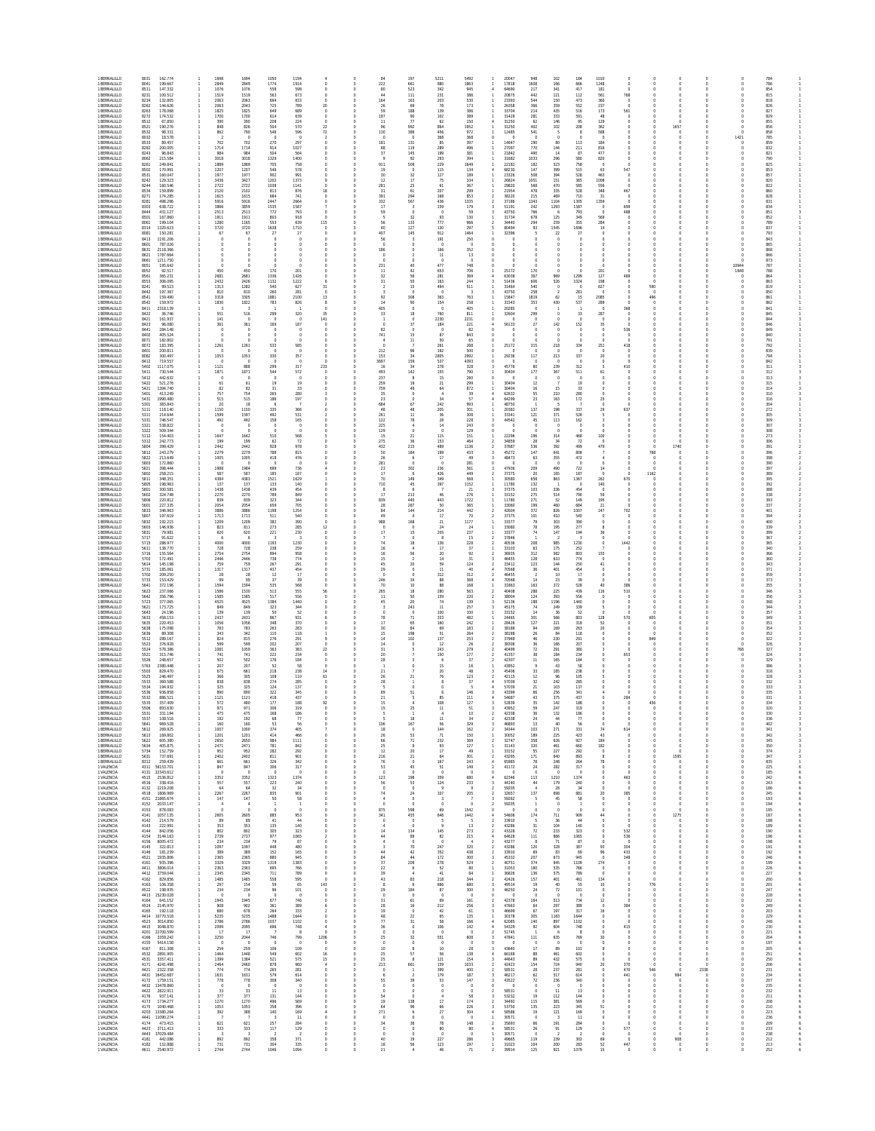| <b>BERNALILLO</b><br>ERNALILLO<br>BERNALILLO<br>BERNALILLO<br>BERNALILLO                                                     | 162.774<br>8031<br>199.667<br>8041<br>8511<br>147.332<br>8231<br>100.512<br>8234<br>132.805<br>8262<br>144.626                                               | 1698<br>2849<br>1076<br>1519<br>2063<br>2063                                                          | 1694<br>2849<br>1076<br>1519<br>2063<br>2043                                                             | 1050<br>1774<br>558<br>563<br>694<br>725                                                               | 1194<br>1914<br>598<br>673<br>833<br>789                                        | 20               |   | $222\,$<br>$\frac{80}{44}$<br>164<br>26                                       | 197<br>661<br>523<br>$111$<br>163                                                                                 | 5211<br>$\frac{980}{342}$<br>231<br>$\frac{203}{78}$                                         | 5492<br>1863<br>945<br>945<br>386<br>530<br>173                                   | 20047<br>17818<br>64690<br>20875<br>23393<br>26358                   | 948<br>$\frac{1608}{217}$<br>544                                                                                            | 102<br>166<br>341<br>121<br>150                                                                   | 184<br>666<br>417<br>112<br>473<br>552<br>516<br>591                                                                         | 1010<br>1248<br>181<br>561<br>360<br>237                                                                                 | 768<br>$\ddot{\phantom{0}}$                                                    |                |                 |      |               | 786<br>854<br>815<br>818<br>826                                                         |   |
|------------------------------------------------------------------------------------------------------------------------------|--------------------------------------------------------------------------------------------------------------------------------------------------------------|-------------------------------------------------------------------------------------------------------|----------------------------------------------------------------------------------------------------------|--------------------------------------------------------------------------------------------------------|---------------------------------------------------------------------------------|------------------|---|-------------------------------------------------------------------------------|-------------------------------------------------------------------------------------------------------------------|----------------------------------------------------------------------------------------------|-----------------------------------------------------------------------------------|----------------------------------------------------------------------|-----------------------------------------------------------------------------------------------------------------------------|---------------------------------------------------------------------------------------------------|------------------------------------------------------------------------------------------------------------------------------|--------------------------------------------------------------------------------------------------------------------------|--------------------------------------------------------------------------------|----------------|-----------------|------|---------------|-----------------------------------------------------------------------------------------|---|
| BERNALILLO<br>BERNALILLO<br>BERNALILLO<br>BERNALILLO<br>BERNALILLO<br>BERNALILLO<br>BERNALILLO                               | 8263<br>178,068<br>8272<br>174.532<br>8512<br>67.850<br>190.276<br>8521<br>8532<br>98.331<br>18.578<br>8032<br>8533<br>80.457                                | 1825<br>1700<br>390<br>848<br>862<br>702                                                              | 1825<br>1700<br>390<br>826<br>$\begin{array}{c} 790 \\ 0 \end{array}$<br>702                             | 649<br>614<br>208<br>504<br>546<br>270                                                                 | 689<br>639<br>224<br>570<br>596<br>0<br>297                                     | $^{22}$<br>72    |   | 59<br>197<br>11<br>130<br>181                                                 | $rac{69}{188}$<br>$\frac{90}{77}$<br>992<br>$^{386}_{0}$<br>131                                                   | 139<br>102<br>62<br>864<br>456<br>368<br>85                                                  | 386<br>389<br>150<br>1952<br>972<br>368                                           | 33704<br>31429<br>31250<br>31250<br>12485<br>14647                   | $\frac{366}{214}$<br>281<br>62<br>402<br>541<br>190                                                                         | $\frac{359}{435}$<br>333<br>146<br>102<br>80                                                      | 95<br>208                                                                                                                    | 173<br>129<br>362<br>$\begin{matrix}588\end{matrix}$<br>184                                                              | 561                                                                            |                | 1657            |      | 1421          | 827<br>829<br>855<br>856<br>858<br>785                                                  |   |
| BERNALILLO<br>BERNALILLO<br>BERNALILLO<br>BERNALILLO<br>BERNALILLO<br>BERNALILLO                                             | 200.005<br>8282<br>8243<br>96.843<br>8062<br>215.584<br>8261<br>249.841<br>8502<br>170.991<br>8531<br>160.047                                                | 1714<br>984<br>3018<br>1889<br>1207<br>1977                                                           | 1714<br>984<br>3018<br>1889<br>1207<br>1977                                                              | $\frac{914}{504}$<br>1329<br>705<br>546<br>902                                                         | 1027<br>564<br>1400<br>758<br>578<br>991                                        |                  |   | 37<br>911<br>19<br>30                                                         | $\frac{119}{145}$<br>$\begin{matrix} 509 \\ 0 \end{matrix}$<br>32                                                 | 289<br>199<br>293<br>229<br>115<br>127                                                       | 397<br>496<br>381<br>$\frac{394}{1649}$<br>189                                    | 27097<br>21842<br>31682<br>22182<br>68230<br>23326                   | 770<br>490<br>1033<br>182<br>147<br>508                                                                                     | 144<br>14<br>296<br>523<br>399<br>394<br>151                                                      | $\frac{113}{211}$<br>87<br>580<br>758<br>515<br>528<br>365<br>585<br>528<br>710                                              | 816<br>477<br>820<br>$\circ$<br>63<br>463                                                                                | 547                                                                            |                |                 |      |               | 859<br>832<br>821<br>790<br>825<br>853<br>857                                           |   |
| BERNALILLO<br>BERNALILLO<br>BERNALILLO<br>BERNALILLO<br>ERNALILLO<br>I BERNALILLO<br>I BERNALILLO                            | 8242<br>129.323<br>8244<br>160.546<br>8534<br>159.899<br>8271<br>174,285<br>$\frac{8281}{8303}$<br>498.296<br>8444<br>431.127                                | 3436<br>2722<br>2120<br>1615<br>5916<br>3866<br>$\frac{2513}{1911}$                                   | 3427<br>$\begin{array}{c} 2722 \\ 2102 \end{array}$<br>1615<br>5916<br>3859<br>2513<br>1911              | 1202<br>1038<br>813<br>684<br>2447<br>1535<br>$772\,$                                                  | 1373<br>1141<br>876<br>741<br>2664<br>1587<br>793<br>918                        |                  |   | 281<br>31<br>391<br>$332$<br>$17$<br>59                                       | 25<br>$61\,$<br>294<br>567                                                                                        | 61<br>207<br>168<br>$\frac{436}{159}$                                                        | 104<br>367<br>299<br>853<br>$\frac{1335}{179}$<br>$\frac{59}{130}$                | 26824<br>29820<br>21954<br>38220<br>37186<br>51191<br>43750<br>31734 | 1051<br>568<br>478<br>215<br>$\begin{array}{c} 1343 \\ 242 \end{array}$<br>766<br>678                                       | 470<br>335<br>469<br>$\frac{1104}{1293}$                                                          | 1305<br>1587<br>1587<br>793<br>349                                                                                           | 1008<br>556<br>348<br>31<br>1359                                                                                         | 467<br>699<br>488                                                              |                |                 |      |               | 820<br>822<br>860<br>828<br>831<br>834<br>851<br>852                                    |   |
| I BERNALILLO<br>I BERNALILLO<br>I BERNALILLO<br>I BERNALILLO<br>I BERNALILLO<br>I BERNALILLO                                 | 8501<br>8061<br>199.104<br>8314<br>1320.623<br>150.281<br>8081<br>8413<br>8601<br>787.026<br>2118.366<br>8631                                                | 1280<br>3720<br>67                                                                                    | $\frac{1165}{3720}$                                                                                      | 803<br>553<br>1638<br>$27\,$                                                                           | 639<br>1710<br>27                                                               | 115              |   | 40<br>407<br>56<br>186                                                        | 32<br>133<br>127<br>145                                                                                           | 93<br>$777$<br>$130$<br>$\frac{912}{191}$<br>166                                             | 966<br>$\begin{array}{r} 297 \\ 1464 \\ 250 \end{array}$<br>352                   | 34440<br>32396                                                       | $\frac{294}{93}$                                                                                                            | 125<br>$\frac{259}{1545}$<br>$\bf{22}$                                                            | 355<br>1696<br>27                                                                                                            | 569<br>$\frac{284}{14}$                                                                                                  |                                                                                |                |                 |      |               | 83<br>793<br>843<br>865<br>868                                                          |   |
| I BERNALILLO<br>I BERNALILLO<br>I BERNALILLO<br>I BERNALILLO<br>I BERNALILLO<br>I BERNALILLO<br>I BERNALILLO<br>I BERNALILLO | 8621<br>1787.664<br>8661<br>8051<br>195.642<br>8052<br>92.517<br>8561<br>365.231<br>8553<br>306.095<br>8241<br>99.523                                        | 450<br>2681<br>2432<br>1313                                                                           | 450<br>$\frac{2681}{2426}$<br>$\frac{1282}{810}$                                                         | 170<br>$\frac{1336}{1132}$<br>540                                                                      | 201<br>$\frac{1426}{1222}$<br>627                                               | 31               |   | 231<br>11<br>$^{22}$<br>31                                                    | 40<br>42<br>56<br>50<br>15                                                                                        | 11<br>$^{477}_{653}$<br>$\frac{281}{163}$<br>494                                             | 13<br>748<br>706<br>369<br>244<br>511                                             | 25172<br>63038<br>51436<br>31464                                     | 170<br>367<br>606<br>540                                                                                                    | 969<br>526<br>$\,0\,$                                                                             | $\frac{1299}{1024}$                                                                                                          | 201<br>127<br>198<br>627                                                                                                 | 489                                                                            | 590            |                 |      | 10944<br>1848 | 866<br>873<br>787<br>788<br>864<br>863<br>819                                           |   |
| I BERNALILLO<br>I BERNALILLO<br>I BERNALILLO<br>I BERNALILLO<br>I BERNALILLO<br>I BERNALILLO                                 | 8442<br>8541<br>159.490<br>8542<br>8411<br>2318.139<br>36.746<br>8422<br>8421<br>161.937<br>8423<br>96.080                                                   | 810<br>3318<br>1830<br>551<br>141<br>361                                                              | 3305<br>1822<br>516<br>361                                                                               | 260<br>1881<br>783<br>299<br>169                                                                       | 281<br>2100<br>826<br>320<br>187                                                | 13<br>141        |   | 92<br>14<br>405<br>33                                                         | $308\,$<br>90<br>18<br>37                                                                                         | $\frac{363}{154}$<br>760<br>2230<br>184                                                      | 763<br>258<br>405<br>811<br>2231<br>221                                           | 15847<br>31543<br>20285<br>32604<br>56133                            | 258<br>$\frac{1819}{353}$<br>299<br>27                                                                                      | 62<br>430<br>142                                                                                  | 281<br>$\frac{15}{537}$<br>33<br>152                                                                                         | 2085<br>289<br>$\theta$<br>287<br>35                                                                                     | 368                                                                            | 496            |                 |      |               | 850<br>861<br>862<br>841<br>845<br>844<br>846                                           |   |
| I BERNALILLO<br>I BERNALILLO<br>BERNALILLO<br>BERNALILLO<br>BERNALILLO<br>BERNALILLO                                         | 8441<br>284.148<br>8402<br>182.802<br>183.395<br>8071<br>8072<br>8401<br>200.811<br>8082<br>300.497<br>8412<br>719.557                                       | 1261<br>1053                                                                                          | 1261<br>1053<br>-0                                                                                       | 533<br>330<br>$\theta$                                                                                 | 585<br>357<br>$\circ$                                                           |                  |   | 80<br>741<br>212<br>153<br>3697                                               | 15<br>$\begin{array}{r} 34 \\ 159 \\ 34 \\ 142 \end{array}$                                                       | 87<br>$\frac{50}{261}$<br>192<br>2805<br>$\frac{537}{278}$                                   | 82<br>843<br>$\frac{65}{268}$<br>500<br>2992<br>4393<br>328                       | 25172<br>29236                                                       | 315<br>$117\,$                                                                                                              | 218<br>$213\,$<br>$\Omega$                                                                        | 334<br>337                                                                                                                   | 251<br>$\overline{20}$                                                                                                   | 536<br>418                                                                     |                |                 |      |               | 849<br>840<br>791<br>792<br>839<br>794<br>842                                           |   |
| BERNALILLO<br>BERNALILLO<br>BERNALILLO<br>BERNALILLO<br>BERNALILLO<br>BERNALILLO<br>BERNALILLO<br>BERNALILLO                 | 5402<br>1117.075<br>5411<br>730.544<br>5412<br>442.632<br>5422<br>521.276<br>5421<br>1394.740<br>5401<br>413.249<br>5431<br>1990.480<br>5301<br>383.843      | 1121<br>1871<br>61<br>757<br>515<br>20                                                                | 888<br>1871<br>61<br>$\mathbf{g}$<br>754<br>515<br>18                                                    | 299<br>544<br>19<br>31<br>265<br>186                                                                   | 317<br>572<br>19<br>$33\,$<br>280<br>197                                        | 233              |   | $\mathbf{1}$<br>493<br>237<br>259<br>759<br>35<br>684                         | 19<br>67                                                                                                          | 155<br>21<br>64<br>242                                                                       | 790<br>260<br>299<br>872<br>39<br>57                                              | 45776<br>30404<br>30404<br>30404<br>62632<br>64299<br>48750          | 60<br>177<br>12<br>$\frac{16}{55}$<br>$\bf 23$                                                                              | 239<br>367<br>210<br>163                                                                          | 312<br>511<br>19<br>$_{33}$<br>280<br>172                                                                                    | 61<br>25                                                                                                                 | 410                                                                            |                |                 |      |               | 311<br>312<br>313<br>315<br>314<br>310<br>316                                           |   |
| BERNALILLO<br>BERNALILLO<br>BERNALILLO<br>BERNALILLO<br>BERNALILLO<br>BERNALILLO<br>BERNALILLO                               | 118.140<br>5111<br>5311<br>214.644<br>5331<br>746.547<br>5321<br>538.822<br>5322<br>509.344<br>5112<br>154.403<br>5312<br>242.773                            | 1150<br>1599<br>492<br>1647<br>199                                                                    | 1150<br>1597<br>492<br>$\mathfrak{c}$<br>$\frac{1642}{199}$                                              | 335<br>492<br>158<br>$\theta$<br>510<br>62                                                             | 531<br>165<br>568                                                               |                  |   | 48<br>261<br>122<br>225<br>129<br>15<br>275                                   | 11<br>78<br>21                                                                                                    | 205<br>36<br>14<br>115<br>153                                                                | 993<br>301<br>308<br>228<br>243<br>129<br>151<br>464                              | 20382<br>33341<br>44542<br>22296<br>34859                            | 137<br>121<br>45<br>$\frac{196}{28}$                                                                                        | 198<br>371<br>$113$<br>314                                                                        | 337<br>526<br>162<br>468<br>$\sqrt{72}$                                                                                      | 100                                                                                                                      | 637                                                                            |                |                 |      |               | $\frac{304}{272}$<br>305<br>309<br>307<br>308<br>273<br>306                             |   |
| BERNALILLO<br>BERNALILLO<br>BERNALILLO<br>BERNALILLO<br>BERNALILLO<br>BERNALILLO<br>BERNALILLO                               | 5804<br>399.429<br>5812<br>243.279<br>5822<br>213.649<br>5803<br>172.860<br>5821<br>398.444<br>5802<br>258.215<br>348.351                                    | 2442<br>2279<br>1005<br>1988<br>587                                                                   | 2442<br>2279<br>1005<br>1984<br>587                                                                      | 928<br>788<br>418<br>699<br>185                                                                        | 978<br>815<br>476<br>736<br>187                                                 |                  |   | 432<br>50<br>26<br>281<br>$\frac{23}{17}$<br>70                               | 215<br>184<br>302                                                                                                 | 489<br>199<br>17<br>236<br>426                                                               | 1136<br>433<br>49<br>281<br>561<br>449<br>568                                     | 37687<br>45272<br>48473<br>47936<br>37375<br>30580                   | 536<br>$147\,$<br>$^{63}_{\phantom{1}0}$<br>209<br>$rac{20}{658}$                                                           | 392<br>$641$<br>$355$<br>490<br>165<br>$\frac{863}{1}$                                            | $\begin{array}{c} 499 \\ 808 \\ 472 \end{array}$<br>722<br>187<br>1367                                                       | 479<br>14<br>262                                                                                                         | 670                                                                            | 768<br>1162    | 1740            |      |               | 391<br>396<br>398<br>390<br>397<br>389                                                  |   |
| BERNALILLO<br>I BERNALILLO<br>I BERNALILLO<br>I BERNALILLO<br>I BERNALILLO<br>I BERNALILLO<br>I BERNALILLO                   | 5811<br>5805<br>5801<br>198.963<br>300.581<br>5602<br>324.748<br>5806<br>5601<br>227.335<br>346.963<br>5833<br>5807<br>5832<br>197.619                       | $\begin{array}{r} 4384 \\ 137 \\ 1438 \end{array}$<br>2270<br>839<br>2054<br>3886<br>1713<br>1209     | $\begin{array}{r} 4383 \\ 137 \\ 1438 \end{array}$<br>2270<br>839<br>2054<br>3886<br>$\frac{1713}{1209}$ | 1521<br>133<br>439<br>789<br>323<br>659<br>1198<br>$\frac{511}{382}$                                   | $\frac{1629}{140}$<br>849<br>344<br>$\frac{705}{1254}$<br>540<br>390            |                  |   | 710<br>17<br>839<br>$\begin{array}{c} 28 \\ 84 \end{array}$<br>49             | $\frac{149}{45}$<br>$\frac{213}{440}$<br>$\frac{287}{144}$                                                        | 349<br>397<br>46<br>443<br>$\frac{50}{214}$<br>17                                            | $\frac{1152}{21}$<br>$\frac{276}{1722}$<br>$\frac{365}{442}$<br>$\frac{70}{1177}$ | 11780<br>33152<br>11780<br>33060<br>42604<br>37375<br>33377          | $132$<br>103<br>$\frac{275}{271}$<br>$\frac{199}{372}$<br>$\frac{101}{79}$                                                  | 336<br>$\frac{514}{52}$<br>460<br>826<br>$\frac{410}{303}$                                        | 454<br>790<br>149<br>684<br>1007<br>$\frac{540}{390}$                                                                        | $\begin{array}{c} 140 \\ 0 \end{array}$<br>$\frac{59}{195}$<br>$\frac{21}{247}$                                          | 702                                                                            |                |                 |      |               | 395<br>392<br>388<br>338<br>393<br>337<br>40<br>394<br>400                              |   |
| I BERNALILLO<br>I BERNALILLO<br>I BERNALILLO<br>I BERNALILLO<br>I BERNALILLO<br>I BERNALILLO                                 | 146.936<br>5603<br>79.981<br>5831<br>5717<br>5715<br>91.622<br>5611<br>138.770<br>155.564<br>5716                                                            | 823<br>620<br>4000<br>$\frac{728}{2754}$                                                              | $\frac{811}{620}$<br>4000<br>$\frac{728}{2754}$                                                          | $\frac{273}{221}$<br>1193<br>238<br>894                                                                | $\frac{285}{230}$<br>1230<br>259<br>958                                         |                  |   | 988<br>17<br>74<br>16                                                         | 168<br>15<br>18<br>56                                                                                             | 21<br>$\sqrt{24}$<br>205<br>136<br>17<br>20                                                  | $\frac{24}{237}$<br>$\frac{15}{228}$<br>$\frac{37}{92}$                           | 33080<br>37846<br>40536<br>33103<br>36935                            | 74<br>208<br>$rac{63}{312}$                                                                                                 | $\frac{195}{147}$<br>985<br>175<br>582                                                            | $\frac{277}{194}$<br>1230<br>252<br>803<br>774<br>250                                                                        | 36<br>155                                                                                                                | 1442                                                                           |                |                 |      |               | 339<br>399<br>367<br>365<br>340<br>366                                                  |   |
| I BERNALILLO<br>I BERNALILLO<br>I BERNALILLO<br>I BERNALILLO<br>I BERNALILLO<br>I BERNALILLO<br>I BERNALILLO<br>I BERNALILLO | 5703<br>172.491<br>5614<br>5731<br>185.061<br>209.250<br>5702<br>5733<br>153.429<br>5641<br>5623<br>237.066<br>356.796<br>5642                               | 2446<br>759<br>1317<br>28<br>00<br>1594<br>1586<br>1585                                               | 2446<br>759<br>$\frac{1317}{28}$<br>99<br>1594<br>$\frac{1530}{1585}$                                    | $\frac{738}{267}$<br>$\frac{437}{12}$<br>37<br>535<br>$\frac{513}{517}$                                | $^{774}_{291}$<br>$\frac{454}{17}$<br>568<br>555<br>556                         | 56               |   | 15<br>45<br>29<br>246<br>70<br>265<br>11                                      | 20<br>$\frac{34}{10}$<br>50                                                                                       | 14<br>59<br>11<br>312<br>88<br>88<br>$\frac{280}{159}$                                       | $\frac{31}{124}$<br>40<br>312<br>368<br>168                                       | 46455<br>70568<br>46455<br>70568<br>40408                            | $\frac{128}{123}$<br>$36$<br>14<br>163<br>288<br>124                                                                        | $\frac{610}{144}$<br>401<br>10<br>$\frac{23}{372}$<br>$\frac{225}{393}$                           | $^{454}_{17}$<br>39<br>528<br>439<br>556                                                                                     | 41<br>40<br>116                                                                                                          | 386<br>510                                                                     |                |                 |      |               | 360<br>343<br>371<br>359<br>373<br>355<br>346<br>356                                    |   |
| I BERNALILLO<br>I BERNALILLO<br>BERNALILLO<br>BERNALILLO<br>BERNALILLO<br>BERNALILLO                                         | 5723<br>377.065<br>5621<br>5643<br>5633<br>24.196<br>5635<br>220.453<br>5638<br>175.098<br>5636<br>89.308                                                    | 4525<br>849<br>139<br>2437<br>1056<br>783<br>343                                                      | $\frac{4525}{849}$<br>139<br>2431<br>1056                                                                | 1384<br>323<br>$\frac{50}{867}$<br>348<br>$\frac{263}{110}$                                            | 1440<br>344<br>$\frac{52}{931}$<br>$\frac{370}{283}$<br>118                     |                  |   | 45<br>17<br>15                                                                | 20<br>243<br>71<br>65<br>198                                                                                      | $\frac{74}{11}$<br>100<br>333<br>160<br>$69$<br>51                                           | 563<br>220<br>139<br>257<br>100<br>482<br>$\frac{242}{183}$<br>264                | 52136<br>33152<br>24465<br>28426<br>38188<br>38188                   | $\frac{188}{74}$<br>14<br>301<br>$\frac{127}{94}$<br>26                                                                     | $\frac{1196}{249}$<br>$36$<br>566<br>$\frac{221}{169}$                                            | $\frac{1440}{339}$<br>-50<br>803<br>318<br>263<br>118                                                                        | 128<br>52<br>$\overline{20}$                                                                                             | 570                                                                            | 655            |                 |      |               | 368<br>344<br>357<br>349<br>351<br>354<br>352                                           |   |
| BERNALILLO<br>BERNALILLO<br>BERNALILLO<br>BERNALILLO<br>BERNALILLO<br>BERNALILLO<br>BERNALILLO                               | 5512<br>289.167<br>5523<br>376.928<br>5524<br>578.386<br>5521<br>315.746<br>5526<br>248.657<br>5763<br>2380.448<br>5503<br>829.470                           | 824<br>599<br>1081<br>741<br>502<br>207<br>675                                                        | 783<br>783<br>342<br>815<br>599<br>1059<br>741<br>502<br>207<br>661                                      | 276<br>202<br>363<br>$^{222}_{176}$<br>52<br>218                                                       | 291<br>207<br>383<br>$\frac{234}{184}$<br>58<br>238                             | $^{22}$          |   | 14<br>20                                                                      | 102                                                                                                               | 137<br>12<br>243<br>150<br>15                                                                | 253<br>26<br>279<br>177<br>37<br>16                                               | 37969<br>38306<br>40499<br>41357<br>42307<br>43952<br>45406          | 36<br>$\overline{12}$<br>38<br>11<br>33                                                                                     | 230<br>166<br>$\frac{291}{184}$<br>165<br>43<br>185                                               | 291<br>207<br>380<br>234<br>184<br>58<br>238<br>105                                                                          |                                                                                                                          | 653                                                                            | 849            |                 |      |               | 322<br>326<br>327<br>324<br>329<br>386<br>318                                           |   |
| BERNALILLO<br>BERNALILLO<br>BERNALILLO<br>BERNALILLO<br>BERNALILLO<br>BERNALILLO<br>BERNALILLO                               | 5525<br>246.497<br>5533<br>369.588<br>5534<br>194.932<br>5536<br>936.858<br>5532<br>886.521<br>5535<br>357.409<br>5506<br>893.630                            | 366<br>838<br>325<br>890<br>1121<br>572<br>971                                                        | 305<br>838<br>325<br>890<br>1121<br>480<br>971                                                           | 108<br>274<br>124<br>322<br>418<br>177<br>306                                                          | $\frac{110}{285}$<br>137<br>345<br>437<br>188<br>319                            | 61               |   | 26<br>21                                                                      |                                                                                                                   | 76<br>85<br>108<br>11                                                                        | 123<br>146<br>111                                                                 | 42115<br>57039<br>57039<br>43399<br>54687<br>52839<br>43952          | 12<br>21<br>66<br>43<br>59                                                                                                  | 96<br>242<br>103<br>256<br>375<br>142<br>247                                                      | 285<br>137<br>341<br>437<br>188<br>319                                                                                       |                                                                                                                          | 284                                                                            |                |                 |      |               | 328<br>332<br>333<br>335<br>331<br>320                                                  |   |
| BERNALILLO<br>BERNALILLO<br>BERNALILLO<br>BERNALILLO<br>BERNALILLO<br>BERNALILLO<br>BERNALILLO<br>BERNALILLO                 | 5531<br>331.194<br>5537<br>108.516<br>5841<br>969.528<br>5612<br>269.925<br>5613<br>169.802<br>5622<br>605.380<br>5634<br>405.875<br>5734                    | 475<br>192<br>160<br>$\begin{array}{r} 1007 \\ 1201 \\ 2650 \\ 2471 \\ 952 \\ 661 \\ 647 \end{array}$ | 475<br>192<br>160<br>1000<br>1201<br>2650<br>2471<br>952<br>2402<br>661                                  | 68<br>53<br>374<br>414<br>984<br>781                                                                   | 186<br>$77\,$<br>56<br>$\begin{array}{r} 405 \\ 466 \\ 1111 \\ 842 \end{array}$ |                  |   | 106<br>18<br>26<br>$\begin{array}{r} 66 \\ 25 \\ 12 \\ 216 \\ 76 \end{array}$ | 18<br>167<br>53<br>71                                                                                             | 11<br>144<br>$\overline{7}1$<br>232                                                          | 34<br>329<br>162<br>150<br>369<br>127<br>49<br>301<br>243                         | 42338<br>42338<br>46893<br>34344<br>30052<br>$32747$<br>$31143$      | 24<br>13<br>103<br>189<br>358<br>320<br>55<br>171<br>78                                                                     | 132<br>44<br>40<br>271<br>225<br>626<br>461<br>227<br>640<br>248<br>282                           | 186<br>$\frac{77}{56}$<br>$\begin{array}{c} 331 \\ 423 \\ 927 \\ 660 \end{array}$                                            | 74<br>43<br>184<br>182                                                                                                   | 614                                                                            |                |                 |      |               | 330<br>336<br>402<br>341<br>342<br>345<br>350                                           |   |
| BERNALILLO<br>VALENCIA<br>1 VALENCIA<br>VALENCIA<br>1 VALENCIA<br>VALENCIA                                                   | 152.759<br>737.691<br>5631<br>8312<br>259.439<br>4311 56153.701<br>4131 22343.612<br>4515<br>2536.812<br>338.416<br>4516<br>4132<br>2219.208<br>1806.969     | 3352<br>557<br>64                                                                                     | 847<br>3352<br>557<br>64                                                                                 | $\begin{array}{c} 282 \\ 811 \\ 326 \end{array}$<br>306<br>$\theta$<br>1323<br>223<br>$\frac{32}{835}$ | 292<br>901<br>342<br>317<br>1374<br>240<br>$\frac{34}{901}$                     |                  |   | 53<br>$\theta$<br>$123\,$<br>56<br>$\Omega$                                   | $\frac{20}{21}$<br>45<br>198<br>53                                                                                | $93$<br>$17$<br>$64$<br>$167$<br>51<br>$\circ$<br>$\frac{359}{124}$                          | 149<br>$\frac{680}{233}$                                                          | 33152<br>43295<br>65985<br>41172<br>$62346$<br>$44140$<br>59205      | $^{24}_{\quad \  0}$<br>$\begin{array}{c} 113 \\ 44 \end{array}$                                                            | $\mathfrak{a}$<br>$\frac{1210}{179}$<br>$rac{28}{698}$                                            | $\begin{array}{r} 292 \\ 893 \\ 264 \\ 317 \\ \end{array}$<br>$\frac{1374}{240}$<br>$\begin{array}{c} 34 \\ 881 \end{array}$ | $\frac{0}{8}$<br>78<br>$\circ$<br>$\mathfrak o$<br>$\circ$                                                               | 463<br>$\overline{0}$                                                          |                | 1595            |      |               | 374<br>347<br>835<br>$\frac{225}{185}$<br>242<br>243<br>245<br>245<br>245<br>193<br>194 |   |
| 1 VALENCIA<br>VALENCIA<br><b>VALENCIA</b><br>VALENCIA<br>1 VALENCIA<br>VALENCIA<br>1 VALENCIA                                | 4518<br>$4151$<br>$4152$<br>21865.674<br>2033.147<br>4153<br>878.083<br>4141<br>$\frac{4142}{4143}$<br>214.579<br>222.991                                    | 2267<br>147<br>2605<br>$\frac{89}{353}$                                                               | 2267<br>$147\,$<br>-4<br>f.<br>2605<br>$\frac{89}{353}$                                                  | 50<br>$\overline{1}$<br>$\Omega$<br>885<br>$\frac{41}{135}$                                            | 58<br>953<br>$\frac{44}{140}$                                                   |                  |   | 74<br>$\theta$<br>875<br>341<br>$\,0\,$                                       | $24\,$<br>598<br>455                                                                                              | 107<br>$^{\circ}$<br>$rac{69}{646}$<br>$\frac{5}{9}$                                         | 205<br>$\frac{1542}{1442}$<br>13                                                  | 59262<br>59205<br>f.<br>54606<br>33910<br>43286                      | 137<br>$\sf 5$<br>174<br>5<br>31                                                                                            | $45\,$<br>$\bf{0}$<br>711<br>$\frac{36}{104}$                                                     | 58<br>909<br>44<br>140                                                                                                       | 20<br>$\mathfrak{g}$<br>$4\bar{4}$<br>$\mathfrak o$<br>$\theta$                                                          | 385<br>$\theta$<br>$\circ$<br>$\circ$                                          |                | 1275            |      |               | 195<br>187                                                                              |   |
| VALENCIA<br><b>VALENCIA</b><br>VALENCIA<br><b>VALENCIA</b><br>VALENCIA<br>1 VALENCIA<br>VALENCIA<br>1 VALENCIA               | $\frac{4144}{4154}$<br>842.056<br>$4156$<br>$4145$<br>6005.472<br>$4146$<br>$4521$<br>181.239<br>1935.806<br>$\frac{4161}{4411}$<br>935.396                  | $\begin{array}{r} 802 \\ 2739 \\ 234 \\ 1097 \\ 389 \\ 2365 \\ 3329 \\ 2363 \end{array}$              | $\frac{802}{2737}$<br>$\frac{234}{1097}$<br>$\frac{389}{2365}$<br>$\frac{3329}{2363}$                    | $\frac{305}{977}$<br>$\frac{79}{448}$<br>$\frac{152}{880}$                                             | $\frac{323}{1065}$<br>$\frac{87}{480}$<br>$\frac{165}{945}$<br>1383<br>766      |                  |   | $\frac{14}{44}$<br>44<br>$\overline{84}$<br>$\frac{37}{22}$                   | $\begin{array}{c} 114 \\ 89 \end{array}$<br>$\begin{smallmatrix}0\\70\end{smallmatrix}$<br>$\frac{42}{44}$<br>209 | $\frac{145}{82}$<br>$\circ$<br>247<br>$\begin{array}{r} 352 \\ 172 \\ 278 \\ 52 \end{array}$ | $\frac{273}{215}$<br>320<br>438<br>300<br>524<br>80<br>344<br>344                 | 43328<br>64628<br>43277<br>43286<br>33910<br>40751                   | $\frac{72}{111}$<br>$\begin{array}{r} 120 \\ 69 \\ 207 \end{array}$<br>$\frac{374}{160}$                                    | 233<br>866<br>$\begin{array}{r} 71 \\ 328 \\ 83 \\ 673 \end{array}$                               | $\begin{array}{r}\n 323 \\  1065 \\  87 \\  387\n \end{array}$<br>$69$<br>945                                                | $\theta$<br>$\ddot{\phantom{0}}$<br>$\overline{93}$<br>$\begin{matrix} 96 \\ 0 \end{matrix}$<br>$_{\rm 274}$<br>$\theta$ | 532<br>536<br>$\ddot{\phantom{0}}$<br>304<br>433<br>348<br>$\theta$<br>$\circ$ |                |                 |      |               | 188<br>189<br>190<br>194<br>191<br>246<br>227<br>227<br>200                             |   |
| <b>VALENCIA</b><br>1 VALENCIA<br><b>VALENCIA</b><br><b>VALENCIA</b><br><b>VALENCIA</b><br>VALENCIA<br><b>VALENCIA</b>        | $\frac{4412}{4162}$<br>3759.044<br>829.856<br>4163<br>106.358<br>4522<br>4413<br>15230.028<br>4164<br>641.152<br>4524<br>2145.970                            | 2345<br>1485<br>$\frac{297}{234}$<br>$\Omega$<br>1945<br>908<br>680<br>5235<br>2786                   | 2345<br>1485<br>$\frac{154}{234}$<br>$\ddot{\phantom{0}}$<br>1945<br>$\frac{902}{678}$                   | 1319<br>695<br>711<br>558<br>$^{59}_{96}$ 0<br>677<br>361                                              | 789<br>595<br>$^{65}_{101}$<br>$\ddot{\phantom{0}}$<br>746<br>389<br>333        | 143<br>$\Omega$  | o | $\frac{39}{43}$<br>$\frac{29}{0}$<br>$_{31}$<br>$^{28}_{19}$                  | 83<br>184<br>61<br>16                                                                                             | $\frac{41}{218}$<br>$rac{666}{87}$<br>$\ddot{\phantom{0}}$<br>69<br>212                      | 680<br>300<br>$\circ$<br>161                                                      | 36826<br>49514<br>46250<br>- C<br>42378<br>47663                     | $\frac{136}{157}$<br>$\frac{19}{24}$<br>$\theta$<br>$\begin{array}{r} 164 \\ 64 \\ 67 \end{array}$                          | 945<br>535<br>575<br>401<br>$\begin{array}{c} 40 \\ 72 \\ 0 \end{array}$<br>513                   | 1109<br>766<br>789<br>461<br>55<br>101<br>0<br>$\begin{array}{r} 734 \\ 389 \\ 317 \\ 1644 \end{array}$                      | $\theta$<br>134<br>$10\,$<br>$\begin{matrix} 0 \\ 0 \end{matrix}$<br>12<br>$\circ$<br>16                                 | $\circ$<br>$\ddot{\phantom{0}}$<br>384                                         | 776<br>$\circ$ |                 |      |               |                                                                                         |   |
| VALENCIA<br><b>VALENCIA</b><br>VALENCIA<br><b>VALENCIA</b><br>VALENCIA<br><b>VALENCIA</b><br>VALENCIA<br><b>VALENCIA</b>     | 4165<br>192.118<br>4414<br>10770.518<br>4523<br>3014.850<br>4415<br>3048.870<br>4201<br>22700.599<br>4166<br>3359.242<br>4155<br>5414.158<br>4167<br>811.308 | $2099$<br>17<br>3250                                                                                  | 5235<br>2786<br>$\begin{array}{c} 2095 \\ 17 \end{array}$<br>2044<br>259                                 | 264<br>1488<br>1037<br>$\frac{696}{7}$<br>$\begin{array}{c} 746 \\ 0 \end{array}$<br>106               | 1644<br>1102<br>748<br>799<br>109                                               | 1206<br>$\Omega$ |   | 48<br>$\overline{\eta}$<br>$^{36}_{\hphantom{1}0}$<br>$^{25}_{\quad 0}$       | 22<br>$31\,$<br>$\ddot{\phantom{0}}$<br>32                                                                        | $42\,$<br>65<br>58<br>$\begin{array}{c} 106 \\ 0 \end{array}$<br>551<br>10                   | 256<br>61<br>135<br>166<br>142<br>0<br>$^{608}_{0}$<br>28                         | 46699<br>30378<br>62085<br>54329<br>51745<br>47841<br>43640          | 305<br>$\begin{array}{c} 140 \\ 92 \\ 1 \end{array}$<br>$\begin{smallmatrix} 111 \ 0 \end{smallmatrix}$                     | $\frac{297}{197}$<br>183<br>897<br>604<br>6<br>$635$ $\begin{array}{c} 0 \\ 0 \end{array}$<br>89  | $\frac{10+4}{748}$<br>$\begin{array}{c} 769 \\ 0 \end{array}$<br>101                                                         | $\theta$<br>$\theta$<br>$\begin{matrix} 30 \\ 0 \end{matrix}$                                                            | $\Omega$<br>415<br>$\circ$                                                     |                |                 |      |               | 201<br>247<br>228<br>202<br>249<br>203<br>229<br>248<br>230<br>221<br>204<br>3          |   |
| VALENCIA<br><b>VALENCIA</b><br>VALENCIA<br><b>VALENCIA</b><br>VALENCIA<br>1 VALENCIA<br>VALENCIA                             | 4532<br>2891.905<br>3357.411<br>4531<br>4171<br>4241.498<br>4421<br>2322.358<br>4431<br>16452.687<br>4172<br>1759.151<br>4432<br>13478.860                   | 259<br>1464<br>1399<br>2464<br>774<br>1631<br>$^{778}_{\phantom{1}0}$                                 | 1448<br>1384<br>2460<br>774<br>1631<br>$\begin{array}{c} 778 \\ 0 \end{array}$                           | 549<br>521<br>878<br>265<br>579<br>308                                                                 | 602<br>575<br>960<br>281<br>614<br>340                                          | 16<br>15         |   | $\begin{array}{c} 10 \\ 25 \\ 25 \end{array}$<br>213<br>$\theta$<br>55        | 57<br>661<br>39                                                                                                   | 56<br>121<br>159<br>399<br>179<br>53                                                         | 138<br>154<br>1033<br>400<br>187<br>147                                           | 66169<br>44643<br>42423<br>58531<br>46217<br>43522                   | $\begin{array}{r} 17 \\88 \\89 \end{array}$<br>$\frac{154}{28}$<br>62<br>72                                                 | 461<br>432<br>724<br>237<br>517<br>$\substack{236 \\ 0}$                                          | $602$<br>$575$<br>$940$<br>$281$<br>$614$<br>$\ensuremath{\mathop{\rule[0pt]{0pt}{0.5ex}\hspace{0.05ex}}\mathop{^{340}}_0}$  | $\theta$<br>$_{\rm 0}^{20}$                                                                                              | 370<br>470<br>441<br>$\circ$                                                   | 546            | 984<br>$\theta$ | 2338 |               | 205<br>251<br>250<br>206<br>231<br>234<br>207<br>235                                    |   |
| <b>VALENCIA</b><br>VALENCIA<br><b>VALENCIA</b><br>VALENCIA<br>VALENCIA<br>VALENCIA<br>VALENCIA<br>VALENCIA                   | 4422<br>2822.911<br>4176<br>937.141<br>4173<br>1734.277<br>4175<br>1040.468<br>4203<br>13380.264<br>4441<br>11090.274<br>4174<br>473.415<br>3711.413         | 33<br>$377\,$<br>1270<br>1053<br>392<br>$\frac{621}{333}$                                             | 33<br>377<br>1270<br>1053<br>$\begin{array}{c} 388 \\ 7 \end{array}$<br>$621$<br>$333$                   | 11<br>131<br>496<br>358<br>$\begin{smallmatrix} 140\\&3 \end{smallmatrix}$<br>257                      | 13<br>144<br>569<br>396<br>169<br>$\ddot{\phantom{1}}$<br>284<br>129            |                  |   | $\theta$<br>54<br>19<br>271<br>34                                             | 138<br>36                                                                                                         | $\ddot{\phantom{0}}$<br>17<br>27<br>78                                                       | 58<br>174<br>226<br>304<br>$^{148}_{80}$                                          | 58531<br>53232<br>34492<br>53750<br>58586<br>30571<br>35693          | $\theta$<br>$\begin{array}{c} 19 \\ 115 \\ 135 \\ 19 \\ 0 \end{array}$<br>$\begin{smallmatrix} 66\\26\\0 \end{smallmatrix}$ | 11<br>$112$<br>381<br>$223\,$<br>$\frac{121}{3}$<br>$\begin{array}{c} 191 \\ 91 \\ 2 \end{array}$ | 13<br>144<br>$569$<br>$345$<br>$169$<br>$11$<br>$\begin{array}{r} 284 \\ 129 \\ 2 \end{array}$                               | 51<br>$\theta$                                                                                                           | 577                                                                            |                |                 |      |               | 232<br>211<br>208<br>210<br>223<br>236                                                  |   |
| VALENCIA<br>VALENCIA<br>VALENCIA<br>VALENCIA                                                                                 | $\begin{array}{c} 4423 \\ 4443 \end{array}$<br>37029.484<br>$\frac{4181}{4182}$<br>442.086<br>4611<br>2540.972                                               | 892<br>731<br>2744                                                                                    | 892<br>731<br>2744                                                                                       | $\begin{array}{c} 117 \\ 2 \end{array}$<br>$\frac{358}{304}$<br>1046                                   | $\frac{371}{335}$<br>1094                                                       |                  |   | $\begin{array}{c} 40 \\ 18 \end{array}$<br>21                                 | 19<br>56                                                                                                          | $\begin{matrix} 80 \\ 0 \end{matrix}$<br>$^{227}_{123}$                                      | 286<br>197<br>71                                                                  | 58531<br>30571<br>49665<br>39914                                     | 119<br>104<br>125                                                                                                           | $\frac{239}{200}$<br>921                                                                          | $\frac{302}{283}$<br>1079                                                                                                    | $69$<br>$52$<br>$15$                                                                                                     | $\circ$<br>447                                                                 |                | 908<br>$\theta$ |      |               | 209<br>233<br>238<br>212<br>213<br>252                                                  | 6 |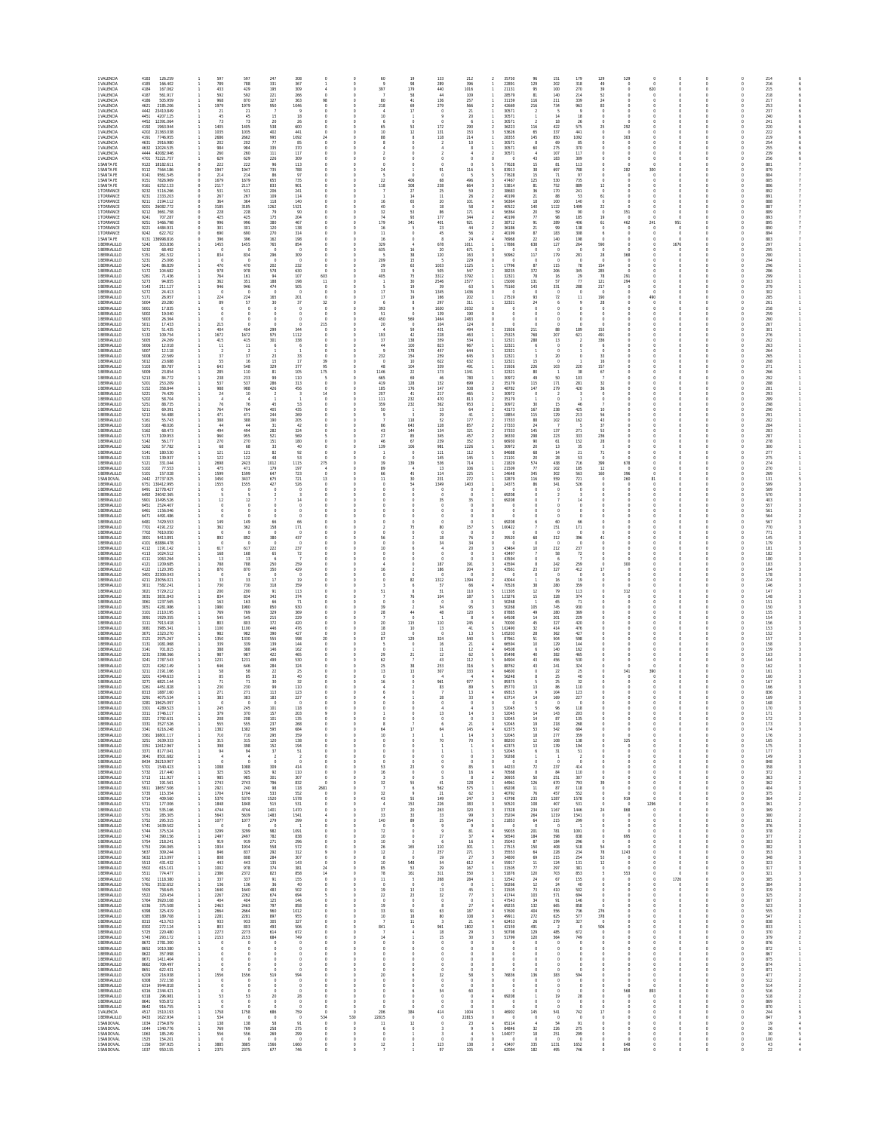| VALENCIA<br><b>VALENCIA</b><br>VALENCIA<br>VALENCIA<br>VALENCIA<br>VALENCIA                                | 4183<br>126.259<br>4185<br>4184<br>166.402<br>167.062<br>4187<br>561.917<br>4186<br>505.959<br>4621<br>2185.206                                        | 789<br>433<br>592<br>968<br>1979                                                        | 597<br>788<br>429<br>429<br>592<br>870<br>870<br>1979<br>21                            | $\begin{array}{c} 331 \\ 195 \\ 221 \end{array}$<br>327                                    | $\frac{367}{309}$<br>266<br>363<br>1046                              |                 |                                        | 397<br>218                                                                | 179<br>58<br>41<br>69                                           | 133<br>289<br>440<br>44<br>136<br>279                                       | 212<br>$\begin{array}{r} 396 \\ 1016 \\ 109 \\ 257 \end{array}$<br>566               | 35750<br>22891<br>21131<br>28579<br>31159<br>42669          | $\frac{129}{95}$<br>81<br>$\frac{116}{216}$                                                           | 151<br>202<br>100<br>140<br>211<br>234<br>5                                                                                            | 318<br>$\frac{270}{214}$<br>339<br>963                               | 49<br>$\frac{39}{52}$<br>$\overline{2}$<br>83           | $^{\circ}$<br>$\circ$                                               | 620                                                    |      |                                  |                                                             | $\frac{216}{215}$<br>218<br>217<br>253                             |  |
|------------------------------------------------------------------------------------------------------------|--------------------------------------------------------------------------------------------------------------------------------------------------------|-----------------------------------------------------------------------------------------|----------------------------------------------------------------------------------------|--------------------------------------------------------------------------------------------|----------------------------------------------------------------------|-----------------|----------------------------------------|---------------------------------------------------------------------------|-----------------------------------------------------------------|-----------------------------------------------------------------------------|--------------------------------------------------------------------------------------|-------------------------------------------------------------|-------------------------------------------------------------------------------------------------------|----------------------------------------------------------------------------------------------------------------------------------------|----------------------------------------------------------------------|---------------------------------------------------------|---------------------------------------------------------------------|--------------------------------------------------------|------|----------------------------------|-------------------------------------------------------------|--------------------------------------------------------------------|--|
| VALENCIA<br>VALENCIA<br>VALENCIA<br>VALENCIA<br>VALENCIA<br>VALENCIA                                       | 4442<br>23410.849<br>4451<br>4207.125<br>4452<br>12391.064<br>4192<br>1963.944<br>4202<br>21363.038<br>4191<br>7746.955                                | $21\,$<br>45<br>1405<br>1035<br>2686                                                    | 73<br>1405<br>1035<br>2662                                                             | $\frac{950}{7}$<br>15<br>538<br>402<br>$\frac{995}{77}$                                    | 18<br>600<br>441<br>1092                                             |                 |                                        | 10<br>65<br>88                                                            | 17<br>53<br>12                                                  | 172<br>131<br>118                                                           | $21\,$<br>20<br>290<br>153<br>214                                                    | 30571<br>30571<br>30571<br>36223<br>53626<br>28355          | 116<br>$rac{65}{145}$                                                                                 | 14<br>18<br>422<br>$337\,$<br>850                                                                                                      | 18<br>575<br>441<br>${\begin{array}{c} 1092 \\ 85 \end{array}}$      | 25                                                      | 292<br>303                                                          |                                                        |      |                                  |                                                             | 237<br>240<br>241<br>220<br>222<br>219                             |  |
| VALENCIA<br>VALENCIA<br>VALENCIA<br>VALENCIA<br>SANTA FE<br>SANTA FE                                       | 4631<br>2916.980<br>4632<br>12024.535<br>4444<br>42082.946<br>4701<br>72221.757<br>9122<br>18182.611<br>9112<br>7564.186                               | 202<br>984<br>260<br>$\frac{629}{222}$                                                  | $\begin{array}{r}\n 202 \\  264 \\  260 \\  629 \\  222\n \end{array}$                 | 335<br>$111$<br>226                                                                        | 370<br>117<br>309<br>113<br>788                                      |                 |                                        | 24                                                                        |                                                                 | 91                                                                          | 116                                                                                  | 30571<br>30571<br>30571<br>77628<br>83913                   | 60<br>43<br>15                                                                                        | 69<br>275<br>107<br>183<br>$_{81}$                                                                                                     | 370<br>$117$<br>309<br>113<br>788                                    |                                                         | $\circ$<br>$^{\circ}$<br>282                                        | 300                                                    |      |                                  |                                                             | 254<br>255<br>239<br>256<br>879                                    |  |
| SANTA FE<br>SANTA FE<br>SANTA FE<br>TORRANCE<br>TORRANCE<br>TORRANCE                                       | 9141<br>9561.545<br>9151<br>7826.969<br>9161<br>6252.133<br>9232<br>5116.266<br>9231<br>2333.203<br>2194.112                                           | $\frac{1947}{214}$<br>$\frac{1679}{2117}$<br>$\frac{531}{267}$                          | $\begin{array}{r} 1947 \\ 214 \end{array}$<br>1679<br>2117<br>$\frac{531}{267}$        | 735<br>86<br>655<br>833<br>206<br>109<br>118                                               | 97<br>735<br>$\frac{901}{241}$<br>114<br>140                         |                 |                                        | 22<br>118                                                                 | 406<br>$308\,$<br>$\frac{27}{14}$                               | 6s<br>238<br>25                                                             | 496<br>664<br>59                                                                     | 77628<br>47467<br>53814<br>38683<br>40199<br>56364          | 38<br>15<br>$^{125}_{\phantom{1}81}$<br>36<br>$21\,$                                                  | $^{697}_{71}$<br>530<br>$752$<br>$170$<br>88                                                                                           | 97<br>735<br>889<br>$\begin{array}{c} 241 \\ 53 \end{array}$         |                                                         | $\Omega$                                                            |                                                        |      |                                  |                                                             | 884<br>885<br>892<br>891<br>888                                    |  |
| TORRANCE<br>TORRANCE<br>TORRANCE<br>TORRANCE<br>TORRANCE<br>TORRANCE                                       | 9211<br>9201<br>9212<br>26082.772<br>3661.758<br>9241<br>707.287<br>9251<br>5466.798<br>9221<br>4484.931<br>9242<br>622.702                            | $\begin{array}{r} 364 \\ 3185 \\ 228 \end{array}$<br>425<br>996<br>301<br>690           | $\begin{array}{r} 364 \\ 364 \\ 278 \\ 425 \\ 996 \\ 301 \\ 690 \\ \end{array}$        | $\frac{1262}{79}$<br>175<br>380<br>$\frac{120}{270}$                                       | 1521<br>90<br>$\frac{204}{467}$<br>$\frac{138}{314}$                 |                 |                                        | 40<br>32<br>74<br>179<br>16<br>11                                         | $^{65}_{0}$<br>53<br>$\frac{93}{341}$                           | 15<br>177<br>401<br>23<br>45                                                | $\frac{101}{58}$<br>171<br>344<br>921<br>44<br>56                                    | 40522<br>40199<br>38712<br>36186<br>40199                   | $\begin{array}{c} 18 \\ 140 \\ 20 \\ 77 \\ 91 \end{array}$<br>$\begin{array}{c} 21 \\ 87 \end{array}$ | $\begin{array}{c} 100 \\ 1122 \\ 59 \end{array}$<br>$\frac{98}{289}$<br>$\frac{99}{183}$                                               | $\frac{140}{1499}$<br>185<br>406<br>138<br>308                       | $2\mathrm{i}$<br>19<br>61                               | 351<br>$\Omega$<br>462<br>$\circ$                                   | 241                                                    | 951  |                                  |                                                             | 887<br>889<br>893<br>895<br>890<br>894                             |  |
| I SANTA FE<br>I BERNALILLO<br>I BERNALILLO<br>I BERNALILLO<br>I BERNALILLO<br>I BERNALILLO                 | 9131 136998.816<br>5242<br>303.836<br>5232<br>68.492<br>5151<br>261.532<br>5231<br>5241<br>25.006<br>86.829                                            | $\frac{396}{1455}$<br>834<br>470                                                        | $\frac{396}{1455}$<br>834<br>470                                                       | $\frac{162}{765}$<br>296<br>202                                                            | 198<br>854<br>309<br>232                                             |                 |                                        | 16<br>329<br>635<br>209<br>29                                             | 63                                                              | 678<br>$\alpha$<br>120<br>1033                                              | $\frac{24}{1011}$<br>$\frac{671}{163}$                                               | 76968<br>17886<br>50962<br>17796                            | $\frac{22}{638}$<br>117<br>87                                                                         | $\frac{140}{127}$<br>179<br>115                                                                                                        | 198<br>264<br>281                                                    | 590<br>28<br>154                                        | $^{\circ}$<br>368<br>$\circ$                                        |                                                        | 1676 |                                  |                                                             | 883<br>297<br>280<br>294<br>296                                    |  |
| I BERNALILLO<br>I BERNALILLO<br>I BERNALILLO<br>I BERNALILLO<br>I BERNALILLO<br>I BERNALILLO               | 5172<br>104.682<br>5261<br>$\frac{5273}{5143}$<br>94.855<br>5272<br>24.413<br>5171<br>26.957                                                           | 978<br>764<br>362<br>946<br>$\sqrt{2}$<br>224                                           | 978<br>161<br>351<br>946<br>224                                                        | $\frac{578}{94}$<br>$\frac{188}{474}$<br>165                                               | 630<br>107<br>$\frac{198}{505}$<br>$\theta$<br>201                   | 603<br>11       |                                        | 33<br>405<br>17<br>17                                                     | 75<br>$\frac{30}{19}$<br>74<br>19                               | $\frac{505}{3312}$<br>2546<br>39<br>$\frac{1345}{166}$                      | 229<br>1125<br>547<br>3792<br>2577<br>63<br>$\frac{1436}{202}$                       | 38235<br>32321<br>15000<br>75160<br>27519                   | $\frac{372}{78}$<br>$\frac{131}{143}$<br>$\Omega$<br>93                                               | $\frac{206}{16}$<br>57<br>331<br>72                                                                                                    | 345<br>29<br>77<br>288<br>11                                         | 285<br>78<br>$\frac{121}{217}$<br>190                   | 291<br>294                                                          | 490                                                    |      |                                  |                                                             | 28<br>299<br>303<br>279<br>302<br>285                              |  |
| I BERNALILLO<br>I BERNALILLO<br>I BERNALILLO<br>I BERNALILLO<br>I BERNALILLO<br>I BERNALILLO               | 5004<br>20.280<br>5001<br>5002<br>19.040<br>26.364<br>5003<br>5011<br>5271<br>17.433                                                                   | 89<br>215<br>404                                                                        | 57<br>404                                                                              | $30\,$<br>299                                                                              | 37<br>344                                                            | 32<br>215       |                                        | 393<br>51<br>450<br>$20\,$                                                | 569<br>59                                                       | 297<br>1630<br>$\frac{139}{1464}$<br>$\frac{104}{431}$                      | $\frac{311}{2032}$<br>$\frac{190}{2483}$<br>$\frac{124}{494}$                        | 32321<br>31926                                              | $\sqrt{24}$<br>211                                                                                    | 88                                                                                                                                     | 189                                                                  | 28<br>155                                               |                                                                     |                                                        |      |                                  |                                                             | 261<br>258<br>259<br>260<br>267<br>301                             |  |
| BERNALILLO<br>BERNALILLO<br>BERNALILLO<br>BERNALILLO<br>BERNALILLO                                         | 5132<br>109.754<br>5005<br>5006<br>24.269<br>12.018<br>5007<br>12.118<br>5008<br>22.569<br>5012<br>23.688                                              | 1672<br>415<br>11<br>37                                                                 | $\begin{array}{r} 1672 \\ 415 \\ \hline 11 \end{array}$<br>37                          | 975<br>301<br>23                                                                           | 1112<br>338<br>33                                                    |                 |                                        | 193<br>$\frac{37}{44}$<br>232                                             | $42\,$<br>$\frac{138}{100}$<br>$\frac{178}{154}$                | 228<br>359<br>823<br>457<br>259<br>622                                      | 463<br>534<br>967<br>644<br>645<br>632                                               | 25325<br>32321<br>32321<br>32321<br>32321<br>32321          | 768<br>288<br>6                                                                                       | 207<br>$^{13}_{\phantom{1}0}$<br>20                                                                                                    | 621                                                                  | $\frac{491}{336}$<br>33                                 |                                                                     |                                                        |      |                                  |                                                             | 276<br>262<br>263<br>264<br>265                                    |  |
| BERNALILLO<br>BERNALILLO<br>BERNALILLO<br>BERNALILLO<br>BERNALILLO<br>BERNALILLO                           | 5103<br>80.787<br>5009<br>23.854<br>5213<br>84.772<br>5201<br>253.209<br>5152<br>358.844<br>5221<br>74.429                                             | 643<br>285<br>238<br>537<br>988<br>$\sqrt{24}$                                          | 548<br>110<br>233<br>537<br>988<br>$10$                                                | 329<br>$^{\rm 81}$<br>99<br>286<br>426                                                     | 377<br>105<br>110<br>313<br>456                                      | 175             |                                        | 48<br>1146<br>665<br>419<br>185<br>207                                    | 104<br>$22\,$<br>69<br>$\frac{128}{176}$<br>$41\,$              | 339<br>173<br>46<br>152<br>147<br>217                                       | 491<br>1341<br>780<br>699<br>508<br>465                                              | 31926<br>32321<br>30972<br>35179<br>48782<br>30972          | 226<br>80<br>49<br>$\frac{115}{147}$                                                                  | 103<br>50<br>$\frac{171}{279}$                                                                                                         | 220<br>103<br>281<br>420                                             | 157<br>67<br>36                                         |                                                                     |                                                        |      |                                  |                                                             | 271<br>266<br>292<br>281<br>293                                    |  |
| BERNALILLO<br>BERNALILLO<br>BERNALILLO<br>BERNALILLO<br>BERNALILLO<br>BERNALILLO                           | 5202<br>58.704<br>5251<br>88.735<br>5211<br>69.391<br>5212<br>54.488<br>5161<br>55.743<br>5163<br>48.026                                               | 764<br>471<br>388<br>44                                                                 | 764<br>471<br>388<br>44                                                                | 405<br>244<br>$\frac{190}{31}$                                                             | 53<br>435<br>269<br>205                                              |                 |                                        | 111<br>359<br>50                                                          | 232<br>232<br>118<br>643                                        | 470<br>362<br>13<br>$\frac{29}{52}$<br>128                                  | 813<br>953<br>64<br>177<br>857                                                       | 35179<br>30972<br>43173<br>18854<br>37333<br>37333          | 167<br>115<br>88<br>$\frac{24}{145}$                                                                  | 15<br>238<br>$\frac{129}{102}$                                                                                                         | 425<br>213<br>162                                                    | 10<br>43                                                |                                                                     |                                                        |      |                                  |                                                             | 289<br>298<br>290<br>291<br>282<br>28 <sub>0</sub>                 |  |
| BERNALILLO<br>BERNALILLO<br>BERNALILLO<br>BERNALILLO<br>BERNALILLO<br>BERNALILLO<br>BERNALILLO             | 5162<br>68.473<br>5173<br>109.953<br>5142<br>56.177<br>5262<br>57.782<br>5141<br>180.530<br>5131<br>139.937<br>5121<br>331.044                         | 494<br>$\frac{960}{270}$<br>121<br>122<br>2698                                          | $494$<br>$955$<br>$270$<br>$68$<br>$\frac{121}{122}$                                   | 282<br>521<br>151<br>$_{33}$<br>82                                                         | $42$<br>$324$<br>$569$<br>180<br>92<br>53<br>1115                    |                 |                                        | 43<br>46<br>139<br>39                                                     | 144<br>85<br>67<br>106                                          | 134<br>345<br>239<br>981<br>111<br>145                                      | $\frac{321}{457}$<br>352<br>$\begin{array}{r} 1226 \\ 112 \\ 145 \\ 714 \end{array}$ | 37333<br>36330<br>66930<br>30972<br>84688<br>21101<br>21829 | $^{298}_{90}$<br>$20\,$<br>68<br>$\frac{20}{574}$                                                     | 137<br>$223\,$<br>$^{61}_{13}$<br>$\begin{array}{c} 14 \\ 28 \\ 438 \end{array}$                                                       | 271<br>333<br>152<br>21<br>53<br>716                                 | 53<br>236<br>28<br>71                                   |                                                                     |                                                        |      |                                  |                                                             | 283<br>287<br>278<br>300<br>277<br>275<br>274                      |  |
| BERNALILLO<br>BERNALILLO<br>SANDOVAL<br>BERNALILLO<br>I BERNALILLO<br>I BERNALILLO                         | 5102<br>77.553<br>5101<br>157.028<br>2442<br>6751<br>27737.925<br>130412.995<br>6491<br>12778.427<br>24042.365<br>6492                                 | 475<br>1599<br>$3450$<br>1555                                                           | 2423<br>471<br>1599<br>3437<br>1555                                                    | 1012<br>$\frac{179}{647}$<br>$\frac{675}{427}$                                             | $\begin{array}{r} 197 \\ 197 \\ 723 \\ 721 \\ 526 \end{array}$       | 275<br>13       |                                        | 66                                                                        | 139<br>45<br>$\frac{30}{54}$                                    | 536<br>12<br>114<br>231<br>1349                                             | 106<br>$\begin{array}{c} 225 \\ 272 \\ 1403 \end{array}$                             | 21509<br>24648<br>32879<br>24375<br>69208                   | $\eta$<br>345<br>116<br>86                                                                            | 102<br>302<br>559<br>341                                                                                                               | 185<br>563<br>$721$<br>526                                           | 399<br>12<br>160                                        | 678<br>396<br>260<br>$\circ$                                        |                                                        |      |                                  |                                                             | 270<br>269<br>131<br>599<br>569<br>570                             |  |
| I BERNALILLO<br>I BERNALILLO<br>I BERNALILLO<br>I BERNALILLO<br>I BERNALILLO<br>I BERNALILLO               | $\frac{5901}{6451}$<br>13495.526<br>2524.407<br>6461<br>1156.046<br>6471<br>6481<br>7429.553<br>4191.232<br>7701                                       | 12<br>149<br>362                                                                        | 12<br>149<br>362                                                                       | 66<br>158                                                                                  | 14<br>$^{66}_{171}$                                                  |                 |                                        |                                                                           |                                                                 | 35                                                                          | 35<br>157                                                                            | 69208<br>69208<br>100422                                    |                                                                                                       | 60<br>151                                                                                                                              | 14<br>66<br>171                                                      |                                                         |                                                                     |                                                        |      |                                  |                                                             | 403<br>557<br>561<br>564<br>567<br>770                             |  |
| I BERNALILLO<br>I BERNALILLO<br>I BERNALILLO<br>I BERNALILLO<br>I BERNALILLO<br>I BERNALILLO               | 7702<br>7610.050<br>9413.891<br>3001<br>$\frac{4101}{4112}$<br>63884.478<br>4113<br>1024.512<br>4111<br>1063.264                                       | 892<br>617<br>168<br>13                                                                 | 892<br>617<br>$\frac{168}{13}$                                                         | 380<br>222<br>65                                                                           | 437<br>237<br>$\mathcal{V}^2$                                        |                 |                                        |                                                                           |                                                                 | 34                                                                          | 76<br>34<br>20                                                                       | 39520<br>43464<br>43497<br>43594                            | 68<br>10                                                                                              | 312<br>212<br>58                                                                                                                       | 396<br>237                                                           |                                                         |                                                                     |                                                        |      |                                  |                                                             | 771<br>145<br>179<br>181<br>182<br>180                             |  |
| I BERNALILLO<br>I BERNALILLO<br>I BERNALILLO<br>I BERNALILLO<br>I BERNALILLO<br>I BERNALILLO               | $\frac{4121}{4122}$<br>1209.685<br>$\frac{3401}{4211}$<br>22300.043<br>23056.021<br>$\frac{3011}{3021}$<br>7582.241<br>5729.212<br>3031                | 788<br>870<br>33<br>730<br>200<br>834                                                   | 788<br>870<br>33<br>$\frac{730}{200}$                                                  | $\frac{250}{350}$<br>17<br>$318\,$<br>91<br>$343\,$                                        | $\frac{259}{429}$<br>19<br>359<br>113                                |                 |                                        |                                                                           | 82                                                              | 187<br>186<br>1312<br>57<br>$\overline{51}$<br>104                          | $\frac{191}{204}$<br>1394<br>$\frac{66}{110}$<br>187                                 | 43594<br>43561<br>43044<br>70526<br>111305<br>123276        | 23<br>38<br>$\overline{12}$<br>15                                                                     | $\frac{242}{327}$<br>16<br>$^{280}_{79}$                                                                                               | $\frac{259}{412}$<br>359<br>113<br>374                               |                                                         | 300<br>$\circ$<br>312                                               |                                                        |      |                                  |                                                             | 183<br>184<br>178<br>224<br>146<br>147<br>148                      |  |
| I BERNALILLO<br>I BERNALILLO<br>I BERNALILLO<br>I BERNALILLO<br>BERNALILLO<br>BERNALILLO<br>BERNALILLO     | 3831.843<br>1237.565<br>3061<br>3051<br>4281.986<br>3101<br>2110.195<br>1929.355<br>3091<br>7913.418<br>3111<br>3081<br>3985.341                       | 163<br>1980<br>769<br>545<br>803<br>1100                                                | 834<br>163<br>$\begin{array}{r} 1980 \\ 769 \\ 545 \\ 803 \end{array}$                 | 66<br>850<br>$\frac{329}{215}$<br>$372\,$<br>446                                           | $\frac{374}{71}$<br>930<br>$\frac{369}{229}$<br>420<br>476           |                 |                                        | 28<br>18                                                                  | 44<br>115<br>10                                                 | 54<br>48<br>110<br>13                                                       | 95<br>120<br>245<br>41                                                               | 50268<br>50268<br>87885<br>64508<br>70000<br>102490         | $\begin{array}{c} 105 \\ 49 \\ 14 \end{array}$<br>45<br>32                                            | $\frac{328}{65}$<br>$745\,$<br>$\frac{280}{201}$<br>327<br>414                                                                         | 71<br>930<br>$\frac{369}{229}$<br>476                                |                                                         |                                                                     |                                                        |      |                                  |                                                             | 151<br>150<br>155<br>154<br>156<br>153                             |  |
| BERNALILLO<br>BERNALILLO<br>BERNALILLO<br>BERNALILLO<br>BERNALILLO<br>BERNALILLO                           | 2323.270<br>3071<br>3121<br>2975.267<br>1081.968<br>3131<br>3141<br>701.815<br>3231<br>3398.366<br>3241<br>2787.543                                    | 982<br>1350<br>339<br>388<br>987<br>1231                                                | $\begin{array}{r} 1100 \\ 982 \\ 1330 \\ 339 \end{array}$<br>388<br>987<br>1231        | $\frac{390}{555}$<br>139<br>146<br>422<br>499                                              | 427<br>598<br>144<br>162<br>465<br>530                               |                 |                                        | 87<br>62                                                                  | 129<br>$\overline{21}$                                          | 324<br>11<br>$\overline{12}$<br>43                                          | 540<br>$21\,$<br>12<br>112                                                           | 105203<br>87961<br>66594<br>64508<br>85498<br>84904         | $rac{28}{51}$<br>10<br>43                                                                             | $\frac{362}{504}$<br>$\frac{129}{140}$<br>$\frac{382}{456}$                                                                            | 427<br>598<br>144<br>162<br>465<br>530                               |                                                         |                                                                     |                                                        |      |                                  |                                                             | 152<br>157<br>159<br>163<br>164                                    |  |
| BERNALILLO<br>BERNALILLO<br>BERNALILLO<br>BERNALILLO<br>BERNALILLO<br>BERNALILLO<br>BERNALILLO             | 3221<br>4262.149<br>3211<br>2191.166<br>3201<br>4349.633<br>3271<br>6821.144<br>3261<br>4451.828<br>8313<br>1887.160<br>4075.534<br>3291               | 646<br>58<br>71<br>230<br>271<br>383                                                    | 646<br>58<br>71<br>230<br>$\frac{271}{383}$                                            | 284<br>22<br>$_{33}$<br>30<br>99<br>113<br>183                                             | 324<br>25<br>32<br>110<br>$\frac{123}{227}$                          |                 |                                        | 13                                                                        | 13                                                              | 253<br>307<br>961<br>83                                                     | 333<br>977<br>13<br>33                                                               | 88762<br>64600<br>56248<br>89375<br>85770<br>69315<br>63714 | 43<br>$13\,$<br>14                                                                                    | $241\,$<br>$\begin{array}{c} 22 \\ 25 \\ 25 \end{array}$<br>86<br>104<br>169                                                           | 324<br>25<br>32<br>110<br>123<br>227                                 |                                                         | 341                                                                 | 390                                                    |      |                                  |                                                             | 161<br>167<br>836<br>169                                           |  |
| BERNALILLO<br>BERNALILLO<br>BERNALILLO<br>BERNALILLO<br>BERNALILLO<br>BERNALILLO                           | 3281<br>19625.097<br>3301<br>4289.523<br>3311<br>3746.117<br>3321<br>2792.631<br>3331<br>3527.526<br>3341<br>6216.248                                  | $\theta$<br>245<br>379<br>208<br>555                                                    | 245<br>370<br>208<br>555                                                               | $\theta$<br>101<br>157<br>101                                                              | 118                                                                  |                 |                                        | 64                                                                        | 17                                                              | 12<br>64                                                                    | 14<br>$\frac{21}{145}$                                                               | 52045<br>52045<br>52045<br>52045<br>62375                   | 14<br>14                                                                                              | $\theta$<br>143<br>87                                                                                                                  | 118<br>203<br>135                                                    |                                                         | $\circ$                                                             |                                                        |      |                                  | $^{\circ}$                                                  | 168<br>17'<br>172<br>173<br>174                                    |  |
| BERNALILLO<br>BERNALILLO<br>BERNALILLO<br>1 BERNALILLO<br>1 BERNALILLO<br>BERNALILLO<br><b>BERNALILLO</b>  | 3361<br>16801.117<br>$3251$<br>$3351$<br>2639.333<br>12612.967<br>$\frac{3371}{3041}$<br>8177.041<br>8501.682<br>8434<br>5701<br>26210.907<br>1540.423 | 1382<br>710<br>315<br>$\begin{array}{r} 398 \\ 94 \\ 4 \end{array}$<br>$\theta$<br>1088 | $\begin{array}{r} 1382 \\ 1382 \\ 710 \\ 315 \\ 398 \\ 94 \\ 4 \\ \end{array}$<br>1088 | 237<br>595<br>295<br>201<br>152<br>37<br>2<br>$\theta$<br>309                              | 203<br>135<br>268<br>684<br>359<br>138<br>194<br>5<br>2<br>414       |                 | Ω<br>Ω<br>0                            | 10<br>53                                                                  | 23                                                              |                                                                             | 14<br>70<br>85                                                                       | 52045<br>88203<br>62375<br>52045<br>50268<br>44233          | 19 53 18 12 13 6 1<br>$\theta$                                                                        | 218<br>542<br>277<br>108<br>139<br>31<br>31<br>$\Omega$<br>237                                                                         | 268<br>684<br>359<br>38<br>138<br>194<br>51<br>$\overline{2}$<br>414 |                                                         | $\circ$<br>325<br>$\circ$<br>$^{\circ}$<br>$\Omega$<br>$^{\circ}$   | $\theta$<br>$\theta$<br>$\circ$<br>$\theta$<br>$\circ$ |      |                                  | $\circ$<br>$\circ$<br>0<br>$\circ$<br>$^{\circ}$            | 176<br>165<br>175<br>177<br>149<br>848<br>358                      |  |
| 1<br>BERNALILLO<br>1 BERNALILLO<br>I BERNALILLO<br>I BERNALILLO<br>I BERNALILLO<br>I BERNALILLO            | 5732<br>217.440<br>5713<br>111.927<br>5712<br>5911<br>191.561<br>18657.506<br>5735<br>5714<br>115.354                                                  | 325<br>985<br>985<br>2743<br>2921<br>1704<br>5370<br>1848<br>4744                       | 325<br>985<br>$\frac{2743}{240}$<br>1704<br>5370                                       | $\frac{92}{301}$<br>796<br>98<br>$\frac{533}{1520}$                                        | 110<br>307<br>$\frac{832}{118}$<br>552<br>1578                       | 2681            | 0                                      | 16<br>$_{\rm 32}$<br>$\frac{32}{43}$                                      | 55<br>6<br>55                                                   | 41<br>562<br>$\frac{21}{149}$                                               | $16\,$                                                                               | 70568<br>36935<br>44961<br>69208<br>40792<br>43798          | $\begin{array}{r} 72 \\ 8 \\ 50 \end{array}$<br>$\frac{126}{11}$                                      | $\frac{84}{251}$<br>$^{670}_{87}$                                                                                                      | $\frac{110}{307}$<br>793<br>118<br>552<br>1578<br>531<br>1446        | 39<br>$^{\circ}$<br>$^{\circ}$                          | $^{\circ}$<br>$\theta$<br>$^{\circ}$<br>919                         | 0<br>$\circ$<br>0<br>¢                                 |      |                                  | $^{\circ}$<br>$^{\circ}$<br>$^{\circ}$                      | $372\,$<br>363<br>$\frac{362}{404}$<br>$\frac{375}{364}$           |  |
| I BERNALILLO<br>I BERNALILLO<br>1<br>BERNALILLO<br>1 BERNALILLO<br>1<br>BERNALILLO<br>1 BERNALILLO         | 5711<br>5724<br>177.006<br>5751<br>285.305<br>295.315<br>5741<br>5744<br>1639.502                                                                      | $\frac{5643}{1077}$<br>$\theta$<br>3299                                                 | 1848<br>4744<br>$\frac{5639}{1077}$<br>$\Omega$<br>3299                                | $\frac{515}{1401}$<br>$\frac{1483}{279}$<br>$\begin{smallmatrix} 0\\982 \end{smallmatrix}$ | 531<br>1470<br>1541<br>299<br>1091                                   |                 | 0<br>$\circ$<br>0<br>$\circ$<br>0<br>Ó | $_{37}$<br>$\begin{array}{c} 33 \\ 140 \end{array}$<br>$\theta$<br>$72\,$ | 153<br>20<br>33<br>89<br>$\mathfrak{g}$<br>$\theta$             | $\frac{226}{263}$<br>$\frac{33}{25}$<br>$\overline{9}$                      | 128 575 62 747 383 320 99 254<br>$\overline{\mathbf{S}}$                             | 50520<br>35204<br>21853<br>59035                            | $\frac{76}{233}$<br>108<br>234<br>$\begin{array}{r} 264 \\ 64 \\ 0 \\ 201 \end{array}$                | $\begin{array}{r} 87 \\ 457 \\ 1287 \\ 407 \\ 1167 \\ 1219 \\ 215 \\ 0 \end{array}$<br>$\begin{smallmatrix} 0\\ 781 \end{smallmatrix}$ | $\frac{1541}{299}$<br>1091                                           | $\theta$<br>24<br>$\,0\,$<br>$^{\circ}$                 | $\circ$<br>868<br>$\,0\,$<br>$\circ$<br>$\theta$<br>$\circ$         | 1296<br>$\circ$<br>Ó<br>$\circ$<br>$\theta$<br>$\circ$ |      |                                  | $^{\circ}$<br>0<br>$\circ$<br>0                             | 361<br>369<br>380<br>381<br>$\frac{376}{378}$                      |  |
| 1<br>BERNALILLO<br>1 BERNALILLO<br>1<br>BERNALILLO<br>1 BERNALILLO<br>1<br>BERNALILLO<br>1 BERNALILLO      | 5743<br>5754<br>390.156<br>218.241<br>5753<br>5637<br>294.065<br>309.244<br>5632<br>213.097<br>431.432                                                 | 2497<br>919<br>1934<br>846<br>808<br>443                                                | 2497<br>919<br>1934<br>837<br>808<br>443                                               | $\frac{782}{271}$<br>558<br>292<br>284<br>135<br>374<br>374                                | 838<br>296<br>572<br>572<br>307<br>143                               | $^{24}$         | 0<br>$\circ$<br>0<br>0                 | $\begin{array}{c} 10 \\ 10 \end{array}$<br>$\frac{26}{12}$<br>10<br>85    | $\theta$<br>165<br>$\overline{2}$<br>548                        | $\sqrt{27}$<br>$\frac{110}{257}$<br>$\frac{19}{54}$                         | $\frac{37}{16}$<br>$\frac{301}{271}$<br>$\frac{27}{612}$                             | 56540<br>35043<br>27515<br>35553<br>34800<br>55917          | 184<br>187<br>150<br>64<br>69<br>11<br>77<br>120<br>12<br>73<br>10<br>34                              | 598<br>184<br>408<br>228<br>215<br>215<br>297<br>703<br>67<br>24                                                                       | 838<br>296<br>518<br>534<br>254<br>131<br>853<br>155<br>40           | 54<br>78<br>53<br>12<br>$\,$ 0                          | 695<br>$\,$ 0<br>$\theta$<br>1243<br>$\circ$<br>$\circ$<br>$\theta$ | $\theta$<br>0<br>O<br>$\circ$<br>0<br>C                |      |                                  | $\circ$<br>0<br>$\circ$<br>$^{\circ}$<br>0<br>$\circ$       | $377\,$<br>383<br>382<br>353<br>348<br>323                         |  |
| I BERNALILLO<br>I BERNALILLO<br>I BERNALILLO<br>I BERNALILLO<br>I BERNALILLO<br>I BERNALILLO<br>BERNALILLO | 5502<br>5511<br>615.101<br>5762<br>5761<br>1118.380<br>3532.652<br>5505<br>5522<br>5764<br>6336<br>758.645<br>320.454<br>3920.108                      | 1002<br>2386<br>337<br>136<br>1640<br>2267<br>404                                       | $\frac{978}{2372}$<br>$\frac{337}{136}$<br>1640<br>2262<br>404                         | $\frac{91}{36}$<br>$\begin{array}{c} 483 \\ 674 \\ 125 \end{array}$                        | $\frac{381}{858}$<br>$\frac{155}{40}$<br>502<br>694<br>146           | 14              | c<br>0<br>$\theta$                     | 78<br>11<br>$\frac{19}{22}$<br>$^{\circ}$                                 | $\frac{53}{161}$<br>$\frac{5}{0}$<br>$\frac{13}{23}$<br>$\circ$ | $\frac{29}{311}$<br>268<br>$\circ$<br>$\frac{1}{3}$<br>$\ddot{\phantom{0}}$ | 167<br>550<br>284<br>$\theta$<br>$^{45}_{77}$                                        | 31505<br>51876<br>32542<br>50266<br>31505<br>41744<br>47543 |                                                                                                       |                                                                                                                                        | 502<br>694<br>146<br>858                                             | $^{\circ}$                                              | 553<br>$\mathbf 0$<br>$^{\circ}$<br>$\circ$                         | 0<br>0<br>$\circ$<br>$\theta$                          | 1726 | $\Omega$                         | $^{\circ}$<br>0<br>$_{0}^{0}$<br>$\circ$                    | $\frac{317}{321}$<br>385<br>384<br>319<br>325<br>387               |  |
| BERNALILLO<br>BERNALILLO<br>BERNALILLO<br>BERNALILLO<br>BERNALILLO<br>BERNALILLO<br>BERNALILLO             | 375.508<br>6398<br>325.419<br>6385<br>189.708<br>8315<br>413.703<br>8302<br>272.124<br>5725<br>5745<br>220.480<br>293.172                              | 2463<br>2664<br>2281<br>933<br>803<br>$\frac{2273}{2153}$                               | 2463<br>2664<br>2281<br>933<br>803<br>2273<br>2153                                     | 797<br>960<br>897<br>305<br>493<br>614<br>684                                              | 858<br>1012<br>955<br>$\frac{327}{506}$<br>672<br>749                |                 | $\theta$<br>$\circ$<br>$\circ$         | 19<br>33<br>10<br>841<br>14                                               | 91<br>18<br>11                                                  | 63<br>80<br>961<br>18<br>15                                                 | $\overline{2}$<br>187<br>$\frac{108}{21}$<br>1802<br>$\frac{29}{30}$                 | 69235<br>57600<br>49911<br>62453<br>42159<br>50798<br>51799 | 132<br>404<br>272<br>26<br>491<br>129<br>120                                                          | 410<br>571<br>91<br>665<br>556<br>625<br>279<br>2<br>485<br>564                                                                        | $\begin{array}{r} 736 \\ 577 \\ 327 \end{array}$<br>672<br>749       | 276<br>378<br>$\ddot{\phantom{0}}$<br>506<br>$^{\circ}$ | $\circ$<br>$\circ$<br>$\circ$                                       | $\theta$<br>$\theta$<br>$\theta$                       |      | $\theta$<br>$\Omega$<br>$\Omega$ | $\circ$<br>$\mathbf 0$<br>$\circ$<br>$\circ$<br>$\mathbf 0$ | 523<br>555<br>547<br>838<br>833<br>370<br>379                      |  |
| BERNALILLO<br>BERNALILLO<br>BERNALILLO<br>BERNALILLO<br>BERNALILLO<br>BERNALILLO                           | 8672<br>2781.300<br>8652<br>1010.380<br>8622<br>357.998<br>8671<br>1411.404<br>8662<br>709.497<br>8651<br>622.431                                      | 0<br>0<br>$\Omega$                                                                      | $\Omega$                                                                               | $\theta$<br>$\theta$<br>$\Omega$                                                           | $\circ$<br>$\circ$<br>$^{\circ}$                                     |                 | O<br>O                                 |                                                                           |                                                                 | $\Omega$<br>$\Omega$                                                        | $\circ$<br>$\circ$<br>$^{\circ}$                                                     |                                                             | $\theta$<br>$\theta$<br>$\Omega$                                                                      | $\theta$<br>$\theta$<br>$\Omega$                                                                                                       | $\Omega$<br>$\Omega$<br>$\Omega$                                     |                                                         | $\Omega$<br>$^{\circ}$<br>$\Omega$                                  | Ω<br>$\theta$<br>$\theta$                              |      | $\Omega$<br>$\Omega$             | $\circ$<br>$\circ$<br>$\circ$                               | 876<br>872<br>867<br>875<br>874<br>871                             |  |
| BERNALILLO<br>BERNALILLO<br>BERNALILLO<br>BERNALILLO<br>BERNALILLO<br>BERNALILLO<br>BERNALILLO             | 6209<br>216.938<br>6308<br>372.158<br>6314<br>5944.818<br>6316<br>2344.421<br>6318<br>296.981<br>8641<br>935.872<br>8642<br>916.755                    | 1556<br>$\mathfrak{g}$<br>$\theta$<br>53<br>$\Omega$                                    | 1556<br>$\Omega$<br>53                                                                 | 519<br>$\Omega$<br>20                                                                      | 594<br>$\ddot{\phantom{0}}$<br>$\circ$<br>28<br>$\ddot{\phantom{0}}$ |                 | Ω<br>Ω<br>$\theta$<br>Ω                | 20                                                                        |                                                                 | 32<br>54<br>$\ddot{\phantom{0}}$                                            | 58<br>$\Omega$<br>60<br>$\circ$                                                      | 76836<br>69208                                              | 136<br>$\Omega$<br>$\Omega$                                                                           | 383<br>$\theta$<br>19                                                                                                                  | 594<br>$\Omega$<br>28                                                |                                                         | $\circ$<br>$\circ$<br>568<br>$\circ$<br>$^{\circ}$                  | $\circ$<br>¢<br>$\theta$<br>893<br>$\circ$<br>£.       |      | $\Omega$<br>$\Omega$<br>$\Omega$ | $\circ$<br>$\mathbf 0$<br>$\circ$<br>$\circ$<br>$\circ$     | 477<br>512<br>514<br>516<br>518<br>869<br>870                      |  |
| VALENCIA<br>BERNALILLO<br>SANDOVAL<br>SANDOVAL<br>SANDOVAL<br>I SANDOVAL                                   | 4517<br>1510.193<br>8433<br>1622.934<br>1034<br>2754.879<br>1044<br>1063<br>1525<br>1340.776<br>185.249<br>154.201                                     | 1758<br>534<br>138<br>769<br>556<br>- 0                                                 | 1758<br>$\ddot{\phantom{0}}$<br>138<br>769<br>556<br>$\circ$                           | 686<br>$\theta$<br>58<br>258<br>269<br>$\circ$                                             | 759<br>$\circ$<br>$\frac{91}{275}$<br>$\frac{275}{299}$ 0            | 534<br>$\theta$ | 530<br>d<br>0                          | 206<br>22815<br>$\ddot{\phantom{a}}$                                      | 384<br>$\circ$                                                  | 414<br>$\ddot{\phantom{0}}$                                                 | 1004<br>$\begin{array}{c} 22815 \\ 23 \end{array}$                                   | 46902<br>65114<br>84846<br>104077                           | 145<br>$\circ$<br>$\begin{array}{c} 32 \\ 18 \\ 0 \end{array}$                                        | 541<br>$\theta$<br>54<br>$\frac{226}{251}$<br>$\circ$                                                                                  | 742<br>$\theta$<br>91<br>$\frac{275}{299}$                           | 17                                                      | $\circ$<br>$\circ$<br>$^{\circ}$                                    | $\circ$<br>0                                           |      | $\Omega$<br>$\theta$             | $\circ$<br>$^{\circ}$<br>0                                  | 244<br>847<br>19<br>$\begin{array}{c} 26 \\ 30 \\ 100 \end{array}$ |  |
| I SANDOVAL<br>I SANDOVAL                                                                                   | 1156<br>1037<br>597.925                                                                                                                                | 3885<br>2375                                                                            | 3885<br>2375                                                                           | 1566<br>677                                                                                | 1660<br>746                                                          | $\theta$        | $\ddot{\text{o}}$                      | $12\,$                                                                    |                                                                 | $\frac{123}{97}$                                                            | $\frac{138}{105}$                                                                    | 43407<br>62094                                              | $\frac{335}{182}$                                                                                     | 1231<br>495                                                                                                                            | 1652<br>746                                                          |                                                         | 648<br>854                                                          | $\ddot{\phantom{0}}$<br>0                              |      | $\theta$                         | $\,$ 0<br>0                                                 | $\begin{array}{c} 43 \\ 22 \end{array}$                            |  |